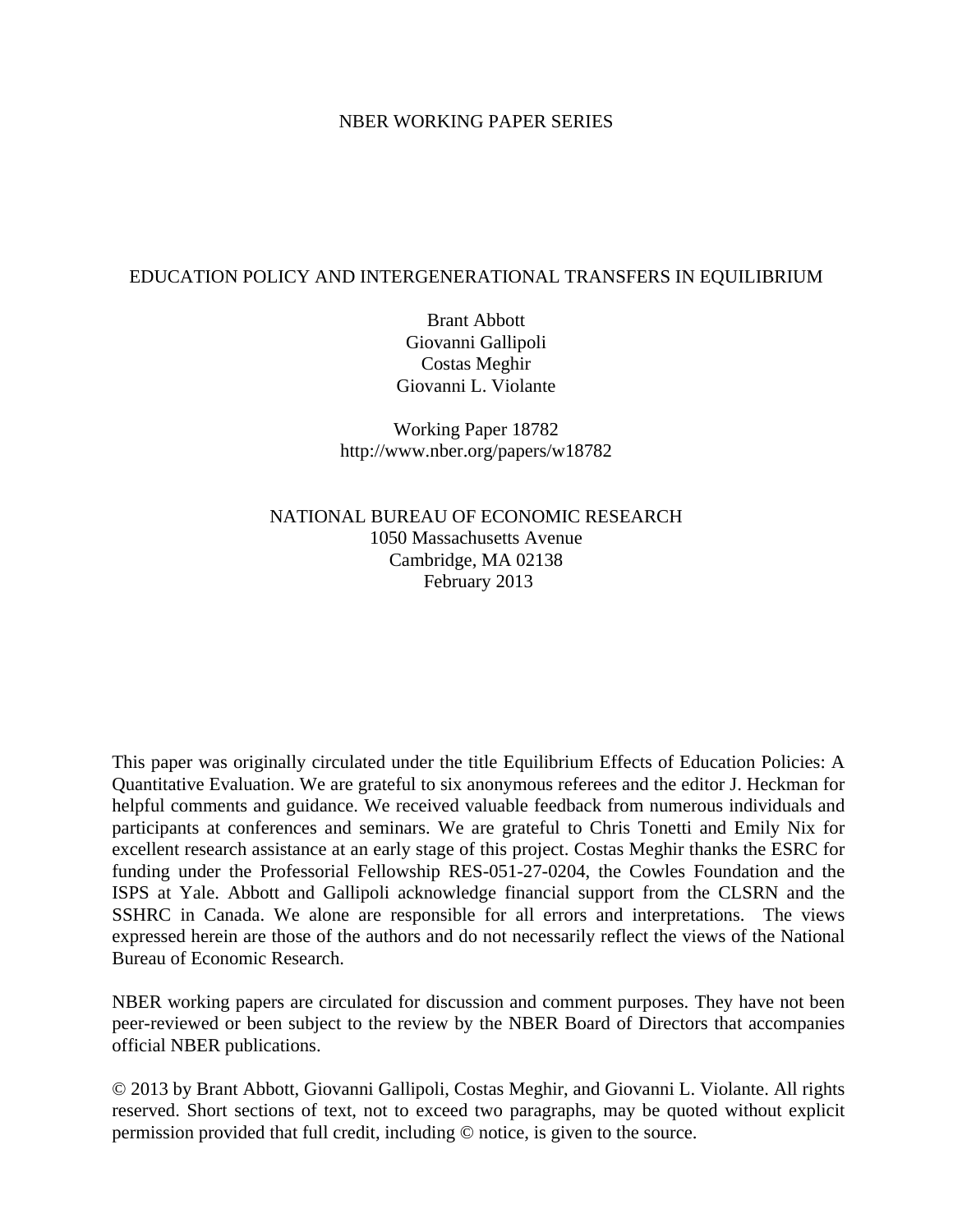#### NBER WORKING PAPER SERIES

### EDUCATION POLICY AND INTERGENERATIONAL TRANSFERS IN EQUILIBRIUM

Brant Abbott Giovanni Gallipoli Costas Meghir Giovanni L. Violante

Working Paper 18782 http://www.nber.org/papers/w18782

NATIONAL BUREAU OF ECONOMIC RESEARCH 1050 Massachusetts Avenue Cambridge, MA 02138 February 2013

This paper was originally circulated under the title Equilibrium Effects of Education Policies: A Quantitative Evaluation. We are grateful to six anonymous referees and the editor J. Heckman for helpful comments and guidance. We received valuable feedback from numerous individuals and participants at conferences and seminars. We are grateful to Chris Tonetti and Emily Nix for excellent research assistance at an early stage of this project. Costas Meghir thanks the ESRC for funding under the Professorial Fellowship RES-051-27-0204, the Cowles Foundation and the ISPS at Yale. Abbott and Gallipoli acknowledge financial support from the CLSRN and the SSHRC in Canada. We alone are responsible for all errors and interpretations. The views expressed herein are those of the authors and do not necessarily reflect the views of the National Bureau of Economic Research.

NBER working papers are circulated for discussion and comment purposes. They have not been peer-reviewed or been subject to the review by the NBER Board of Directors that accompanies official NBER publications.

© 2013 by Brant Abbott, Giovanni Gallipoli, Costas Meghir, and Giovanni L. Violante. All rights reserved. Short sections of text, not to exceed two paragraphs, may be quoted without explicit permission provided that full credit, including © notice, is given to the source.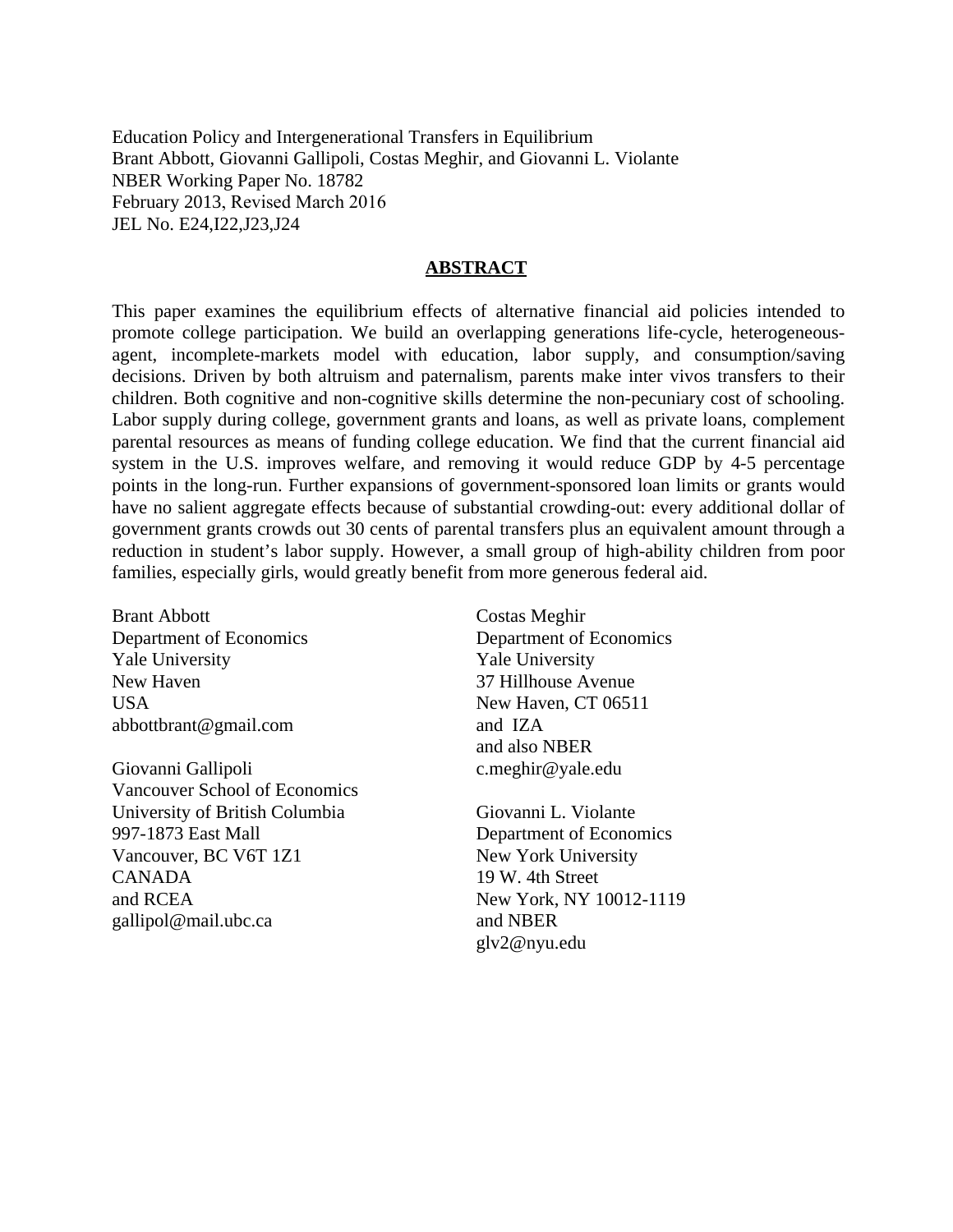Education Policy and Intergenerational Transfers in Equilibrium Brant Abbott, Giovanni Gallipoli, Costas Meghir, and Giovanni L. Violante NBER Working Paper No. 18782 February 2013, Revised March 2016 JEL No. E24,I22,J23,J24

### **ABSTRACT**

This paper examines the equilibrium effects of alternative financial aid policies intended to promote college participation. We build an overlapping generations life-cycle, heterogeneousagent, incomplete-markets model with education, labor supply, and consumption/saving decisions. Driven by both altruism and paternalism, parents make inter vivos transfers to their children. Both cognitive and non-cognitive skills determine the non-pecuniary cost of schooling. Labor supply during college, government grants and loans, as well as private loans, complement parental resources as means of funding college education. We find that the current financial aid system in the U.S. improves welfare, and removing it would reduce GDP by 4-5 percentage points in the long-run. Further expansions of government-sponsored loan limits or grants would have no salient aggregate effects because of substantial crowding-out: every additional dollar of government grants crowds out 30 cents of parental transfers plus an equivalent amount through a reduction in student's labor supply. However, a small group of high-ability children from poor families, especially girls, would greatly benefit from more generous federal aid.

Brant Abbott Department of Economics Yale University New Haven USA abbottbrant@gmail.com

Giovanni Gallipoli Vancouver School of Economics University of British Columbia 997-1873 East Mall Vancouver, BC V6T 1Z1 CANADA and RCEA gallipol@mail.ubc.ca

Costas Meghir Department of Economics Yale University 37 Hillhouse Avenue New Haven, CT 06511 and IZA and also NBER c.meghir@yale.edu

Giovanni L. Violante Department of Economics New York University 19 W. 4th Street New York, NY 10012-1119 and NBER glv2@nyu.edu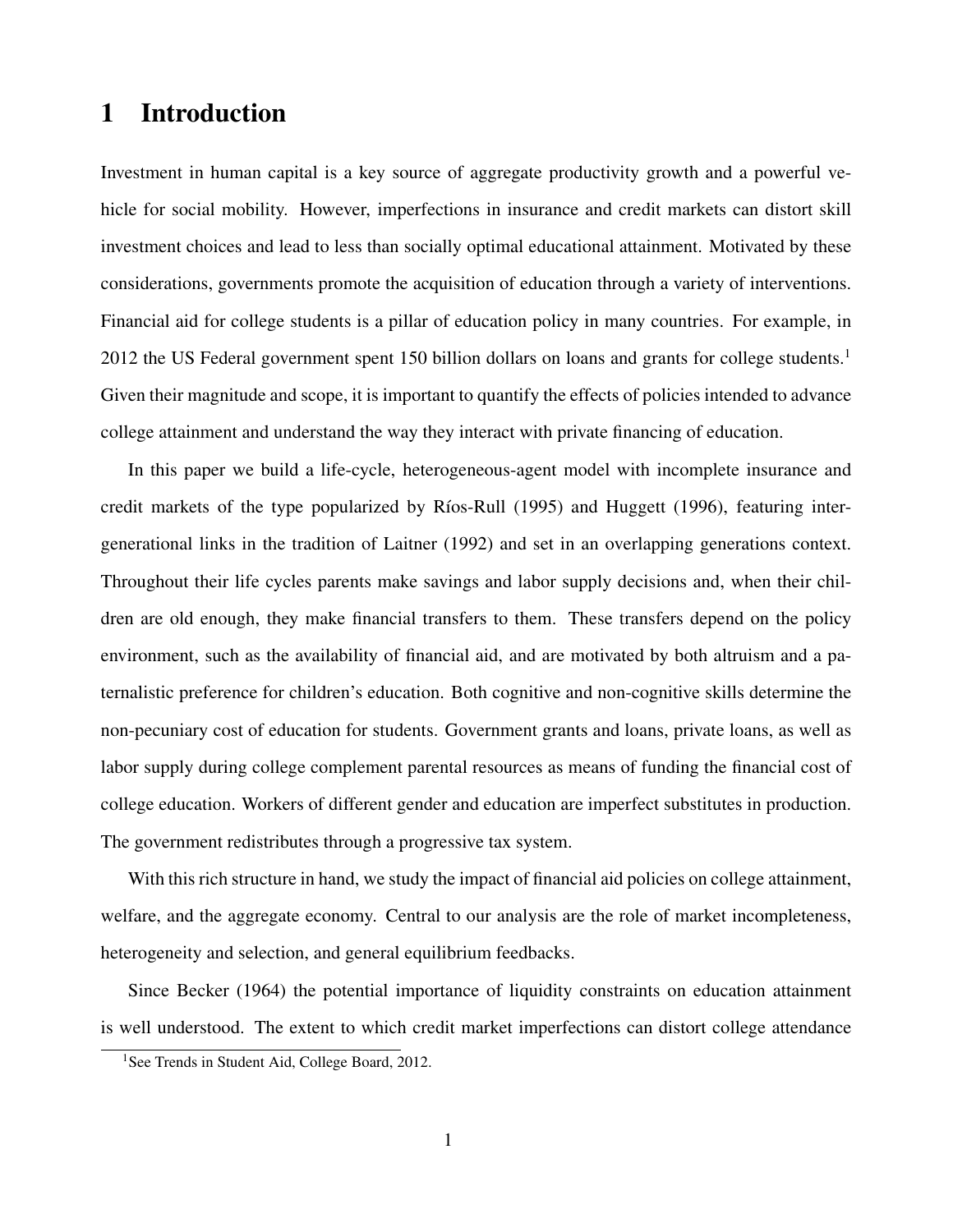# 1 Introduction

Investment in human capital is a key source of aggregate productivity growth and a powerful vehicle for social mobility. However, imperfections in insurance and credit markets can distort skill investment choices and lead to less than socially optimal educational attainment. Motivated by these considerations, governments promote the acquisition of education through a variety of interventions. Financial aid for college students is a pillar of education policy in many countries. For example, in 2012 the US Federal government spent 150 billion dollars on loans and grants for college students.<sup>1</sup> Given their magnitude and scope, it is important to quantify the effects of policies intended to advance college attainment and understand the way they interact with private financing of education.

In this paper we build a life-cycle, heterogeneous-agent model with incomplete insurance and credit markets of the type popularized by Ríos-Rull (1995) and Huggett (1996), featuring intergenerational links in the tradition of Laitner (1992) and set in an overlapping generations context. Throughout their life cycles parents make savings and labor supply decisions and, when their children are old enough, they make financial transfers to them. These transfers depend on the policy environment, such as the availability of financial aid, and are motivated by both altruism and a paternalistic preference for children's education. Both cognitive and non-cognitive skills determine the non-pecuniary cost of education for students. Government grants and loans, private loans, as well as labor supply during college complement parental resources as means of funding the financial cost of college education. Workers of different gender and education are imperfect substitutes in production. The government redistributes through a progressive tax system.

With this rich structure in hand, we study the impact of financial aid policies on college attainment, welfare, and the aggregate economy. Central to our analysis are the role of market incompleteness, heterogeneity and selection, and general equilibrium feedbacks.

Since Becker (1964) the potential importance of liquidity constraints on education attainment is well understood. The extent to which credit market imperfections can distort college attendance

<sup>&</sup>lt;sup>1</sup>See Trends in Student Aid, College Board, 2012.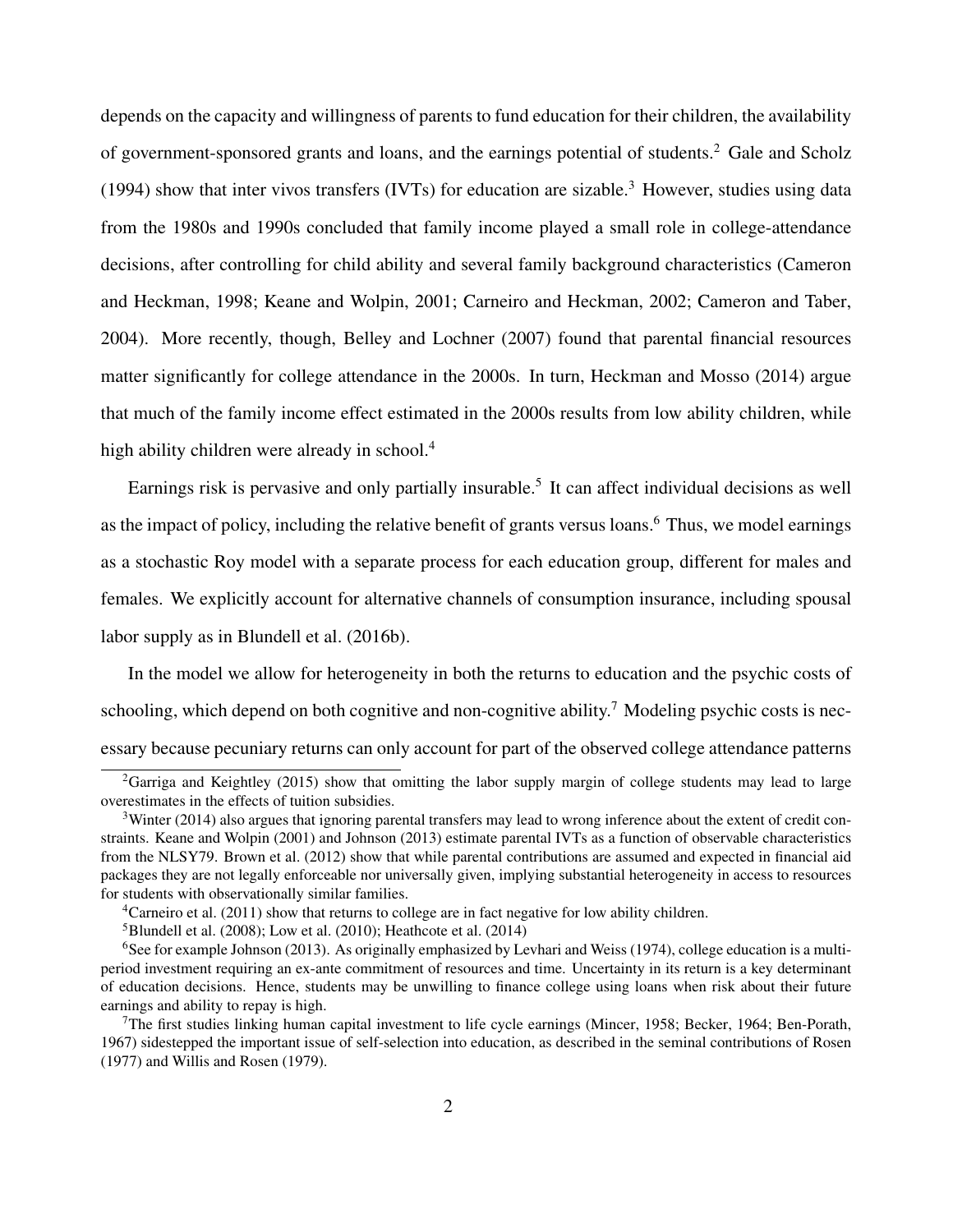depends on the capacity and willingness of parents to fund education for their children, the availability of government-sponsored grants and loans, and the earnings potential of students.<sup>2</sup> Gale and Scholz  $(1994)$  show that inter vivos transfers (IVTs) for education are sizable.<sup>3</sup> However, studies using data from the 1980s and 1990s concluded that family income played a small role in college-attendance decisions, after controlling for child ability and several family background characteristics (Cameron and Heckman, 1998; Keane and Wolpin, 2001; Carneiro and Heckman, 2002; Cameron and Taber, 2004). More recently, though, Belley and Lochner (2007) found that parental financial resources matter significantly for college attendance in the 2000s. In turn, Heckman and Mosso (2014) argue that much of the family income effect estimated in the 2000s results from low ability children, while high ability children were already in school.<sup>4</sup>

Earnings risk is pervasive and only partially insurable.<sup>5</sup> It can affect individual decisions as well as the impact of policy, including the relative benefit of grants versus loans.<sup>6</sup> Thus, we model earnings as a stochastic Roy model with a separate process for each education group, different for males and females. We explicitly account for alternative channels of consumption insurance, including spousal labor supply as in Blundell et al. (2016b).

In the model we allow for heterogeneity in both the returns to education and the psychic costs of schooling, which depend on both cognitive and non-cognitive ability.<sup>7</sup> Modeling psychic costs is necessary because pecuniary returns can only account for part of the observed college attendance patterns

<sup>&</sup>lt;sup>2</sup>Garriga and Keightley (2015) show that omitting the labor supply margin of college students may lead to large overestimates in the effects of tuition subsidies.

<sup>&</sup>lt;sup>3</sup>Winter (2014) also argues that ignoring parental transfers may lead to wrong inference about the extent of credit constraints. Keane and Wolpin (2001) and Johnson (2013) estimate parental IVTs as a function of observable characteristics from the NLSY79. Brown et al. (2012) show that while parental contributions are assumed and expected in financial aid packages they are not legally enforceable nor universally given, implying substantial heterogeneity in access to resources for students with observationally similar families.

<sup>4</sup>Carneiro et al. (2011) show that returns to college are in fact negative for low ability children.

 $<sup>5</sup>B$ lundell et al. (2008); Low et al. (2010); Heathcote et al. (2014)</sup>

<sup>6</sup>See for example Johnson (2013). As originally emphasized by Levhari and Weiss (1974), college education is a multiperiod investment requiring an ex-ante commitment of resources and time. Uncertainty in its return is a key determinant of education decisions. Hence, students may be unwilling to finance college using loans when risk about their future earnings and ability to repay is high.

<sup>&</sup>lt;sup>7</sup>The first studies linking human capital investment to life cycle earnings (Mincer, 1958; Becker, 1964; Ben-Porath, 1967) sidestepped the important issue of self-selection into education, as described in the seminal contributions of Rosen (1977) and Willis and Rosen (1979).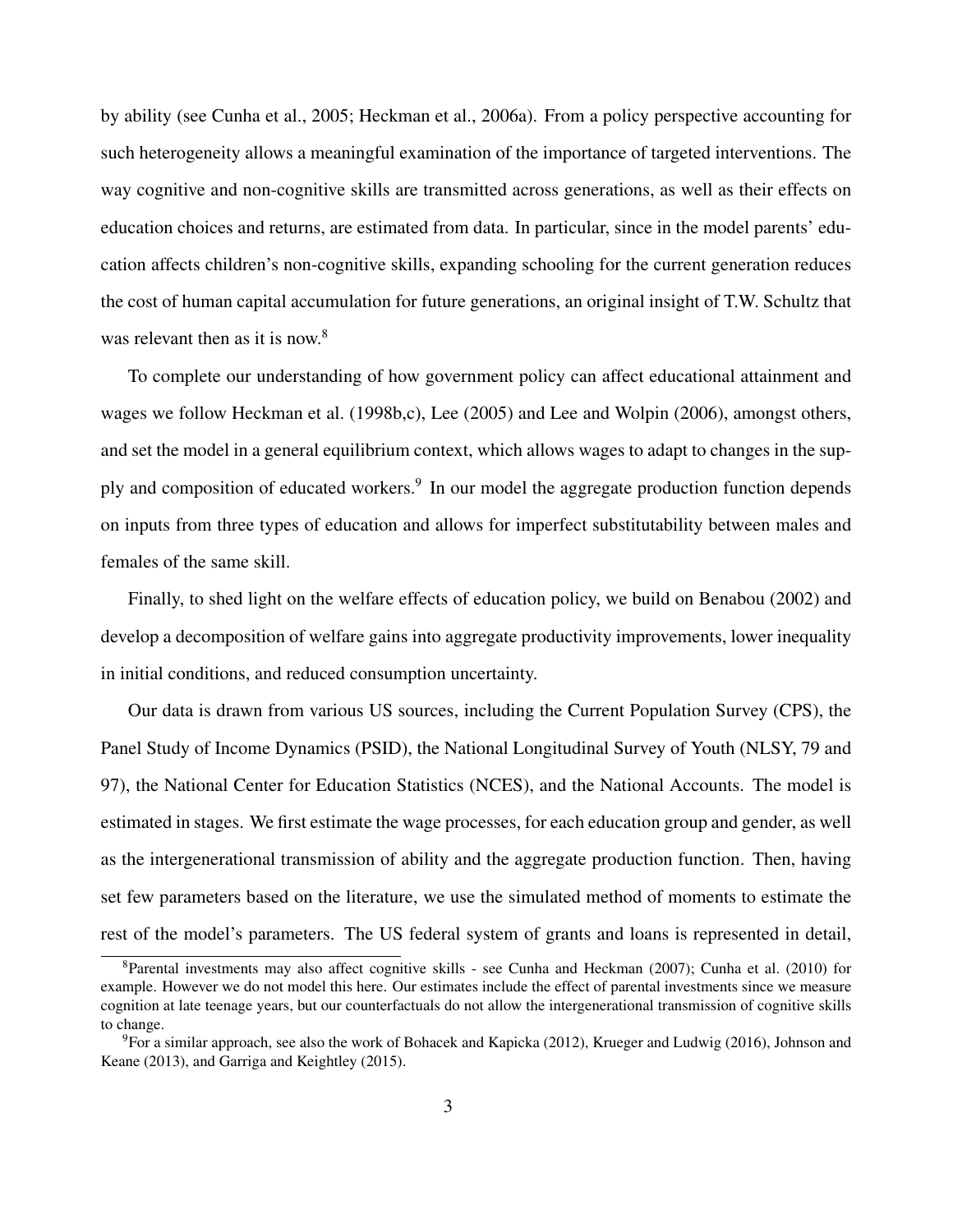by ability (see Cunha et al., 2005; Heckman et al., 2006a). From a policy perspective accounting for such heterogeneity allows a meaningful examination of the importance of targeted interventions. The way cognitive and non-cognitive skills are transmitted across generations, as well as their effects on education choices and returns, are estimated from data. In particular, since in the model parents' education affects children's non-cognitive skills, expanding schooling for the current generation reduces the cost of human capital accumulation for future generations, an original insight of T.W. Schultz that was relevant then as it is now.<sup>8</sup>

To complete our understanding of how government policy can affect educational attainment and wages we follow Heckman et al. (1998b,c), Lee (2005) and Lee and Wolpin (2006), amongst others, and set the model in a general equilibrium context, which allows wages to adapt to changes in the supply and composition of educated workers.<sup>9</sup> In our model the aggregate production function depends on inputs from three types of education and allows for imperfect substitutability between males and females of the same skill.

Finally, to shed light on the welfare effects of education policy, we build on Benabou (2002) and develop a decomposition of welfare gains into aggregate productivity improvements, lower inequality in initial conditions, and reduced consumption uncertainty.

Our data is drawn from various US sources, including the Current Population Survey (CPS), the Panel Study of Income Dynamics (PSID), the National Longitudinal Survey of Youth (NLSY, 79 and 97), the National Center for Education Statistics (NCES), and the National Accounts. The model is estimated in stages. We first estimate the wage processes, for each education group and gender, as well as the intergenerational transmission of ability and the aggregate production function. Then, having set few parameters based on the literature, we use the simulated method of moments to estimate the rest of the model's parameters. The US federal system of grants and loans is represented in detail,

<sup>&</sup>lt;sup>8</sup>Parental investments may also affect cognitive skills - see Cunha and Heckman (2007); Cunha et al. (2010) for example. However we do not model this here. Our estimates include the effect of parental investments since we measure cognition at late teenage years, but our counterfactuals do not allow the intergenerational transmission of cognitive skills to change.

 $9$ For a similar approach, see also the work of Bohacek and Kapicka (2012), Krueger and Ludwig (2016), Johnson and Keane (2013), and Garriga and Keightley (2015).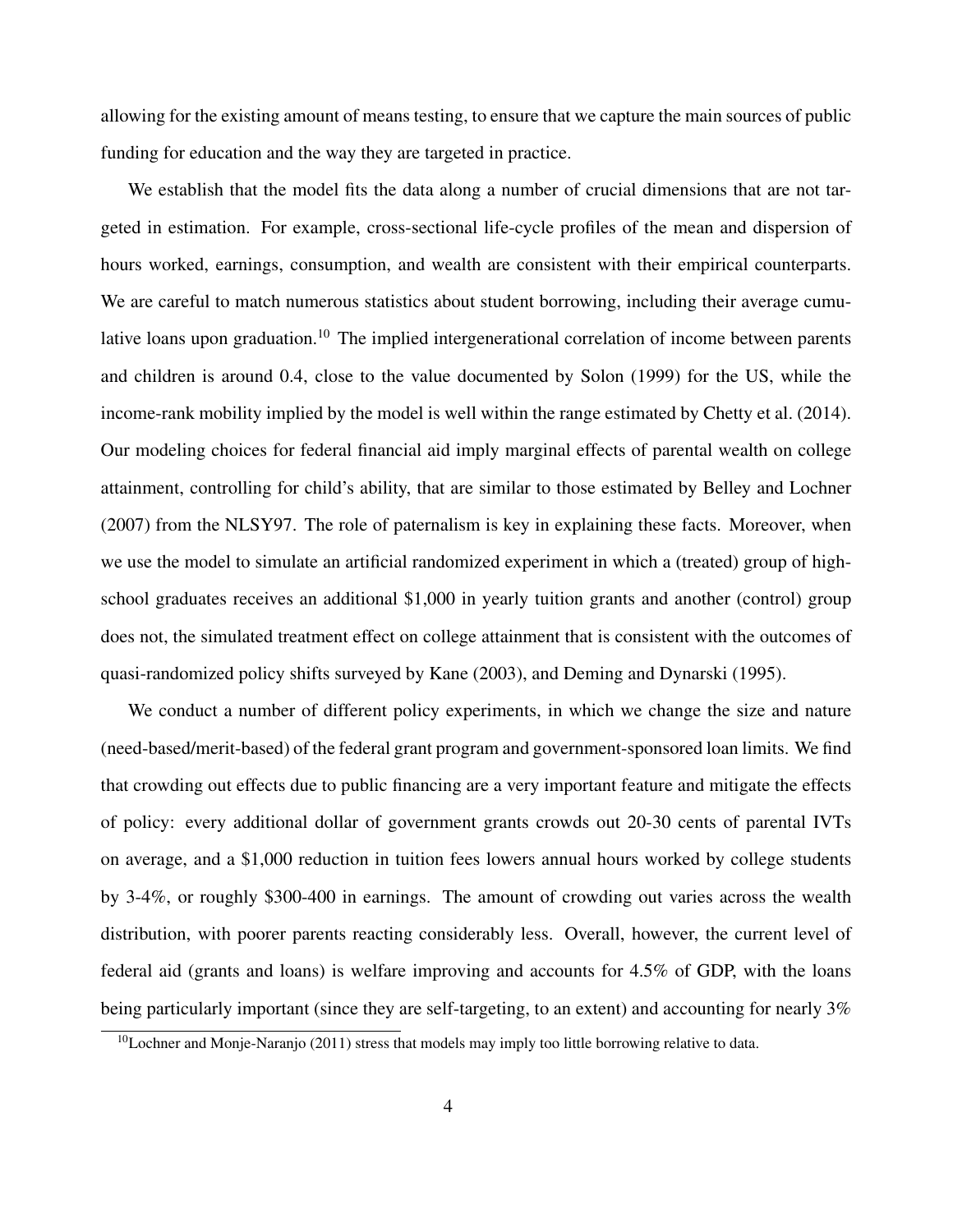allowing for the existing amount of means testing, to ensure that we capture the main sources of public funding for education and the way they are targeted in practice.

We establish that the model fits the data along a number of crucial dimensions that are not targeted in estimation. For example, cross-sectional life-cycle profiles of the mean and dispersion of hours worked, earnings, consumption, and wealth are consistent with their empirical counterparts. We are careful to match numerous statistics about student borrowing, including their average cumulative loans upon graduation.<sup>10</sup> The implied intergenerational correlation of income between parents and children is around 0.4, close to the value documented by Solon (1999) for the US, while the income-rank mobility implied by the model is well within the range estimated by Chetty et al. (2014). Our modeling choices for federal financial aid imply marginal effects of parental wealth on college attainment, controlling for child's ability, that are similar to those estimated by Belley and Lochner (2007) from the NLSY97. The role of paternalism is key in explaining these facts. Moreover, when we use the model to simulate an artificial randomized experiment in which a (treated) group of highschool graduates receives an additional \$1,000 in yearly tuition grants and another (control) group does not, the simulated treatment effect on college attainment that is consistent with the outcomes of quasi-randomized policy shifts surveyed by Kane (2003), and Deming and Dynarski (1995).

We conduct a number of different policy experiments, in which we change the size and nature (need-based/merit-based) of the federal grant program and government-sponsored loan limits. We find that crowding out effects due to public financing are a very important feature and mitigate the effects of policy: every additional dollar of government grants crowds out 20-30 cents of parental IVTs on average, and a \$1,000 reduction in tuition fees lowers annual hours worked by college students by 3-4%, or roughly \$300-400 in earnings. The amount of crowding out varies across the wealth distribution, with poorer parents reacting considerably less. Overall, however, the current level of federal aid (grants and loans) is welfare improving and accounts for 4.5% of GDP, with the loans being particularly important (since they are self-targeting, to an extent) and accounting for nearly 3%

 $10$ Lochner and Monje-Naranjo (2011) stress that models may imply too little borrowing relative to data.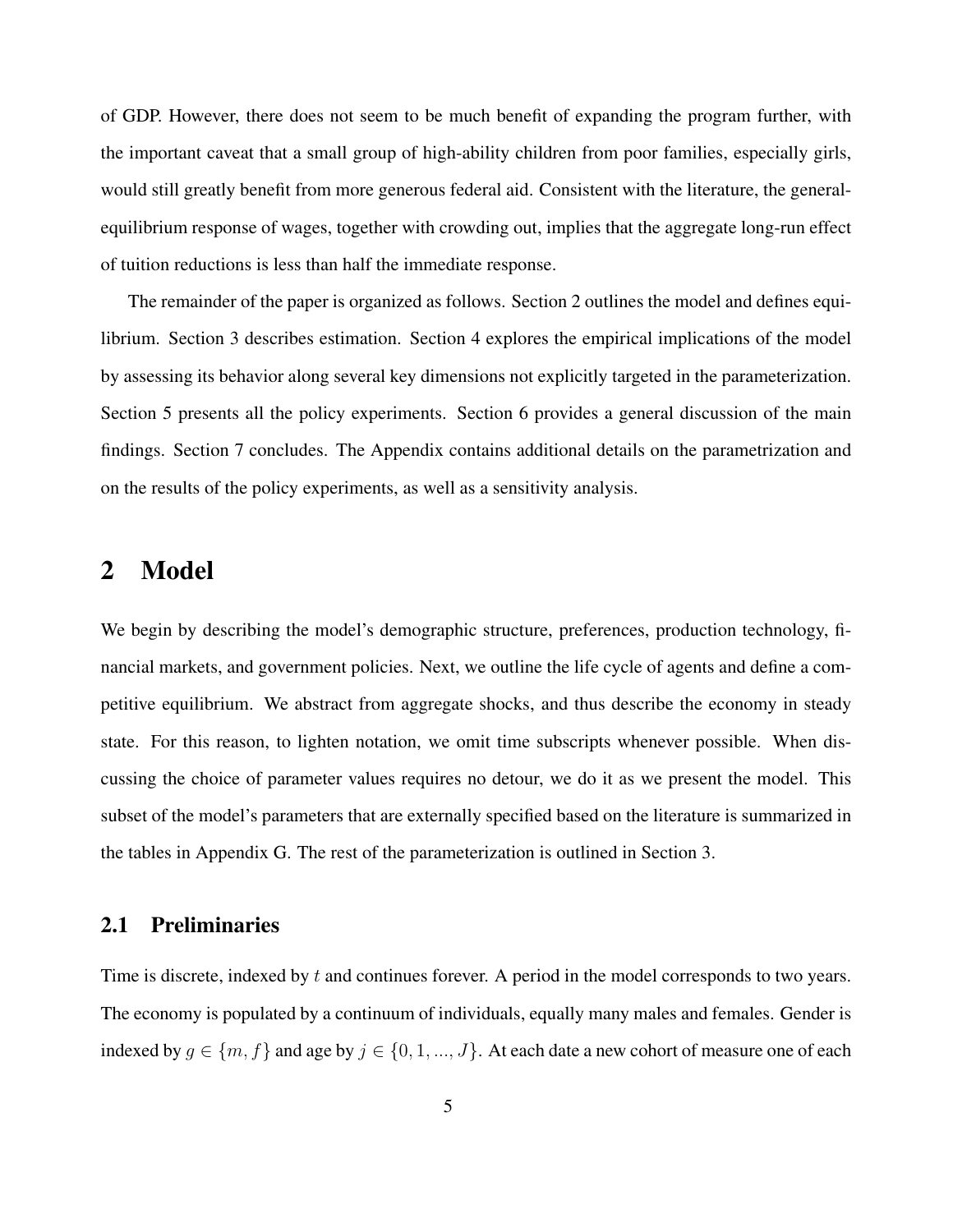of GDP. However, there does not seem to be much benefit of expanding the program further, with the important caveat that a small group of high-ability children from poor families, especially girls, would still greatly benefit from more generous federal aid. Consistent with the literature, the generalequilibrium response of wages, together with crowding out, implies that the aggregate long-run effect of tuition reductions is less than half the immediate response.

The remainder of the paper is organized as follows. Section 2 outlines the model and defines equilibrium. Section 3 describes estimation. Section 4 explores the empirical implications of the model by assessing its behavior along several key dimensions not explicitly targeted in the parameterization. Section 5 presents all the policy experiments. Section 6 provides a general discussion of the main findings. Section 7 concludes. The Appendix contains additional details on the parametrization and on the results of the policy experiments, as well as a sensitivity analysis.

# 2 Model

We begin by describing the model's demographic structure, preferences, production technology, financial markets, and government policies. Next, we outline the life cycle of agents and define a competitive equilibrium. We abstract from aggregate shocks, and thus describe the economy in steady state. For this reason, to lighten notation, we omit time subscripts whenever possible. When discussing the choice of parameter values requires no detour, we do it as we present the model. This subset of the model's parameters that are externally specified based on the literature is summarized in the tables in Appendix G. The rest of the parameterization is outlined in Section 3.

## 2.1 Preliminaries

Time is discrete, indexed by t and continues forever. A period in the model corresponds to two years. The economy is populated by a continuum of individuals, equally many males and females. Gender is indexed by  $g \in \{m, f\}$  and age by  $j \in \{0, 1, ..., J\}$ . At each date a new cohort of measure one of each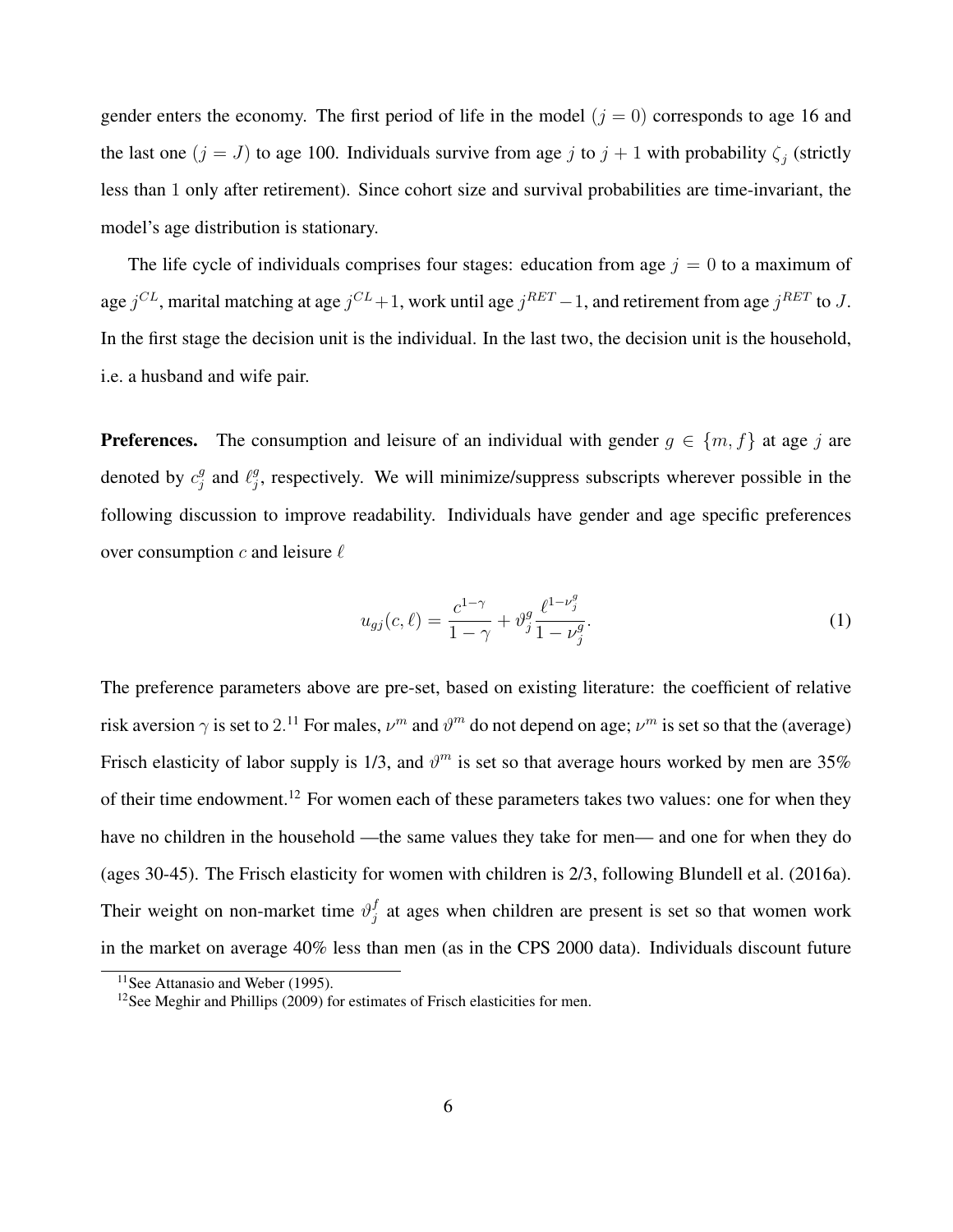gender enters the economy. The first period of life in the model  $(j = 0)$  corresponds to age 16 and the last one  $(j = J)$  to age 100. Individuals survive from age j to  $j + 1$  with probability  $\zeta_j$  (strictly less than 1 only after retirement). Since cohort size and survival probabilities are time-invariant, the model's age distribution is stationary.

The life cycle of individuals comprises four stages: education from age  $j = 0$  to a maximum of age  $j^{CL}$ , marital matching at age  $j^{CL}+1$ , work until age  $j^{RET}-1$ , and retirement from age  $j^{RET}$  to J. In the first stage the decision unit is the individual. In the last two, the decision unit is the household, i.e. a husband and wife pair.

**Preferences.** The consumption and leisure of an individual with gender  $g \in \{m, f\}$  at age j are denoted by  $c_i^g$  $\int_j^g$  and  $\ell_j^g$  $j$ , respectively. We will minimize/suppress subscripts wherever possible in the following discussion to improve readability. Individuals have gender and age specific preferences over consumption c and leisure  $\ell$ 

$$
u_{gj}(c,\ell) = \frac{c^{1-\gamma}}{1-\gamma} + \vartheta_j^g \frac{\ell^{1-\nu_j^g}}{1-\nu_j^g}.
$$
 (1)

The preference parameters above are pre-set, based on existing literature: the coefficient of relative risk aversion  $\gamma$  is set to 2.<sup>11</sup> For males,  $\nu^m$  and  $\vartheta^m$  do not depend on age;  $\nu^m$  is set so that the (average) Frisch elasticity of labor supply is 1/3, and  $\vartheta^m$  is set so that average hours worked by men are 35% of their time endowment.<sup>12</sup> For women each of these parameters takes two values: one for when they have no children in the household —the same values they take for men— and one for when they do (ages 30-45). The Frisch elasticity for women with children is 2/3, following Blundell et al. (2016a). Their weight on non-market time  $\vartheta_i^f$  $j$  at ages when children are present is set so that women work in the market on average 40% less than men (as in the CPS 2000 data). Individuals discount future

 $11$ See Attanasio and Weber (1995).

<sup>&</sup>lt;sup>12</sup>See Meghir and Phillips (2009) for estimates of Frisch elasticities for men.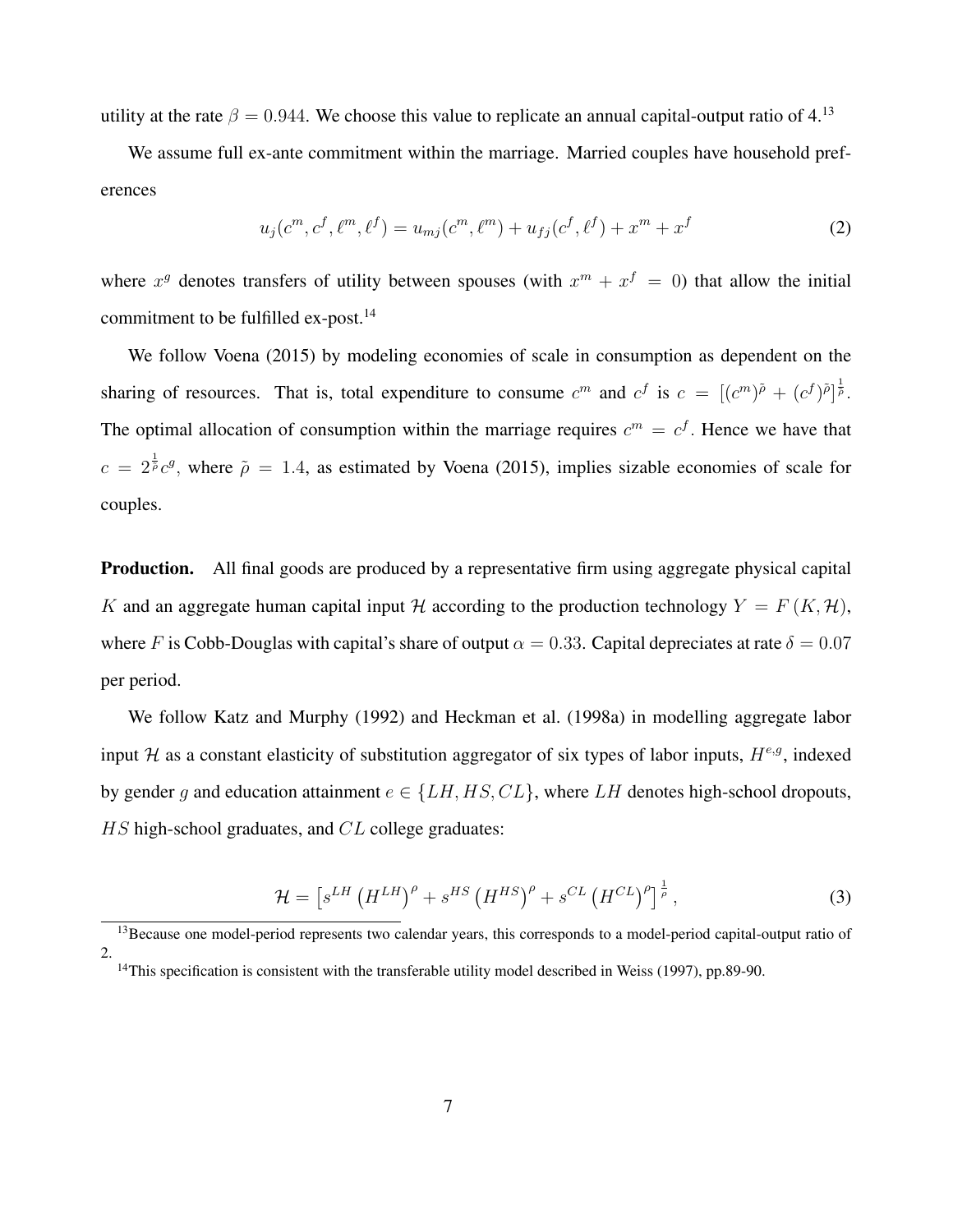utility at the rate  $\beta = 0.944$ . We choose this value to replicate an annual capital-output ratio of 4.<sup>13</sup>

We assume full ex-ante commitment within the marriage. Married couples have household preferences

$$
u_j(c^m, c^f, \ell^m, \ell^f) = u_{mj}(c^m, \ell^m) + u_{fj}(c^f, \ell^f) + x^m + x^f \tag{2}
$$

where  $x^g$  denotes transfers of utility between spouses (with  $x^m + x^f = 0$ ) that allow the initial commitment to be fulfilled ex-post.<sup>14</sup>

We follow Voena (2015) by modeling economies of scale in consumption as dependent on the sharing of resources. That is, total expenditure to consume  $c^m$  and  $c^f$  is  $c = [(c^m)\tilde{p} + (c^f)\tilde{p}]^{\frac{1}{p}}$ . The optimal allocation of consumption within the marriage requires  $c^m = c^f$ . Hence we have that  $c = 2^{\frac{1}{\rho}}c^g$ , where  $\tilde{\rho} = 1.4$ , as estimated by Voena (2015), implies sizable economies of scale for couples.

Production. All final goods are produced by a representative firm using aggregate physical capital K and an aggregate human capital input H according to the production technology  $Y = F(K, \mathcal{H})$ , where F is Cobb-Douglas with capital's share of output  $\alpha = 0.33$ . Capital depreciates at rate  $\delta = 0.07$ per period.

We follow Katz and Murphy (1992) and Heckman et al. (1998a) in modelling aggregate labor input H as a constant elasticity of substitution aggregator of six types of labor inputs,  $H^{e,g}$ , indexed by gender g and education attainment  $e \in \{LH, HS, CL\}$ , where LH denotes high-school dropouts,  $HS$  high-school graduates, and  $CL$  college graduates:

$$
\mathcal{H} = \left[ s^{LH} \left( H^{LH} \right)^{\rho} + s^{HS} \left( H^{HS} \right)^{\rho} + s^{CL} \left( H^{CL} \right)^{\rho} \right]^{\frac{1}{\rho}},\tag{3}
$$

<sup>&</sup>lt;sup>13</sup>Because one model-period represents two calendar years, this corresponds to a model-period capital-output ratio of 2. <sup>14</sup>This specification is consistent with the transferable utility model described in Weiss (1997), pp.89-90.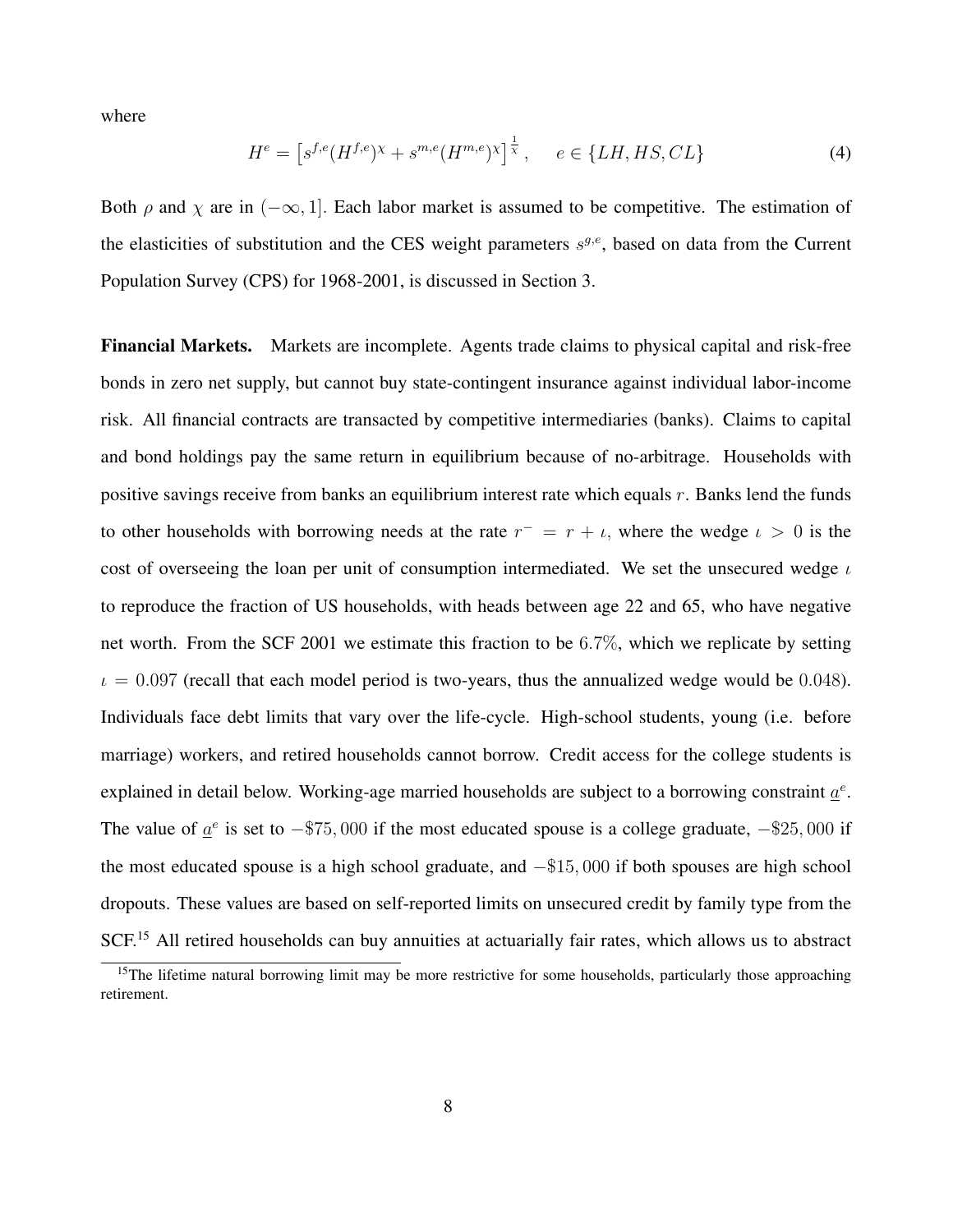where

$$
H^{e} = [s^{f,e}(H^{f,e})^{\chi} + s^{m,e}(H^{m,e})^{\chi}]^{\frac{1}{\chi}}, \quad e \in \{LH, HS, CL\}
$$
 (4)

Both  $\rho$  and  $\chi$  are in  $(-\infty, 1]$ . Each labor market is assumed to be competitive. The estimation of the elasticities of substitution and the CES weight parameters  $s^{g,e}$ , based on data from the Current Population Survey (CPS) for 1968-2001, is discussed in Section 3.

Financial Markets. Markets are incomplete. Agents trade claims to physical capital and risk-free bonds in zero net supply, but cannot buy state-contingent insurance against individual labor-income risk. All financial contracts are transacted by competitive intermediaries (banks). Claims to capital and bond holdings pay the same return in equilibrium because of no-arbitrage. Households with positive savings receive from banks an equilibrium interest rate which equals  $r$ . Banks lend the funds to other households with borrowing needs at the rate  $r^- = r + \iota$ , where the wedge  $\iota > 0$  is the cost of overseeing the loan per unit of consumption intermediated. We set the unsecured wedge  $\iota$ to reproduce the fraction of US households, with heads between age 22 and 65, who have negative net worth. From the SCF 2001 we estimate this fraction to be 6.7%, which we replicate by setting  $\iota = 0.097$  (recall that each model period is two-years, thus the annualized wedge would be 0.048). Individuals face debt limits that vary over the life-cycle. High-school students, young (i.e. before marriage) workers, and retired households cannot borrow. Credit access for the college students is explained in detail below. Working-age married households are subject to a borrowing constraint  $\underline{a}^e$ . The value of  $\underline{a}^e$  is set to  $-\$75,000$  if the most educated spouse is a college graduate,  $-\$25,000$  if the most educated spouse is a high school graduate, and −\$15, 000 if both spouses are high school dropouts. These values are based on self-reported limits on unsecured credit by family type from the SCF.<sup>15</sup> All retired households can buy annuities at actuarially fair rates, which allows us to abstract

 $15$ The lifetime natural borrowing limit may be more restrictive for some households, particularly those approaching retirement.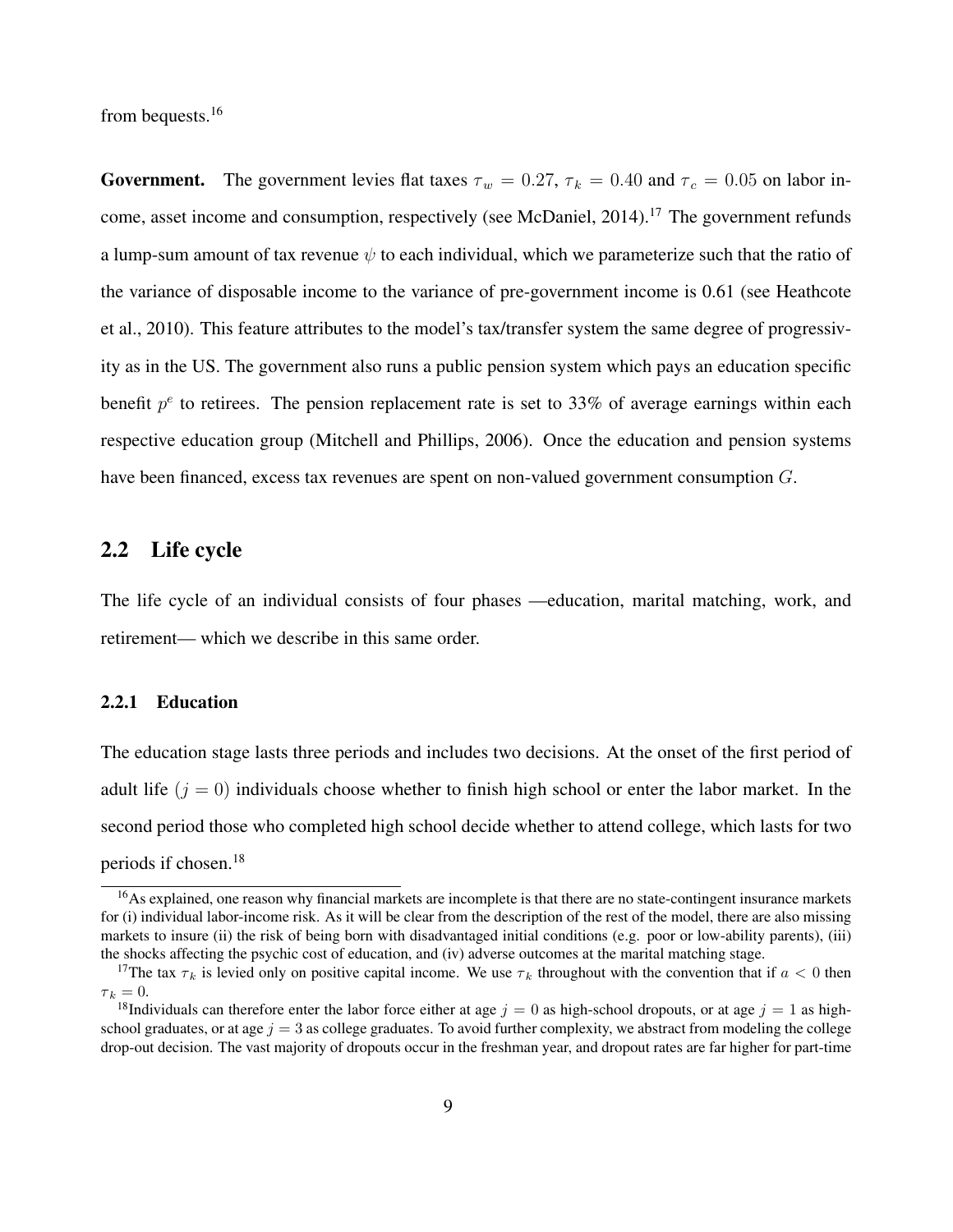from bequests.<sup>16</sup>

Government. The government levies flat taxes  $\tau_w = 0.27$ ,  $\tau_k = 0.40$  and  $\tau_c = 0.05$  on labor income, asset income and consumption, respectively (see McDaniel, 2014).<sup>17</sup> The government refunds a lump-sum amount of tax revenue  $\psi$  to each individual, which we parameterize such that the ratio of the variance of disposable income to the variance of pre-government income is 0.61 (see Heathcote et al., 2010). This feature attributes to the model's tax/transfer system the same degree of progressivity as in the US. The government also runs a public pension system which pays an education specific benefit  $p^e$  to retirees. The pension replacement rate is set to 33% of average earnings within each respective education group (Mitchell and Phillips, 2006). Once the education and pension systems have been financed, excess tax revenues are spent on non-valued government consumption G.

## 2.2 Life cycle

The life cycle of an individual consists of four phases —education, marital matching, work, and retirement— which we describe in this same order.

### 2.2.1 Education

The education stage lasts three periods and includes two decisions. At the onset of the first period of adult life  $(j = 0)$  individuals choose whether to finish high school or enter the labor market. In the second period those who completed high school decide whether to attend college, which lasts for two periods if chosen.<sup>18</sup>

<sup>&</sup>lt;sup>16</sup>As explained, one reason why financial markets are incomplete is that there are no state-contingent insurance markets for (i) individual labor-income risk. As it will be clear from the description of the rest of the model, there are also missing markets to insure (ii) the risk of being born with disadvantaged initial conditions (e.g. poor or low-ability parents), (iii) the shocks affecting the psychic cost of education, and (iv) adverse outcomes at the marital matching stage.

<sup>&</sup>lt;sup>17</sup>The tax  $\tau_k$  is levied only on positive capital income. We use  $\tau_k$  throughout with the convention that if  $a < 0$  then  $\boldsymbol{\tau}_k = 0.$ 

<sup>&</sup>lt;sup>18</sup>Individuals can therefore enter the labor force either at age  $j = 0$  as high-school dropouts, or at age  $j = 1$  as highschool graduates, or at age  $j = 3$  as college graduates. To avoid further complexity, we abstract from modeling the college drop-out decision. The vast majority of dropouts occur in the freshman year, and dropout rates are far higher for part-time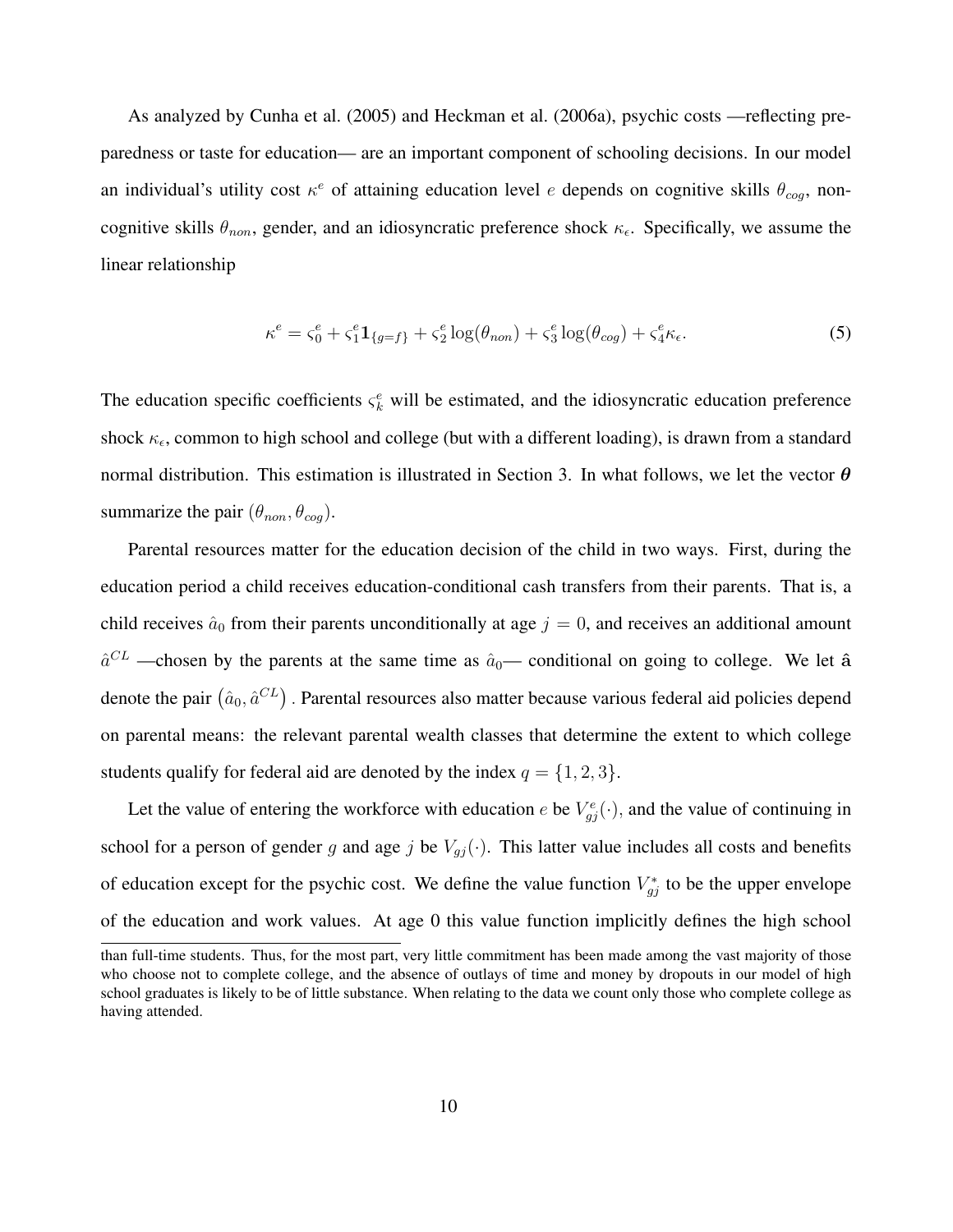As analyzed by Cunha et al. (2005) and Heckman et al. (2006a), psychic costs —reflecting preparedness or taste for education— are an important component of schooling decisions. In our model an individual's utility cost  $\kappa^e$  of attaining education level e depends on cognitive skills  $\theta_{cog}$ , noncognitive skills  $\theta_{non}$ , gender, and an idiosyncratic preference shock  $\kappa_{\epsilon}$ . Specifically, we assume the linear relationship

$$
\kappa^{e} = \varsigma_{0}^{e} + \varsigma_{1}^{e} \mathbf{1}_{\{g=f\}} + \varsigma_{2}^{e} \log(\theta_{non}) + \varsigma_{3}^{e} \log(\theta_{cog}) + \varsigma_{4}^{e} \kappa_{\epsilon}.
$$
 (5)

The education specific coefficients  $\zeta_k^e$  will be estimated, and the idiosyncratic education preference shock  $\kappa_{\epsilon}$ , common to high school and college (but with a different loading), is drawn from a standard normal distribution. This estimation is illustrated in Section 3. In what follows, we let the vector  $\theta$ summarize the pair  $(\theta_{non}, \theta_{coq})$ .

Parental resources matter for the education decision of the child in two ways. First, during the education period a child receives education-conditional cash transfers from their parents. That is, a child receives  $\hat{a}_0$  from their parents unconditionally at age  $j = 0$ , and receives an additional amount  $\hat{a}^{CL}$  —chosen by the parents at the same time as  $\hat{a}_0$ — conditional on going to college. We let  $\hat{a}$ denote the pair  $(\hat{a}_0, \hat{a}^{CL})$ . Parental resources also matter because various federal aid policies depend on parental means: the relevant parental wealth classes that determine the extent to which college students qualify for federal aid are denoted by the index  $q = \{1, 2, 3\}.$ 

Let the value of entering the workforce with education e be  $V_{gj}^e(\cdot)$ , and the value of continuing in school for a person of gender g and age j be  $V_{qi}(\cdot)$ . This latter value includes all costs and benefits of education except for the psychic cost. We define the value function  $V_{gj}^*$  to be the upper envelope of the education and work values. At age 0 this value function implicitly defines the high school

than full-time students. Thus, for the most part, very little commitment has been made among the vast majority of those who choose not to complete college, and the absence of outlays of time and money by dropouts in our model of high school graduates is likely to be of little substance. When relating to the data we count only those who complete college as having attended.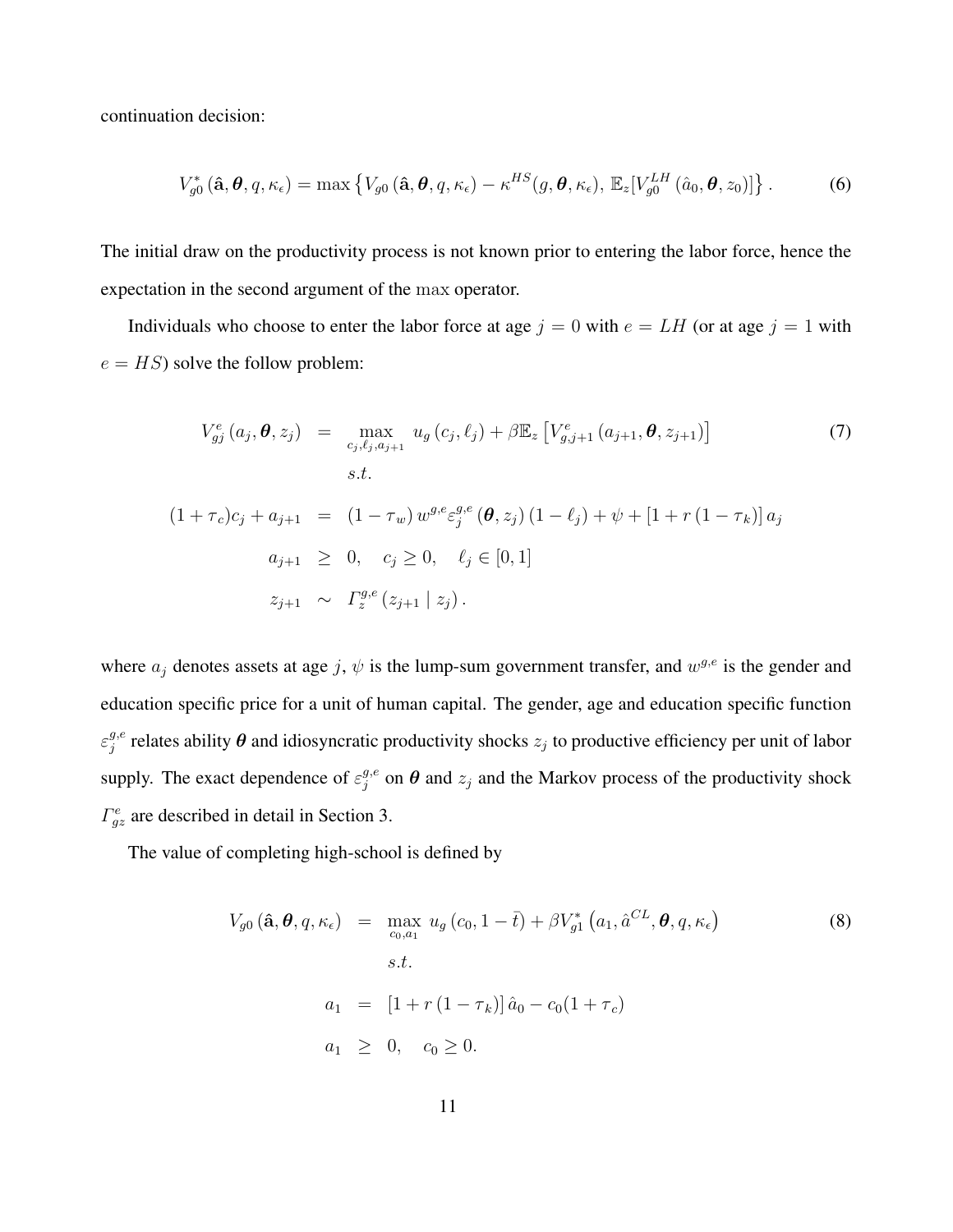continuation decision:

$$
V_{g0}^*(\hat{\mathbf{a}}, \boldsymbol{\theta}, q, \kappa_{\epsilon}) = \max \left\{ V_{g0}(\hat{\mathbf{a}}, \boldsymbol{\theta}, q, \kappa_{\epsilon}) - \kappa^{HS}(g, \boldsymbol{\theta}, \kappa_{\epsilon}), \mathbb{E}_z[V_{g0}^{LH}(\hat{a}_0, \boldsymbol{\theta}, z_0)] \right\}.
$$
 (6)

The initial draw on the productivity process is not known prior to entering the labor force, hence the expectation in the second argument of the max operator.

Individuals who choose to enter the labor force at age  $j = 0$  with  $e = LH$  (or at age  $j = 1$  with  $e = HS$ ) solve the follow problem:

$$
V_{gj}^{e}(a_{j}, \theta, z_{j}) = \max_{c_{j}, \ell_{j}, a_{j+1}} u_{g}(c_{j}, \ell_{j}) + \beta \mathbb{E}_{z} \left[ V_{g,j+1}^{e}(a_{j+1}, \theta, z_{j+1}) \right]
$$
  
s.t.  

$$
(1 + \tau_{c})c_{j} + a_{j+1} = (1 - \tau_{w}) w^{g,e} \varepsilon_{j}^{g,e}(\theta, z_{j}) (1 - \ell_{j}) + \psi + [1 + r (1 - \tau_{k})] a_{j}
$$

$$
a_{j+1} \geq 0, \quad c_{j} \geq 0, \quad \ell_{j} \in [0, 1]
$$

$$
z_{j+1} \sim \Gamma_{z}^{g,e}(z_{j+1} | z_{j}).
$$

$$
(7)
$$

where  $a_j$  denotes assets at age j,  $\psi$  is the lump-sum government transfer, and  $w^{g,e}$  is the gender and education specific price for a unit of human capital. The gender, age and education specific function  $\varepsilon_j^{g,e}$  $j^{g,e}$  relates ability  $\theta$  and idiosyncratic productivity shocks  $z_j$  to productive efficiency per unit of labor supply. The exact dependence of  $\varepsilon_i^{g,e}$  $j_j^{g,e}$  on  $\theta$  and  $z_j$  and the Markov process of the productivity shock  $\Gamma_{gz}^e$  are described in detail in Section 3.

The value of completing high-school is defined by

$$
V_{g0} (\hat{\mathbf{a}}, \theta, q, \kappa_{\epsilon}) = \max_{c_0, a_1} u_g (c_0, 1 - \bar{t}) + \beta V_{g1}^* (a_1, \hat{a}^{CL}, \theta, q, \kappa_{\epsilon})
$$
  
s.t.  

$$
a_1 = [1 + r (1 - \tau_k)] \hat{a}_0 - c_0 (1 + \tau_c)
$$

$$
a_1 \geq 0, \quad c_0 \geq 0.
$$
 (8)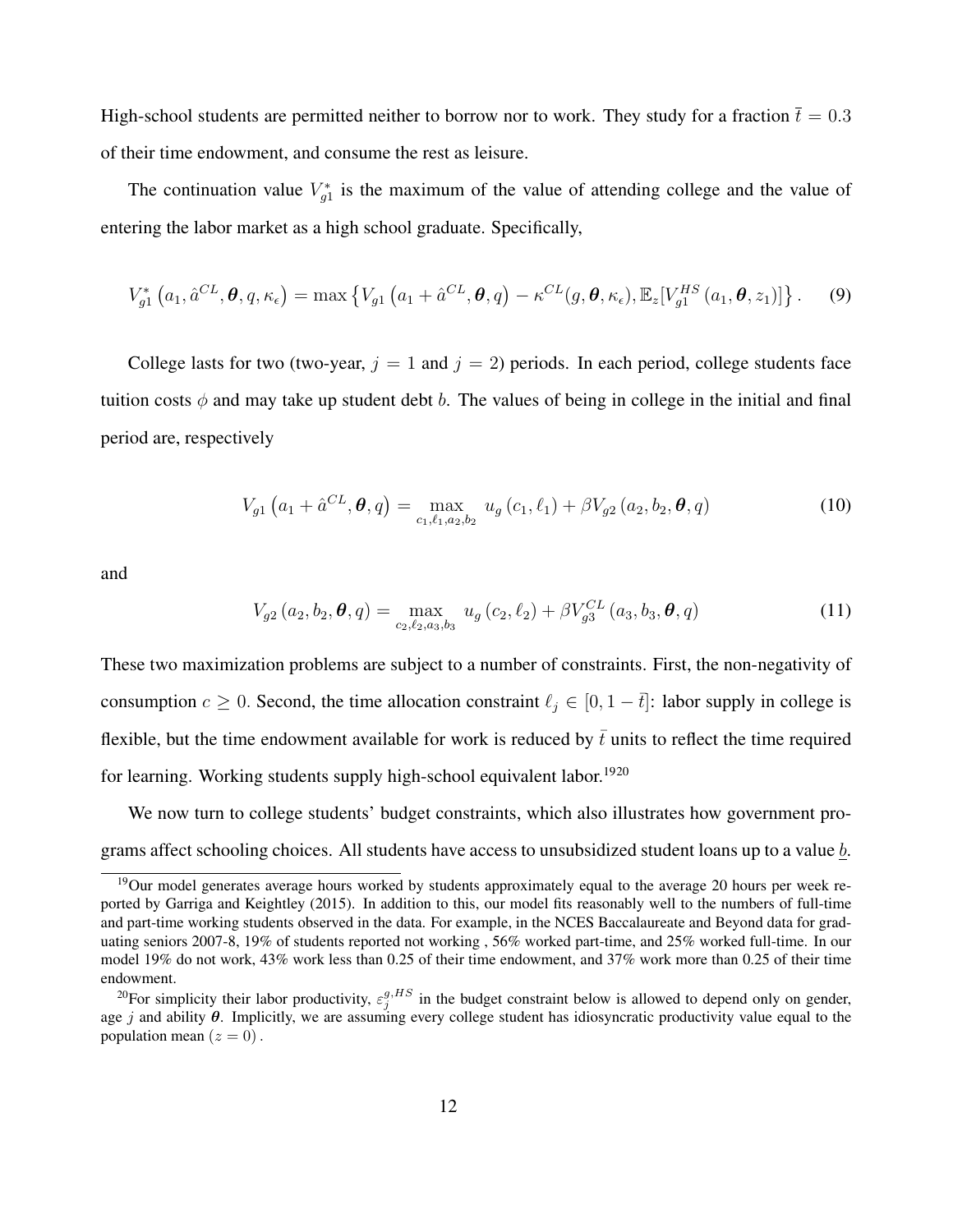High-school students are permitted neither to borrow nor to work. They study for a fraction  $\bar{t} = 0.3$ of their time endowment, and consume the rest as leisure.

The continuation value  $V_{g1}^*$  is the maximum of the value of attending college and the value of entering the labor market as a high school graduate. Specifically,

$$
V_{g1}^*\left(a_1,\hat{a}^{CL},\boldsymbol{\theta},q,\kappa_{\epsilon}\right)=\max\left\{V_{g1}\left(a_1+\hat{a}^{CL},\boldsymbol{\theta},q\right)-\kappa^{CL}(g,\boldsymbol{\theta},\kappa_{\epsilon}),\mathbb{E}_{z}[V_{g1}^{HS}(a_1,\boldsymbol{\theta},z_1)]\right\}.
$$
 (9)

College lasts for two (two-year,  $j = 1$  and  $j = 2$ ) periods. In each period, college students face tuition costs  $\phi$  and may take up student debt b. The values of being in college in the initial and final period are, respectively

$$
V_{g1}\left(a_{1}+\hat{a}^{CL},\boldsymbol{\theta},q\right)=\max_{c_{1},\ell_{1},a_{2},b_{2}}u_{g}\left(c_{1},\ell_{1}\right)+\beta V_{g2}\left(a_{2},b_{2},\boldsymbol{\theta},q\right) \tag{10}
$$

and

$$
V_{g2}(a_2, b_2, \theta, q) = \max_{c_2, \ell_2, a_3, b_3} u_g(c_2, \ell_2) + \beta V_{g3}^{CL}(a_3, b_3, \theta, q)
$$
(11)

These two maximization problems are subject to a number of constraints. First, the non-negativity of consumption  $c \ge 0$ . Second, the time allocation constraint  $\ell_j \in [0, 1 - \bar{t}]$ : labor supply in college is flexible, but the time endowment available for work is reduced by  $\bar{t}$  units to reflect the time required for learning. Working students supply high-school equivalent labor.<sup>1920</sup>

We now turn to college students' budget constraints, which also illustrates how government programs affect schooling choices. All students have access to unsubsidized student loans up to a value  $b$ .

<sup>&</sup>lt;sup>19</sup>Our model generates average hours worked by students approximately equal to the average 20 hours per week reported by Garriga and Keightley (2015). In addition to this, our model fits reasonably well to the numbers of full-time and part-time working students observed in the data. For example, in the NCES Baccalaureate and Beyond data for graduating seniors 2007-8, 19% of students reported not working , 56% worked part-time, and 25% worked full-time. In our model 19% do not work, 43% work less than 0.25 of their time endowment, and 37% work more than 0.25 of their time endowment.

<sup>&</sup>lt;sup>20</sup>For simplicity their labor productivity,  $\varepsilon_j^{g,HS}$  in the budget constraint below is allowed to depend only on gender, age j and ability  $\theta$ . Implicitly, we are assuming every college student has idiosyncratic productivity value equal to the population mean  $(z = 0)$ .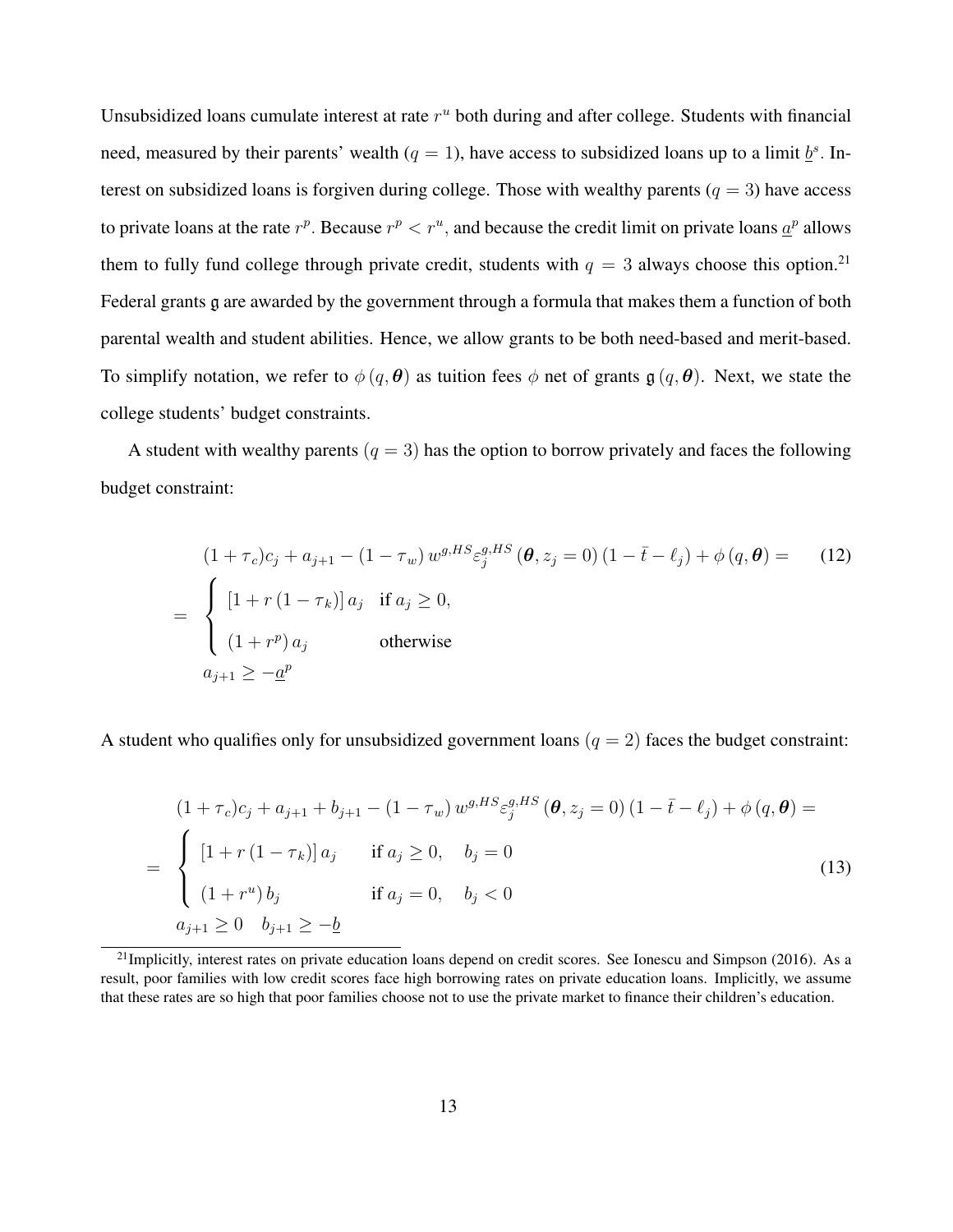Unsubsidized loans cumulate interest at rate  $r^u$  both during and after college. Students with financial need, measured by their parents' wealth  $(q = 1)$ , have access to subsidized loans up to a limit  $\underline{b}^s$ . Interest on subsidized loans is forgiven during college. Those with wealthy parents ( $q = 3$ ) have access to private loans at the rate  $r^p$ . Because  $r^p < r^u$ , and because the credit limit on private loans  $\underline{a}^p$  allows them to fully fund college through private credit, students with  $q = 3$  always choose this option.<sup>21</sup> Federal grants g are awarded by the government through a formula that makes them a function of both parental wealth and student abilities. Hence, we allow grants to be both need-based and merit-based. To simplify notation, we refer to  $\phi(q, \theta)$  as tuition fees  $\phi$  net of grants  $g(q, \theta)$ . Next, we state the college students' budget constraints.

A student with wealthy parents  $(q = 3)$  has the option to borrow privately and faces the following budget constraint:

$$
(1 + \tau_c)c_j + a_{j+1} - (1 - \tau_w) w^{g,HS} \varepsilon_j^{g,HS} (\boldsymbol{\theta}, z_j = 0) (1 - \bar{t} - \ell_j) + \phi(q, \boldsymbol{\theta}) = \tag{12}
$$
  
= 
$$
\begin{cases} [1 + r(1 - \tau_k)] a_j & \text{if } a_j \ge 0, \\ (1 + r^p) a_j & \text{otherwise} \end{cases}
$$
  

$$
a_{j+1} \ge -\underline{a}^p
$$

A student who qualifies only for unsubsidized government loans  $(q = 2)$  faces the budget constraint:

$$
(1 + \tau_c)c_j + a_{j+1} + b_{j+1} - (1 - \tau_w) w^{g,HS} \varepsilon_j^{g,HS} (\theta, z_j = 0) (1 - \bar{t} - \ell_j) + \phi(q, \theta) =
$$
  
= 
$$
\begin{cases} [1 + r(1 - \tau_k)] a_j & \text{if } a_j \ge 0, \quad b_j = 0 \\ (1 + r^u) b_j & \text{if } a_j = 0, \quad b_j < 0 \end{cases}
$$
 (13)  

$$
a_{j+1} \ge 0 \quad b_{j+1} \ge -\underline{b}
$$

 $^{21}$ Implicitly, interest rates on private education loans depend on credit scores. See Ionescu and Simpson (2016). As a result, poor families with low credit scores face high borrowing rates on private education loans. Implicitly, we assume that these rates are so high that poor families choose not to use the private market to finance their children's education.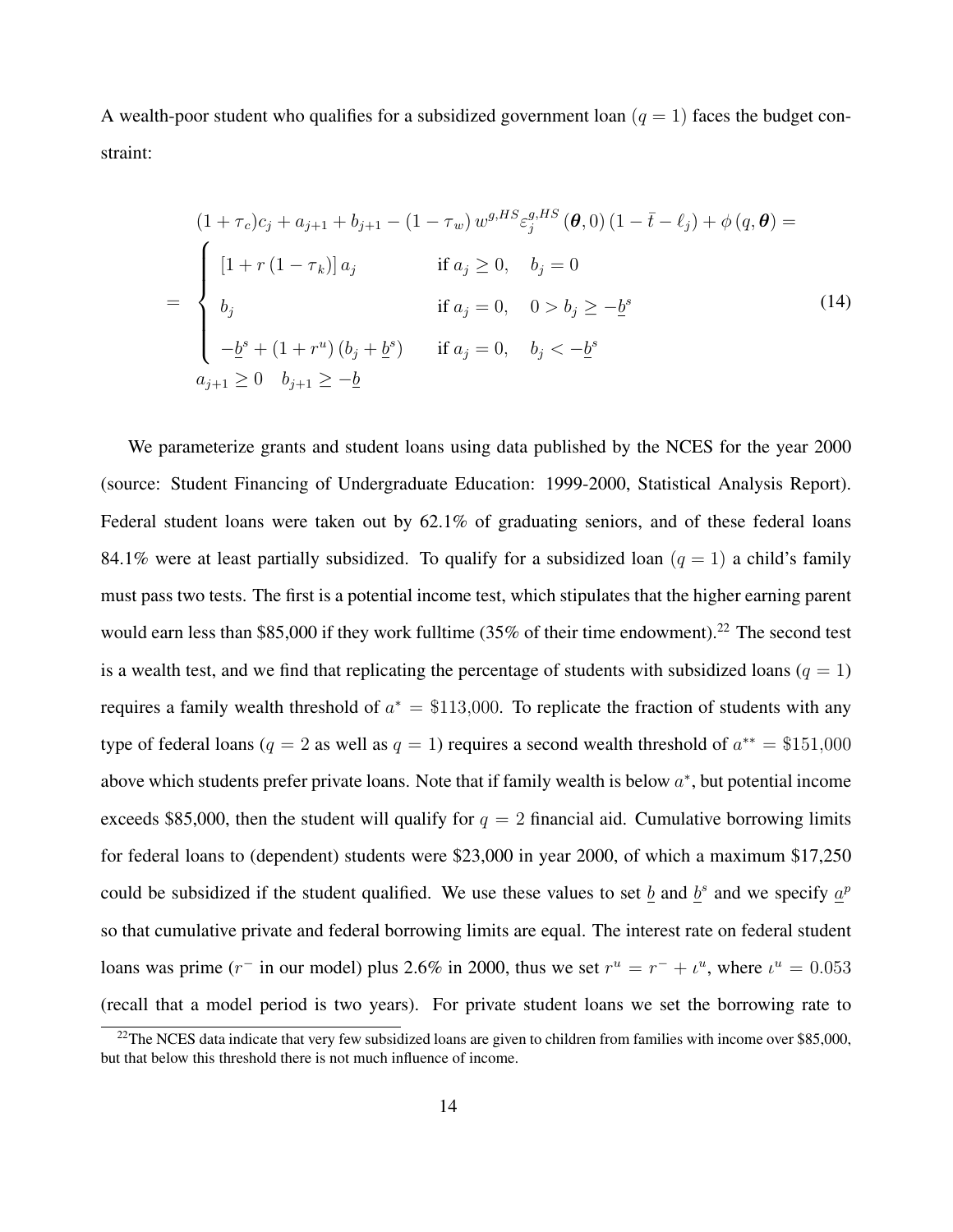A wealth-poor student who qualifies for a subsidized government loan  $(q = 1)$  faces the budget constraint:

$$
(1 + \tau_c)c_j + a_{j+1} + b_{j+1} - (1 - \tau_w) w^{g,HS} \varepsilon_j^{g,HS} (\theta, 0) (1 - \bar{t} - \ell_j) + \phi(q, \theta) =
$$
  
\n
$$
= \begin{cases}\n[1 + r(1 - \tau_k)] a_j & \text{if } a_j \ge 0, \quad b_j = 0 \\
b_j & \text{if } a_j = 0, \quad 0 > b_j \ge -\underline{b}^s \\
-\underline{b}^s + (1 + r^u)(b_j + \underline{b}^s) & \text{if } a_j = 0, \quad b_j < -\underline{b}^s \\
a_{j+1} \ge 0 & b_{j+1} \ge -\underline{b}\n\end{cases}
$$
\n(14)

We parameterize grants and student loans using data published by the NCES for the year 2000 (source: Student Financing of Undergraduate Education: 1999-2000, Statistical Analysis Report). Federal student loans were taken out by 62.1% of graduating seniors, and of these federal loans 84.1% were at least partially subsidized. To qualify for a subsidized loan  $(q = 1)$  a child's family must pass two tests. The first is a potential income test, which stipulates that the higher earning parent would earn less than \$85,000 if they work fulltime (35% of their time endowment).<sup>22</sup> The second test is a wealth test, and we find that replicating the percentage of students with subsidized loans  $(q = 1)$ requires a family wealth threshold of  $a^* = $113,000$ . To replicate the fraction of students with any type of federal loans ( $q = 2$  as well as  $q = 1$ ) requires a second wealth threshold of  $a^{**} = $151,000$ above which students prefer private loans. Note that if family wealth is below  $a^*$ , but potential income exceeds \$85,000, then the student will qualify for  $q = 2$  financial aid. Cumulative borrowing limits for federal loans to (dependent) students were \$23,000 in year 2000, of which a maximum \$17,250 could be subsidized if the student qualified. We use these values to set  $\underline{b}$  and  $\underline{b}^s$  and we specify  $\underline{a}^p$ so that cumulative private and federal borrowing limits are equal. The interest rate on federal student loans was prime ( $r^-$  in our model) plus 2.6% in 2000, thus we set  $r^u = r^- + \iota^u$ , where  $\iota^u = 0.053$ (recall that a model period is two years). For private student loans we set the borrowing rate to

<sup>&</sup>lt;sup>22</sup>The NCES data indicate that very few subsidized loans are given to children from families with income over \$85,000, but that below this threshold there is not much influence of income.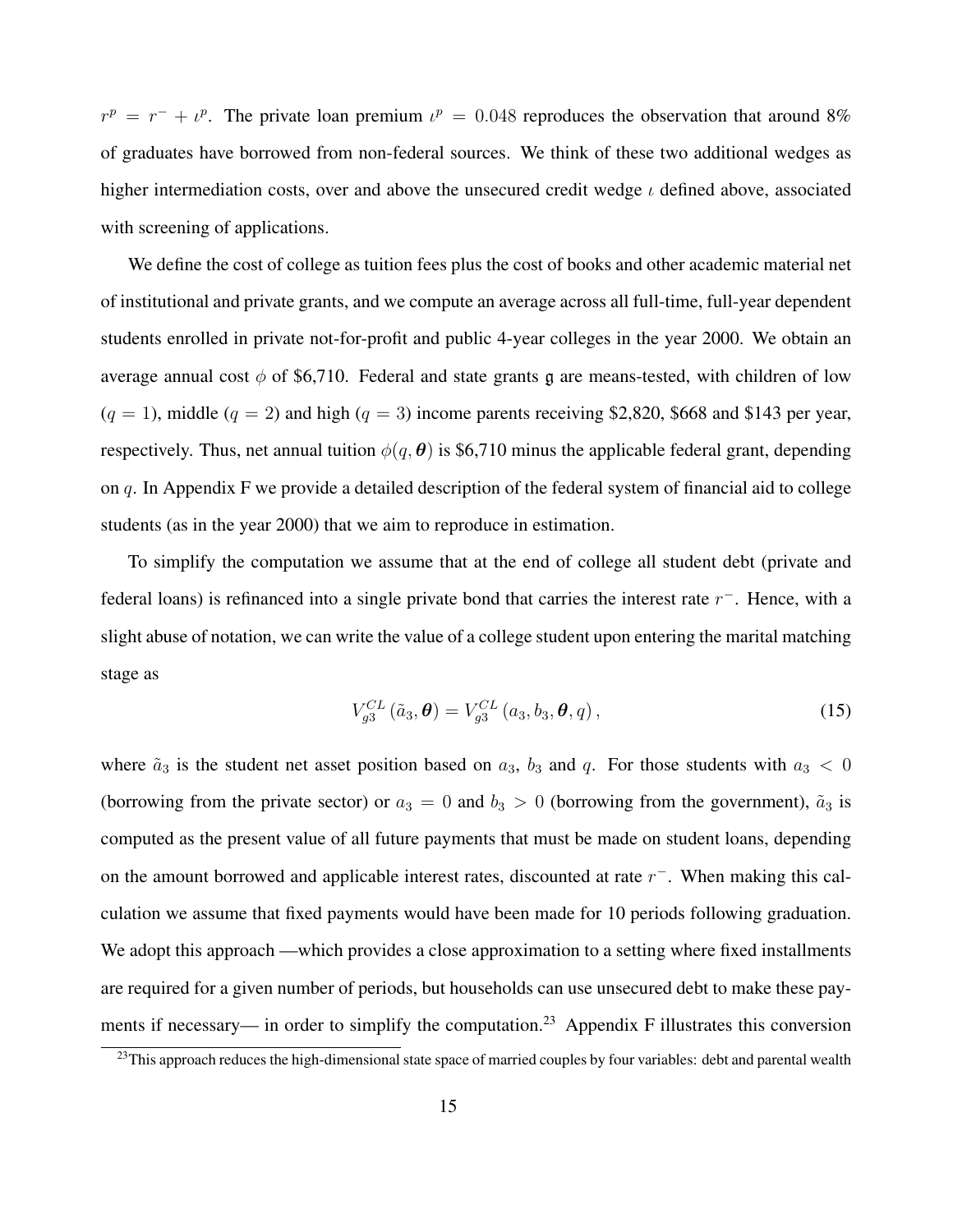$r^p = r^- + t^p$ . The private loan premium  $t^p = 0.048$  reproduces the observation that around 8% of graduates have borrowed from non-federal sources. We think of these two additional wedges as higher intermediation costs, over and above the unsecured credit wedge  $\iota$  defined above, associated with screening of applications.

We define the cost of college as tuition fees plus the cost of books and other academic material net of institutional and private grants, and we compute an average across all full-time, full-year dependent students enrolled in private not-for-profit and public 4-year colleges in the year 2000. We obtain an average annual cost  $\phi$  of \$6,710. Federal and state grants g are means-tested, with children of low  $(q = 1)$ , middle  $(q = 2)$  and high  $(q = 3)$  income parents receiving \$2,820, \$668 and \$143 per year, respectively. Thus, net annual tuition  $\phi(q, \theta)$  is \$6,710 minus the applicable federal grant, depending on  $q$ . In Appendix F we provide a detailed description of the federal system of financial aid to college students (as in the year 2000) that we aim to reproduce in estimation.

To simplify the computation we assume that at the end of college all student debt (private and federal loans) is refinanced into a single private bond that carries the interest rate  $r^-$ . Hence, with a slight abuse of notation, we can write the value of a college student upon entering the marital matching stage as

$$
V_{g3}^{CL}(\tilde{a}_3, \boldsymbol{\theta}) = V_{g3}^{CL}(a_3, b_3, \boldsymbol{\theta}, q), \qquad (15)
$$

where  $\tilde{a}_3$  is the student net asset position based on  $a_3$ ,  $b_3$  and q. For those students with  $a_3 < 0$ (borrowing from the private sector) or  $a_3 = 0$  and  $b_3 > 0$  (borrowing from the government),  $\tilde{a}_3$  is computed as the present value of all future payments that must be made on student loans, depending on the amount borrowed and applicable interest rates, discounted at rate  $r^-$ . When making this calculation we assume that fixed payments would have been made for 10 periods following graduation. We adopt this approach —which provides a close approximation to a setting where fixed installments are required for a given number of periods, but households can use unsecured debt to make these payments if necessary— in order to simplify the computation.<sup>23</sup> Appendix F illustrates this conversion

 $23$ This approach reduces the high-dimensional state space of married couples by four variables: debt and parental wealth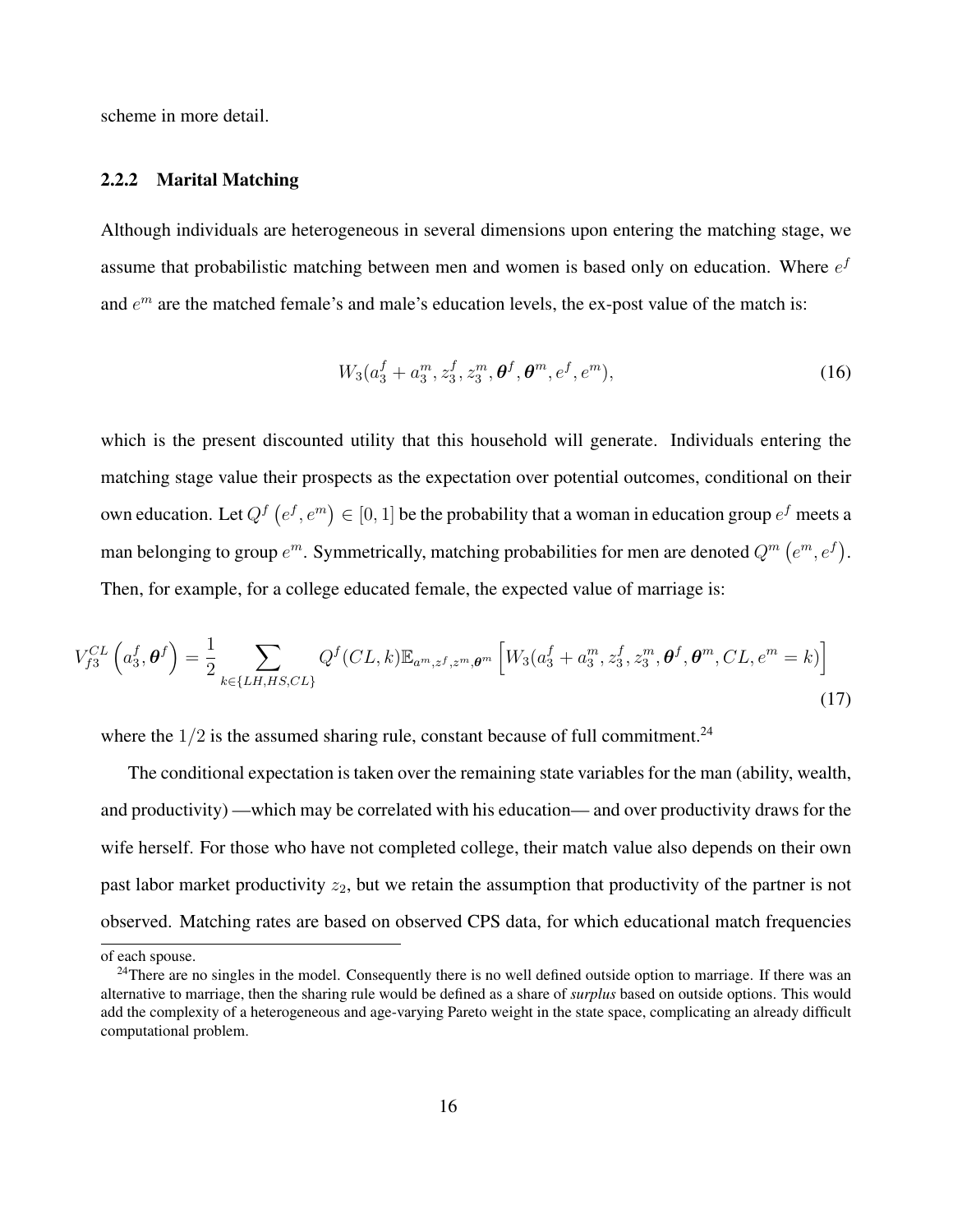scheme in more detail.

#### 2.2.2 Marital Matching

Although individuals are heterogeneous in several dimensions upon entering the matching stage, we assume that probabilistic matching between men and women is based only on education. Where  $e^{f}$ and  $e^m$  are the matched female's and male's education levels, the ex-post value of the match is:

$$
W_3(a_3^f + a_3^m, z_3^f, z_3^m, \boldsymbol{\theta}^f, \boldsymbol{\theta}^m, e^f, e^m), \qquad (16)
$$

which is the present discounted utility that this household will generate. Individuals entering the matching stage value their prospects as the expectation over potential outcomes, conditional on their own education. Let  $Q^f(e^f, e^m) \in [0, 1]$  be the probability that a woman in education group  $e^f$  meets a man belonging to group  $e^m$ . Symmetrically, matching probabilities for men are denoted  $Q^m$   $(e^m, e^f)$ . Then, for example, for a college educated female, the expected value of marriage is:

$$
V_{f3}^{CL}\left(a_3^f, \theta^f\right) = \frac{1}{2} \sum_{k \in \{LH, HS, CL\}} Q^f(CL, k) \mathbb{E}_{a^m, z^f, z^m, \theta^m} \left[ W_3(a_3^f + a_3^m, z_3^f, z_3^m, \theta^f, \theta^m, CL, e^m = k) \right]
$$
\n(17)

where the  $1/2$  is the assumed sharing rule, constant because of full commitment.<sup>24</sup>

The conditional expectation is taken over the remaining state variables for the man (ability, wealth, and productivity) —which may be correlated with his education— and over productivity draws for the wife herself. For those who have not completed college, their match value also depends on their own past labor market productivity  $z_2$ , but we retain the assumption that productivity of the partner is not observed. Matching rates are based on observed CPS data, for which educational match frequencies

of each spouse.

 $24$ There are no singles in the model. Consequently there is no well defined outside option to marriage. If there was an alternative to marriage, then the sharing rule would be defined as a share of *surplus* based on outside options. This would add the complexity of a heterogeneous and age-varying Pareto weight in the state space, complicating an already difficult computational problem.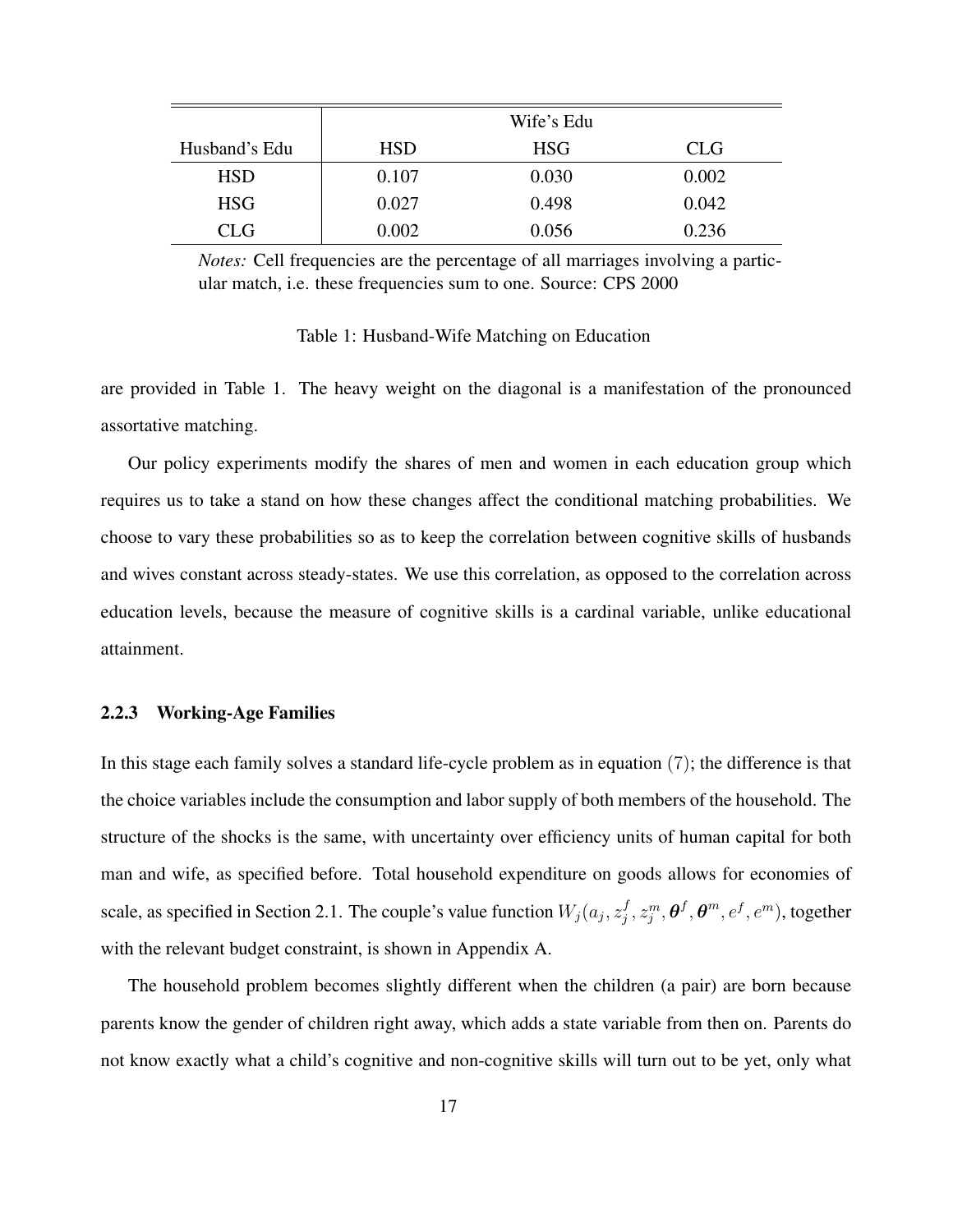|               |            | Wife's Edu |            |
|---------------|------------|------------|------------|
| Husband's Edu | <b>HSD</b> | <b>HSG</b> | <b>CLG</b> |
| <b>HSD</b>    | 0.107      | 0.030      | 0.002      |
| <b>HSG</b>    | 0.027      | 0.498      | 0.042      |
| CLG           | 0.002      | 0.056      | 0.236      |

*Notes:* Cell frequencies are the percentage of all marriages involving a particular match, i.e. these frequencies sum to one. Source: CPS 2000

#### Table 1: Husband-Wife Matching on Education

are provided in Table 1. The heavy weight on the diagonal is a manifestation of the pronounced assortative matching.

Our policy experiments modify the shares of men and women in each education group which requires us to take a stand on how these changes affect the conditional matching probabilities. We choose to vary these probabilities so as to keep the correlation between cognitive skills of husbands and wives constant across steady-states. We use this correlation, as opposed to the correlation across education levels, because the measure of cognitive skills is a cardinal variable, unlike educational attainment.

#### 2.2.3 Working-Age Families

In this stage each family solves a standard life-cycle problem as in equation (7); the difference is that the choice variables include the consumption and labor supply of both members of the household. The structure of the shocks is the same, with uncertainty over efficiency units of human capital for both man and wife, as specified before. Total household expenditure on goods allows for economies of scale, as specified in Section 2.1. The couple's value function  $W_j(a_j, z_j^f)$  $j^f, z_j^m, \boldsymbol{\theta}^f, \boldsymbol{\theta}^m, e^f, e^m),$  together with the relevant budget constraint, is shown in Appendix A.

The household problem becomes slightly different when the children (a pair) are born because parents know the gender of children right away, which adds a state variable from then on. Parents do not know exactly what a child's cognitive and non-cognitive skills will turn out to be yet, only what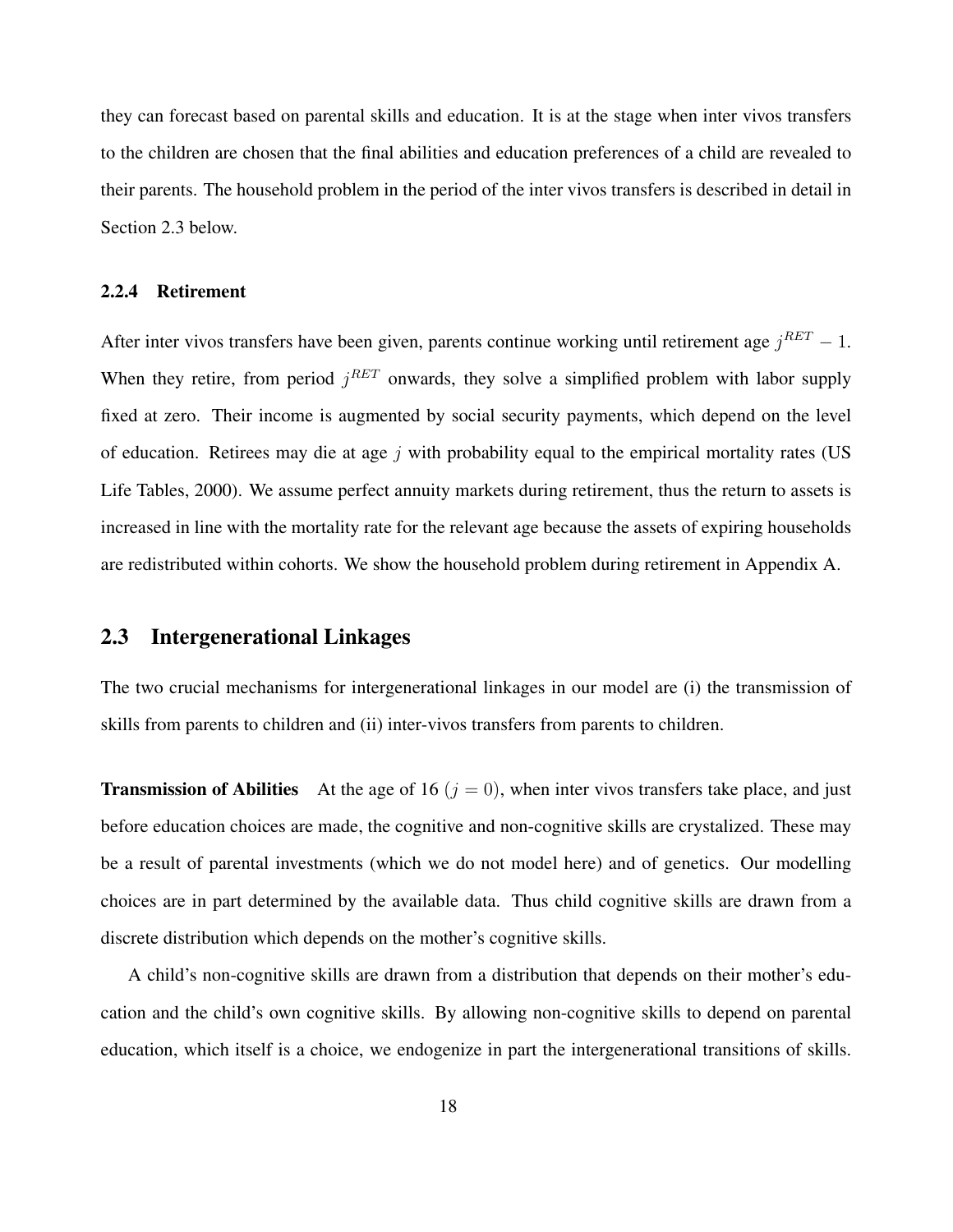they can forecast based on parental skills and education. It is at the stage when inter vivos transfers to the children are chosen that the final abilities and education preferences of a child are revealed to their parents. The household problem in the period of the inter vivos transfers is described in detail in Section 2.3 below.

#### 2.2.4 Retirement

After inter vivos transfers have been given, parents continue working until retirement age  $j^{RET} - 1$ . When they retire, from period  $j^{RET}$  onwards, they solve a simplified problem with labor supply fixed at zero. Their income is augmented by social security payments, which depend on the level of education. Retirees may die at age  $j$  with probability equal to the empirical mortality rates (US Life Tables, 2000). We assume perfect annuity markets during retirement, thus the return to assets is increased in line with the mortality rate for the relevant age because the assets of expiring households are redistributed within cohorts. We show the household problem during retirement in Appendix A.

## 2.3 Intergenerational Linkages

The two crucial mechanisms for intergenerational linkages in our model are (i) the transmission of skills from parents to children and (ii) inter-vivos transfers from parents to children.

**Transmission of Abilities** At the age of 16 ( $j = 0$ ), when inter vivos transfers take place, and just before education choices are made, the cognitive and non-cognitive skills are crystalized. These may be a result of parental investments (which we do not model here) and of genetics. Our modelling choices are in part determined by the available data. Thus child cognitive skills are drawn from a discrete distribution which depends on the mother's cognitive skills.

A child's non-cognitive skills are drawn from a distribution that depends on their mother's education and the child's own cognitive skills. By allowing non-cognitive skills to depend on parental education, which itself is a choice, we endogenize in part the intergenerational transitions of skills.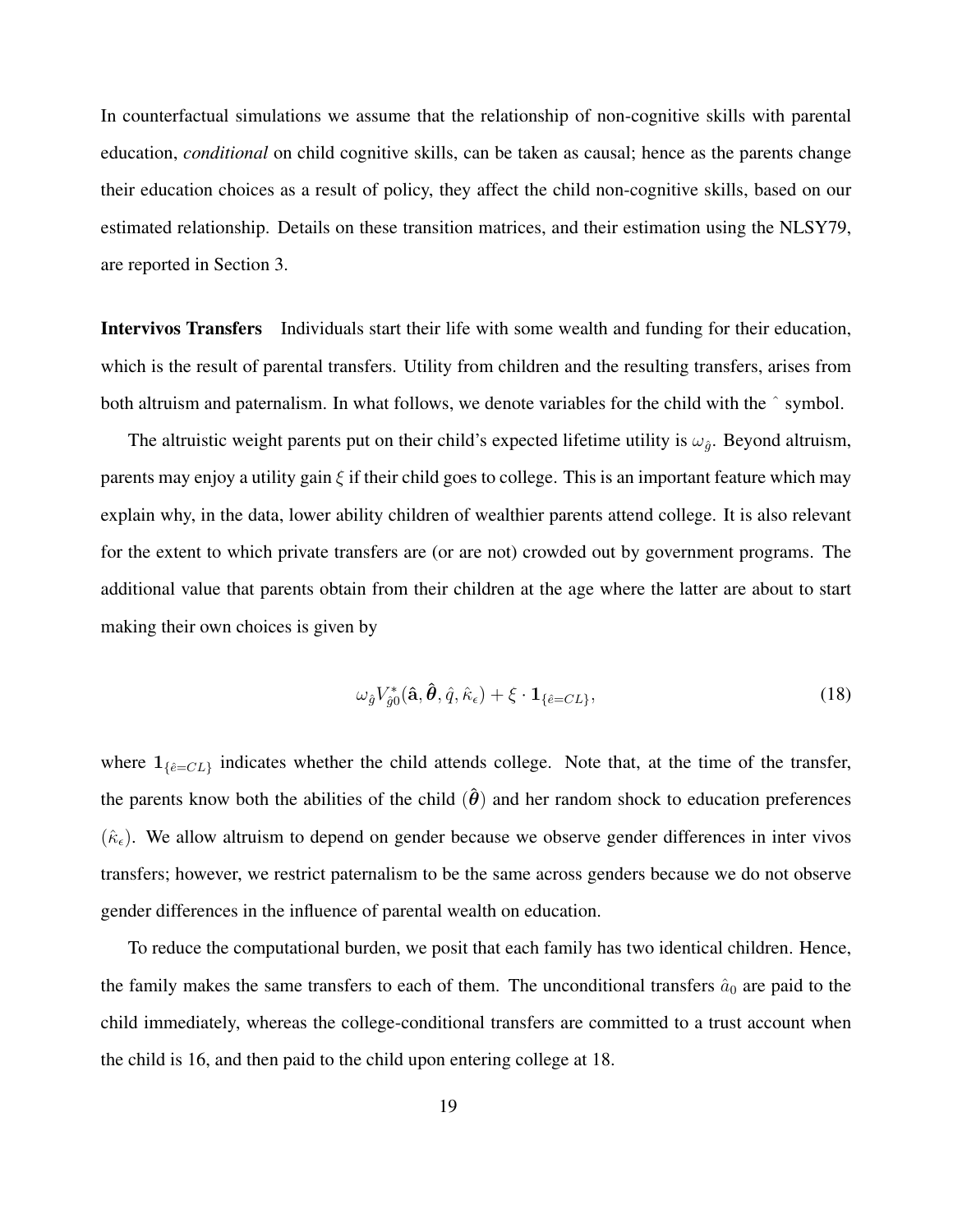In counterfactual simulations we assume that the relationship of non-cognitive skills with parental education, *conditional* on child cognitive skills, can be taken as causal; hence as the parents change their education choices as a result of policy, they affect the child non-cognitive skills, based on our estimated relationship. Details on these transition matrices, and their estimation using the NLSY79, are reported in Section 3.

Intervivos Transfers Individuals start their life with some wealth and funding for their education, which is the result of parental transfers. Utility from children and the resulting transfers, arises from both altruism and paternalism. In what follows, we denote variables for the child with the ˆ symbol.

The altruistic weight parents put on their child's expected lifetime utility is  $\omega_{\hat{g}}$ . Beyond altruism, parents may enjoy a utility gain  $\xi$  if their child goes to college. This is an important feature which may explain why, in the data, lower ability children of wealthier parents attend college. It is also relevant for the extent to which private transfers are (or are not) crowded out by government programs. The additional value that parents obtain from their children at the age where the latter are about to start making their own choices is given by

$$
\omega_{\hat{g}} V_{\hat{g}0}^*(\hat{\mathbf{a}}, \hat{\boldsymbol{\theta}}, \hat{q}, \hat{\kappa}_{\epsilon}) + \xi \cdot \mathbf{1}_{\{\hat{e}=CL\}},\tag{18}
$$

where  $1_{\{\hat{e}=CL\}}$  indicates whether the child attends college. Note that, at the time of the transfer, the parents know both the abilities of the child  $(\hat{\theta})$  and her random shock to education preferences  $(\hat{\kappa}_{\epsilon})$ . We allow altruism to depend on gender because we observe gender differences in inter vivos transfers; however, we restrict paternalism to be the same across genders because we do not observe gender differences in the influence of parental wealth on education.

To reduce the computational burden, we posit that each family has two identical children. Hence, the family makes the same transfers to each of them. The unconditional transfers  $\hat{a}_0$  are paid to the child immediately, whereas the college-conditional transfers are committed to a trust account when the child is 16, and then paid to the child upon entering college at 18.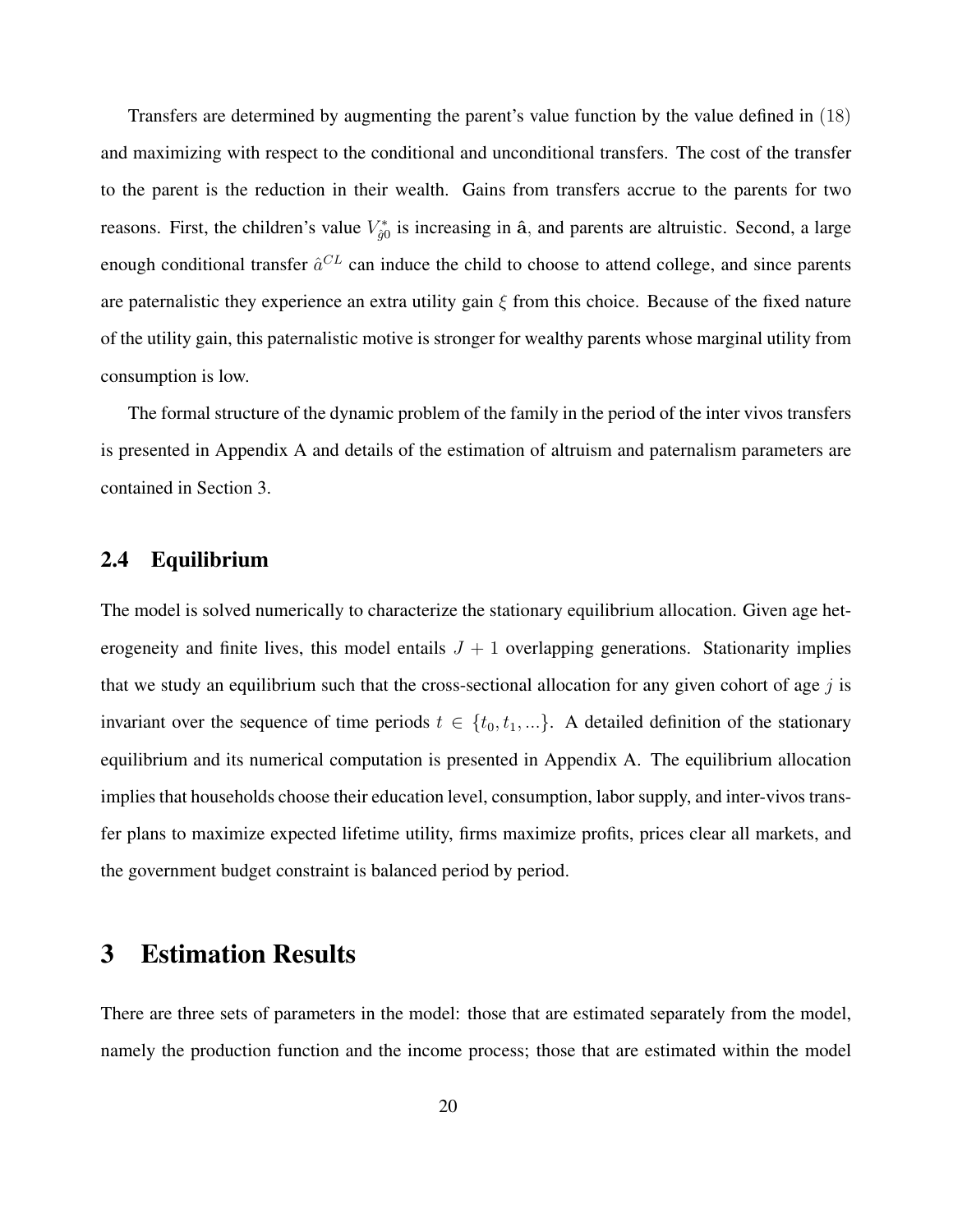Transfers are determined by augmenting the parent's value function by the value defined in (18) and maximizing with respect to the conditional and unconditional transfers. The cost of the transfer to the parent is the reduction in their wealth. Gains from transfers accrue to the parents for two reasons. First, the children's value  $V_{\hat{g}0}^*$  is increasing in  $\hat{a}$ , and parents are altruistic. Second, a large enough conditional transfer  $\hat{a}^{CL}$  can induce the child to choose to attend college, and since parents are paternalistic they experience an extra utility gain  $\xi$  from this choice. Because of the fixed nature of the utility gain, this paternalistic motive is stronger for wealthy parents whose marginal utility from consumption is low.

The formal structure of the dynamic problem of the family in the period of the inter vivos transfers is presented in Appendix A and details of the estimation of altruism and paternalism parameters are contained in Section 3.

## 2.4 Equilibrium

The model is solved numerically to characterize the stationary equilibrium allocation. Given age heterogeneity and finite lives, this model entails  $J + 1$  overlapping generations. Stationarity implies that we study an equilibrium such that the cross-sectional allocation for any given cohort of age  $j$  is invariant over the sequence of time periods  $t \in \{t_0, t_1, ...\}$ . A detailed definition of the stationary equilibrium and its numerical computation is presented in Appendix A. The equilibrium allocation implies that households choose their education level, consumption, labor supply, and inter-vivos transfer plans to maximize expected lifetime utility, firms maximize profits, prices clear all markets, and the government budget constraint is balanced period by period.

# 3 Estimation Results

There are three sets of parameters in the model: those that are estimated separately from the model, namely the production function and the income process; those that are estimated within the model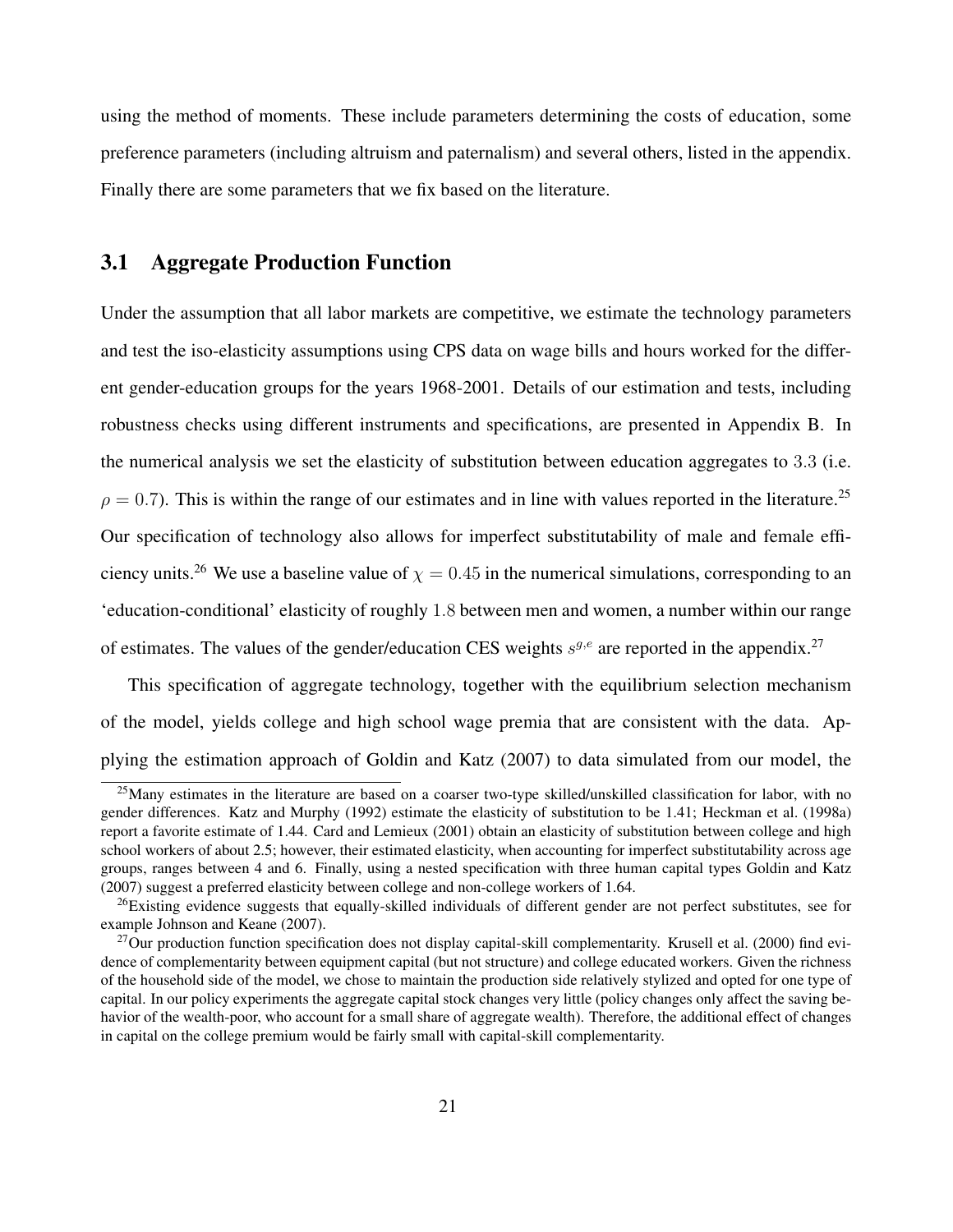using the method of moments. These include parameters determining the costs of education, some preference parameters (including altruism and paternalism) and several others, listed in the appendix. Finally there are some parameters that we fix based on the literature.

### 3.1 Aggregate Production Function

Under the assumption that all labor markets are competitive, we estimate the technology parameters and test the iso-elasticity assumptions using CPS data on wage bills and hours worked for the different gender-education groups for the years 1968-2001. Details of our estimation and tests, including robustness checks using different instruments and specifications, are presented in Appendix B. In the numerical analysis we set the elasticity of substitution between education aggregates to 3.3 (i.e.  $\rho = 0.7$ ). This is within the range of our estimates and in line with values reported in the literature.<sup>25</sup> Our specification of technology also allows for imperfect substitutability of male and female efficiency units.<sup>26</sup> We use a baseline value of  $\chi = 0.45$  in the numerical simulations, corresponding to an 'education-conditional' elasticity of roughly 1.8 between men and women, a number within our range of estimates. The values of the gender/education CES weights  $s^{g,e}$  are reported in the appendix.<sup>27</sup>

This specification of aggregate technology, together with the equilibrium selection mechanism of the model, yields college and high school wage premia that are consistent with the data. Applying the estimation approach of Goldin and Katz (2007) to data simulated from our model, the

<sup>&</sup>lt;sup>25</sup>Many estimates in the literature are based on a coarser two-type skilled/unskilled classification for labor, with no gender differences. Katz and Murphy (1992) estimate the elasticity of substitution to be 1.41; Heckman et al. (1998a) report a favorite estimate of 1.44. Card and Lemieux (2001) obtain an elasticity of substitution between college and high school workers of about 2.5; however, their estimated elasticity, when accounting for imperfect substitutability across age groups, ranges between 4 and 6. Finally, using a nested specification with three human capital types Goldin and Katz (2007) suggest a preferred elasticity between college and non-college workers of 1.64.

 $^{26}$ Existing evidence suggests that equally-skilled individuals of different gender are not perfect substitutes, see for example Johnson and Keane (2007).

 $^{27}$ Our production function specification does not display capital-skill complementarity. Krusell et al. (2000) find evidence of complementarity between equipment capital (but not structure) and college educated workers. Given the richness of the household side of the model, we chose to maintain the production side relatively stylized and opted for one type of capital. In our policy experiments the aggregate capital stock changes very little (policy changes only affect the saving behavior of the wealth-poor, who account for a small share of aggregate wealth). Therefore, the additional effect of changes in capital on the college premium would be fairly small with capital-skill complementarity.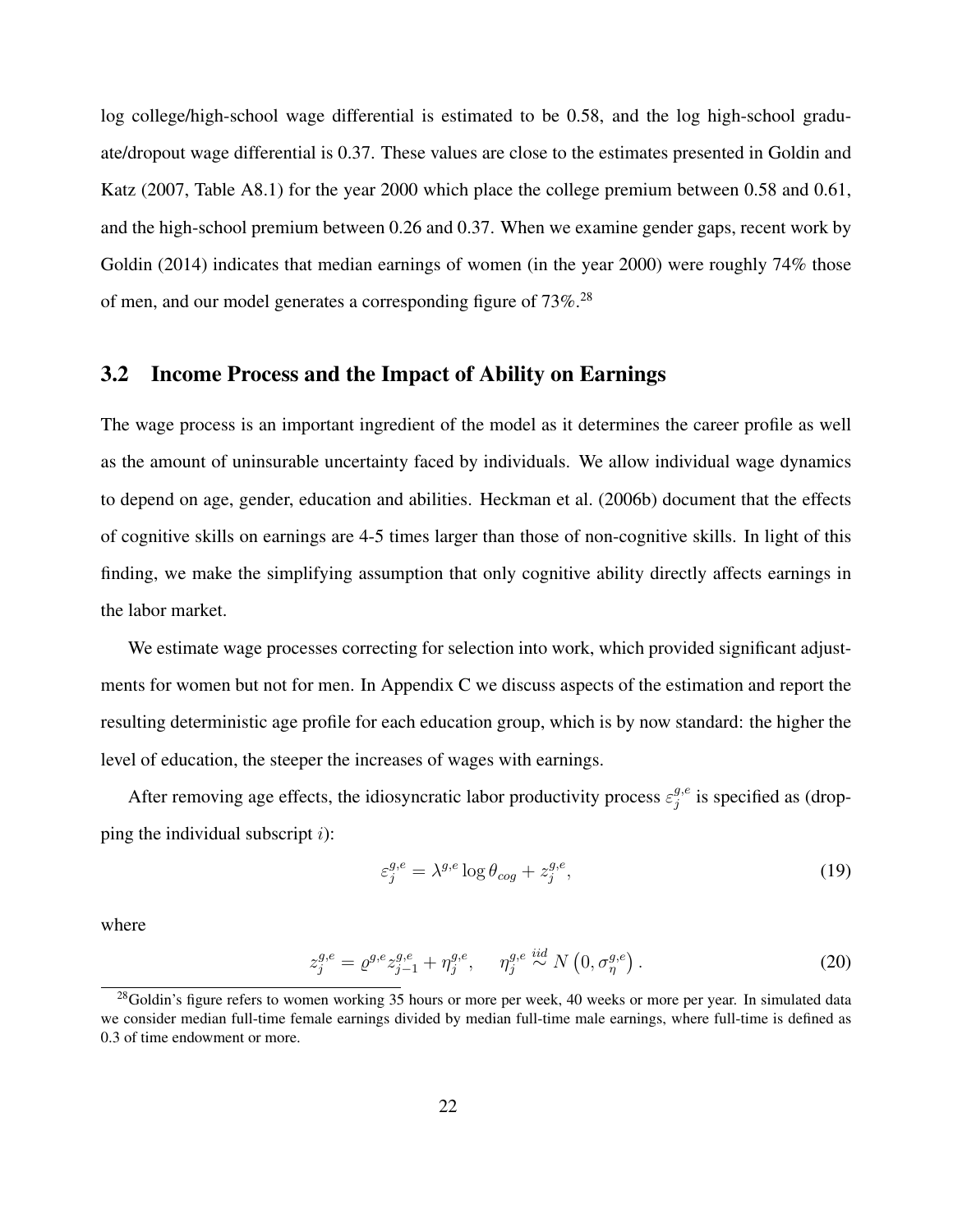log college/high-school wage differential is estimated to be 0.58, and the log high-school graduate/dropout wage differential is 0.37. These values are close to the estimates presented in Goldin and Katz (2007, Table A8.1) for the year 2000 which place the college premium between 0.58 and 0.61, and the high-school premium between 0.26 and 0.37. When we examine gender gaps, recent work by Goldin (2014) indicates that median earnings of women (in the year 2000) were roughly 74% those of men, and our model generates a corresponding figure of 73%.<sup>28</sup>

## 3.2 Income Process and the Impact of Ability on Earnings

The wage process is an important ingredient of the model as it determines the career profile as well as the amount of uninsurable uncertainty faced by individuals. We allow individual wage dynamics to depend on age, gender, education and abilities. Heckman et al. (2006b) document that the effects of cognitive skills on earnings are 4-5 times larger than those of non-cognitive skills. In light of this finding, we make the simplifying assumption that only cognitive ability directly affects earnings in the labor market.

We estimate wage processes correcting for selection into work, which provided significant adjustments for women but not for men. In Appendix C we discuss aspects of the estimation and report the resulting deterministic age profile for each education group, which is by now standard: the higher the level of education, the steeper the increases of wages with earnings.

After removing age effects, the idiosyncratic labor productivity process  $\varepsilon_i^{g,e}$  $j^{g,e}$  is specified as (dropping the individual subscript  $i$ ):

$$
\varepsilon_j^{g,e} = \lambda^{g,e} \log \theta_{cog} + z_j^{g,e},\tag{19}
$$

where

$$
z_j^{g,e} = \varrho^{g,e} z_{j-1}^{g,e} + \eta_j^{g,e}, \quad \eta_j^{g,e} \stackrel{iid}{\sim} N\left(0, \sigma_\eta^{g,e}\right). \tag{20}
$$

 $28$ Goldin's figure refers to women working 35 hours or more per week, 40 weeks or more per year. In simulated data we consider median full-time female earnings divided by median full-time male earnings, where full-time is defined as 0.3 of time endowment or more.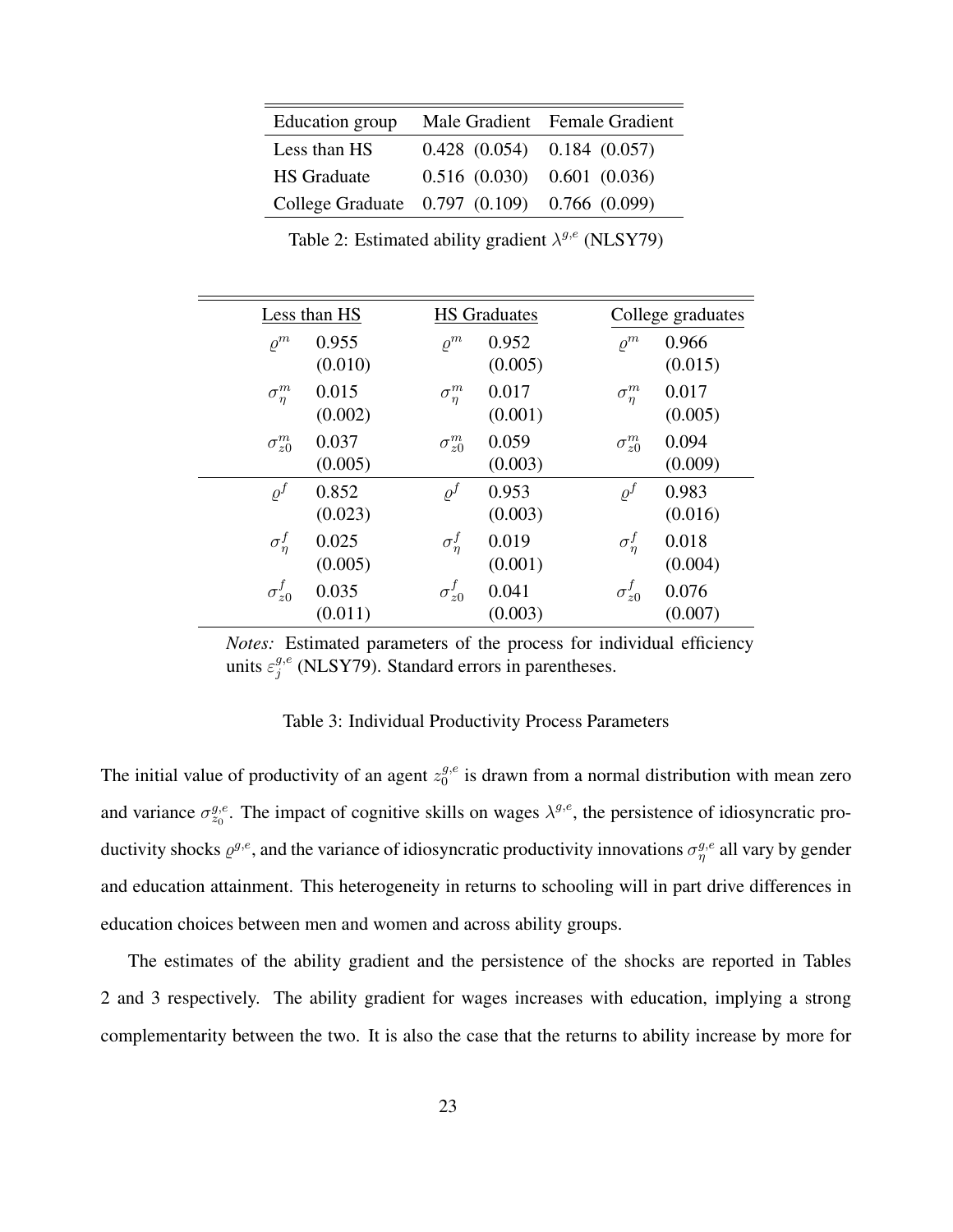| Education group                              |                                     | Male Gradient Female Gradient |
|----------------------------------------------|-------------------------------------|-------------------------------|
| Less than HS                                 | $0.428$ $(0.054)$ $0.184$ $(0.057)$ |                               |
| <b>HS</b> Graduate                           | $0.516$ $(0.030)$ $0.601$ $(0.036)$ |                               |
| College Graduate 0.797 (0.109) 0.766 (0.099) |                                     |                               |

Table 2: Estimated ability gradient  $\lambda^{g,e}$  (NLSY79)

|                     | Less than HS     |                     | <b>HS</b> Graduates |                 | College graduates |
|---------------------|------------------|---------------------|---------------------|-----------------|-------------------|
| $\varrho^m$         | 0.955<br>(0.010) | $\rho^m$            | 0.952<br>(0.005)    | $\rho^m$        | 0.966<br>(0.015)  |
| $\sigma_{\eta}^{m}$ | 0.015<br>(0.002) | $\sigma_\eta^m$     | 0.017<br>(0.001)    | $\sigma_\eta^m$ | 0.017<br>(0.005)  |
| $\sigma^m_{z0}$     | 0.037<br>(0.005) | $\sigma^m_{z0}$     | 0.059<br>(0.003)    | $\sigma^m_{z0}$ | 0.094<br>(0.009)  |
| $\varrho^f$         | 0.852<br>(0.023) | $\rho^f$            | 0.953<br>(0.003)    | $\varrho^f$     | 0.983<br>(0.016)  |
| $\sigma_{\eta}^{f}$ | 0.025<br>(0.005) | $\sigma_{\eta}^{f}$ | 0.019<br>(0.001)    | $\sigma_n^f$    | 0.018<br>(0.004)  |
| $\sigma_{z0}^{f}$   | 0.035<br>(0.011) | $\sigma_{z0}^f$     | 0.041<br>(0.003)    | $\sigma_{z0}^f$ | 0.076<br>(0.007)  |

*Notes:* Estimated parameters of the process for individual efficiency units  $\varepsilon_j^{g,e}$  $j^{g,e}$  (NLSY79). Standard errors in parentheses.

### Table 3: Individual Productivity Process Parameters

The initial value of productivity of an agent  $z_0^{g,e}$  $\frac{g,e}{0}$  is drawn from a normal distribution with mean zero and variance  $\sigma_{z_0}^{g,e}$ . The impact of cognitive skills on wages  $\lambda^{g,e}$ , the persistence of idiosyncratic productivity shocks  $\varrho^{g,e}$ , and the variance of idiosyncratic productivity innovations  $\sigma^{g,e}_\eta$  all vary by gender and education attainment. This heterogeneity in returns to schooling will in part drive differences in education choices between men and women and across ability groups.

The estimates of the ability gradient and the persistence of the shocks are reported in Tables 2 and 3 respectively. The ability gradient for wages increases with education, implying a strong complementarity between the two. It is also the case that the returns to ability increase by more for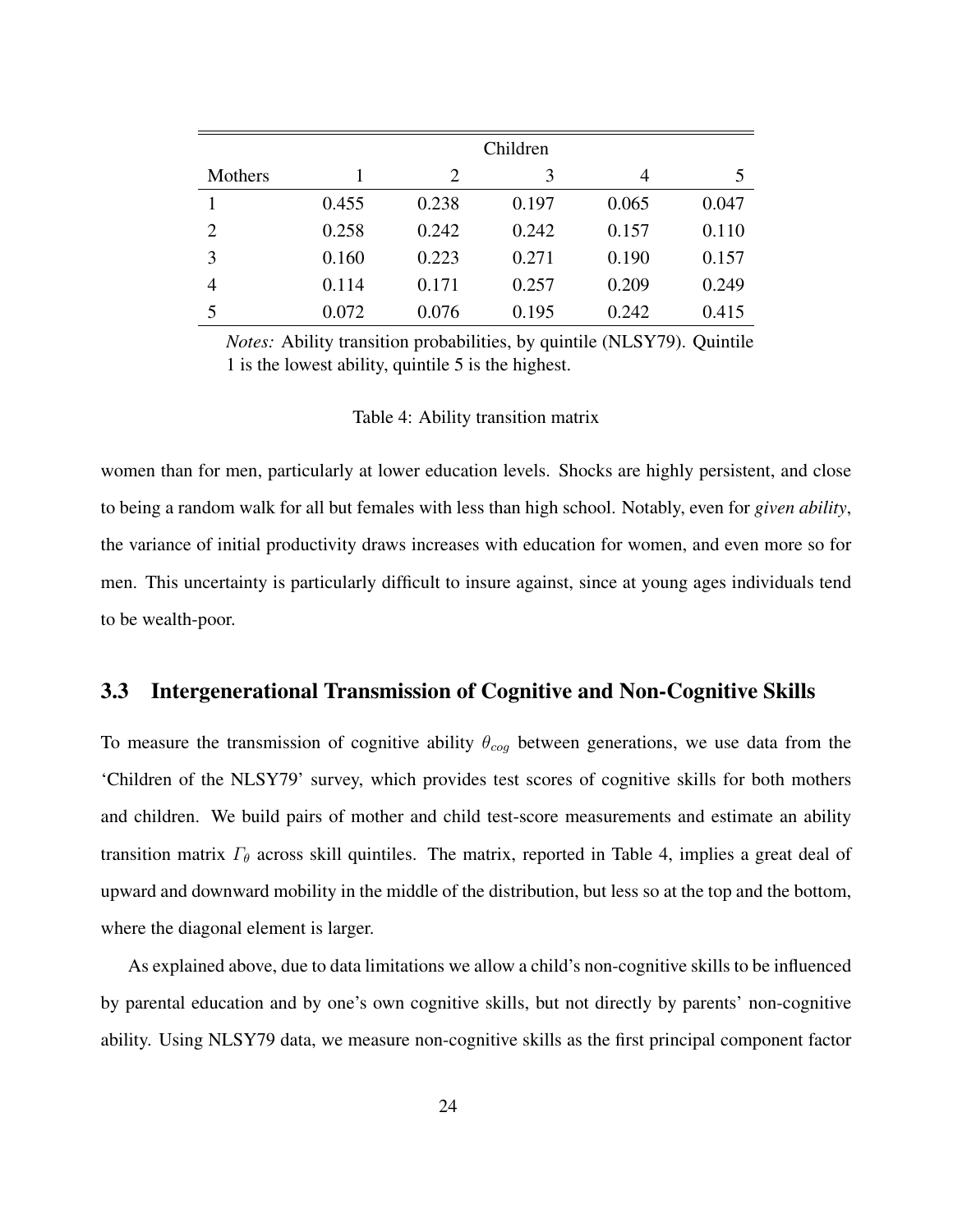|         |       | Children |       |                |       |
|---------|-------|----------|-------|----------------|-------|
| Mothers |       | 2        | 3     | $\overline{4}$ |       |
|         | 0.455 | 0.238    | 0.197 | 0.065          | 0.047 |
| 2       | 0.258 | 0.242    | 0.242 | 0.157          | 0.110 |
| 3       | 0.160 | 0.223    | 0.271 | 0.190          | 0.157 |
| 4       | 0.114 | 0.171    | 0.257 | 0.209          | 0.249 |
| 5       | 0.072 | 0.076    | 0.195 | 0.242          | 0.415 |

*Notes:* Ability transition probabilities, by quintile (NLSY79). Quintile 1 is the lowest ability, quintile 5 is the highest.

Table 4: Ability transition matrix

women than for men, particularly at lower education levels. Shocks are highly persistent, and close to being a random walk for all but females with less than high school. Notably, even for *given ability*, the variance of initial productivity draws increases with education for women, and even more so for men. This uncertainty is particularly difficult to insure against, since at young ages individuals tend to be wealth-poor.

## 3.3 Intergenerational Transmission of Cognitive and Non-Cognitive Skills

To measure the transmission of cognitive ability  $\theta_{\text{cog}}$  between generations, we use data from the 'Children of the NLSY79' survey, which provides test scores of cognitive skills for both mothers and children. We build pairs of mother and child test-score measurements and estimate an ability transition matrix  $\Gamma_{\theta}$  across skill quintiles. The matrix, reported in Table 4, implies a great deal of upward and downward mobility in the middle of the distribution, but less so at the top and the bottom, where the diagonal element is larger.

As explained above, due to data limitations we allow a child's non-cognitive skills to be influenced by parental education and by one's own cognitive skills, but not directly by parents' non-cognitive ability. Using NLSY79 data, we measure non-cognitive skills as the first principal component factor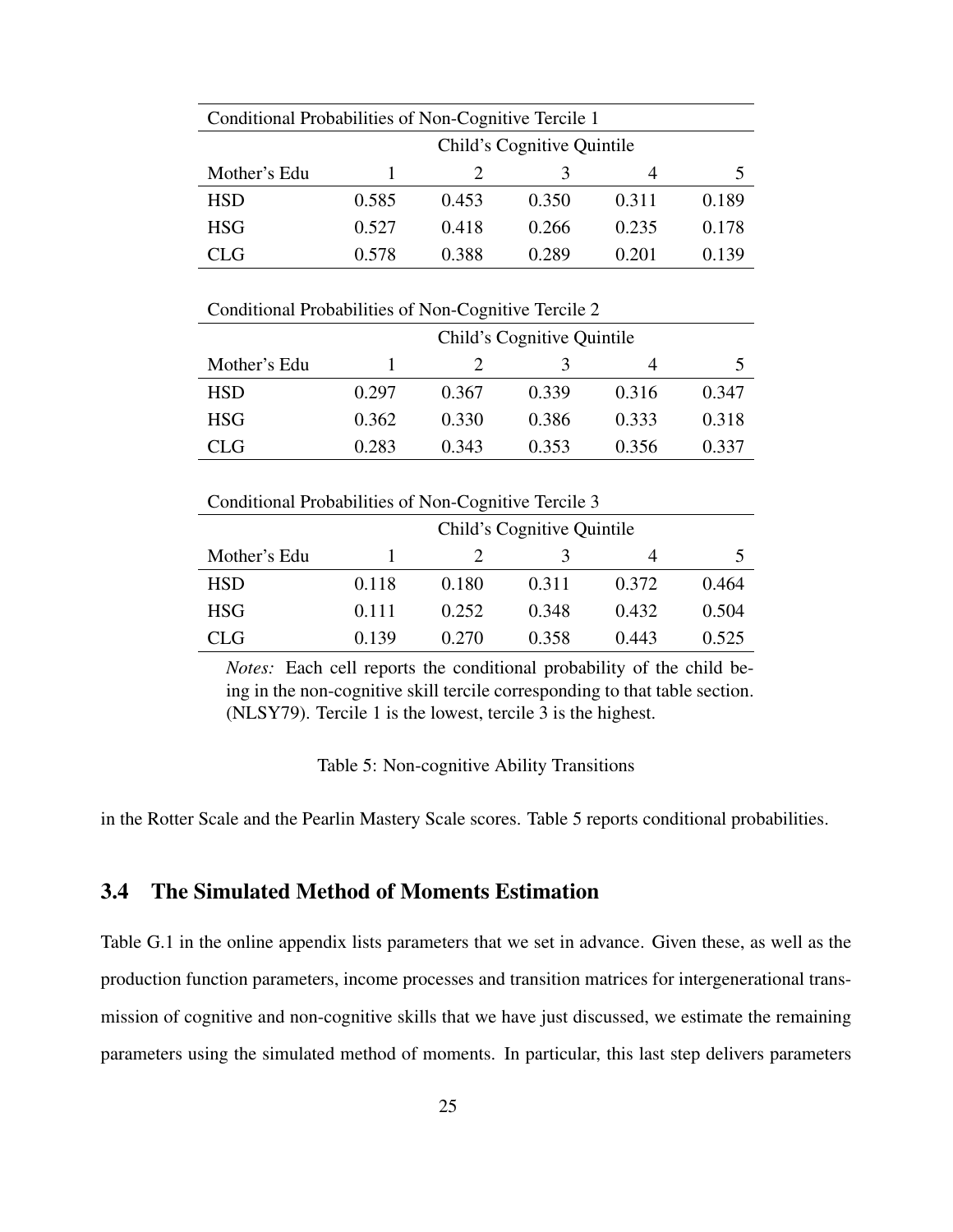| Conditional Probabilities of Non-Cognitive Tercile 1 |                            |       |       |       |       |
|------------------------------------------------------|----------------------------|-------|-------|-------|-------|
|                                                      | Child's Cognitive Quintile |       |       |       |       |
| Mother's Edu                                         |                            |       |       |       |       |
| <b>HSD</b>                                           | 0.585                      | 0.453 | 0.350 | 0.311 | 0.189 |
| <b>HSG</b>                                           | 0.527                      | 0.418 | 0.266 | 0.235 | 0.178 |
| CL G                                                 | 0.578                      | 0.388 | 0.289 | 0.201 | 0.139 |

Conditional Probabilities of Non-Cognitive Tercile 2

|              | Child's Cognitive Quintile |       |       |       |       |
|--------------|----------------------------|-------|-------|-------|-------|
| Mother's Edu |                            |       |       |       |       |
| <b>HSD</b>   | 0.297                      | 0.367 | 0.339 | 0.316 | 0.347 |
| <b>HSG</b>   | 0.362                      | 0.330 | 0.386 | 0.333 | 0.318 |
| CL G         | 0.283                      | 0.343 | 0.353 | 0.356 | 0.337 |

Conditional Probabilities of Non-Cognitive Tercile 3

|              | Child's Cognitive Quintile |       |       |       |       |
|--------------|----------------------------|-------|-------|-------|-------|
| Mother's Edu |                            |       |       |       |       |
| <b>HSD</b>   | 0.118                      | 0.180 | 0.311 | 0.372 | 0.464 |
| <b>HSG</b>   | 0.111                      | 0.252 | 0.348 | 0.432 | 0.504 |
| CL G         | 0.139                      | 0.270 | 0.358 | 0.443 | 0.525 |

*Notes:* Each cell reports the conditional probability of the child being in the non-cognitive skill tercile corresponding to that table section. (NLSY79). Tercile 1 is the lowest, tercile 3 is the highest.

Table 5: Non-cognitive Ability Transitions

in the Rotter Scale and the Pearlin Mastery Scale scores. Table 5 reports conditional probabilities.

## 3.4 The Simulated Method of Moments Estimation

Table G.1 in the online appendix lists parameters that we set in advance. Given these, as well as the production function parameters, income processes and transition matrices for intergenerational transmission of cognitive and non-cognitive skills that we have just discussed, we estimate the remaining parameters using the simulated method of moments. In particular, this last step delivers parameters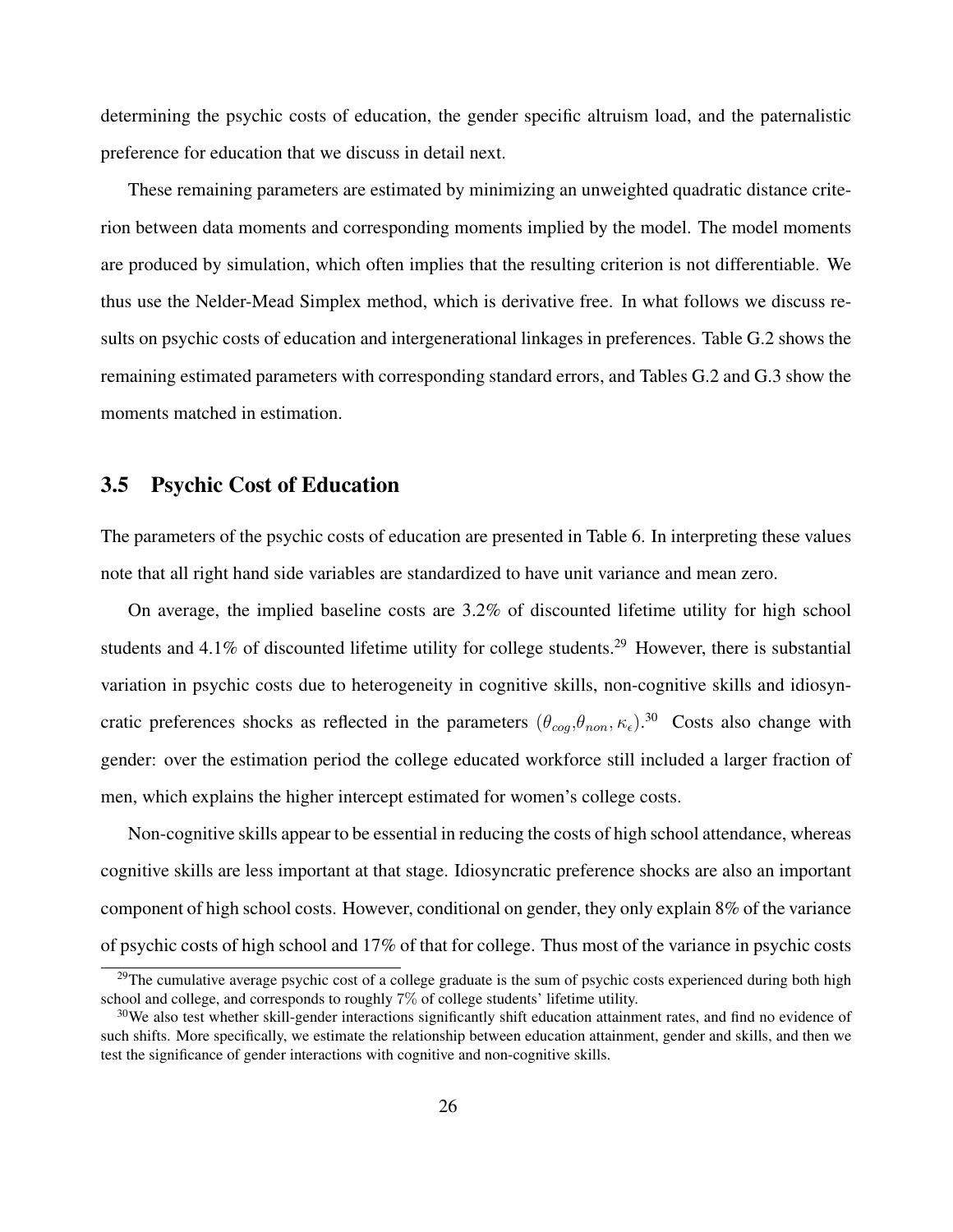determining the psychic costs of education, the gender specific altruism load, and the paternalistic preference for education that we discuss in detail next.

These remaining parameters are estimated by minimizing an unweighted quadratic distance criterion between data moments and corresponding moments implied by the model. The model moments are produced by simulation, which often implies that the resulting criterion is not differentiable. We thus use the Nelder-Mead Simplex method, which is derivative free. In what follows we discuss results on psychic costs of education and intergenerational linkages in preferences. Table G.2 shows the remaining estimated parameters with corresponding standard errors, and Tables G.2 and G.3 show the moments matched in estimation.

### 3.5 Psychic Cost of Education

The parameters of the psychic costs of education are presented in Table 6. In interpreting these values note that all right hand side variables are standardized to have unit variance and mean zero.

On average, the implied baseline costs are 3.2% of discounted lifetime utility for high school students and 4.1% of discounted lifetime utility for college students.<sup>29</sup> However, there is substantial variation in psychic costs due to heterogeneity in cognitive skills, non-cognitive skills and idiosyncratic preferences shocks as reflected in the parameters  $(\theta_{cog}, \theta_{non}, \kappa_{\epsilon})$ .<sup>30</sup> Costs also change with gender: over the estimation period the college educated workforce still included a larger fraction of men, which explains the higher intercept estimated for women's college costs.

Non-cognitive skills appear to be essential in reducing the costs of high school attendance, whereas cognitive skills are less important at that stage. Idiosyncratic preference shocks are also an important component of high school costs. However, conditional on gender, they only explain 8% of the variance of psychic costs of high school and 17% of that for college. Thus most of the variance in psychic costs

<sup>&</sup>lt;sup>29</sup>The cumulative average psychic cost of a college graduate is the sum of psychic costs experienced during both high school and college, and corresponds to roughly  $7\%$  of college students' lifetime utility.

 $30$ We also test whether skill-gender interactions significantly shift education attainment rates, and find no evidence of such shifts. More specifically, we estimate the relationship between education attainment, gender and skills, and then we test the significance of gender interactions with cognitive and non-cognitive skills.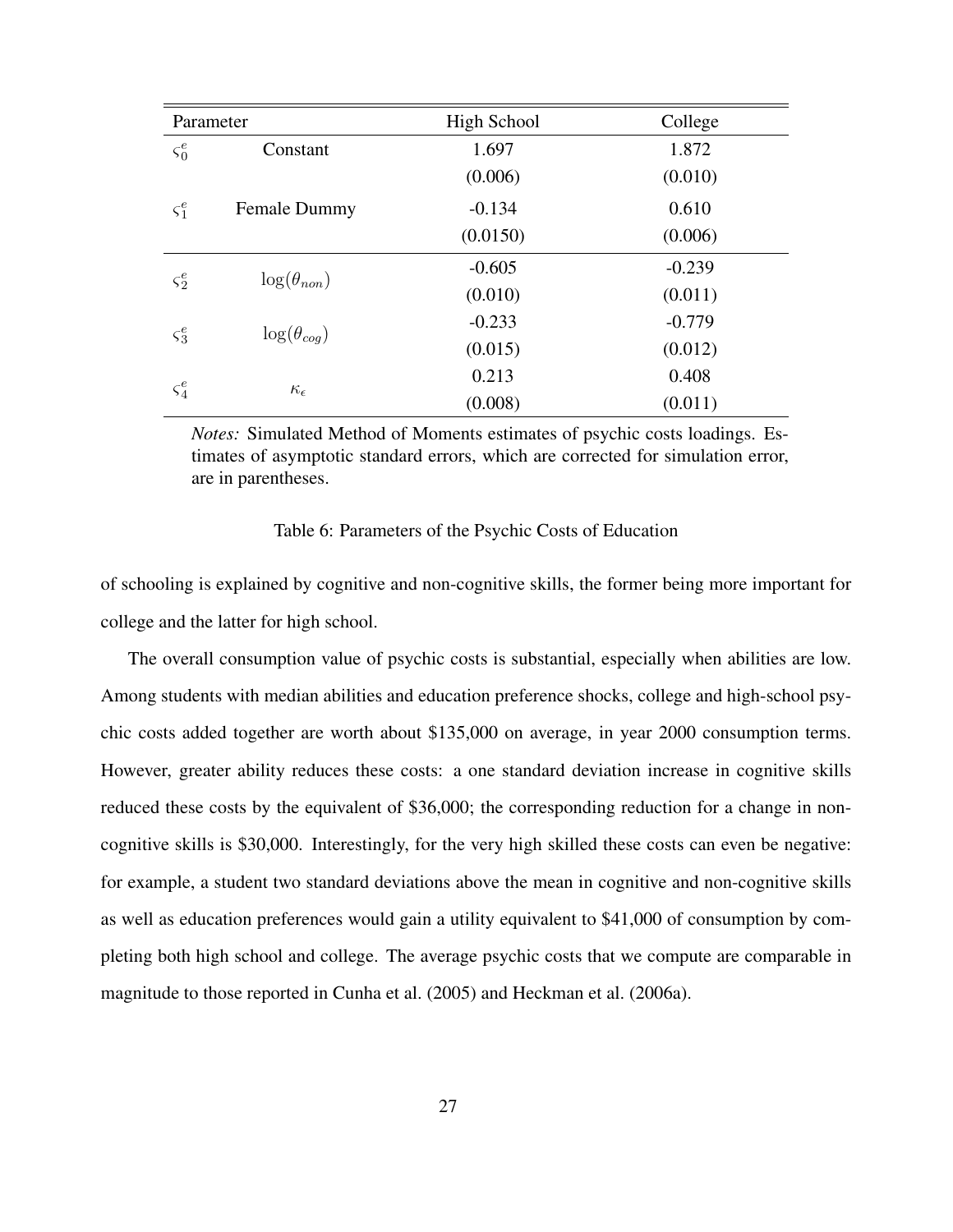| Parameter                               |                      | High School | College  |
|-----------------------------------------|----------------------|-------------|----------|
| $\varsigma_0^e$                         | Constant             | 1.697       | 1.872    |
|                                         |                      | (0.006)     | (0.010)  |
| $\varsigma_1^e$                         | Female Dummy         | $-0.134$    | 0.610    |
|                                         |                      | (0.0150)    | (0.006)  |
| $\varsigma_2^e$                         | $\log(\theta_{non})$ | $-0.605$    | $-0.239$ |
|                                         |                      | (0.010)     | (0.011)  |
| $\log(\theta_{cog})$<br>$\varsigma_3^e$ | $-0.233$             | $-0.779$    |          |
|                                         |                      | (0.015)     | (0.012)  |
| $\varsigma_4^e$                         |                      | 0.213       | 0.408    |
|                                         | $\kappa_{\epsilon}$  | (0.008)     | (0.011)  |

*Notes:* Simulated Method of Moments estimates of psychic costs loadings. Estimates of asymptotic standard errors, which are corrected for simulation error, are in parentheses.

### Table 6: Parameters of the Psychic Costs of Education

of schooling is explained by cognitive and non-cognitive skills, the former being more important for college and the latter for high school.

The overall consumption value of psychic costs is substantial, especially when abilities are low. Among students with median abilities and education preference shocks, college and high-school psychic costs added together are worth about \$135,000 on average, in year 2000 consumption terms. However, greater ability reduces these costs: a one standard deviation increase in cognitive skills reduced these costs by the equivalent of \$36,000; the corresponding reduction for a change in noncognitive skills is \$30,000. Interestingly, for the very high skilled these costs can even be negative: for example, a student two standard deviations above the mean in cognitive and non-cognitive skills as well as education preferences would gain a utility equivalent to \$41,000 of consumption by completing both high school and college. The average psychic costs that we compute are comparable in magnitude to those reported in Cunha et al. (2005) and Heckman et al. (2006a).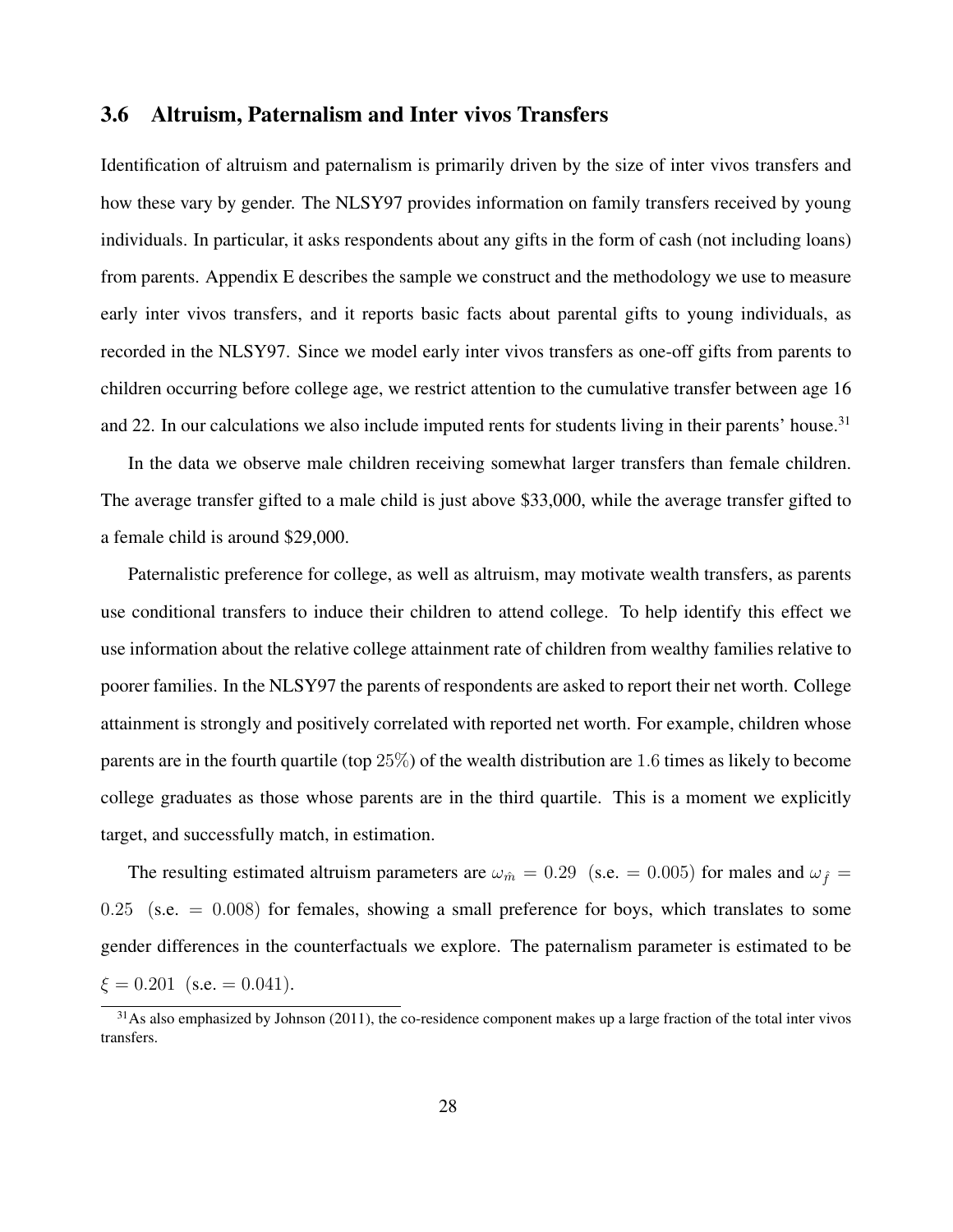## 3.6 Altruism, Paternalism and Inter vivos Transfers

Identification of altruism and paternalism is primarily driven by the size of inter vivos transfers and how these vary by gender. The NLSY97 provides information on family transfers received by young individuals. In particular, it asks respondents about any gifts in the form of cash (not including loans) from parents. Appendix E describes the sample we construct and the methodology we use to measure early inter vivos transfers, and it reports basic facts about parental gifts to young individuals, as recorded in the NLSY97. Since we model early inter vivos transfers as one-off gifts from parents to children occurring before college age, we restrict attention to the cumulative transfer between age 16 and 22. In our calculations we also include imputed rents for students living in their parents' house.<sup>31</sup>

In the data we observe male children receiving somewhat larger transfers than female children. The average transfer gifted to a male child is just above \$33,000, while the average transfer gifted to a female child is around \$29,000.

Paternalistic preference for college, as well as altruism, may motivate wealth transfers, as parents use conditional transfers to induce their children to attend college. To help identify this effect we use information about the relative college attainment rate of children from wealthy families relative to poorer families. In the NLSY97 the parents of respondents are asked to report their net worth. College attainment is strongly and positively correlated with reported net worth. For example, children whose parents are in the fourth quartile (top 25%) of the wealth distribution are 1.6 times as likely to become college graduates as those whose parents are in the third quartile. This is a moment we explicitly target, and successfully match, in estimation.

The resulting estimated altruism parameters are  $\omega_{m} = 0.29$  (s.e. = 0.005) for males and  $\omega_{\hat{f}} =$  $0.25$  (s.e.  $= 0.008$ ) for females, showing a small preference for boys, which translates to some gender differences in the counterfactuals we explore. The paternalism parameter is estimated to be  $\xi = 0.201$  (s.e. = 0.041).

 $31$ As also emphasized by Johnson (2011), the co-residence component makes up a large fraction of the total inter vivos transfers.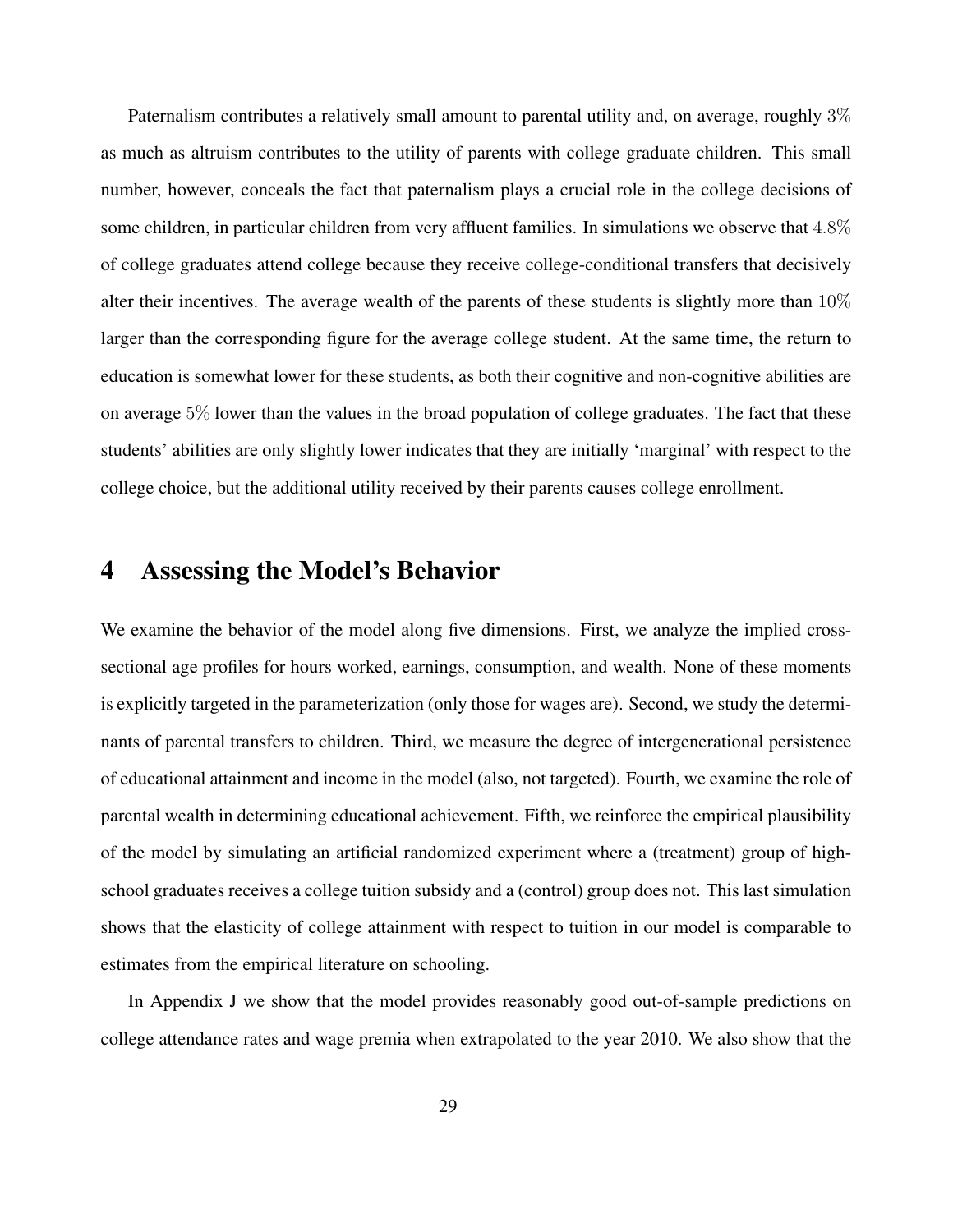Paternalism contributes a relatively small amount to parental utility and, on average, roughly 3% as much as altruism contributes to the utility of parents with college graduate children. This small number, however, conceals the fact that paternalism plays a crucial role in the college decisions of some children, in particular children from very affluent families. In simulations we observe that 4.8% of college graduates attend college because they receive college-conditional transfers that decisively alter their incentives. The average wealth of the parents of these students is slightly more than  $10\%$ larger than the corresponding figure for the average college student. At the same time, the return to education is somewhat lower for these students, as both their cognitive and non-cognitive abilities are on average  $5\%$  lower than the values in the broad population of college graduates. The fact that these students' abilities are only slightly lower indicates that they are initially 'marginal' with respect to the college choice, but the additional utility received by their parents causes college enrollment.

# 4 Assessing the Model's Behavior

We examine the behavior of the model along five dimensions. First, we analyze the implied crosssectional age profiles for hours worked, earnings, consumption, and wealth. None of these moments is explicitly targeted in the parameterization (only those for wages are). Second, we study the determinants of parental transfers to children. Third, we measure the degree of intergenerational persistence of educational attainment and income in the model (also, not targeted). Fourth, we examine the role of parental wealth in determining educational achievement. Fifth, we reinforce the empirical plausibility of the model by simulating an artificial randomized experiment where a (treatment) group of highschool graduates receives a college tuition subsidy and a (control) group does not. This last simulation shows that the elasticity of college attainment with respect to tuition in our model is comparable to estimates from the empirical literature on schooling.

In Appendix J we show that the model provides reasonably good out-of-sample predictions on college attendance rates and wage premia when extrapolated to the year 2010. We also show that the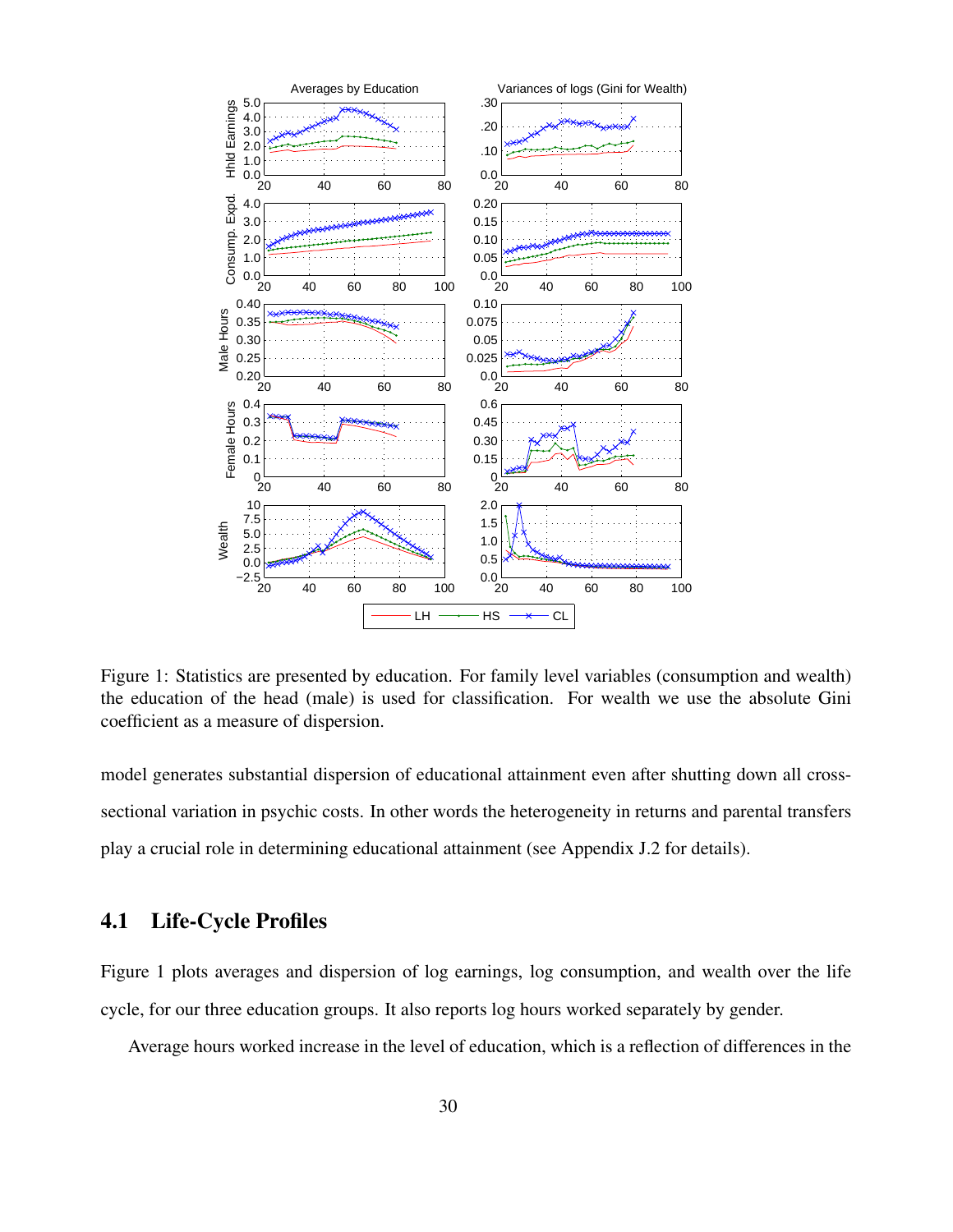

Figure 1: Statistics are presented by education. For family level variables (consumption and wealth) the education of the head (male) is used for classification. For wealth we use the absolute Gini coefficient as a measure of dispersion.

model generates substantial dispersion of educational attainment even after shutting down all crosssectional variation in psychic costs. In other words the heterogeneity in returns and parental transfers play a crucial role in determining educational attainment (see Appendix J.2 for details).

# 4.1 Life-Cycle Profiles

Figure 1 plots averages and dispersion of log earnings, log consumption, and wealth over the life cycle, for our three education groups. It also reports log hours worked separately by gender.

Average hours worked increase in the level of education, which is a reflection of differences in the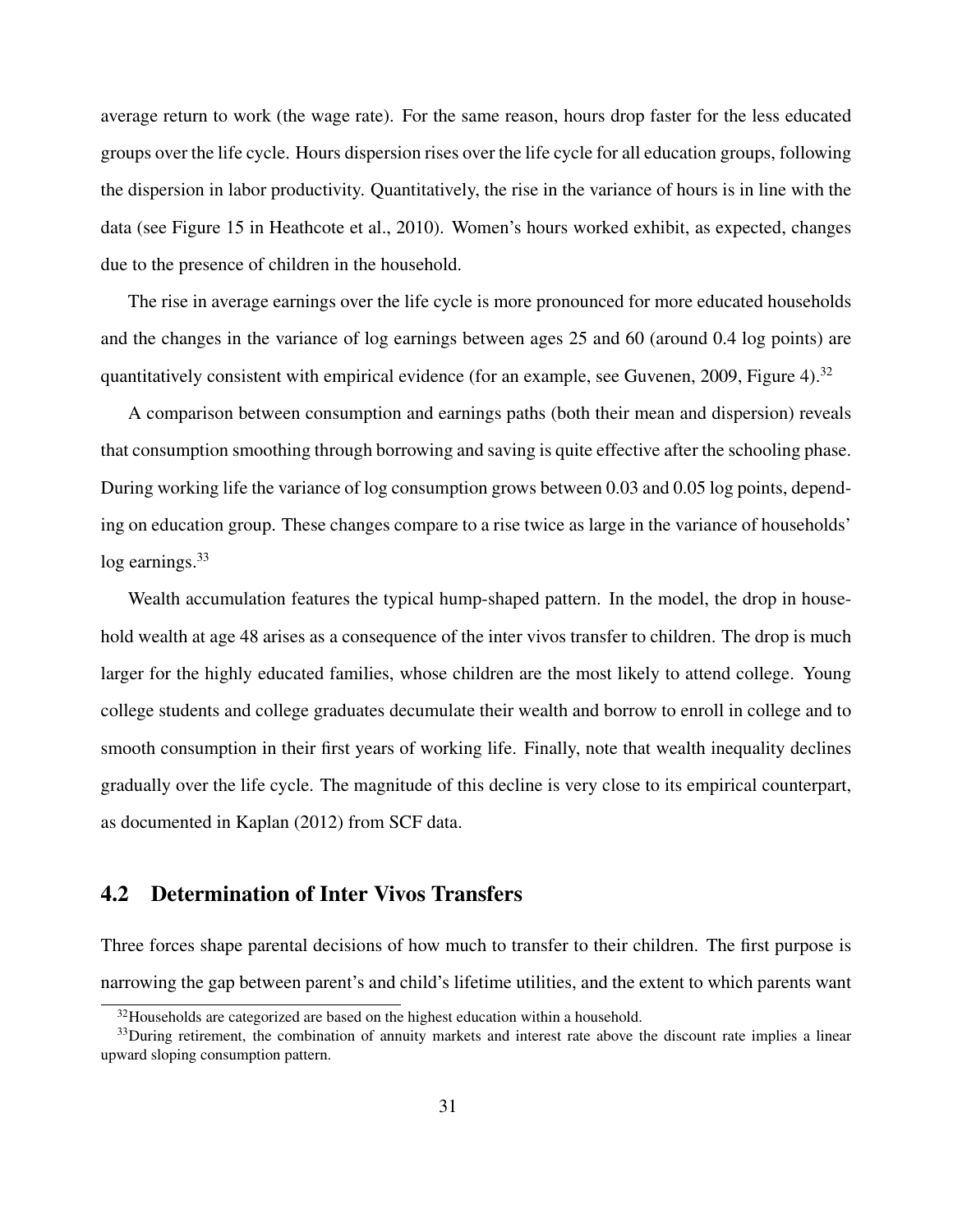average return to work (the wage rate). For the same reason, hours drop faster for the less educated groups over the life cycle. Hours dispersion rises over the life cycle for all education groups, following the dispersion in labor productivity. Quantitatively, the rise in the variance of hours is in line with the data (see Figure 15 in Heathcote et al., 2010). Women's hours worked exhibit, as expected, changes due to the presence of children in the household.

The rise in average earnings over the life cycle is more pronounced for more educated households and the changes in the variance of log earnings between ages 25 and 60 (around 0.4 log points) are quantitatively consistent with empirical evidence (for an example, see Guvenen, 2009, Figure 4).<sup>32</sup>

A comparison between consumption and earnings paths (both their mean and dispersion) reveals that consumption smoothing through borrowing and saving is quite effective after the schooling phase. During working life the variance of log consumption grows between 0.03 and 0.05 log points, depending on education group. These changes compare to a rise twice as large in the variance of households'  $log$  earnings.  $33$ 

Wealth accumulation features the typical hump-shaped pattern. In the model, the drop in household wealth at age 48 arises as a consequence of the inter vivos transfer to children. The drop is much larger for the highly educated families, whose children are the most likely to attend college. Young college students and college graduates decumulate their wealth and borrow to enroll in college and to smooth consumption in their first years of working life. Finally, note that wealth inequality declines gradually over the life cycle. The magnitude of this decline is very close to its empirical counterpart, as documented in Kaplan (2012) from SCF data.

## 4.2 Determination of Inter Vivos Transfers

Three forces shape parental decisions of how much to transfer to their children. The first purpose is narrowing the gap between parent's and child's lifetime utilities, and the extent to which parents want

 $32$ Households are categorized are based on the highest education within a household.

 $33$ During retirement, the combination of annuity markets and interest rate above the discount rate implies a linear upward sloping consumption pattern.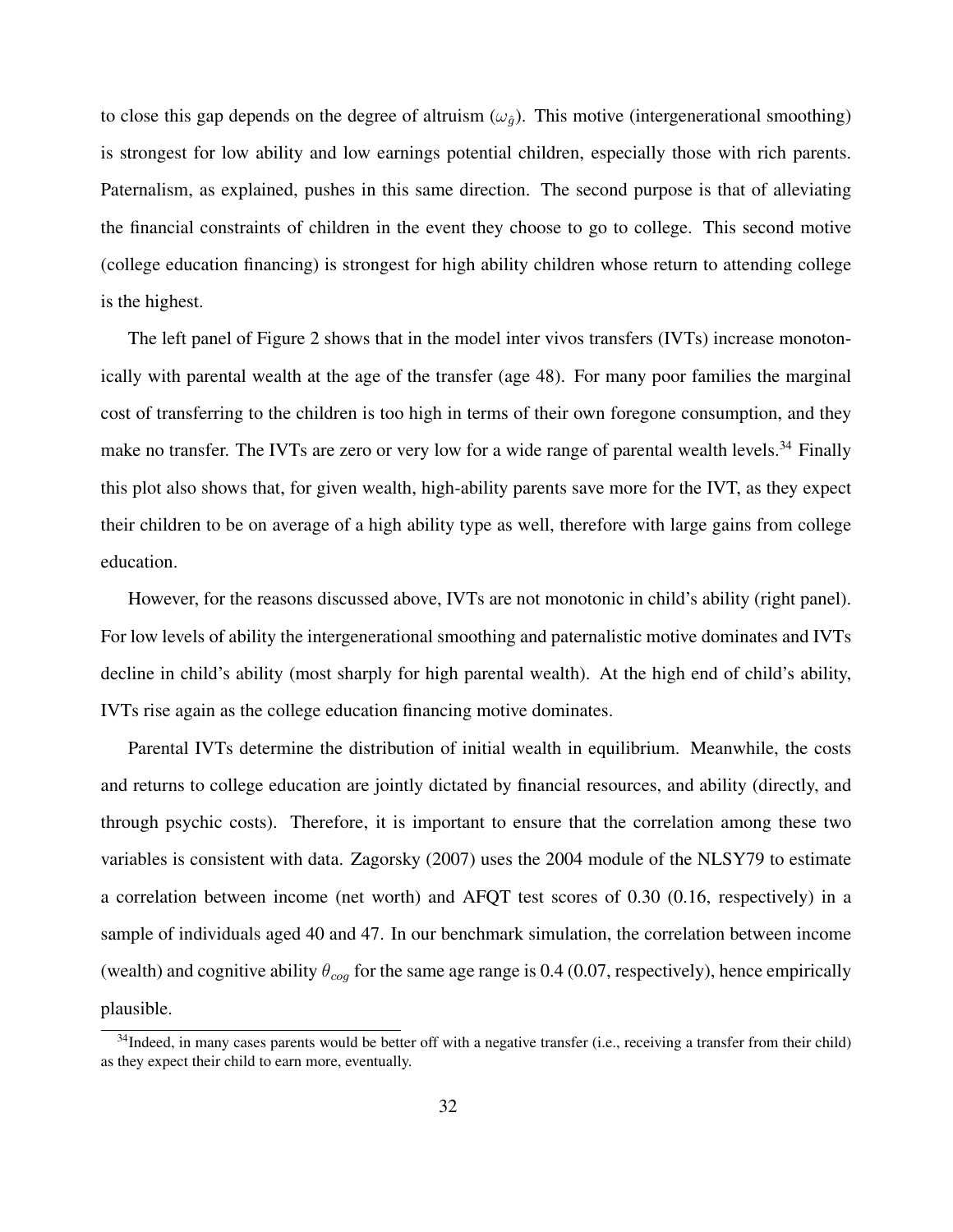to close this gap depends on the degree of altruism  $(\omega_{\hat{a}})$ . This motive (intergenerational smoothing) is strongest for low ability and low earnings potential children, especially those with rich parents. Paternalism, as explained, pushes in this same direction. The second purpose is that of alleviating the financial constraints of children in the event they choose to go to college. This second motive (college education financing) is strongest for high ability children whose return to attending college is the highest.

The left panel of Figure 2 shows that in the model inter vivos transfers (IVTs) increase monotonically with parental wealth at the age of the transfer (age 48). For many poor families the marginal cost of transferring to the children is too high in terms of their own foregone consumption, and they make no transfer. The IVTs are zero or very low for a wide range of parental wealth levels.<sup>34</sup> Finally this plot also shows that, for given wealth, high-ability parents save more for the IVT, as they expect their children to be on average of a high ability type as well, therefore with large gains from college education.

However, for the reasons discussed above, IVTs are not monotonic in child's ability (right panel). For low levels of ability the intergenerational smoothing and paternalistic motive dominates and IVTs decline in child's ability (most sharply for high parental wealth). At the high end of child's ability, IVTs rise again as the college education financing motive dominates.

Parental IVTs determine the distribution of initial wealth in equilibrium. Meanwhile, the costs and returns to college education are jointly dictated by financial resources, and ability (directly, and through psychic costs). Therefore, it is important to ensure that the correlation among these two variables is consistent with data. Zagorsky (2007) uses the 2004 module of the NLSY79 to estimate a correlation between income (net worth) and AFQT test scores of 0.30 (0.16, respectively) in a sample of individuals aged 40 and 47. In our benchmark simulation, the correlation between income (wealth) and cognitive ability  $\theta_{cog}$  for the same age range is 0.4 (0.07, respectively), hence empirically plausible.

<sup>&</sup>lt;sup>34</sup>Indeed, in many cases parents would be better off with a negative transfer (i.e., receiving a transfer from their child) as they expect their child to earn more, eventually.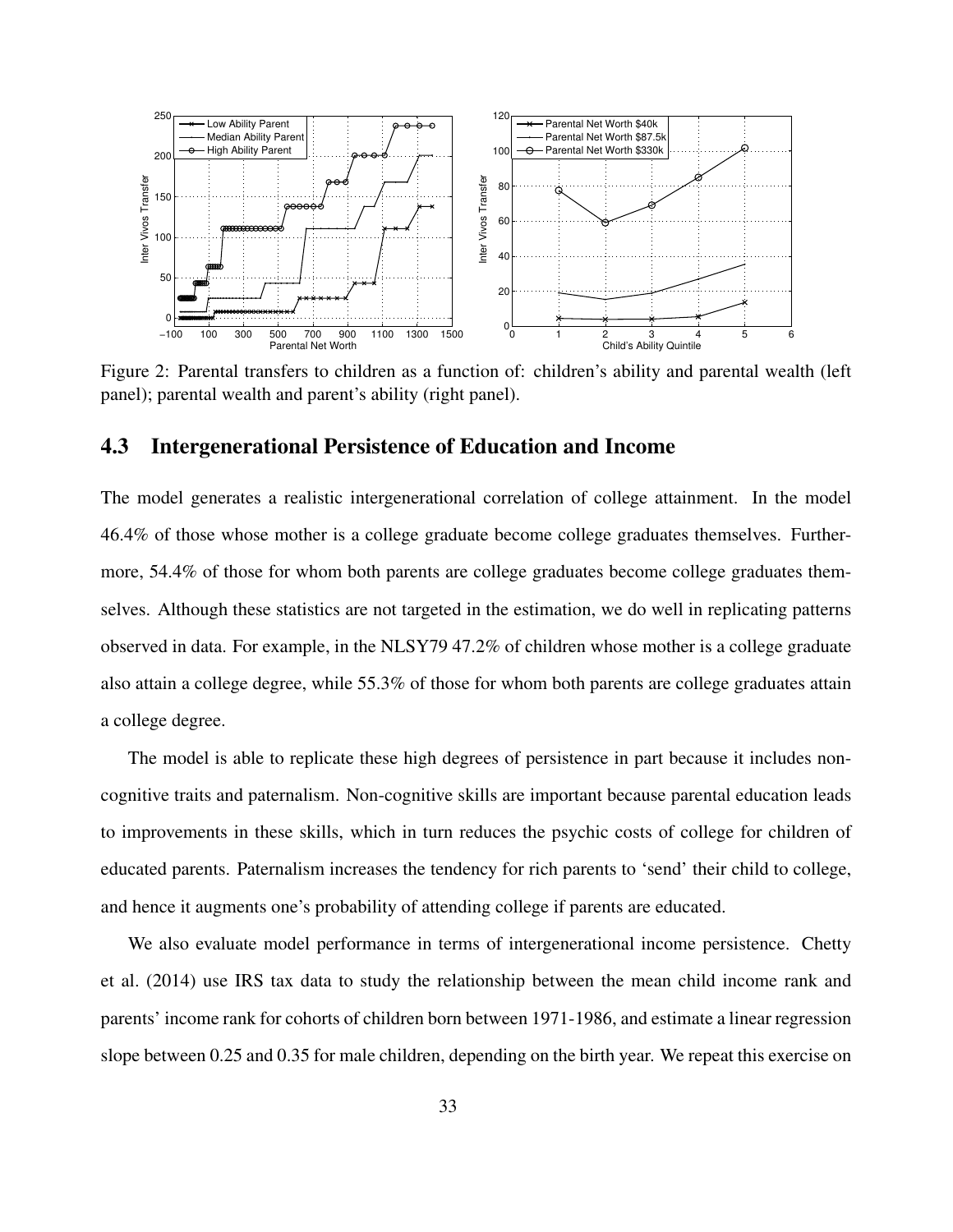

Figure 2: Parental transfers to children as a function of: children's ability and parental wealth (left panel); parental wealth and parent's ability (right panel).

## 4.3 Intergenerational Persistence of Education and Income

The model generates a realistic intergenerational correlation of college attainment. In the model 46.4% of those whose mother is a college graduate become college graduates themselves. Furthermore, 54.4% of those for whom both parents are college graduates become college graduates themselves. Although these statistics are not targeted in the estimation, we do well in replicating patterns observed in data. For example, in the NLSY79 47.2% of children whose mother is a college graduate also attain a college degree, while 55.3% of those for whom both parents are college graduates attain a college degree.

The model is able to replicate these high degrees of persistence in part because it includes noncognitive traits and paternalism. Non-cognitive skills are important because parental education leads to improvements in these skills, which in turn reduces the psychic costs of college for children of educated parents. Paternalism increases the tendency for rich parents to 'send' their child to college, and hence it augments one's probability of attending college if parents are educated.

We also evaluate model performance in terms of intergenerational income persistence. Chetty et al. (2014) use IRS tax data to study the relationship between the mean child income rank and parents' income rank for cohorts of children born between 1971-1986, and estimate a linear regression slope between 0.25 and 0.35 for male children, depending on the birth year. We repeat this exercise on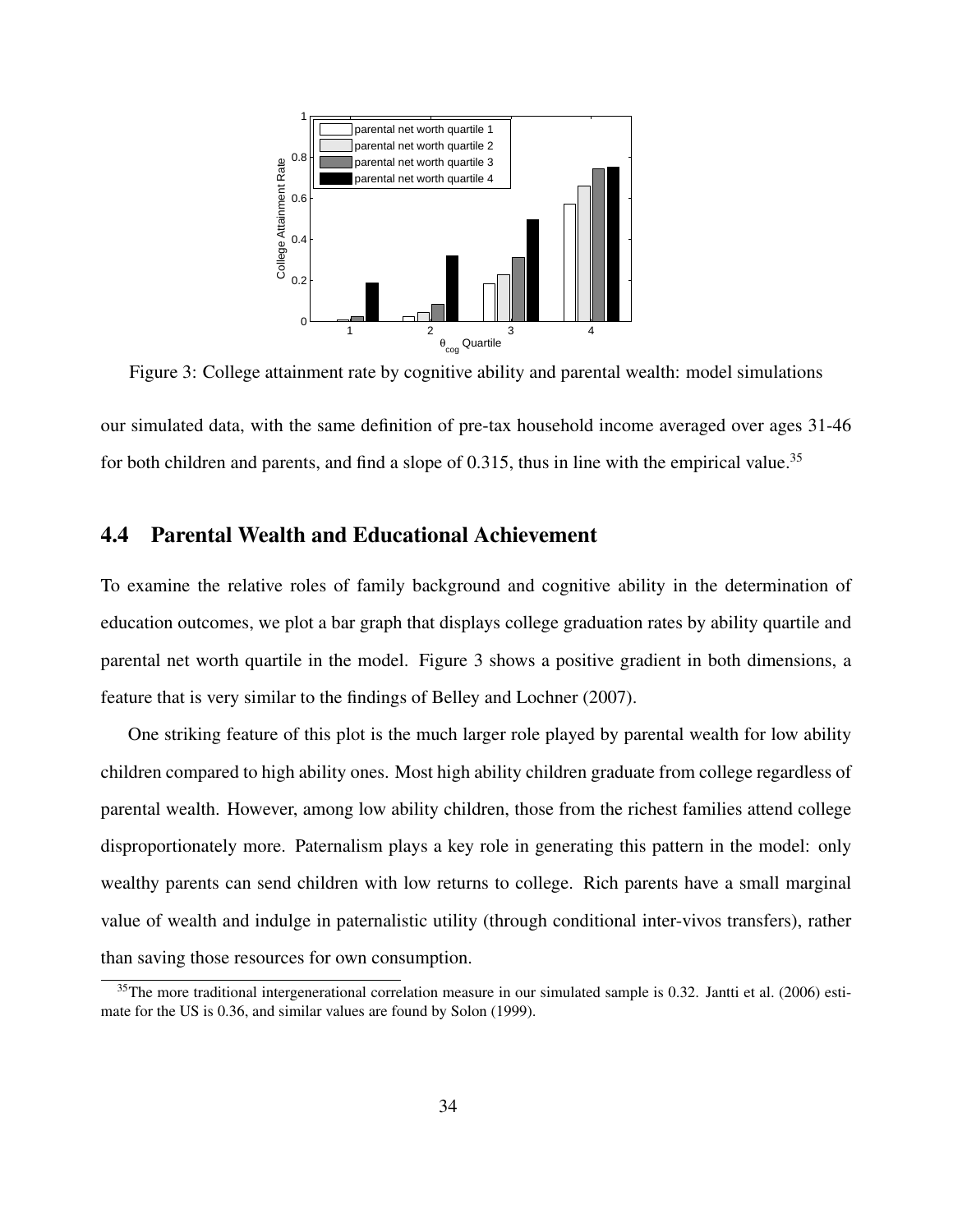

Figure 3: College attainment rate by cognitive ability and parental wealth: model simulations

our simulated data, with the same definition of pre-tax household income averaged over ages 31-46 for both children and parents, and find a slope of 0.315, thus in line with the empirical value.<sup>35</sup>

## 4.4 Parental Wealth and Educational Achievement

To examine the relative roles of family background and cognitive ability in the determination of education outcomes, we plot a bar graph that displays college graduation rates by ability quartile and parental net worth quartile in the model. Figure 3 shows a positive gradient in both dimensions, a feature that is very similar to the findings of Belley and Lochner (2007).

One striking feature of this plot is the much larger role played by parental wealth for low ability children compared to high ability ones. Most high ability children graduate from college regardless of parental wealth. However, among low ability children, those from the richest families attend college disproportionately more. Paternalism plays a key role in generating this pattern in the model: only wealthy parents can send children with low returns to college. Rich parents have a small marginal value of wealth and indulge in paternalistic utility (through conditional inter-vivos transfers), rather than saving those resources for own consumption.

 $35$ The more traditional intergenerational correlation measure in our simulated sample is 0.32. Jantti et al. (2006) estimate for the US is 0.36, and similar values are found by Solon (1999).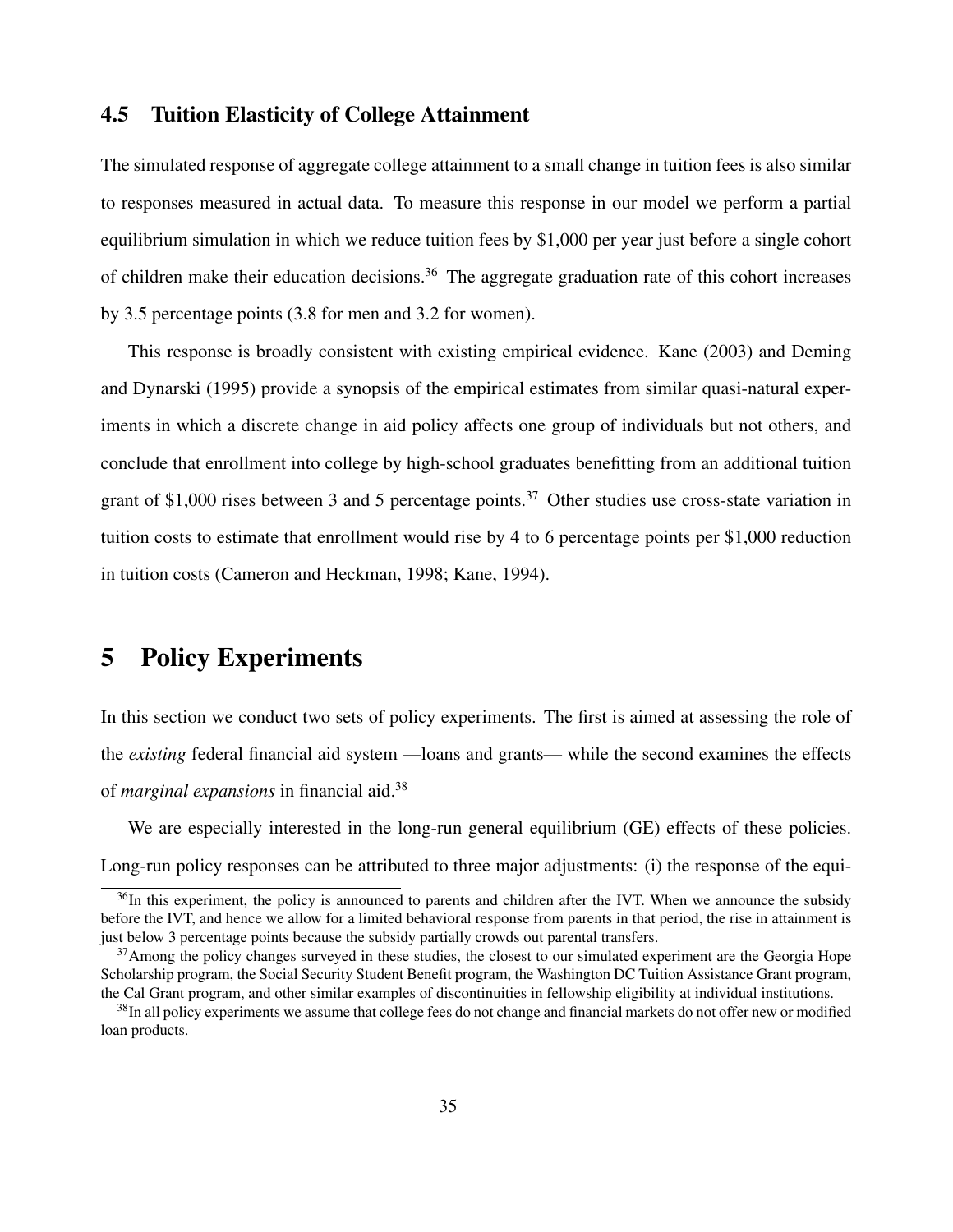### 4.5 Tuition Elasticity of College Attainment

The simulated response of aggregate college attainment to a small change in tuition fees is also similar to responses measured in actual data. To measure this response in our model we perform a partial equilibrium simulation in which we reduce tuition fees by \$1,000 per year just before a single cohort of children make their education decisions.<sup>36</sup> The aggregate graduation rate of this cohort increases by 3.5 percentage points (3.8 for men and 3.2 for women).

This response is broadly consistent with existing empirical evidence. Kane (2003) and Deming and Dynarski (1995) provide a synopsis of the empirical estimates from similar quasi-natural experiments in which a discrete change in aid policy affects one group of individuals but not others, and conclude that enrollment into college by high-school graduates benefitting from an additional tuition grant of \$1,000 rises between 3 and 5 percentage points.<sup>37</sup> Other studies use cross-state variation in tuition costs to estimate that enrollment would rise by 4 to 6 percentage points per \$1,000 reduction in tuition costs (Cameron and Heckman, 1998; Kane, 1994).

## 5 Policy Experiments

In this section we conduct two sets of policy experiments. The first is aimed at assessing the role of the *existing* federal financial aid system —loans and grants— while the second examines the effects of *marginal expansions* in financial aid.<sup>38</sup>

We are especially interested in the long-run general equilibrium (GE) effects of these policies. Long-run policy responses can be attributed to three major adjustments: (i) the response of the equi-

 $36$ In this experiment, the policy is announced to parents and children after the IVT. When we announce the subsidy before the IVT, and hence we allow for a limited behavioral response from parents in that period, the rise in attainment is just below 3 percentage points because the subsidy partially crowds out parental transfers.

<sup>&</sup>lt;sup>37</sup>Among the policy changes surveyed in these studies, the closest to our simulated experiment are the Georgia Hope Scholarship program, the Social Security Student Benefit program, the Washington DC Tuition Assistance Grant program, the Cal Grant program, and other similar examples of discontinuities in fellowship eligibility at individual institutions.

<sup>&</sup>lt;sup>38</sup>In all policy experiments we assume that college fees do not change and financial markets do not offer new or modified loan products.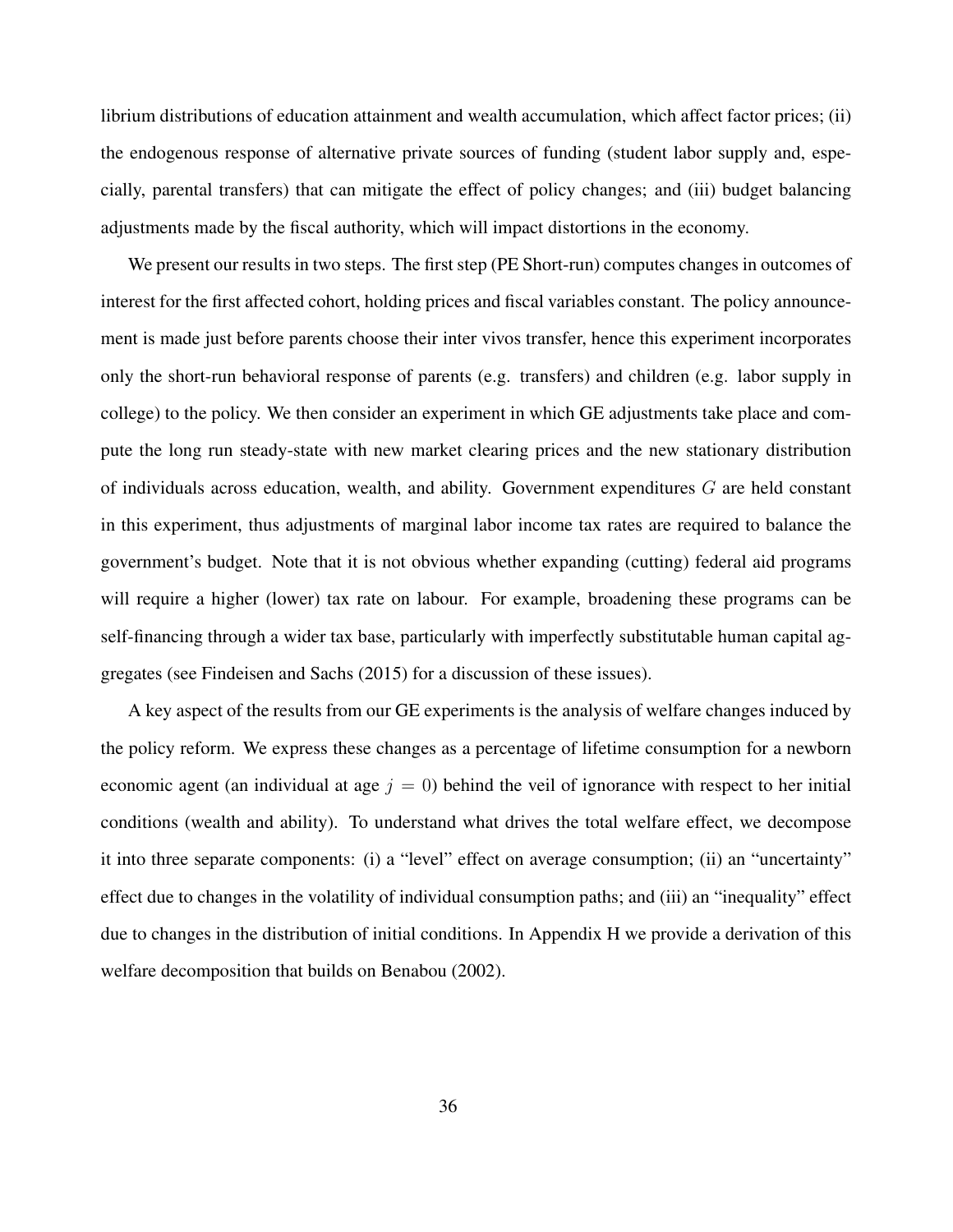librium distributions of education attainment and wealth accumulation, which affect factor prices; (ii) the endogenous response of alternative private sources of funding (student labor supply and, especially, parental transfers) that can mitigate the effect of policy changes; and (iii) budget balancing adjustments made by the fiscal authority, which will impact distortions in the economy.

We present our results in two steps. The first step (PE Short-run) computes changes in outcomes of interest for the first affected cohort, holding prices and fiscal variables constant. The policy announcement is made just before parents choose their inter vivos transfer, hence this experiment incorporates only the short-run behavioral response of parents (e.g. transfers) and children (e.g. labor supply in college) to the policy. We then consider an experiment in which GE adjustments take place and compute the long run steady-state with new market clearing prices and the new stationary distribution of individuals across education, wealth, and ability. Government expenditures  $G$  are held constant in this experiment, thus adjustments of marginal labor income tax rates are required to balance the government's budget. Note that it is not obvious whether expanding (cutting) federal aid programs will require a higher (lower) tax rate on labour. For example, broadening these programs can be self-financing through a wider tax base, particularly with imperfectly substitutable human capital aggregates (see Findeisen and Sachs (2015) for a discussion of these issues).

A key aspect of the results from our GE experiments is the analysis of welfare changes induced by the policy reform. We express these changes as a percentage of lifetime consumption for a newborn economic agent (an individual at age  $j = 0$ ) behind the veil of ignorance with respect to her initial conditions (wealth and ability). To understand what drives the total welfare effect, we decompose it into three separate components: (i) a "level" effect on average consumption; (ii) an "uncertainty" effect due to changes in the volatility of individual consumption paths; and (iii) an "inequality" effect due to changes in the distribution of initial conditions. In Appendix H we provide a derivation of this welfare decomposition that builds on Benabou (2002).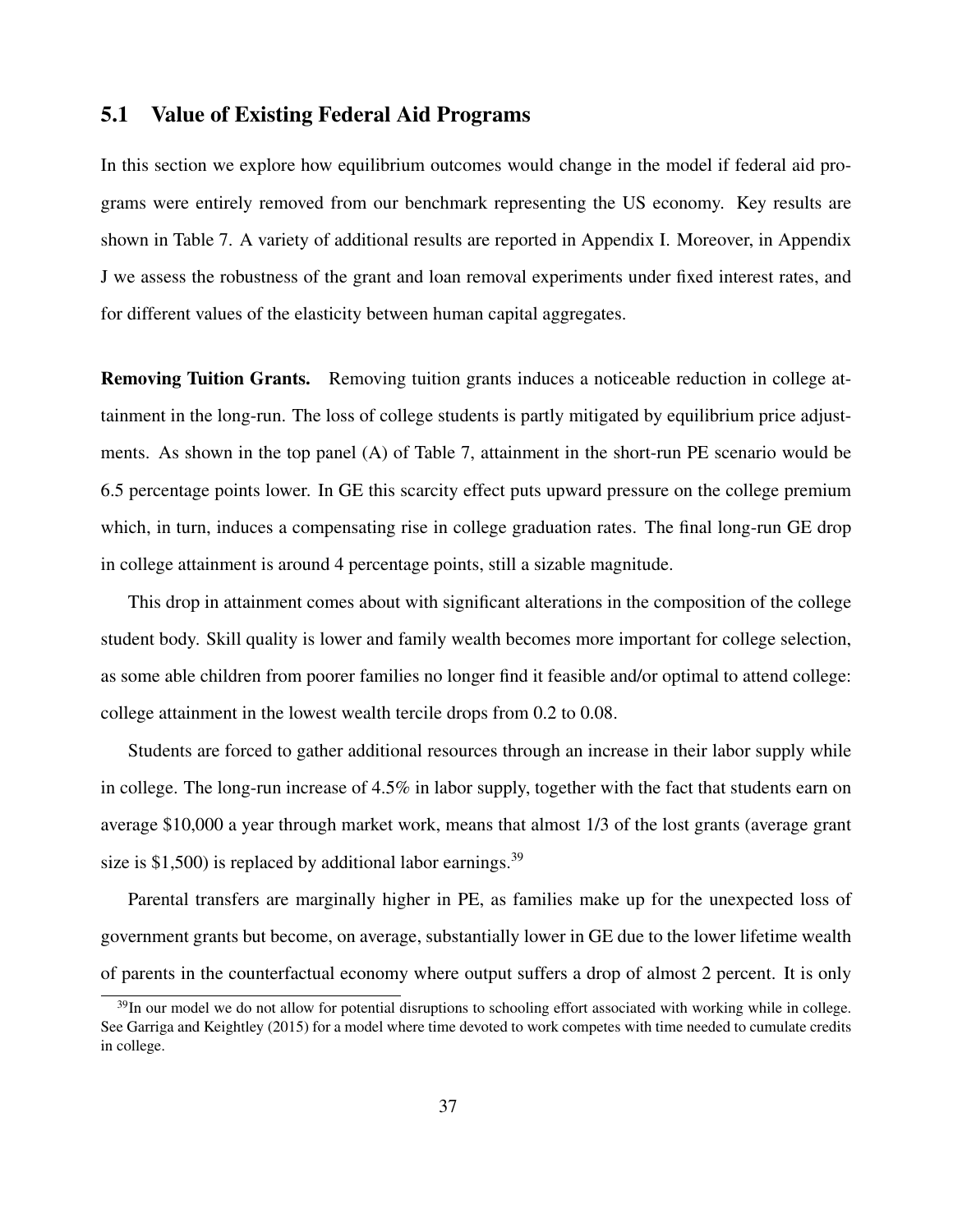#### 5.1 Value of Existing Federal Aid Programs

In this section we explore how equilibrium outcomes would change in the model if federal aid programs were entirely removed from our benchmark representing the US economy. Key results are shown in Table 7. A variety of additional results are reported in Appendix I. Moreover, in Appendix J we assess the robustness of the grant and loan removal experiments under fixed interest rates, and for different values of the elasticity between human capital aggregates.

**Removing Tuition Grants.** Removing tuition grants induces a noticeable reduction in college attainment in the long-run. The loss of college students is partly mitigated by equilibrium price adjustments. As shown in the top panel (A) of Table 7, attainment in the short-run PE scenario would be 6.5 percentage points lower. In GE this scarcity effect puts upward pressure on the college premium which, in turn, induces a compensating rise in college graduation rates. The final long-run GE drop in college attainment is around 4 percentage points, still a sizable magnitude.

This drop in attainment comes about with significant alterations in the composition of the college student body. Skill quality is lower and family wealth becomes more important for college selection, as some able children from poorer families no longer find it feasible and/or optimal to attend college: college attainment in the lowest wealth tercile drops from 0.2 to 0.08.

Students are forced to gather additional resources through an increase in their labor supply while in college. The long-run increase of 4.5% in labor supply, together with the fact that students earn on average \$10,000 a year through market work, means that almost 1/3 of the lost grants (average grant size is  $$1,500$ ) is replaced by additional labor earnings.<sup>39</sup>

Parental transfers are marginally higher in PE, as families make up for the unexpected loss of government grants but become, on average, substantially lower in GE due to the lower lifetime wealth of parents in the counterfactual economy where output suffers a drop of almost 2 percent. It is only

 $39$ In our model we do not allow for potential disruptions to schooling effort associated with working while in college. See Garriga and Keightley (2015) for a model where time devoted to work competes with time needed to cumulate credits in college.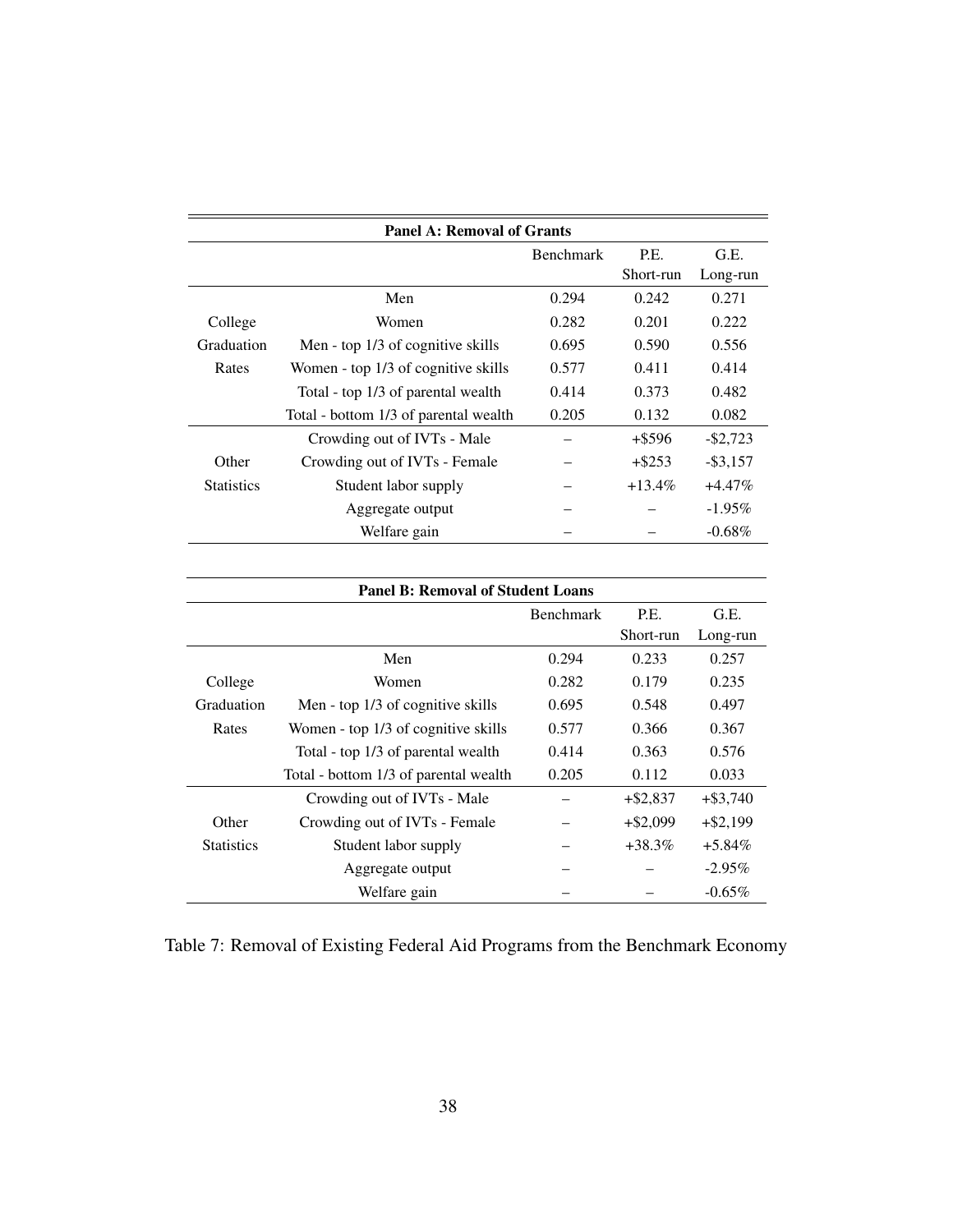| <b>Panel A: Removal of Grants</b> |                                       |                  |           |             |  |  |
|-----------------------------------|---------------------------------------|------------------|-----------|-------------|--|--|
|                                   |                                       | <b>Benchmark</b> | P.E.      | G.E.        |  |  |
|                                   |                                       |                  | Short-run | Long-run    |  |  |
|                                   | Men                                   | 0.294            | 0.242     | 0.271       |  |  |
| College                           | Women                                 | 0.282            | 0.201     | 0.222       |  |  |
| Graduation                        | Men - top 1/3 of cognitive skills     | 0.695            | 0.590     | 0.556       |  |  |
| Rates                             | Women - top 1/3 of cognitive skills   | 0.577            | 0.411     | 0.414       |  |  |
|                                   | Total - top 1/3 of parental wealth    | 0.414            | 0.373     | 0.482       |  |  |
|                                   | Total - bottom 1/3 of parental wealth | 0.205            | 0.132     | 0.082       |  |  |
|                                   | Crowding out of IVTs - Male           |                  | +\$596    | $-$ \$2,723 |  |  |
| Other                             | Crowding out of IVTs - Female         |                  | $+$ \$253 | $-$ \$3,157 |  |  |
| <b>Statistics</b>                 | Student labor supply                  |                  | $+13.4\%$ | $+4.47\%$   |  |  |
|                                   | Aggregate output                      |                  |           | $-1.95\%$   |  |  |
|                                   | Welfare gain                          |                  |           | $-0.68\%$   |  |  |

| <b>Panel B: Removal of Student Loans</b> |                                       |                  |             |            |  |  |
|------------------------------------------|---------------------------------------|------------------|-------------|------------|--|--|
|                                          |                                       | <b>Benchmark</b> | P.E.        | G.E.       |  |  |
|                                          |                                       |                  | Short-run   | Long-run   |  |  |
|                                          | Men                                   | 0.294            | 0.233       | 0.257      |  |  |
| College                                  | Women                                 | 0.282            | 0.179       | 0.235      |  |  |
| Graduation                               | Men - top 1/3 of cognitive skills     | 0.695            | 0.548       | 0.497      |  |  |
| Rates                                    | Women - top 1/3 of cognitive skills   | 0.577            | 0.366       | 0.367      |  |  |
|                                          | Total - top 1/3 of parental wealth    | 0.414            | 0.363       | 0.576      |  |  |
|                                          | Total - bottom 1/3 of parental wealth | 0.205            | 0.112       | 0.033      |  |  |
|                                          | Crowding out of IVTs - Male           |                  | $+ $2,837$  | $+ $3,740$ |  |  |
| Other                                    | Crowding out of IVTs - Female         |                  | $+$ \$2,099 | $+ $2,199$ |  |  |
| <b>Statistics</b>                        | Student labor supply                  |                  | $+38.3\%$   | $+5.84\%$  |  |  |
|                                          | Aggregate output                      |                  |             | $-2.95\%$  |  |  |
|                                          | Welfare gain                          |                  |             | $-0.65\%$  |  |  |

Table 7: Removal of Existing Federal Aid Programs from the Benchmark Economy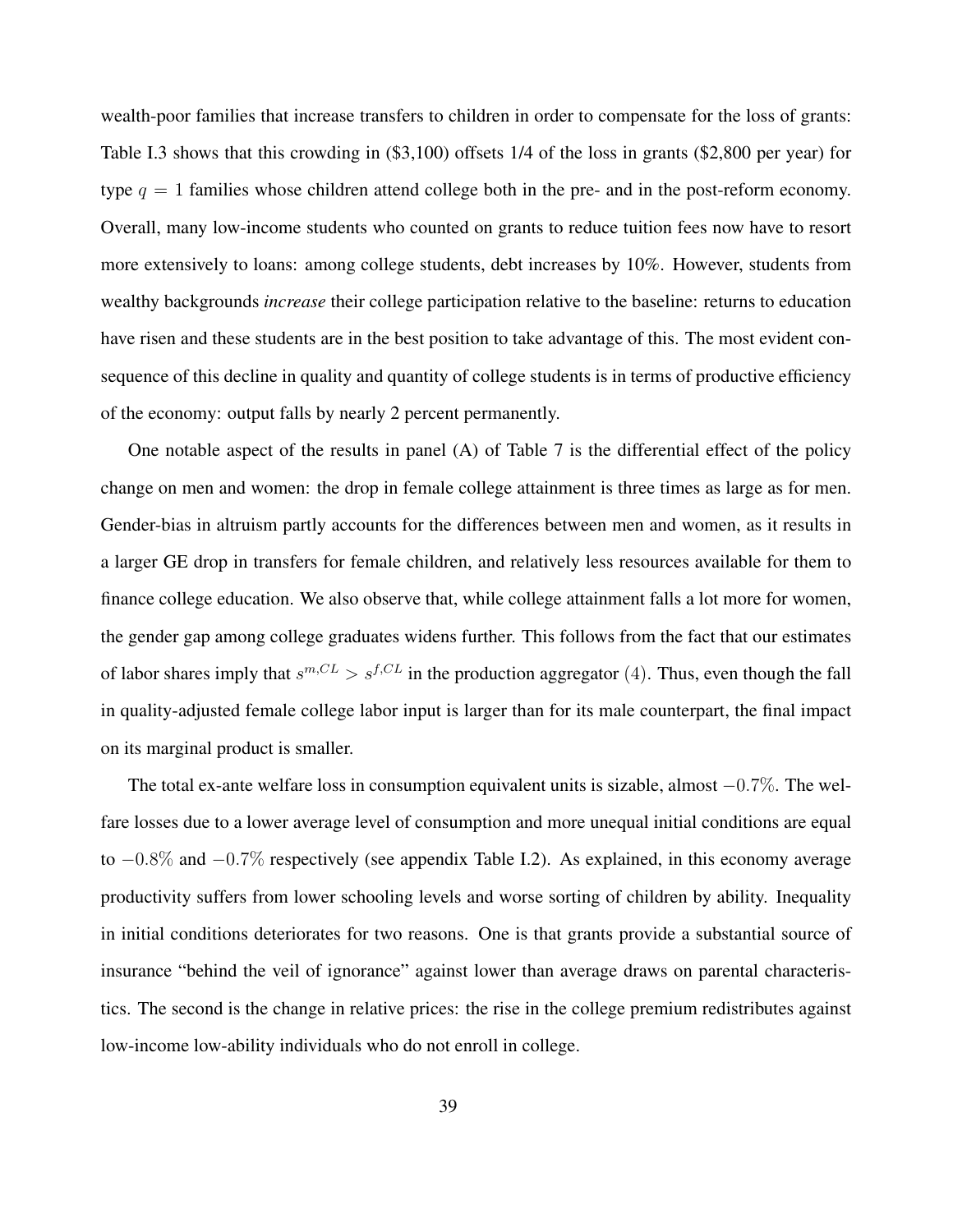wealth-poor families that increase transfers to children in order to compensate for the loss of grants: Table I.3 shows that this crowding in (\$3,100) offsets 1/4 of the loss in grants (\$2,800 per year) for type  $q = 1$  families whose children attend college both in the pre- and in the post-reform economy. Overall, many low-income students who counted on grants to reduce tuition fees now have to resort more extensively to loans: among college students, debt increases by 10%. However, students from wealthy backgrounds *increase* their college participation relative to the baseline: returns to education have risen and these students are in the best position to take advantage of this. The most evident consequence of this decline in quality and quantity of college students is in terms of productive efficiency of the economy: output falls by nearly 2 percent permanently.

One notable aspect of the results in panel (A) of Table 7 is the differential effect of the policy change on men and women: the drop in female college attainment is three times as large as for men. Gender-bias in altruism partly accounts for the differences between men and women, as it results in a larger GE drop in transfers for female children, and relatively less resources available for them to finance college education. We also observe that, while college attainment falls a lot more for women, the gender gap among college graduates widens further. This follows from the fact that our estimates of labor shares imply that  $s^{m,CL} > s^{f,CL}$  in the production aggregator (4). Thus, even though the fall in quality-adjusted female college labor input is larger than for its male counterpart, the final impact on its marginal product is smaller.

The total ex-ante welfare loss in consumption equivalent units is sizable, almost  $-0.7\%$ . The welfare losses due to a lower average level of consumption and more unequal initial conditions are equal to −0.8% and −0.7% respectively (see appendix Table I.2). As explained, in this economy average productivity suffers from lower schooling levels and worse sorting of children by ability. Inequality in initial conditions deteriorates for two reasons. One is that grants provide a substantial source of insurance "behind the veil of ignorance" against lower than average draws on parental characteristics. The second is the change in relative prices: the rise in the college premium redistributes against low-income low-ability individuals who do not enroll in college.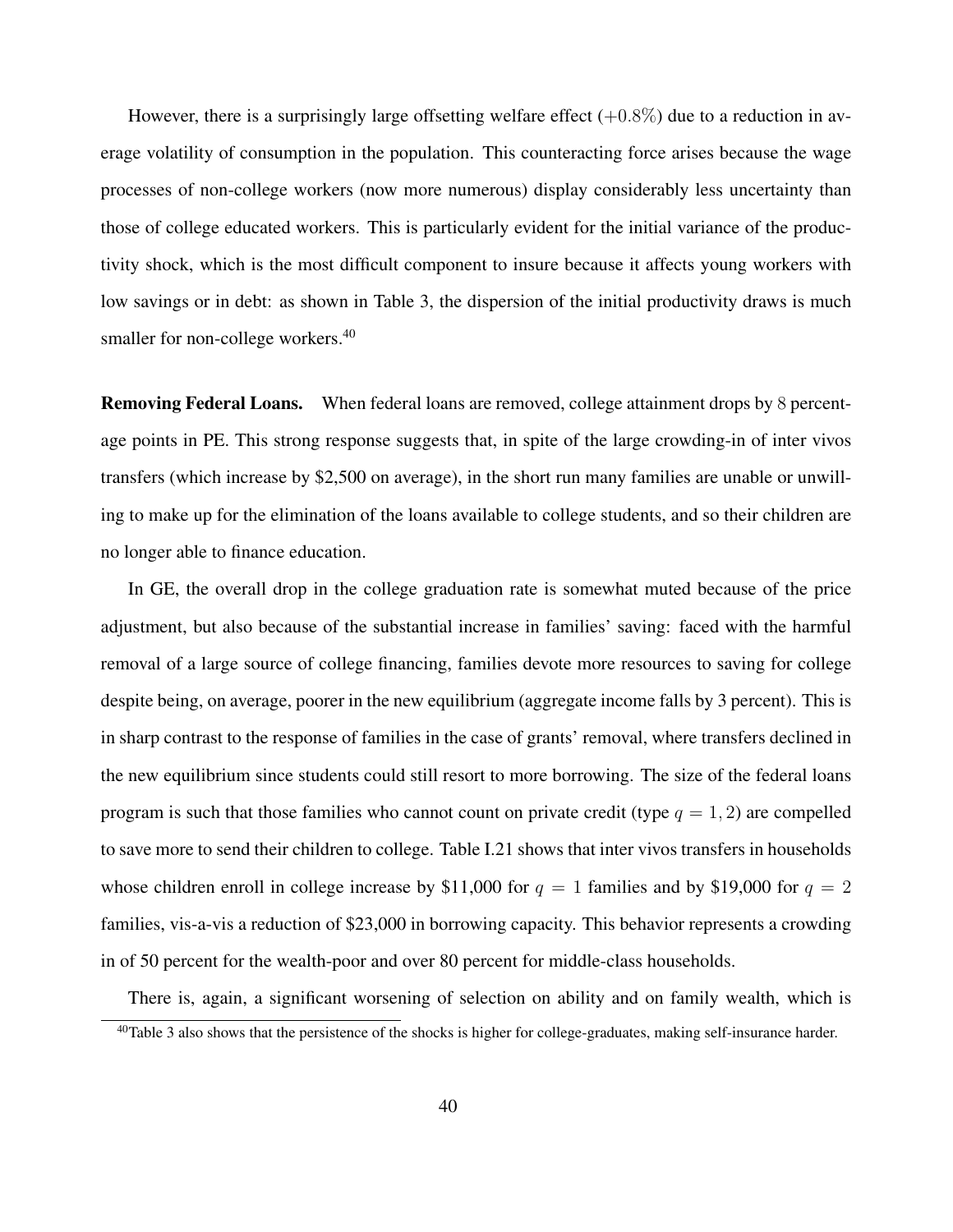However, there is a surprisingly large offsetting welfare effect  $(+0.8\%)$  due to a reduction in average volatility of consumption in the population. This counteracting force arises because the wage processes of non-college workers (now more numerous) display considerably less uncertainty than those of college educated workers. This is particularly evident for the initial variance of the productivity shock, which is the most difficult component to insure because it affects young workers with low savings or in debt: as shown in Table 3, the dispersion of the initial productivity draws is much smaller for non-college workers.<sup>40</sup>

**Removing Federal Loans.** When federal loans are removed, college attainment drops by 8 percentage points in PE. This strong response suggests that, in spite of the large crowding-in of inter vivos transfers (which increase by \$2,500 on average), in the short run many families are unable or unwilling to make up for the elimination of the loans available to college students, and so their children are no longer able to finance education.

In GE, the overall drop in the college graduation rate is somewhat muted because of the price adjustment, but also because of the substantial increase in families' saving: faced with the harmful removal of a large source of college financing, families devote more resources to saving for college despite being, on average, poorer in the new equilibrium (aggregate income falls by 3 percent). This is in sharp contrast to the response of families in the case of grants' removal, where transfers declined in the new equilibrium since students could still resort to more borrowing. The size of the federal loans program is such that those families who cannot count on private credit (type  $q = 1, 2$ ) are compelled to save more to send their children to college. Table I.21 shows that inter vivos transfers in households whose children enroll in college increase by \$11,000 for  $q = 1$  families and by \$19,000 for  $q = 2$ families, vis-a-vis a reduction of \$23,000 in borrowing capacity. This behavior represents a crowding in of 50 percent for the wealth-poor and over 80 percent for middle-class households.

There is, again, a significant worsening of selection on ability and on family wealth, which is

 $^{40}$ Table 3 also shows that the persistence of the shocks is higher for college-graduates, making self-insurance harder.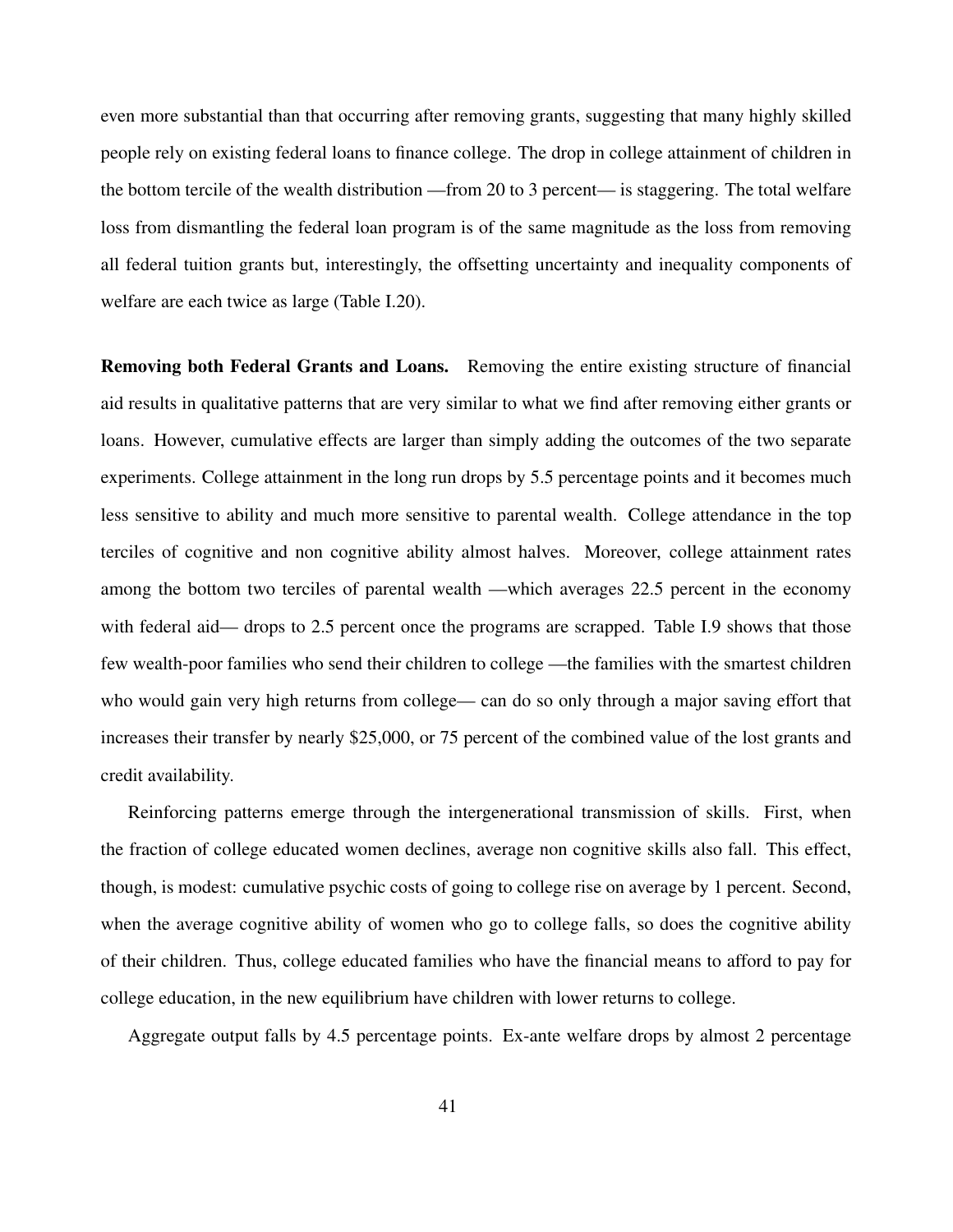even more substantial than that occurring after removing grants, suggesting that many highly skilled people rely on existing federal loans to finance college. The drop in college attainment of children in the bottom tercile of the wealth distribution —from 20 to 3 percent— is staggering. The total welfare loss from dismantling the federal loan program is of the same magnitude as the loss from removing all federal tuition grants but, interestingly, the offsetting uncertainty and inequality components of welfare are each twice as large (Table I.20).

Removing both Federal Grants and Loans. Removing the entire existing structure of financial aid results in qualitative patterns that are very similar to what we find after removing either grants or loans. However, cumulative effects are larger than simply adding the outcomes of the two separate experiments. College attainment in the long run drops by 5.5 percentage points and it becomes much less sensitive to ability and much more sensitive to parental wealth. College attendance in the top terciles of cognitive and non cognitive ability almost halves. Moreover, college attainment rates among the bottom two terciles of parental wealth —which averages 22.5 percent in the economy with federal aid— drops to 2.5 percent once the programs are scrapped. Table I.9 shows that those few wealth-poor families who send their children to college —the families with the smartest children who would gain very high returns from college— can do so only through a major saving effort that increases their transfer by nearly \$25,000, or 75 percent of the combined value of the lost grants and credit availability.

Reinforcing patterns emerge through the intergenerational transmission of skills. First, when the fraction of college educated women declines, average non cognitive skills also fall. This effect, though, is modest: cumulative psychic costs of going to college rise on average by 1 percent. Second, when the average cognitive ability of women who go to college falls, so does the cognitive ability of their children. Thus, college educated families who have the financial means to afford to pay for college education, in the new equilibrium have children with lower returns to college.

Aggregate output falls by 4.5 percentage points. Ex-ante welfare drops by almost 2 percentage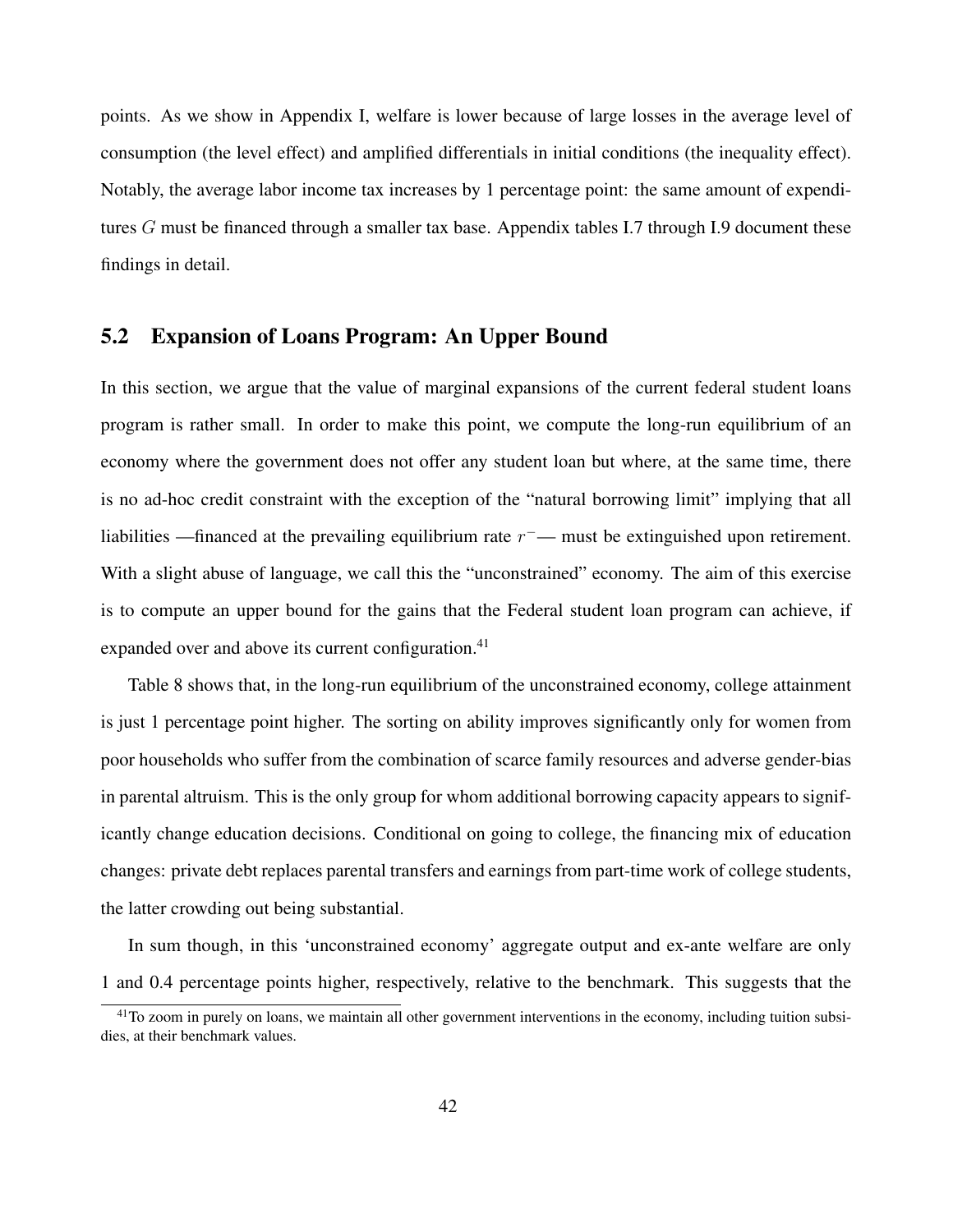points. As we show in Appendix I, welfare is lower because of large losses in the average level of consumption (the level effect) and amplified differentials in initial conditions (the inequality effect). Notably, the average labor income tax increases by 1 percentage point: the same amount of expenditures G must be financed through a smaller tax base. Appendix tables I.7 through I.9 document these findings in detail.

### 5.2 Expansion of Loans Program: An Upper Bound

In this section, we argue that the value of marginal expansions of the current federal student loans program is rather small. In order to make this point, we compute the long-run equilibrium of an economy where the government does not offer any student loan but where, at the same time, there is no ad-hoc credit constraint with the exception of the "natural borrowing limit" implying that all liabilities —financed at the prevailing equilibrium rate  $r<sup>-</sup>$  must be extinguished upon retirement. With a slight abuse of language, we call this the "unconstrained" economy. The aim of this exercise is to compute an upper bound for the gains that the Federal student loan program can achieve, if expanded over and above its current configuration.<sup>41</sup>

Table 8 shows that, in the long-run equilibrium of the unconstrained economy, college attainment is just 1 percentage point higher. The sorting on ability improves significantly only for women from poor households who suffer from the combination of scarce family resources and adverse gender-bias in parental altruism. This is the only group for whom additional borrowing capacity appears to significantly change education decisions. Conditional on going to college, the financing mix of education changes: private debt replaces parental transfers and earnings from part-time work of college students, the latter crowding out being substantial.

In sum though, in this 'unconstrained economy' aggregate output and ex-ante welfare are only 1 and 0.4 percentage points higher, respectively, relative to the benchmark. This suggests that the

<sup>&</sup>lt;sup>41</sup>To zoom in purely on loans, we maintain all other government interventions in the economy, including tuition subsidies, at their benchmark values.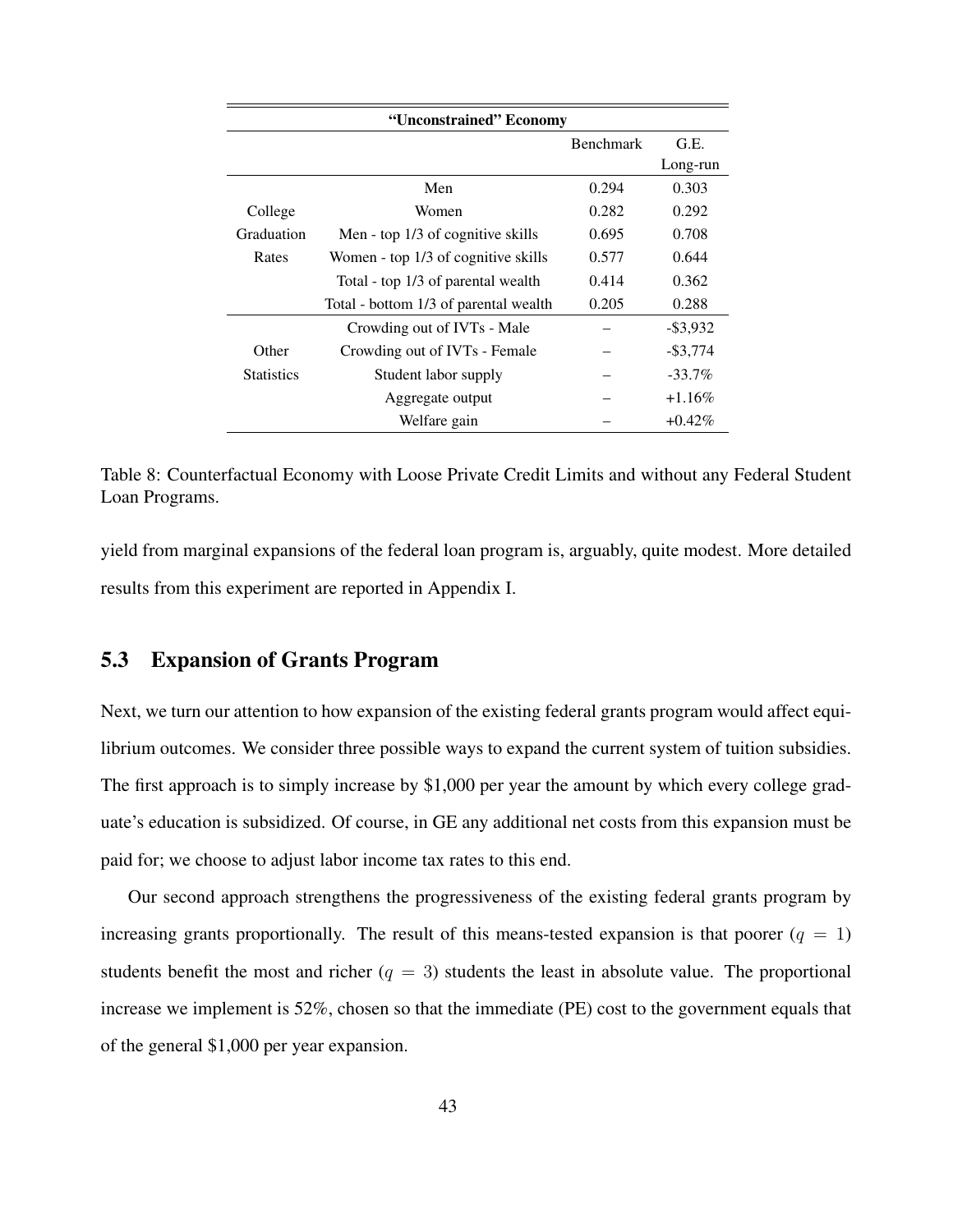| "Unconstrained" Economy |                                       |                  |             |  |  |  |
|-------------------------|---------------------------------------|------------------|-------------|--|--|--|
|                         |                                       | <b>Benchmark</b> | G.E.        |  |  |  |
|                         |                                       |                  | Long-run    |  |  |  |
|                         | Men                                   | 0.294            | 0.303       |  |  |  |
| College                 | Women                                 | 0.282            | 0.292       |  |  |  |
| Graduation              | Men - top 1/3 of cognitive skills     | 0.695            | 0.708       |  |  |  |
| Rates                   | Women - top 1/3 of cognitive skills   | 0.577            | 0.644       |  |  |  |
|                         | Total - top 1/3 of parental wealth    | 0.414            | 0.362       |  |  |  |
|                         | Total - bottom 1/3 of parental wealth | 0.205            | 0.288       |  |  |  |
|                         | Crowding out of IVTs - Male           |                  | $-$ \$3,932 |  |  |  |
| Other                   | Crowding out of IVTs - Female         |                  | $-$ \$3,774 |  |  |  |
| <b>Statistics</b>       | Student labor supply                  |                  | $-33.7\%$   |  |  |  |
|                         | Aggregate output                      |                  | $+1.16\%$   |  |  |  |
|                         | Welfare gain                          |                  | $+0.42\%$   |  |  |  |

Table 8: Counterfactual Economy with Loose Private Credit Limits and without any Federal Student Loan Programs.

yield from marginal expansions of the federal loan program is, arguably, quite modest. More detailed results from this experiment are reported in Appendix I.

### 5.3 Expansion of Grants Program

Next, we turn our attention to how expansion of the existing federal grants program would affect equilibrium outcomes. We consider three possible ways to expand the current system of tuition subsidies. The first approach is to simply increase by \$1,000 per year the amount by which every college graduate's education is subsidized. Of course, in GE any additional net costs from this expansion must be paid for; we choose to adjust labor income tax rates to this end.

Our second approach strengthens the progressiveness of the existing federal grants program by increasing grants proportionally. The result of this means-tested expansion is that poorer  $(q = 1)$ students benefit the most and richer  $(q = 3)$  students the least in absolute value. The proportional increase we implement is 52%, chosen so that the immediate (PE) cost to the government equals that of the general \$1,000 per year expansion.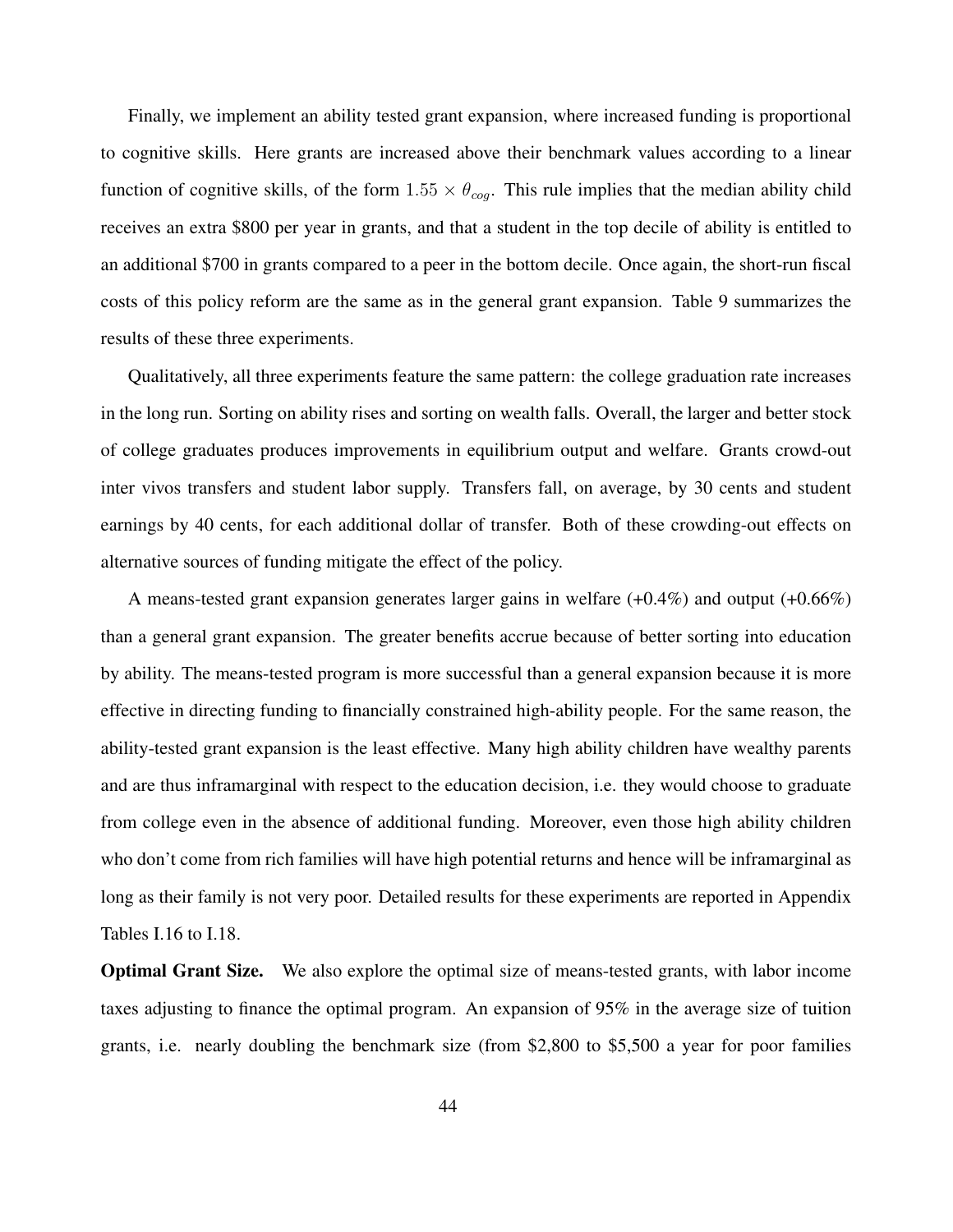Finally, we implement an ability tested grant expansion, where increased funding is proportional to cognitive skills. Here grants are increased above their benchmark values according to a linear function of cognitive skills, of the form  $1.55 \times \theta_{\text{coq}}$ . This rule implies that the median ability child receives an extra \$800 per year in grants, and that a student in the top decile of ability is entitled to an additional \$700 in grants compared to a peer in the bottom decile. Once again, the short-run fiscal costs of this policy reform are the same as in the general grant expansion. Table 9 summarizes the results of these three experiments.

Qualitatively, all three experiments feature the same pattern: the college graduation rate increases in the long run. Sorting on ability rises and sorting on wealth falls. Overall, the larger and better stock of college graduates produces improvements in equilibrium output and welfare. Grants crowd-out inter vivos transfers and student labor supply. Transfers fall, on average, by 30 cents and student earnings by 40 cents, for each additional dollar of transfer. Both of these crowding-out effects on alternative sources of funding mitigate the effect of the policy.

A means-tested grant expansion generates larger gains in welfare (+0.4%) and output (+0.66%) than a general grant expansion. The greater benefits accrue because of better sorting into education by ability. The means-tested program is more successful than a general expansion because it is more effective in directing funding to financially constrained high-ability people. For the same reason, the ability-tested grant expansion is the least effective. Many high ability children have wealthy parents and are thus inframarginal with respect to the education decision, i.e. they would choose to graduate from college even in the absence of additional funding. Moreover, even those high ability children who don't come from rich families will have high potential returns and hence will be inframarginal as long as their family is not very poor. Detailed results for these experiments are reported in Appendix Tables I.16 to I.18.

Optimal Grant Size. We also explore the optimal size of means-tested grants, with labor income taxes adjusting to finance the optimal program. An expansion of 95% in the average size of tuition grants, i.e. nearly doubling the benchmark size (from \$2,800 to \$5,500 a year for poor families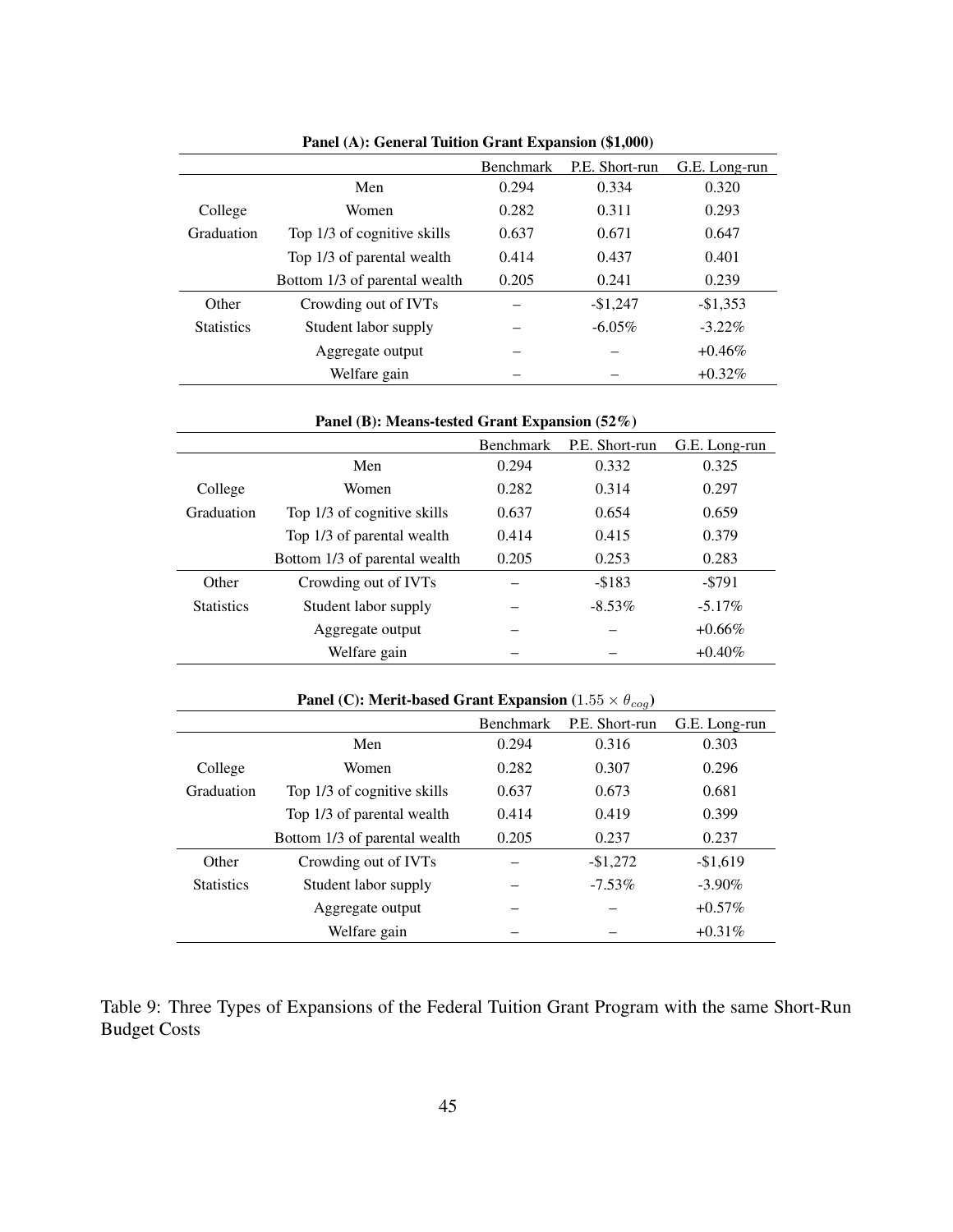|                   |                               | <b>Benchmark</b> | P.E. Short-run | G.E. Long-run |
|-------------------|-------------------------------|------------------|----------------|---------------|
|                   | Men                           | 0.294            | 0.334          | 0.320         |
| College           | Women                         | 0.282            | 0.311          | 0.293         |
| Graduation        | Top 1/3 of cognitive skills   | 0.637            | 0.671          | 0.647         |
|                   | Top 1/3 of parental wealth    | 0.414            | 0.437          | 0.401         |
|                   | Bottom 1/3 of parental wealth | 0.205            | 0.241          | 0.239         |
| Other             | Crowding out of IVTs          |                  | $-$1,247$      | $-$1,353$     |
| <b>Statistics</b> | Student labor supply          |                  | $-6.05\%$      | $-3.22\%$     |
|                   | Aggregate output              |                  |                | $+0.46\%$     |
|                   | Welfare gain                  |                  |                | $+0.32\%$     |

Panel (A): General Tuition Grant Expansion (\$1,000)

| Panel (B): Means-tested Grant Expansion (52%) |                               |                  |                |               |  |  |
|-----------------------------------------------|-------------------------------|------------------|----------------|---------------|--|--|
|                                               |                               | <b>Benchmark</b> | P.E. Short-run | G.E. Long-run |  |  |
|                                               | Men                           | 0.294            | 0.332          | 0.325         |  |  |
| College                                       | Women                         | 0.282            | 0.314          | 0.297         |  |  |
| Graduation                                    | Top 1/3 of cognitive skills   | 0.637            | 0.654          | 0.659         |  |  |
|                                               | Top 1/3 of parental wealth    | 0.414            | 0.415          | 0.379         |  |  |
|                                               | Bottom 1/3 of parental wealth | 0.205            | 0.253          | 0.283         |  |  |
| Other                                         | Crowding out of IVTs          |                  | $-$183$        | $-5791$       |  |  |
| <b>Statistics</b>                             | Student labor supply          |                  | $-8.53\%$      | $-5.17\%$     |  |  |
|                                               | Aggregate output              |                  |                | $+0.66\%$     |  |  |
|                                               | Welfare gain                  |                  |                | $+0.40\%$     |  |  |

| <b>Panel (C): Merit-based Grant Expansion (1.55 <math>\times \theta_{coq}</math>)</b> |                               |                  |                |               |  |  |
|---------------------------------------------------------------------------------------|-------------------------------|------------------|----------------|---------------|--|--|
|                                                                                       |                               | <b>Benchmark</b> | P.E. Short-run | G.E. Long-run |  |  |
|                                                                                       | Men                           | 0.294            | 0.316          | 0.303         |  |  |
| College                                                                               | Women                         | 0.282            | 0.307          | 0.296         |  |  |
| Graduation                                                                            | Top 1/3 of cognitive skills   | 0.637            | 0.673          | 0.681         |  |  |
|                                                                                       | Top 1/3 of parental wealth    | 0.414            | 0.419          | 0.399         |  |  |
|                                                                                       | Bottom 1/3 of parental wealth | 0.205            | 0.237          | 0.237         |  |  |
| Other                                                                                 | Crowding out of IVTs          |                  | $-$1,272$      | $-$1,619$     |  |  |
| <b>Statistics</b>                                                                     | Student labor supply          |                  | $-7.53\%$      | $-3.90\%$     |  |  |
|                                                                                       | Aggregate output              |                  |                | $+0.57\%$     |  |  |
|                                                                                       | Welfare gain                  |                  |                | $+0.31\%$     |  |  |

Table 9: Three Types of Expansions of the Federal Tuition Grant Program with the same Short-Run Budget Costs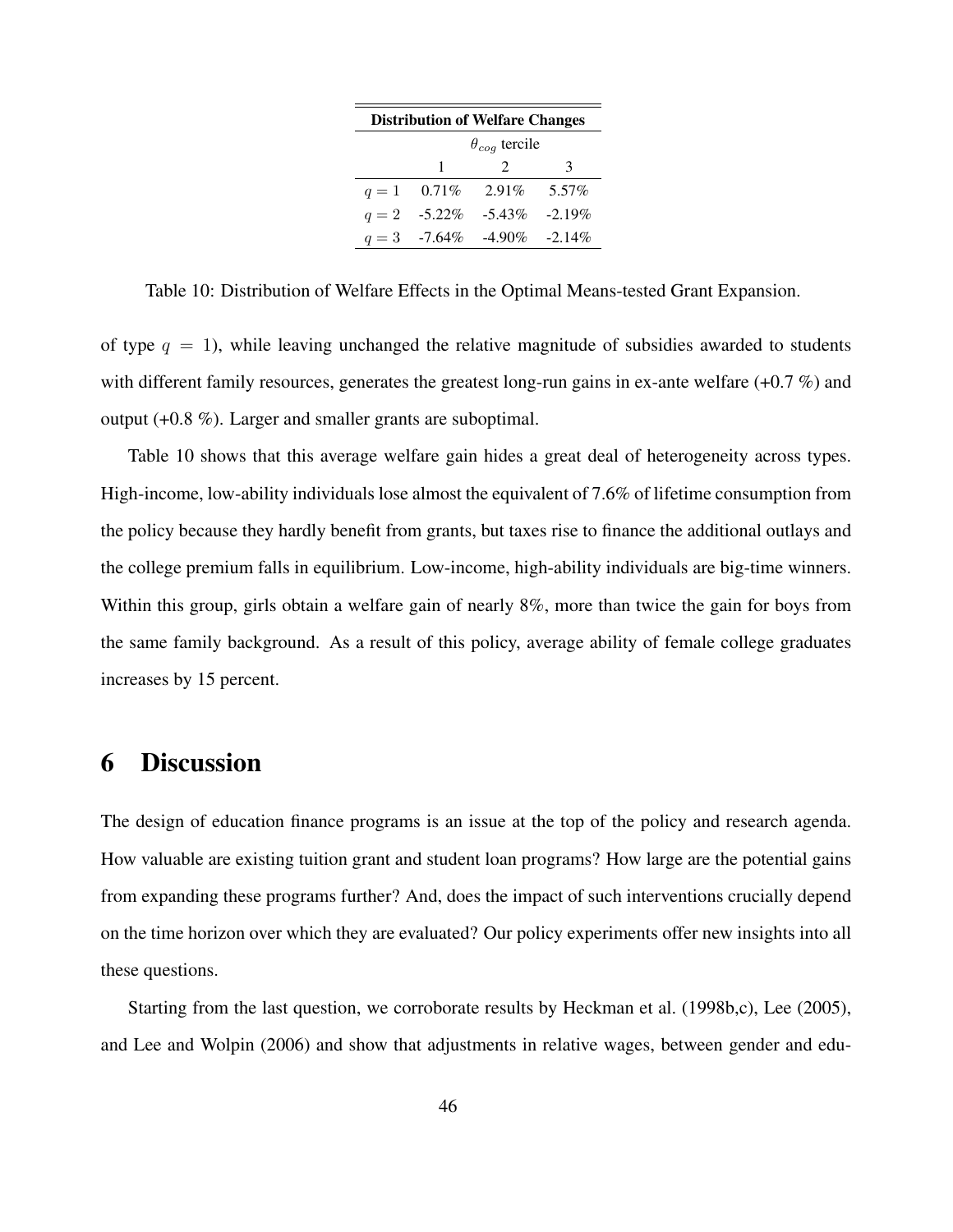| <b>Distribution of Welfare Changes</b> |                        |                       |           |  |  |  |  |
|----------------------------------------|------------------------|-----------------------|-----------|--|--|--|--|
|                                        | $\theta_{coq}$ tercile |                       |           |  |  |  |  |
|                                        | 1                      | $\mathcal{D}_{\cdot}$ | 3         |  |  |  |  |
|                                        | $q = 1$ 0.71%          | 2.91%                 | 5.57%     |  |  |  |  |
| $q=2$                                  | $-5.22\%$              | $-5.43\%$             | $-2.19%$  |  |  |  |  |
|                                        | $q = 3$ -7.64\%        | $-4.90\%$             | $-2.14\%$ |  |  |  |  |

Table 10: Distribution of Welfare Effects in the Optimal Means-tested Grant Expansion.

of type  $q = 1$ ), while leaving unchanged the relative magnitude of subsidies awarded to students with different family resources, generates the greatest long-run gains in ex-ante welfare  $(+0.7\%)$  and output (+0.8 %). Larger and smaller grants are suboptimal.

Table 10 shows that this average welfare gain hides a great deal of heterogeneity across types. High-income, low-ability individuals lose almost the equivalent of 7.6% of lifetime consumption from the policy because they hardly benefit from grants, but taxes rise to finance the additional outlays and the college premium falls in equilibrium. Low-income, high-ability individuals are big-time winners. Within this group, girls obtain a welfare gain of nearly 8%, more than twice the gain for boys from the same family background. As a result of this policy, average ability of female college graduates increases by 15 percent.

# 6 Discussion

The design of education finance programs is an issue at the top of the policy and research agenda. How valuable are existing tuition grant and student loan programs? How large are the potential gains from expanding these programs further? And, does the impact of such interventions crucially depend on the time horizon over which they are evaluated? Our policy experiments offer new insights into all these questions.

Starting from the last question, we corroborate results by Heckman et al. (1998b,c), Lee (2005), and Lee and Wolpin (2006) and show that adjustments in relative wages, between gender and edu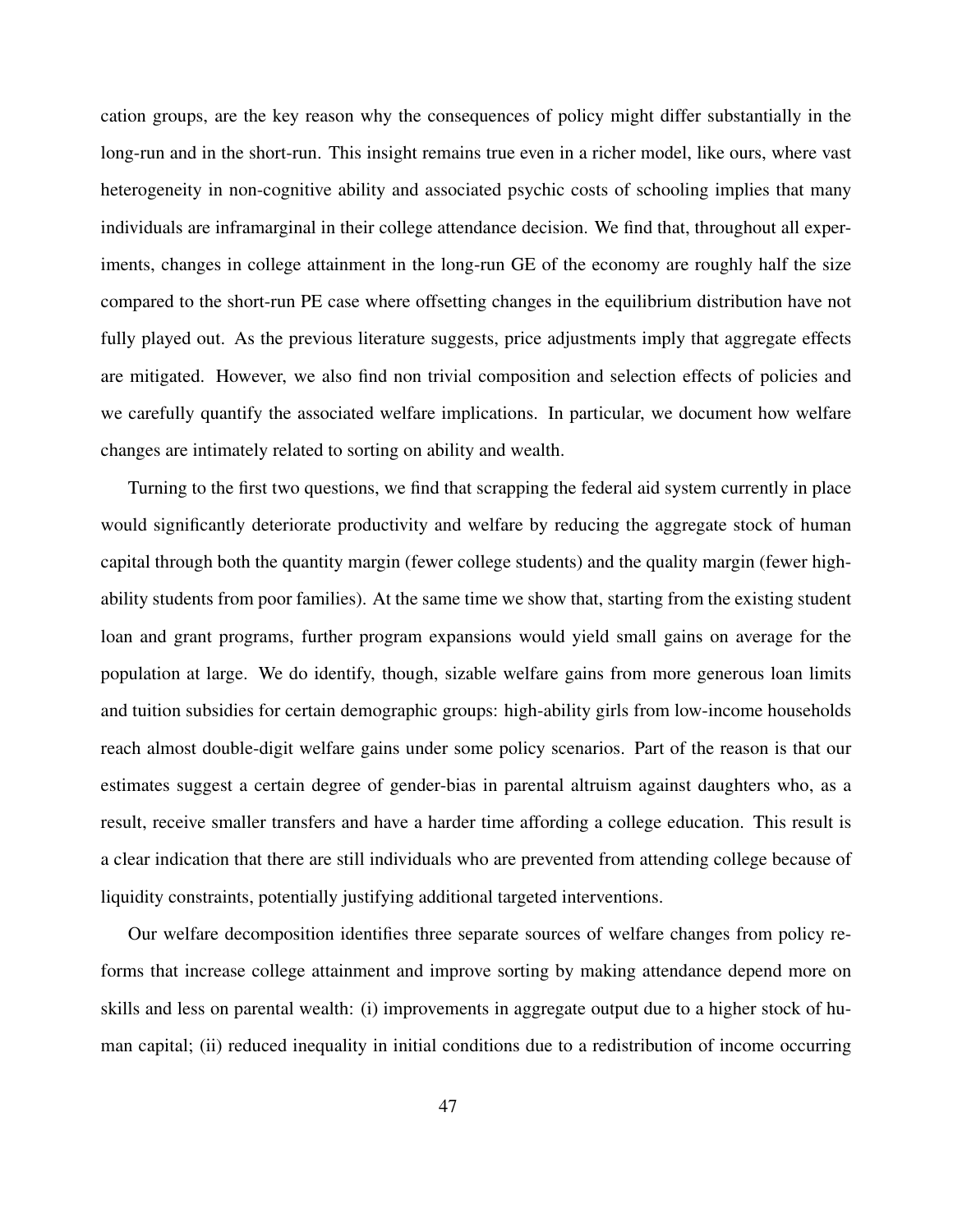cation groups, are the key reason why the consequences of policy might differ substantially in the long-run and in the short-run. This insight remains true even in a richer model, like ours, where vast heterogeneity in non-cognitive ability and associated psychic costs of schooling implies that many individuals are inframarginal in their college attendance decision. We find that, throughout all experiments, changes in college attainment in the long-run GE of the economy are roughly half the size compared to the short-run PE case where offsetting changes in the equilibrium distribution have not fully played out. As the previous literature suggests, price adjustments imply that aggregate effects are mitigated. However, we also find non trivial composition and selection effects of policies and we carefully quantify the associated welfare implications. In particular, we document how welfare changes are intimately related to sorting on ability and wealth.

Turning to the first two questions, we find that scrapping the federal aid system currently in place would significantly deteriorate productivity and welfare by reducing the aggregate stock of human capital through both the quantity margin (fewer college students) and the quality margin (fewer highability students from poor families). At the same time we show that, starting from the existing student loan and grant programs, further program expansions would yield small gains on average for the population at large. We do identify, though, sizable welfare gains from more generous loan limits and tuition subsidies for certain demographic groups: high-ability girls from low-income households reach almost double-digit welfare gains under some policy scenarios. Part of the reason is that our estimates suggest a certain degree of gender-bias in parental altruism against daughters who, as a result, receive smaller transfers and have a harder time affording a college education. This result is a clear indication that there are still individuals who are prevented from attending college because of liquidity constraints, potentially justifying additional targeted interventions.

Our welfare decomposition identifies three separate sources of welfare changes from policy reforms that increase college attainment and improve sorting by making attendance depend more on skills and less on parental wealth: (i) improvements in aggregate output due to a higher stock of human capital; (ii) reduced inequality in initial conditions due to a redistribution of income occurring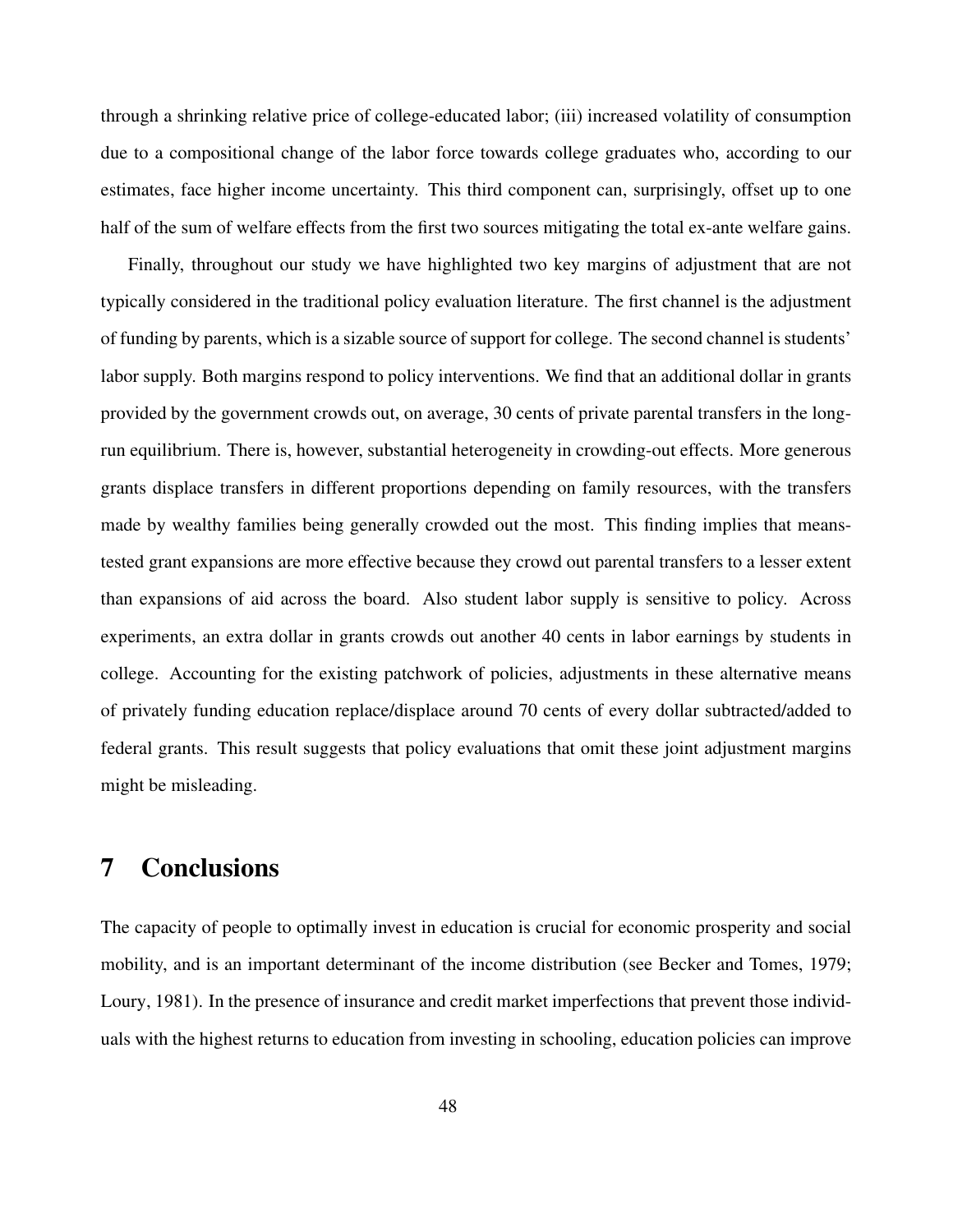through a shrinking relative price of college-educated labor; (iii) increased volatility of consumption due to a compositional change of the labor force towards college graduates who, according to our estimates, face higher income uncertainty. This third component can, surprisingly, offset up to one half of the sum of welfare effects from the first two sources mitigating the total ex-ante welfare gains.

Finally, throughout our study we have highlighted two key margins of adjustment that are not typically considered in the traditional policy evaluation literature. The first channel is the adjustment of funding by parents, which is a sizable source of support for college. The second channel is students' labor supply. Both margins respond to policy interventions. We find that an additional dollar in grants provided by the government crowds out, on average, 30 cents of private parental transfers in the longrun equilibrium. There is, however, substantial heterogeneity in crowding-out effects. More generous grants displace transfers in different proportions depending on family resources, with the transfers made by wealthy families being generally crowded out the most. This finding implies that meanstested grant expansions are more effective because they crowd out parental transfers to a lesser extent than expansions of aid across the board. Also student labor supply is sensitive to policy. Across experiments, an extra dollar in grants crowds out another 40 cents in labor earnings by students in college. Accounting for the existing patchwork of policies, adjustments in these alternative means of privately funding education replace/displace around 70 cents of every dollar subtracted/added to federal grants. This result suggests that policy evaluations that omit these joint adjustment margins might be misleading.

# 7 Conclusions

The capacity of people to optimally invest in education is crucial for economic prosperity and social mobility, and is an important determinant of the income distribution (see Becker and Tomes, 1979; Loury, 1981). In the presence of insurance and credit market imperfections that prevent those individuals with the highest returns to education from investing in schooling, education policies can improve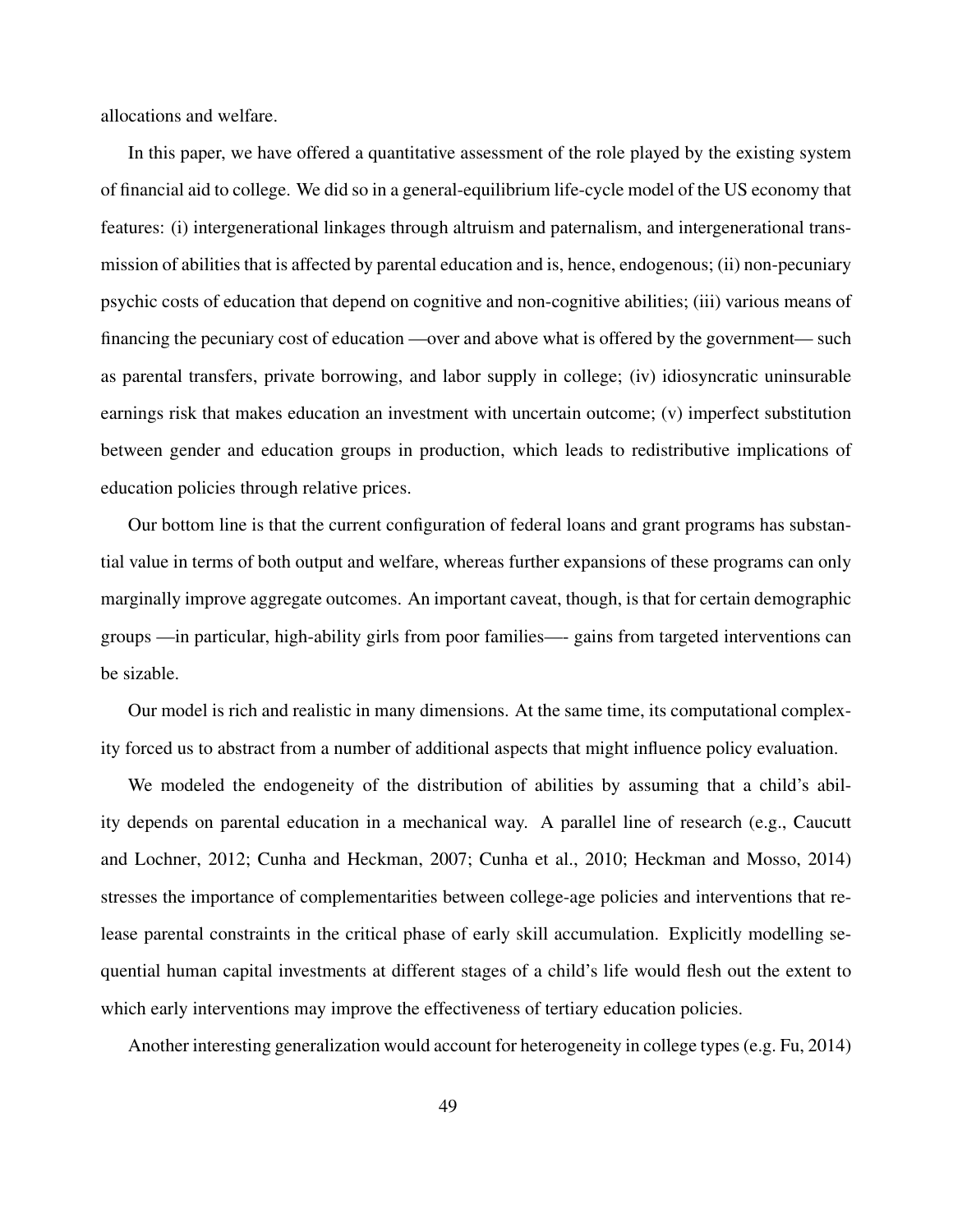allocations and welfare.

In this paper, we have offered a quantitative assessment of the role played by the existing system of financial aid to college. We did so in a general-equilibrium life-cycle model of the US economy that features: (i) intergenerational linkages through altruism and paternalism, and intergenerational transmission of abilities that is affected by parental education and is, hence, endogenous; (ii) non-pecuniary psychic costs of education that depend on cognitive and non-cognitive abilities; (iii) various means of financing the pecuniary cost of education —over and above what is offered by the government— such as parental transfers, private borrowing, and labor supply in college; (iv) idiosyncratic uninsurable earnings risk that makes education an investment with uncertain outcome; (v) imperfect substitution between gender and education groups in production, which leads to redistributive implications of education policies through relative prices.

Our bottom line is that the current configuration of federal loans and grant programs has substantial value in terms of both output and welfare, whereas further expansions of these programs can only marginally improve aggregate outcomes. An important caveat, though, is that for certain demographic groups —in particular, high-ability girls from poor families—- gains from targeted interventions can be sizable.

Our model is rich and realistic in many dimensions. At the same time, its computational complexity forced us to abstract from a number of additional aspects that might influence policy evaluation.

We modeled the endogeneity of the distribution of abilities by assuming that a child's ability depends on parental education in a mechanical way. A parallel line of research (e.g., Caucutt and Lochner, 2012; Cunha and Heckman, 2007; Cunha et al., 2010; Heckman and Mosso, 2014) stresses the importance of complementarities between college-age policies and interventions that release parental constraints in the critical phase of early skill accumulation. Explicitly modelling sequential human capital investments at different stages of a child's life would flesh out the extent to which early interventions may improve the effectiveness of tertiary education policies.

Another interesting generalization would account for heterogeneity in college types (e.g. Fu, 2014)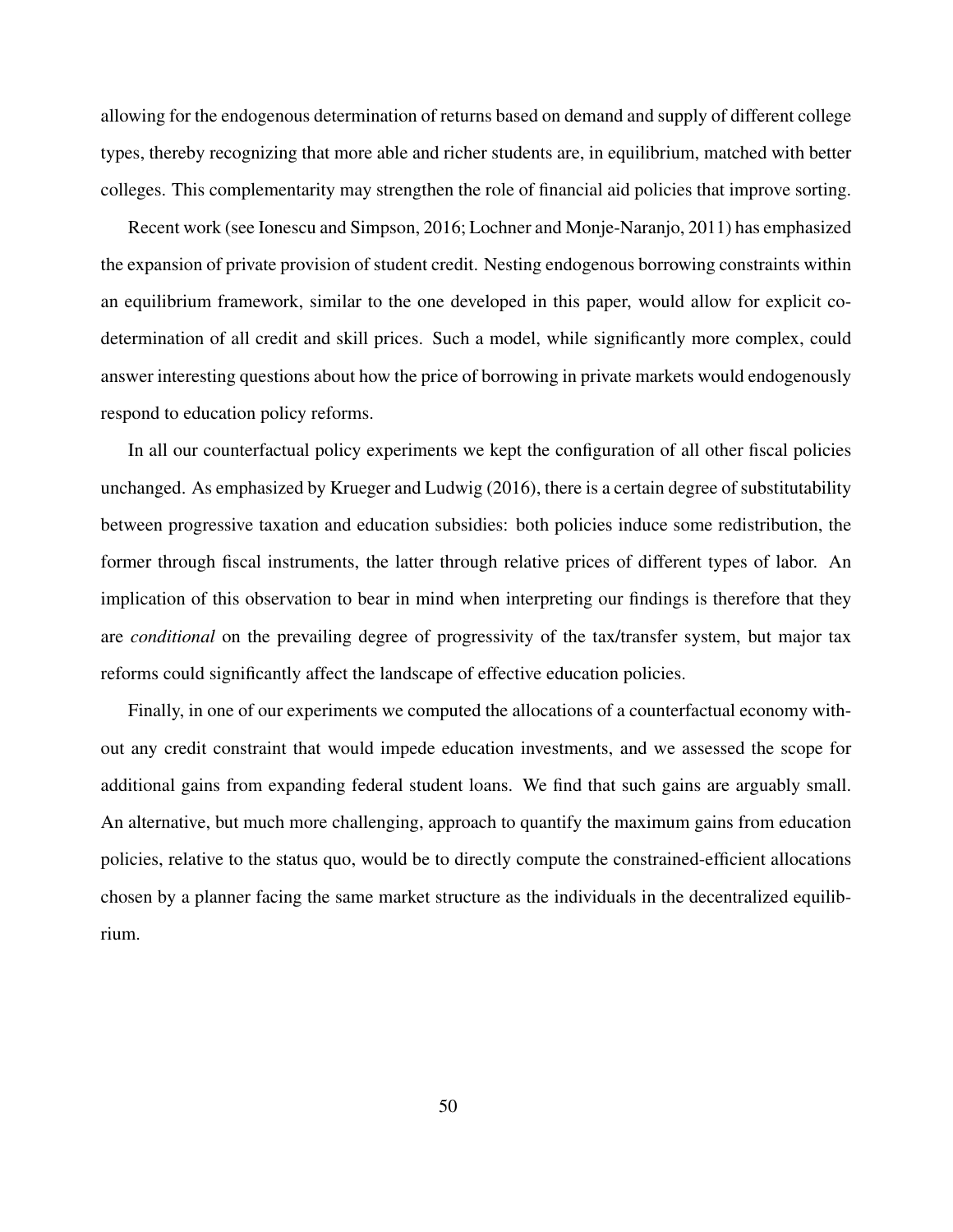allowing for the endogenous determination of returns based on demand and supply of different college types, thereby recognizing that more able and richer students are, in equilibrium, matched with better colleges. This complementarity may strengthen the role of financial aid policies that improve sorting.

Recent work (see Ionescu and Simpson, 2016; Lochner and Monje-Naranjo, 2011) has emphasized the expansion of private provision of student credit. Nesting endogenous borrowing constraints within an equilibrium framework, similar to the one developed in this paper, would allow for explicit codetermination of all credit and skill prices. Such a model, while significantly more complex, could answer interesting questions about how the price of borrowing in private markets would endogenously respond to education policy reforms.

In all our counterfactual policy experiments we kept the configuration of all other fiscal policies unchanged. As emphasized by Krueger and Ludwig (2016), there is a certain degree of substitutability between progressive taxation and education subsidies: both policies induce some redistribution, the former through fiscal instruments, the latter through relative prices of different types of labor. An implication of this observation to bear in mind when interpreting our findings is therefore that they are *conditional* on the prevailing degree of progressivity of the tax/transfer system, but major tax reforms could significantly affect the landscape of effective education policies.

Finally, in one of our experiments we computed the allocations of a counterfactual economy without any credit constraint that would impede education investments, and we assessed the scope for additional gains from expanding federal student loans. We find that such gains are arguably small. An alternative, but much more challenging, approach to quantify the maximum gains from education policies, relative to the status quo, would be to directly compute the constrained-efficient allocations chosen by a planner facing the same market structure as the individuals in the decentralized equilibrium.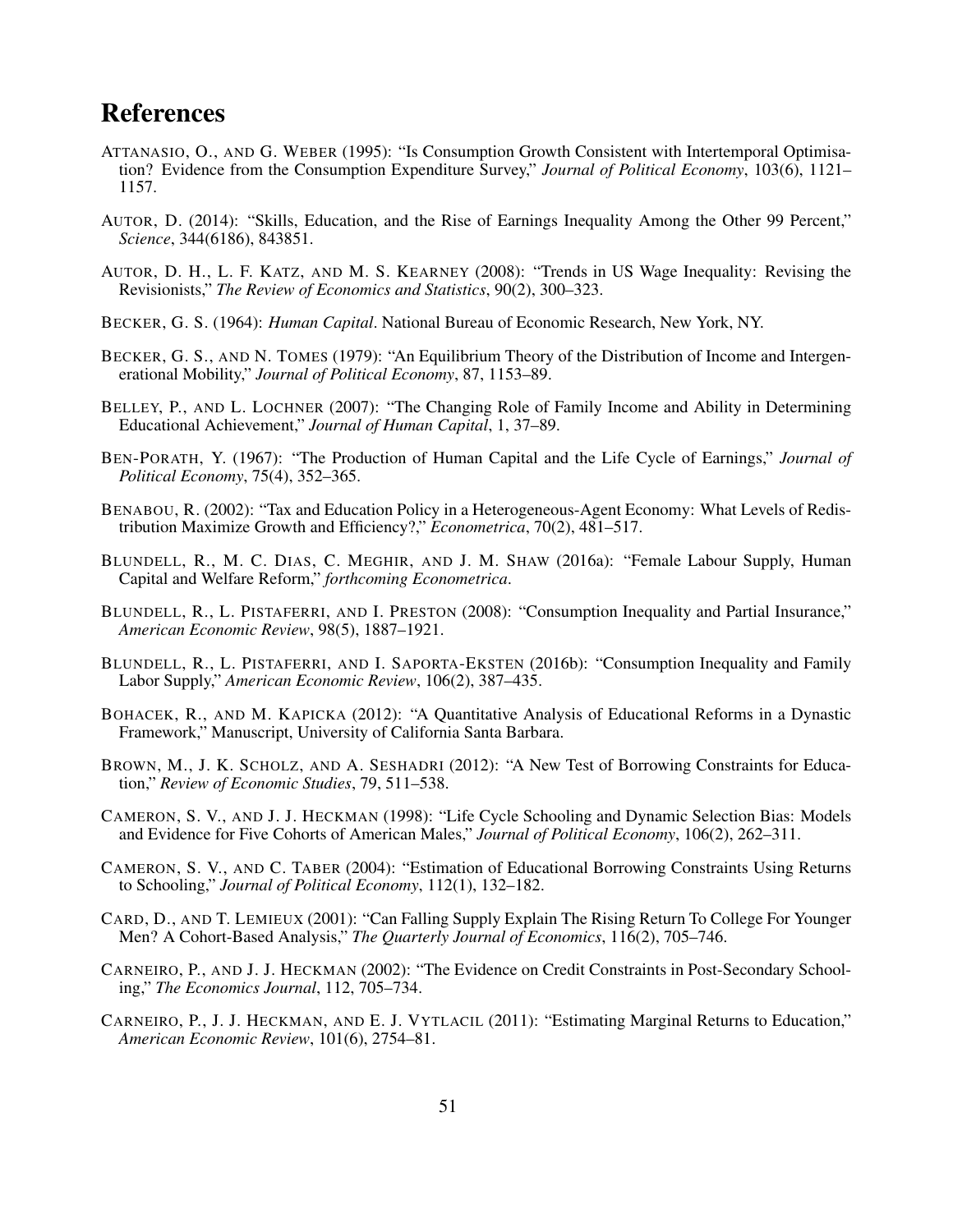## References

- ATTANASIO, O., AND G. WEBER (1995): "Is Consumption Growth Consistent with Intertemporal Optimisation? Evidence from the Consumption Expenditure Survey," *Journal of Political Economy*, 103(6), 1121– 1157.
- AUTOR, D. (2014): "Skills, Education, and the Rise of Earnings Inequality Among the Other 99 Percent," *Science*, 344(6186), 843851.
- AUTOR, D. H., L. F. KATZ, AND M. S. KEARNEY (2008): "Trends in US Wage Inequality: Revising the Revisionists," *The Review of Economics and Statistics*, 90(2), 300–323.
- BECKER, G. S. (1964): *Human Capital*. National Bureau of Economic Research, New York, NY.
- BECKER, G. S., AND N. TOMES (1979): "An Equilibrium Theory of the Distribution of Income and Intergenerational Mobility," *Journal of Political Economy*, 87, 1153–89.
- BELLEY, P., AND L. LOCHNER (2007): "The Changing Role of Family Income and Ability in Determining Educational Achievement," *Journal of Human Capital*, 1, 37–89.
- BEN-PORATH, Y. (1967): "The Production of Human Capital and the Life Cycle of Earnings," *Journal of Political Economy*, 75(4), 352–365.
- BENABOU, R. (2002): "Tax and Education Policy in a Heterogeneous-Agent Economy: What Levels of Redistribution Maximize Growth and Efficiency?," *Econometrica*, 70(2), 481–517.
- BLUNDELL, R., M. C. DIAS, C. MEGHIR, AND J. M. SHAW (2016a): "Female Labour Supply, Human Capital and Welfare Reform," *forthcoming Econometrica*.
- BLUNDELL, R., L. PISTAFERRI, AND I. PRESTON (2008): "Consumption Inequality and Partial Insurance," *American Economic Review*, 98(5), 1887–1921.
- BLUNDELL, R., L. PISTAFERRI, AND I. SAPORTA-EKSTEN (2016b): "Consumption Inequality and Family Labor Supply," *American Economic Review*, 106(2), 387–435.
- BOHACEK, R., AND M. KAPICKA (2012): "A Quantitative Analysis of Educational Reforms in a Dynastic Framework," Manuscript, University of California Santa Barbara.
- BROWN, M., J. K. SCHOLZ, AND A. SESHADRI (2012): "A New Test of Borrowing Constraints for Education," *Review of Economic Studies*, 79, 511–538.
- CAMERON, S. V., AND J. J. HECKMAN (1998): "Life Cycle Schooling and Dynamic Selection Bias: Models and Evidence for Five Cohorts of American Males," *Journal of Political Economy*, 106(2), 262–311.
- CAMERON, S. V., AND C. TABER (2004): "Estimation of Educational Borrowing Constraints Using Returns to Schooling," *Journal of Political Economy*, 112(1), 132–182.
- CARD, D., AND T. LEMIEUX (2001): "Can Falling Supply Explain The Rising Return To College For Younger Men? A Cohort-Based Analysis," *The Quarterly Journal of Economics*, 116(2), 705–746.
- CARNEIRO, P., AND J. J. HECKMAN (2002): "The Evidence on Credit Constraints in Post-Secondary Schooling," *The Economics Journal*, 112, 705–734.
- CARNEIRO, P., J. J. HECKMAN, AND E. J. VYTLACIL (2011): "Estimating Marginal Returns to Education," *American Economic Review*, 101(6), 2754–81.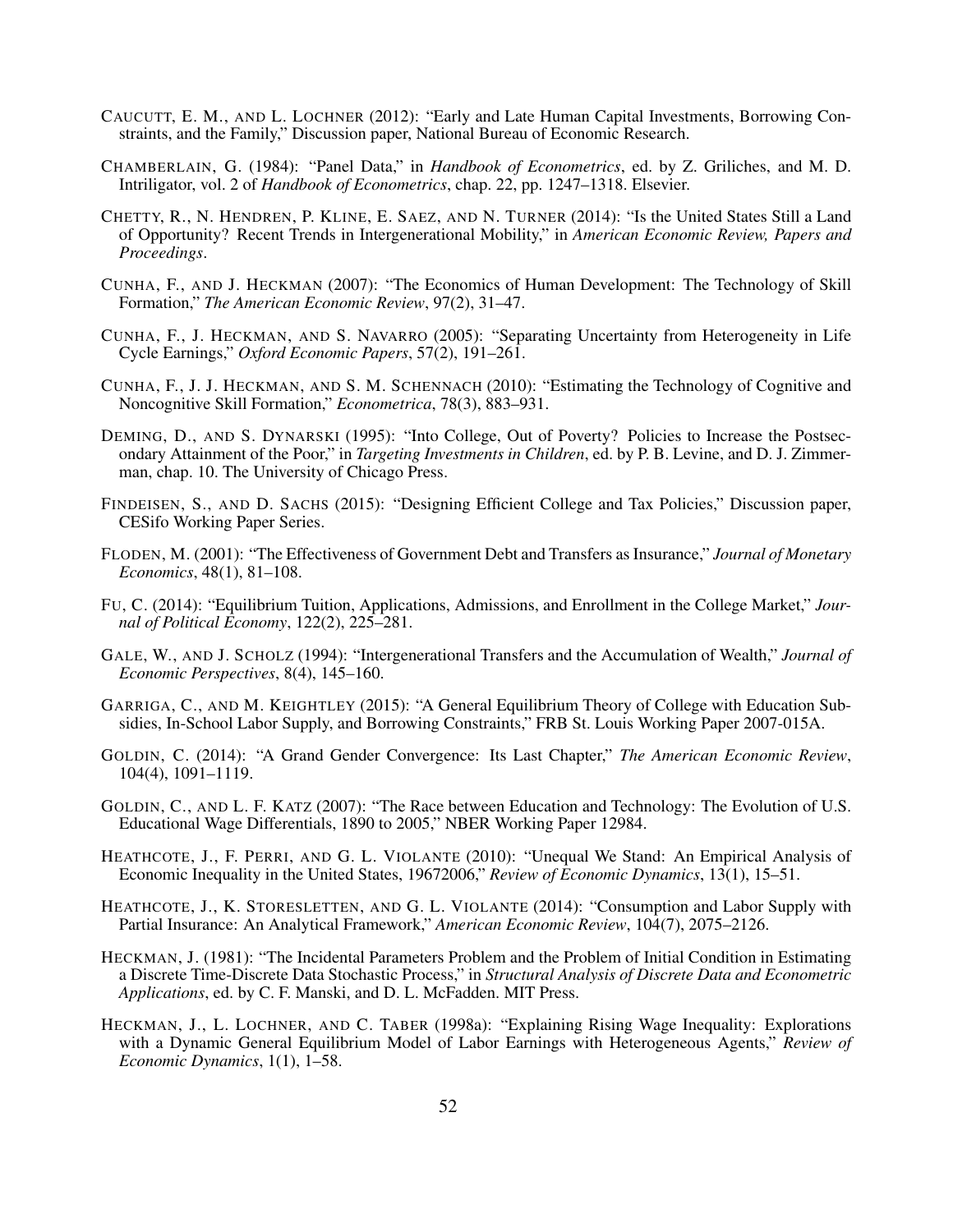- CAUCUTT, E. M., AND L. LOCHNER (2012): "Early and Late Human Capital Investments, Borrowing Constraints, and the Family," Discussion paper, National Bureau of Economic Research.
- CHAMBERLAIN, G. (1984): "Panel Data," in *Handbook of Econometrics*, ed. by Z. Griliches, and M. D. Intriligator, vol. 2 of *Handbook of Econometrics*, chap. 22, pp. 1247–1318. Elsevier.
- CHETTY, R., N. HENDREN, P. KLINE, E. SAEZ, AND N. TURNER (2014): "Is the United States Still a Land of Opportunity? Recent Trends in Intergenerational Mobility," in *American Economic Review, Papers and Proceedings*.
- CUNHA, F., AND J. HECKMAN (2007): "The Economics of Human Development: The Technology of Skill Formation," *The American Economic Review*, 97(2), 31–47.
- CUNHA, F., J. HECKMAN, AND S. NAVARRO (2005): "Separating Uncertainty from Heterogeneity in Life Cycle Earnings," *Oxford Economic Papers*, 57(2), 191–261.
- CUNHA, F., J. J. HECKMAN, AND S. M. SCHENNACH (2010): "Estimating the Technology of Cognitive and Noncognitive Skill Formation," *Econometrica*, 78(3), 883–931.
- DEMING, D., AND S. DYNARSKI (1995): "Into College, Out of Poverty? Policies to Increase the Postsecondary Attainment of the Poor," in *Targeting Investments in Children*, ed. by P. B. Levine, and D. J. Zimmerman, chap. 10. The University of Chicago Press.
- FINDEISEN, S., AND D. SACHS (2015): "Designing Efficient College and Tax Policies," Discussion paper, CESifo Working Paper Series.
- FLODEN, M. (2001): "The Effectiveness of Government Debt and Transfers as Insurance," *Journal of Monetary Economics*, 48(1), 81–108.
- FU, C. (2014): "Equilibrium Tuition, Applications, Admissions, and Enrollment in the College Market," *Journal of Political Economy*, 122(2), 225–281.
- GALE, W., AND J. SCHOLZ (1994): "Intergenerational Transfers and the Accumulation of Wealth," *Journal of Economic Perspectives*, 8(4), 145–160.
- GARRIGA, C., AND M. KEIGHTLEY (2015): "A General Equilibrium Theory of College with Education Subsidies, In-School Labor Supply, and Borrowing Constraints," FRB St. Louis Working Paper 2007-015A.
- GOLDIN, C. (2014): "A Grand Gender Convergence: Its Last Chapter," *The American Economic Review*, 104(4), 1091–1119.
- GOLDIN, C., AND L. F. KATZ (2007): "The Race between Education and Technology: The Evolution of U.S. Educational Wage Differentials, 1890 to 2005," NBER Working Paper 12984.
- HEATHCOTE, J., F. PERRI, AND G. L. VIOLANTE (2010): "Unequal We Stand: An Empirical Analysis of Economic Inequality in the United States, 19672006," *Review of Economic Dynamics*, 13(1), 15–51.
- HEATHCOTE, J., K. STORESLETTEN, AND G. L. VIOLANTE (2014): "Consumption and Labor Supply with Partial Insurance: An Analytical Framework," *American Economic Review*, 104(7), 2075–2126.
- HECKMAN, J. (1981): "The Incidental Parameters Problem and the Problem of Initial Condition in Estimating a Discrete Time-Discrete Data Stochastic Process," in *Structural Analysis of Discrete Data and Econometric Applications*, ed. by C. F. Manski, and D. L. McFadden. MIT Press.
- HECKMAN, J., L. LOCHNER, AND C. TABER (1998a): "Explaining Rising Wage Inequality: Explorations with a Dynamic General Equilibrium Model of Labor Earnings with Heterogeneous Agents," *Review of Economic Dynamics*, 1(1), 1–58.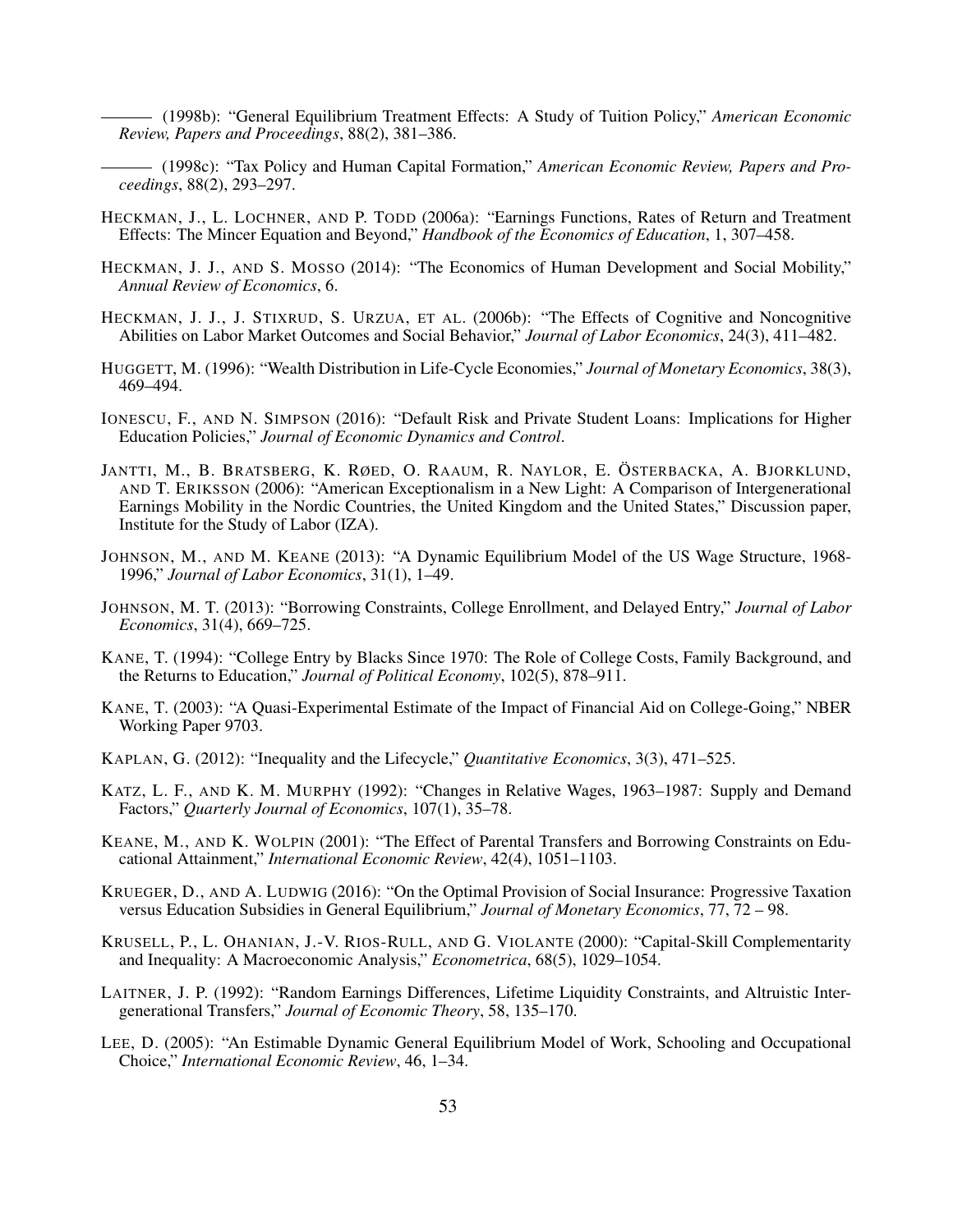(1998b): "General Equilibrium Treatment Effects: A Study of Tuition Policy," *American Economic Review, Papers and Proceedings*, 88(2), 381–386.

(1998c): "Tax Policy and Human Capital Formation," *American Economic Review, Papers and Proceedings*, 88(2), 293–297.

- HECKMAN, J., L. LOCHNER, AND P. TODD (2006a): "Earnings Functions, Rates of Return and Treatment Effects: The Mincer Equation and Beyond," *Handbook of the Economics of Education*, 1, 307–458.
- HECKMAN, J. J., AND S. MOSSO (2014): "The Economics of Human Development and Social Mobility," *Annual Review of Economics*, 6.
- HECKMAN, J. J., J. STIXRUD, S. URZUA, ET AL. (2006b): "The Effects of Cognitive and Noncognitive Abilities on Labor Market Outcomes and Social Behavior," *Journal of Labor Economics*, 24(3), 411–482.
- HUGGETT, M. (1996): "Wealth Distribution in Life-Cycle Economies," *Journal of Monetary Economics*, 38(3), 469–494.
- IONESCU, F., AND N. SIMPSON (2016): "Default Risk and Private Student Loans: Implications for Higher Education Policies," *Journal of Economic Dynamics and Control*.
- JANTTI, M., B. BRATSBERG, K. RØED, O. RAAUM, R. NAYLOR, E. ÖSTERBACKA, A. BJORKLUND, AND T. ERIKSSON (2006): "American Exceptionalism in a New Light: A Comparison of Intergenerational Earnings Mobility in the Nordic Countries, the United Kingdom and the United States," Discussion paper, Institute for the Study of Labor (IZA).
- JOHNSON, M., AND M. KEANE (2013): "A Dynamic Equilibrium Model of the US Wage Structure, 1968- 1996," *Journal of Labor Economics*, 31(1), 1–49.
- JOHNSON, M. T. (2013): "Borrowing Constraints, College Enrollment, and Delayed Entry," *Journal of Labor Economics*, 31(4), 669–725.
- KANE, T. (1994): "College Entry by Blacks Since 1970: The Role of College Costs, Family Background, and the Returns to Education," *Journal of Political Economy*, 102(5), 878–911.
- KANE, T. (2003): "A Quasi-Experimental Estimate of the Impact of Financial Aid on College-Going," NBER Working Paper 9703.
- KAPLAN, G. (2012): "Inequality and the Lifecycle," *Quantitative Economics*, 3(3), 471–525.
- KATZ, L. F., AND K. M. MURPHY (1992): "Changes in Relative Wages, 1963–1987: Supply and Demand Factors," *Quarterly Journal of Economics*, 107(1), 35–78.
- KEANE, M., AND K. WOLPIN (2001): "The Effect of Parental Transfers and Borrowing Constraints on Educational Attainment," *International Economic Review*, 42(4), 1051–1103.
- KRUEGER, D., AND A. LUDWIG (2016): "On the Optimal Provision of Social Insurance: Progressive Taxation versus Education Subsidies in General Equilibrium," *Journal of Monetary Economics*, 77, 72 – 98.
- KRUSELL, P., L. OHANIAN, J.-V. RIOS-RULL, AND G. VIOLANTE (2000): "Capital-Skill Complementarity and Inequality: A Macroeconomic Analysis," *Econometrica*, 68(5), 1029–1054.
- LAITNER, J. P. (1992): "Random Earnings Differences, Lifetime Liquidity Constraints, and Altruistic Intergenerational Transfers," *Journal of Economic Theory*, 58, 135–170.
- LEE, D. (2005): "An Estimable Dynamic General Equilibrium Model of Work, Schooling and Occupational Choice," *International Economic Review*, 46, 1–34.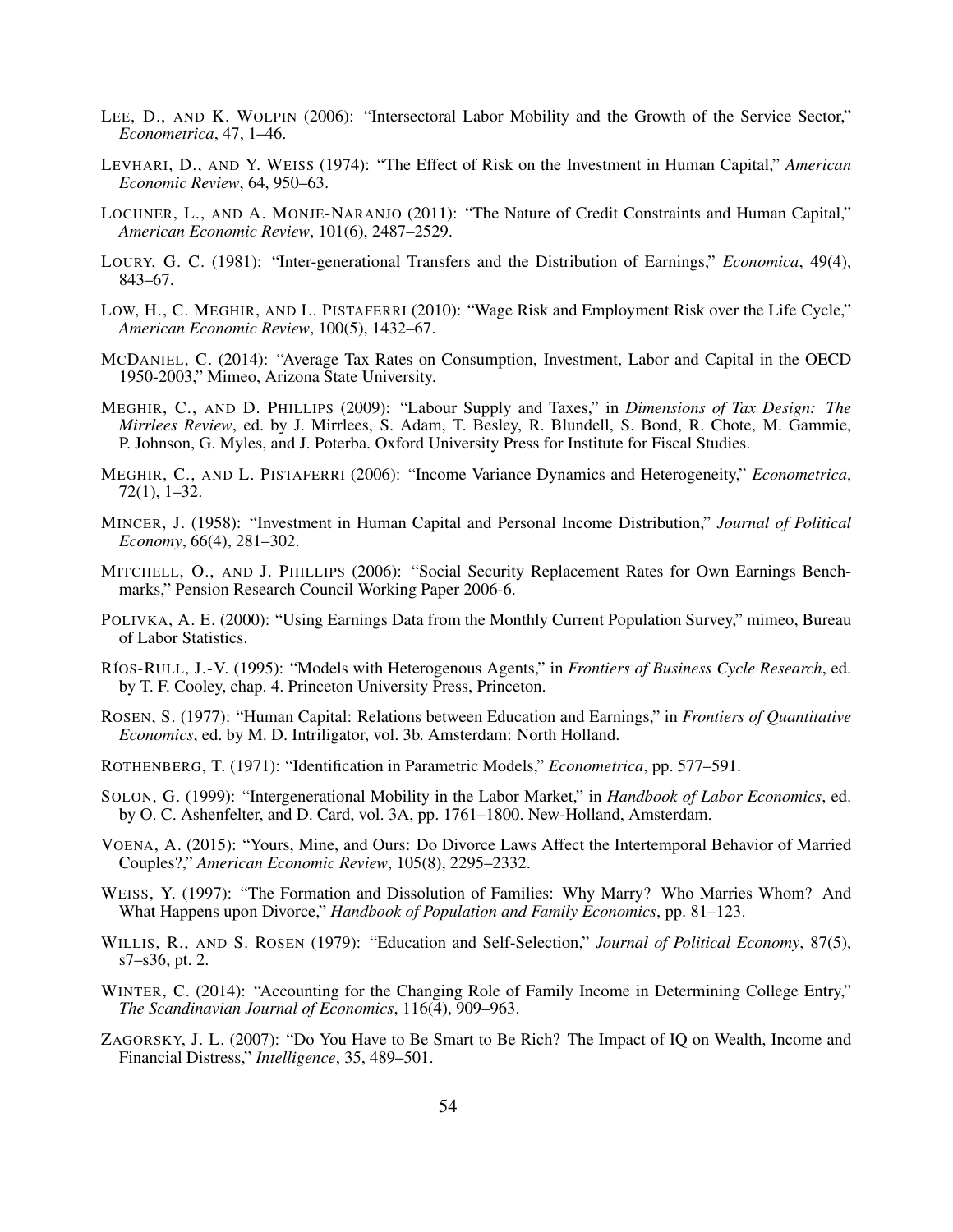- LEE, D., AND K. WOLPIN (2006): "Intersectoral Labor Mobility and the Growth of the Service Sector," *Econometrica*, 47, 1–46.
- LEVHARI, D., AND Y. WEISS (1974): "The Effect of Risk on the Investment in Human Capital," *American Economic Review*, 64, 950–63.
- LOCHNER, L., AND A. MONJE-NARANJO (2011): "The Nature of Credit Constraints and Human Capital," *American Economic Review*, 101(6), 2487–2529.
- LOURY, G. C. (1981): "Inter-generational Transfers and the Distribution of Earnings," *Economica*, 49(4), 843–67.
- LOW, H., C. MEGHIR, AND L. PISTAFERRI (2010): "Wage Risk and Employment Risk over the Life Cycle," *American Economic Review*, 100(5), 1432–67.
- MCDANIEL, C. (2014): "Average Tax Rates on Consumption, Investment, Labor and Capital in the OECD 1950-2003," Mimeo, Arizona State University.
- MEGHIR, C., AND D. PHILLIPS (2009): "Labour Supply and Taxes," in *Dimensions of Tax Design: The Mirrlees Review*, ed. by J. Mirrlees, S. Adam, T. Besley, R. Blundell, S. Bond, R. Chote, M. Gammie, P. Johnson, G. Myles, and J. Poterba. Oxford University Press for Institute for Fiscal Studies.
- MEGHIR, C., AND L. PISTAFERRI (2006): "Income Variance Dynamics and Heterogeneity," *Econometrica*, 72(1), 1–32.
- MINCER, J. (1958): "Investment in Human Capital and Personal Income Distribution," *Journal of Political Economy*, 66(4), 281–302.
- MITCHELL, O., AND J. PHILLIPS (2006): "Social Security Replacement Rates for Own Earnings Benchmarks," Pension Research Council Working Paper 2006-6.
- POLIVKA, A. E. (2000): "Using Earnings Data from the Monthly Current Population Survey," mimeo, Bureau of Labor Statistics.
- RíOS-RULL, J.-V. (1995): "Models with Heterogenous Agents," in *Frontiers of Business Cycle Research*, ed. by T. F. Cooley, chap. 4. Princeton University Press, Princeton.
- ROSEN, S. (1977): "Human Capital: Relations between Education and Earnings," in *Frontiers of Quantitative Economics*, ed. by M. D. Intriligator, vol. 3b. Amsterdam: North Holland.
- ROTHENBERG, T. (1971): "Identification in Parametric Models," *Econometrica*, pp. 577–591.
- SOLON, G. (1999): "Intergenerational Mobility in the Labor Market," in *Handbook of Labor Economics*, ed. by O. C. Ashenfelter, and D. Card, vol. 3A, pp. 1761–1800. New-Holland, Amsterdam.
- VOENA, A. (2015): "Yours, Mine, and Ours: Do Divorce Laws Affect the Intertemporal Behavior of Married Couples?," *American Economic Review*, 105(8), 2295–2332.
- WEISS, Y. (1997): "The Formation and Dissolution of Families: Why Marry? Who Marries Whom? And What Happens upon Divorce," *Handbook of Population and Family Economics*, pp. 81–123.
- WILLIS, R., AND S. ROSEN (1979): "Education and Self-Selection," *Journal of Political Economy*, 87(5), s7–s36, pt. 2.
- WINTER, C. (2014): "Accounting for the Changing Role of Family Income in Determining College Entry," *The Scandinavian Journal of Economics*, 116(4), 909–963.
- ZAGORSKY, J. L. (2007): "Do You Have to Be Smart to Be Rich? The Impact of IQ on Wealth, Income and Financial Distress," *Intelligence*, 35, 489–501.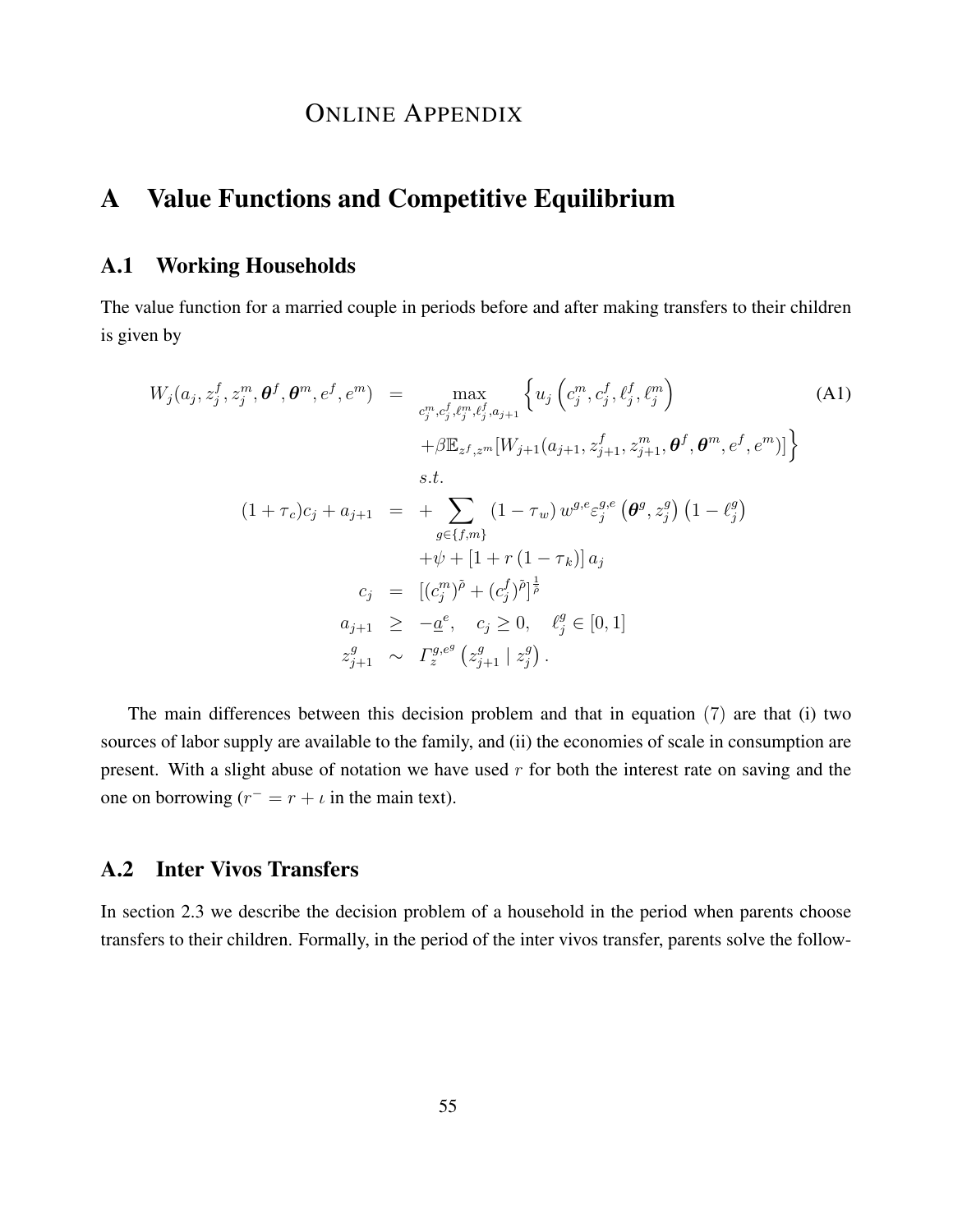### ONLINE APPENDIX

# A Value Functions and Competitive Equilibrium

#### A.1 Working Households

The value function for a married couple in periods before and after making transfers to their children is given by

$$
W_j(a_j, z_j^f, z_j^m, \theta^f, \theta^m, e^f, e^m) = \max_{c_j^m, c_j^f, \ell_j^m, \ell_j^f, a_{j+1}} \left\{ u_j \left( c_j^m, c_j^f, \ell_j^f, \ell_j^m \right) \right\}
$$
\n
$$
+ \beta \mathbb{E}_{z^f, z^m} [W_{j+1}(a_{j+1}, z_{j+1}^f, z_{j+1}^m, \theta^f, \theta^m, e^f, e^m)] \right\}
$$
\n*s.t.*\n
$$
(1 + \tau_c)c_j + a_{j+1} = + \sum_{g \in \{f, m\}} (1 - \tau_w) w^{g, e} \varepsilon_j^{g, e} \left( \theta^g, z_j^g \right) \left( 1 - \ell_j^g \right)
$$
\n
$$
+ \psi + [1 + r (1 - \tau_k)] a_j
$$
\n
$$
c_j = [(c_j^m)^{\tilde{\rho}} + (c_j^f)^{\tilde{\rho}}]_{\tilde{\rho}}^{\tilde{\rho}}
$$
\n
$$
a_{j+1} \geq -\underline{a}^e, \quad c_j \geq 0, \quad \ell_j^g \in [0, 1]
$$
\n
$$
z_{j+1}^g \sim T_z^{g, e^g} \left( z_{j+1}^g \mid z_j^g \right).
$$
\n(A1)

The main differences between this decision problem and that in equation (7) are that (i) two sources of labor supply are available to the family, and (ii) the economies of scale in consumption are present. With a slight abuse of notation we have used  $r$  for both the interest rate on saving and the one on borrowing  $(r^- = r + \iota)$  in the main text.

#### A.2 Inter Vivos Transfers

In section 2.3 we describe the decision problem of a household in the period when parents choose transfers to their children. Formally, in the period of the inter vivos transfer, parents solve the follow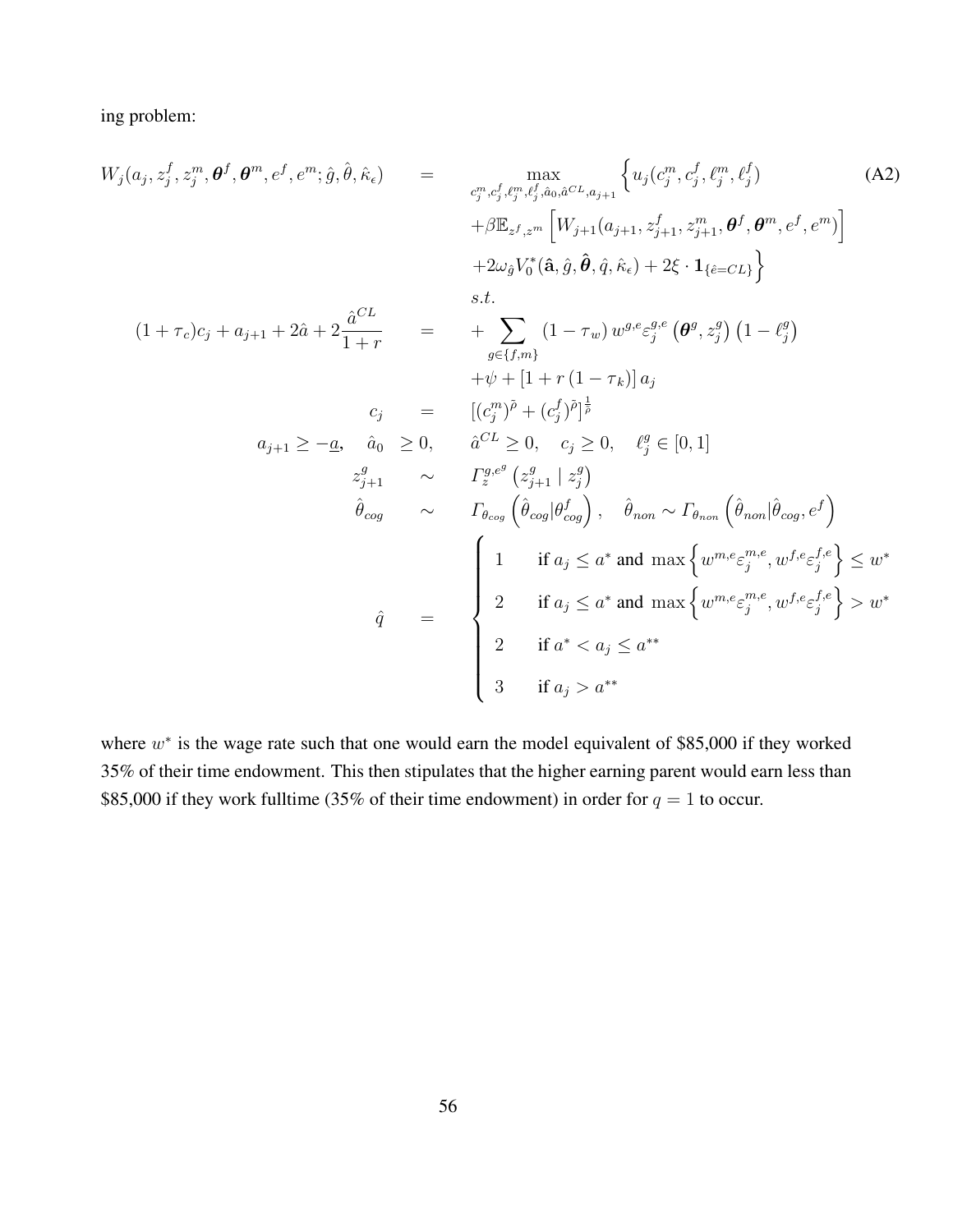ing problem:

$$
W_{j}(a_{j}, z_{j}^{f}, z_{j}^{m}, \theta^{f}, \theta^{m}, e^{f}, e^{m}; \hat{g}, \hat{\theta}, \hat{\kappa}_{\epsilon}) = \max_{c_{j}^{m}, c_{j}^{f}, \ell_{j}^{m}, \ell_{j}^{f}, a_{0}, \hat{a}^{CL}, a_{j+1}^{CL} \n+ \beta \mathbb{E}_{z^{f}, z^{m}} \left[ W_{j+1}(a_{j+1}, z_{j+1}^{f}, z_{j+1}^{m}, \theta^{f}, \theta^{m}, e^{f}, e^{m}) \right] + 2\omega_{\hat{g}} V_{0}^{*}(\hat{\mathbf{a}}, \hat{g}, \hat{\theta}, \hat{q}, \hat{\kappa}_{\epsilon}) + 2\xi \cdot \mathbf{1}_{\{\hat{e}=CL\}} \right} \n(1 + \tau_{e})c_{j} + a_{j+1} + 2\hat{a} + 2\frac{\hat{a}^{CL}}{1+r} = + \sum_{g \in \{f, m\}} (1 - \tau_{w}) w^{g,e} \varepsilon_{j}^{ge} (\theta^{g}, z_{j}^{g}) (1 - \ell_{j}^{g}) + \psi + [1 + r(1 - \tau_{k})] a_{j} c_{j} = [(\ell_{j}^{m})\hat{P} + (\ell_{j}^{f})\tilde{P}]^{\frac{1}{p}} a_{j+1} \geq -\underline{a}, \quad \hat{a}_{0} \geq 0, \qquad \hat{a}^{CL} \geq 0, \qquad c_{j} \geq 0, \quad \ell_{j}^{g} \in [0, 1] \hat{e}_{j+1}^{g} \sim \Gamma_{z}^{g,e^{g}} (z_{j+1}^{g} \mid z_{j}^{g}) \hat{\theta}_{cog} \sim \Gamma_{\theta_{cog}} (\hat{\theta}_{cog} | \theta_{cog}^{f}) , \quad \hat{\theta}_{non} \sim \Gamma_{\theta_{non}} (\hat{\theta}_{non} | \hat{\theta}_{cog}, e^{f}) \hat{q} = \begin{cases} 1 & \text{if } a_{j} \leq a^{*} \text{ and } \max \{w^{m,e} \xi_{j}^{m,e}, w^{f,e} \xi_{j}^{fe}\} \leq w^{*} 2 & \text{if } a_{j} \leq a^{*} \text{ and } \max \{w^{m,e} \xi
$$

where  $w^*$  is the wage rate such that one would earn the model equivalent of \$85,000 if they worked 35% of their time endowment. This then stipulates that the higher earning parent would earn less than \$85,000 if they work fulltime (35% of their time endowment) in order for  $q = 1$  to occur.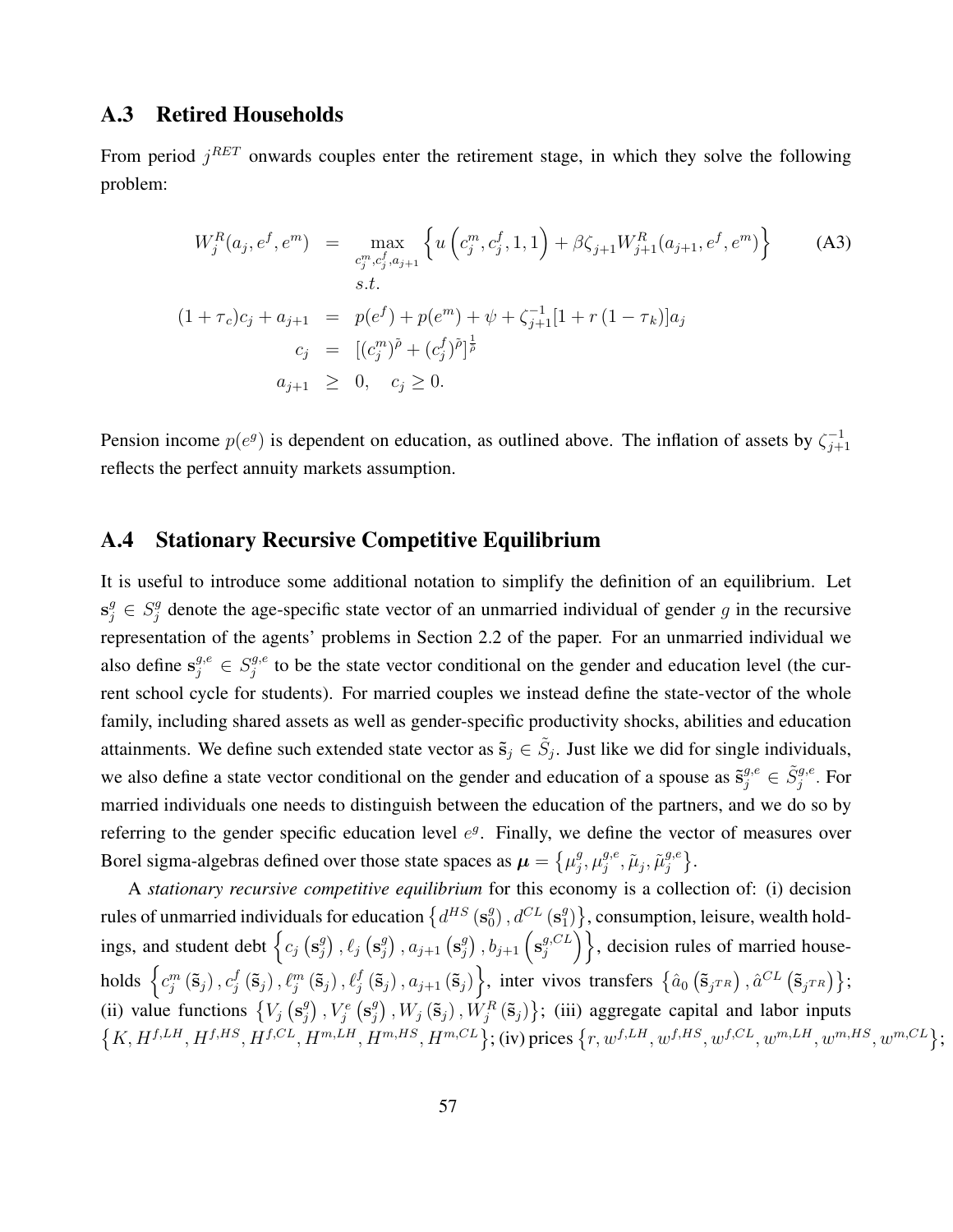#### A.3 Retired Households

From period  $j^{RET}$  onwards couples enter the retirement stage, in which they solve the following problem:

$$
W_j^R(a_j, e^f, e^m) = \max_{\substack{c_j^m, c_j^f, a_{j+1} \\ s.t.}} \left\{ u\left(c_j^m, c_j^f, 1, 1\right) + \beta \zeta_{j+1} W_{j+1}^R(a_{j+1}, e^f, e^m) \right\}
$$
\n(A3)  
\n
$$
s.t.
$$
\n
$$
(1 + \tau_c)c_j + a_{j+1} = p(e^f) + p(e^m) + \psi + \zeta_{j+1}^{-1}[1 + r(1 - \tau_k)]a_j
$$
\n
$$
c_j = [(c_j^m)^{\tilde{\rho}} + (c_j^f)^{\tilde{\rho}}]^\frac{1}{\tilde{\rho}}
$$
\n
$$
a_{j+1} \geq 0, \quad c_j \geq 0.
$$

Pension income  $p(e^g)$  is dependent on education, as outlined above. The inflation of assets by  $\zeta_{i+1}^{-1}$  $j+1$ reflects the perfect annuity markets assumption.

#### A.4 Stationary Recursive Competitive Equilibrium

It is useful to introduce some additional notation to simplify the definition of an equilibrium. Let  $\mathbf{s}_j^g \in S_j^g$  $j$  denote the age-specific state vector of an unmarried individual of gender g in the recursive representation of the agents' problems in Section 2.2 of the paper. For an unmarried individual we also define  $s_j^{g,e} \in S_j^{g,e}$  $j_e^{g,e}$  to be the state vector conditional on the gender and education level (the current school cycle for students). For married couples we instead define the state-vector of the whole family, including shared assets as well as gender-specific productivity shocks, abilities and education attainments. We define such extended state vector as  $\tilde{s}_j \in \tilde{S}_j$ . Just like we did for single individuals, we also define a state vector conditional on the gender and education of a spouse as  $\tilde{s}_j^{g,e} \in \tilde{S}_j^{g,e}$ . For married individuals one needs to distinguish between the education of the partners, and we do so by referring to the gender specific education level  $e^g$ . Finally, we define the vector of measures over Borel sigma-algebras defined over those state spaces as  $\mu = \{ \mu_i^g \}$  $_j^g, \mu_j^{g,e}$  $_{j}^{g,e},\tilde{\mu}_{j},\tilde{\mu}_{j}^{g,e}$  $_{j}^{g,e}\big\}.$ 

A *stationary recursive competitive equilibrium* for this economy is a collection of: (i) decision rules of unmarried individuals for education  $\{d^{HS}(\mathbf{s}_0^g)\}$  $\binom{g}{0}$  ,  $d^{CL}$   $(\mathbf{s}_1^g)$  $\{g_1\}$ , consumption, leisure, wealth holdings, and student debt  $\{c_j \left(s_j^g\right)$  $\binom{g}{j}$  ,  $\ell_j$   $\left(\mathbf{s}_j^g\right)$  $\binom{g}{j}$  ,  $a_{j+1}$   $\left(\mathbf{s}_j^g\right)$  $_{j}^{g}\big)$  ,  $b_{j+1}$   $\Big(\mathbf{s}_{j}^{g,CL}$  $\binom{g,CL}{j}$ , decision rules of married households  $\left\{ c_j^m\left(\mathbf{\tilde{s}}_j\right), c_j^f\right\}$  $\left\{\begin{matrix} f\left(\mathbf{\tilde{s}}_{j}\right), \ell_{j}^{m}\left(\mathbf{\tilde{s}}_{j}\right), \ell_{j}^{f}\left(\mathbf{\tilde{s}}_{j}\right), a_{j+1}\left(\mathbf{\tilde{s}}_{j}\right)\end{matrix}\right\},\right.$  inter vivos transfers  $\left\{\begin{matrix} \hat{a}_{0}\left(\mathbf{\tilde{s}}_{j^{TR}}\right), \hat{a}^{CL}\left(\mathbf{\tilde{s}}_{j^{TR}}\right)\end{matrix}\right\};$ (ii) value functions  $\{V_j \, (\mathbf{s}_j^g)\}$  $\binom{g}{j}$  ,  $V_j^e$   $(\mathbf{s}_j^g)$  $\{f_j^{(g)}\}$ ,  $W_j(\tilde{s}_j)$ ,  $W_j^R(\tilde{s}_j)$ ; (iii) aggregate capital and labor inputs  $\{K, H^{f, LH}, H^{f, HS}, H^{f, CL}, H^{m, LH}, H^{m, HS}, H^{m, CL}\};$  (iv) prices  $\{r, w^{f, LH}, w^{f, HS}, w^{f, CL}, w^{m, LH}, w^{m, HS}, w^{m, CL}\};$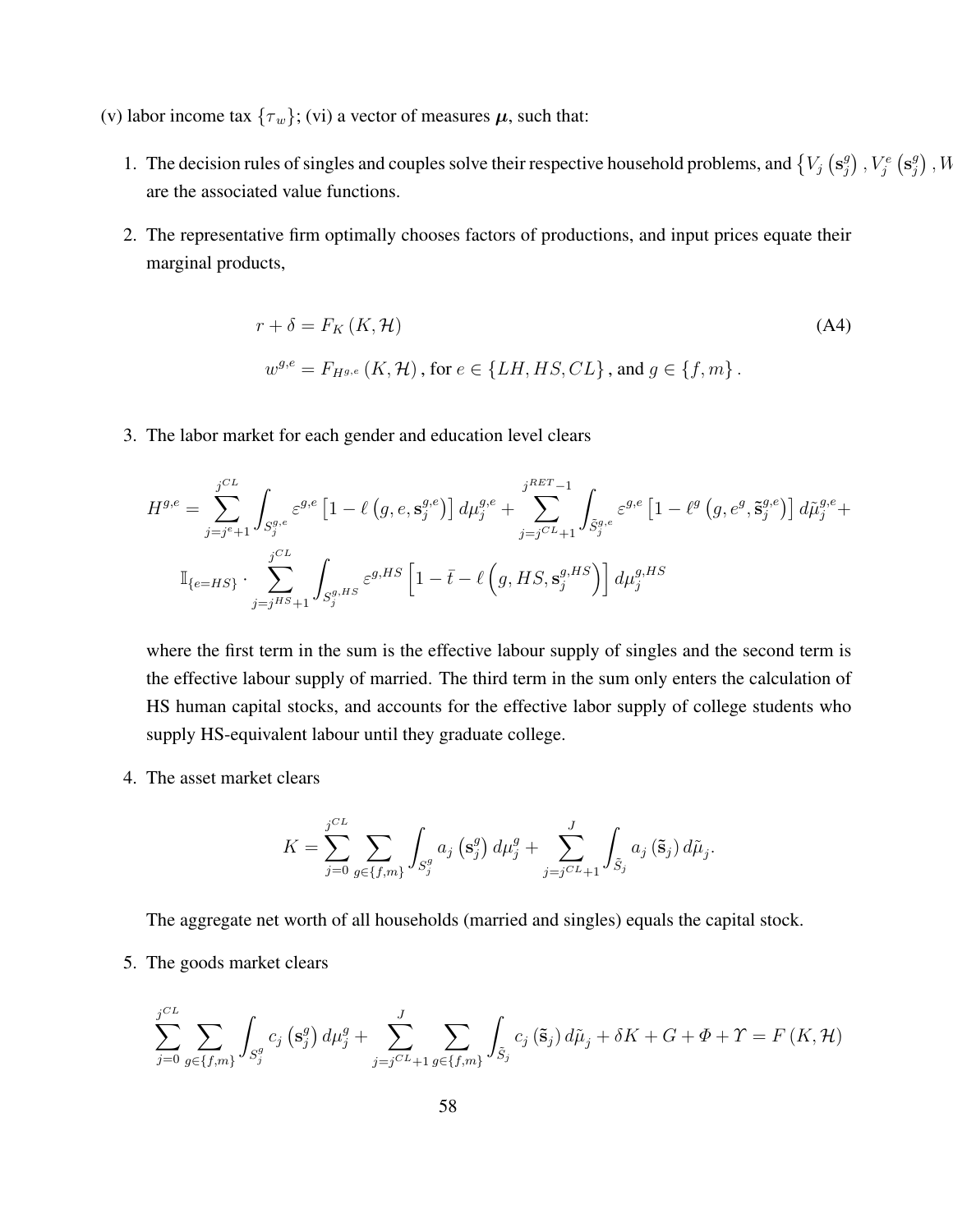(v) labor income tax  $\{\tau_w\}$ ; (vi) a vector of measures  $\mu$ , such that:

- 1. The decision rules of singles and couples solve their respective household problems, and  $\{V_j \}(s_j)$  $\binom{g}{j}$  ,  $V_j^e$   $\left(\mathbf{s}_j^g\right)$  $_{j}^{g}\big)$  ,  $W$ are the associated value functions.
- 2. The representative firm optimally chooses factors of productions, and input prices equate their marginal products,

$$
r + \delta = F_K(K, \mathcal{H})
$$
\n
$$
w^{g,e} = F_{H^{g,e}}(K, \mathcal{H}), \text{ for } e \in \{LH, HS, CL\}, \text{ and } g \in \{f, m\}.
$$
\n(A4)

3. The labor market for each gender and education level clears

$$
H^{g,e} = \sum_{j=j^{e}+1}^{j^{CL}} \int_{S_j^{g,e}} \varepsilon^{g,e} \left[1 - \ell(g,e,\mathbf{s}_j^{g,e})\right] d\mu_j^{g,e} + \sum_{j=j^{CL}+1}^{j^{RET}-1} \int_{\tilde{S}_j^{g,e}} \varepsilon^{g,e} \left[1 - \ell^g(g,e^g,\tilde{\mathbf{s}}_j^{g,e})\right] d\tilde{\mu}_j^{g,e} +
$$
  

$$
\mathbb{I}_{\{e=HS\}} \cdot \sum_{j=j^{HS}+1}^{j^{CL}} \int_{S_j^{g,HS}} \varepsilon^{g,HS} \left[1 - \bar{t} - \ell\left(g,HS,\mathbf{s}_j^{g,HS}\right)\right] d\mu_j^{g,HS}
$$

where the first term in the sum is the effective labour supply of singles and the second term is the effective labour supply of married. The third term in the sum only enters the calculation of HS human capital stocks, and accounts for the effective labor supply of college students who supply HS-equivalent labour until they graduate college.

4. The asset market clears

$$
K = \sum_{j=0}^{j^{CL}} \sum_{g \in \{f,m\}} \int_{S_j^g} a_j \left(s_j^g\right) d\mu_j^g + \sum_{j=j^{CL}+1}^J \int_{\tilde{S}_j} a_j \left(\tilde{s}_j\right) d\tilde{\mu}_j.
$$

The aggregate net worth of all households (married and singles) equals the capital stock.

5. The goods market clears

$$
\sum_{j=0}^{j^{CL}} \sum_{g \in \{f,m\}} \int_{S_j^g} c_j \left(s_j^g\right) d\mu_j^g + \sum_{j=j^{CL}+1}^{J} \sum_{g \in \{f,m\}} \int_{\tilde{S}_j} c_j \left(\tilde{s}_j\right) d\tilde{\mu}_j + \delta K + G + \Phi + \Upsilon = F\left(K, \mathcal{H}\right)
$$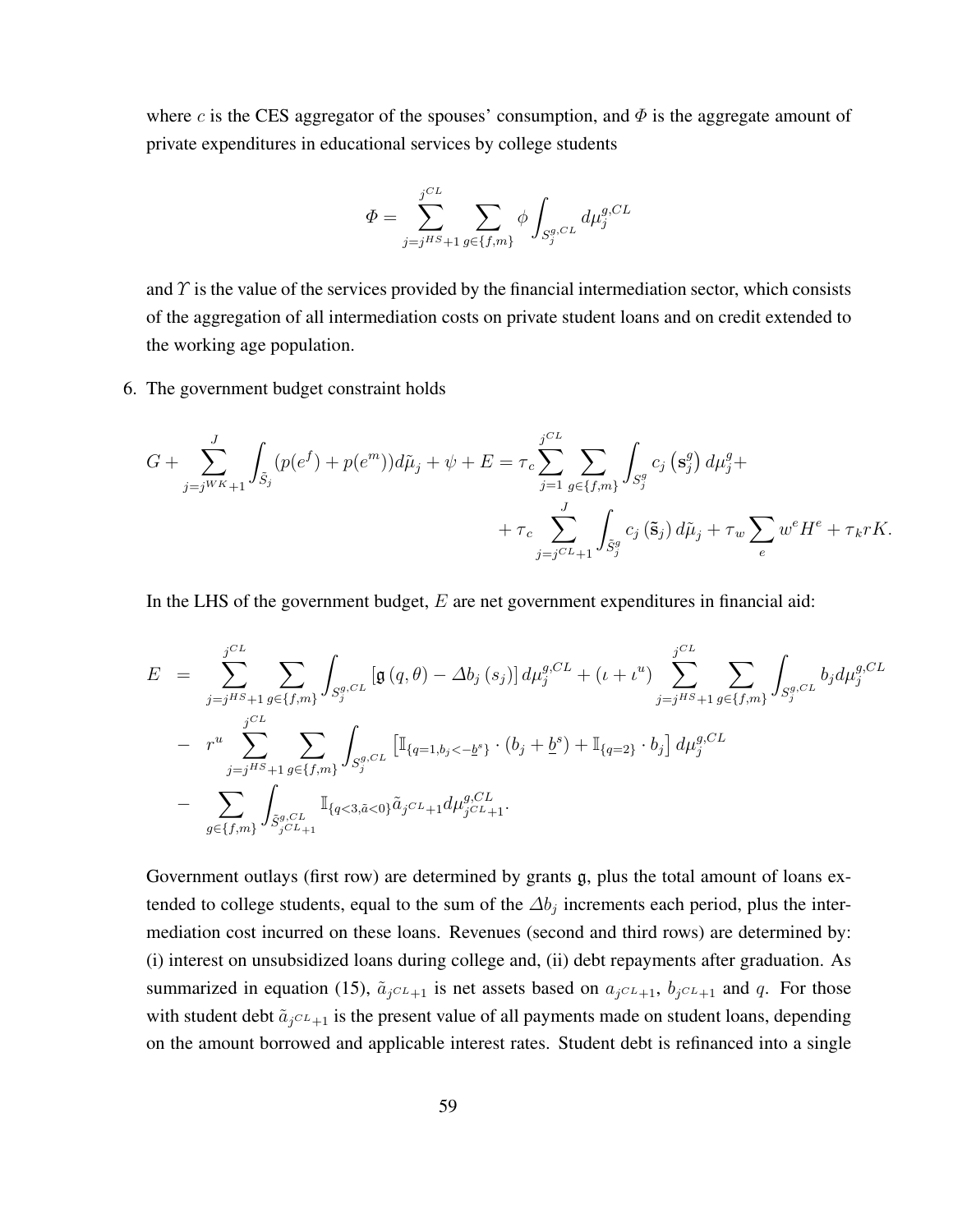where c is the CES aggregator of the spouses' consumption, and  $\Phi$  is the aggregate amount of private expenditures in educational services by college students

$$
\Phi = \sum_{j=j^{HS}+1}^{j^{CL}} \sum_{g \in \{f,m\}} \phi \int_{S_j^{g,CL}} d\mu_j^{g,CL}
$$

and  $\gamma$  is the value of the services provided by the financial intermediation sector, which consists of the aggregation of all intermediation costs on private student loans and on credit extended to the working age population.

6. The government budget constraint holds

$$
G + \sum_{j=j^{WK}+1}^{J} \int_{\tilde{S}_j} (p(e^f) + p(e^m)) d\tilde{\mu}_j + \psi + E = \tau_c \sum_{j=1}^{j^{CL}} \sum_{g \in \{f,m\}} \int_{S_j^g} c_j \left(s_j^g\right) d\mu_j^g + \\ + \tau_c \sum_{j=j^{CL}+1}^{J} \int_{\tilde{S}_j^g} c_j \left(\tilde{s}_j\right) d\tilde{\mu}_j + \tau_w \sum_{e} w^e H^e + \tau_k r K.
$$

In the LHS of the government budget,  $E$  are net government expenditures in financial aid:

$$
E = \sum_{j=j^{HS}+1}^{j^{CL}} \sum_{g \in \{f,m\}} \int_{S_j^{g,CL}} \left[ \mathfrak{g}(q,\theta) - \Delta b_j(s_j) \right] d\mu_j^{g,CL} + (\iota + \iota^u) \sum_{j=j^{HS}+1}^{j^{CL}} \sum_{g \in \{f,m\}} \int_{S_j^{g,CL}} b_j d\mu_j^{g,CL}
$$
  
- 
$$
r^u \sum_{j=j^{HS}+1}^{j^{CL}} \sum_{g \in \{f,m\}} \int_{S_j^{g,CL}} \left[ \mathbb{I}_{\{q=1,b_j<-b^s\}} \cdot (b_j+b^s) + \mathbb{I}_{\{q=2\}} \cdot b_j \right] d\mu_j^{g,CL}
$$
  
- 
$$
\sum_{g \in \{f,m\}} \int_{\tilde{S}_j^{g,CL}} \mathbb{I}_{\{q<3,\tilde{a}<0\}} \tilde{a}_j c_{L+1} d\mu_j^{g,CL}.
$$

Government outlays (first row) are determined by grants g, plus the total amount of loans extended to college students, equal to the sum of the  $\Delta b_j$  increments each period, plus the intermediation cost incurred on these loans. Revenues (second and third rows) are determined by: (i) interest on unsubsidized loans during college and, (ii) debt repayments after graduation. As summarized in equation (15),  $\tilde{a}_jc_{L+1}$  is net assets based on  $a_jc_{L+1}$ ,  $b_jc_{L+1}$  and q. For those with student debt  $\tilde{a}_j c_{L+1}$  is the present value of all payments made on student loans, depending on the amount borrowed and applicable interest rates. Student debt is refinanced into a single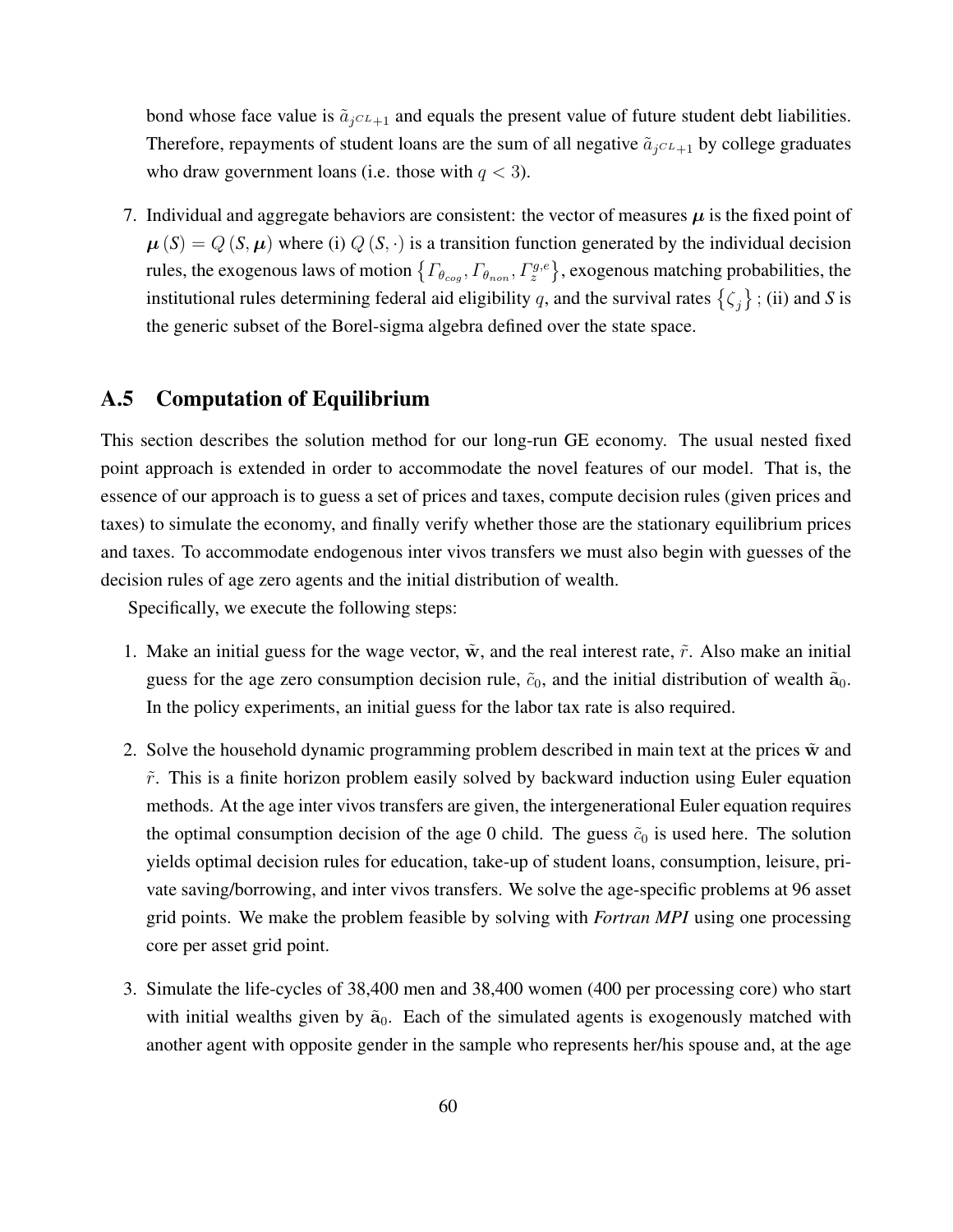bond whose face value is  $\tilde{a}_{jCL+1}$  and equals the present value of future student debt liabilities. Therefore, repayments of student loans are the sum of all negative  $\tilde{a}_i c L_{+1}$  by college graduates who draw government loans (i.e. those with  $q < 3$ ).

7. Individual and aggregate behaviors are consistent: the vector of measures  $\mu$  is the fixed point of  $\mu(S) = Q(S, \mu)$  where (i)  $Q(S, \cdot)$  is a transition function generated by the individual decision rules, the exogenous laws of motion  $\{ \Gamma_{\theta_{cog}}, \Gamma_{\theta_{non}}, \Gamma_z^{g,e} \}$ , exogenous matching probabilities, the institutional rules determining federal aid eligibility q, and the survival rates  $\{\zeta_j\}$ ; (ii) and *S* is the generic subset of the Borel-sigma algebra defined over the state space.

#### A.5 Computation of Equilibrium

This section describes the solution method for our long-run GE economy. The usual nested fixed point approach is extended in order to accommodate the novel features of our model. That is, the essence of our approach is to guess a set of prices and taxes, compute decision rules (given prices and taxes) to simulate the economy, and finally verify whether those are the stationary equilibrium prices and taxes. To accommodate endogenous inter vivos transfers we must also begin with guesses of the decision rules of age zero agents and the initial distribution of wealth.

Specifically, we execute the following steps:

- 1. Make an initial guess for the wage vector,  $\tilde{\mathbf{w}}$ , and the real interest rate,  $\tilde{r}$ . Also make an initial guess for the age zero consumption decision rule,  $\tilde{c}_0$ , and the initial distribution of wealth  $\tilde{a}_0$ . In the policy experiments, an initial guess for the labor tax rate is also required.
- 2. Solve the household dynamic programming problem described in main text at the prices  $\tilde{w}$  and  $\tilde{r}$ . This is a finite horizon problem easily solved by backward induction using Euler equation methods. At the age inter vivos transfers are given, the intergenerational Euler equation requires the optimal consumption decision of the age 0 child. The guess  $\tilde{c}_0$  is used here. The solution yields optimal decision rules for education, take-up of student loans, consumption, leisure, private saving/borrowing, and inter vivos transfers. We solve the age-specific problems at 96 asset grid points. We make the problem feasible by solving with *Fortran MPI* using one processing core per asset grid point.
- 3. Simulate the life-cycles of 38,400 men and 38,400 women (400 per processing core) who start with initial wealths given by  $\tilde{a}_0$ . Each of the simulated agents is exogenously matched with another agent with opposite gender in the sample who represents her/his spouse and, at the age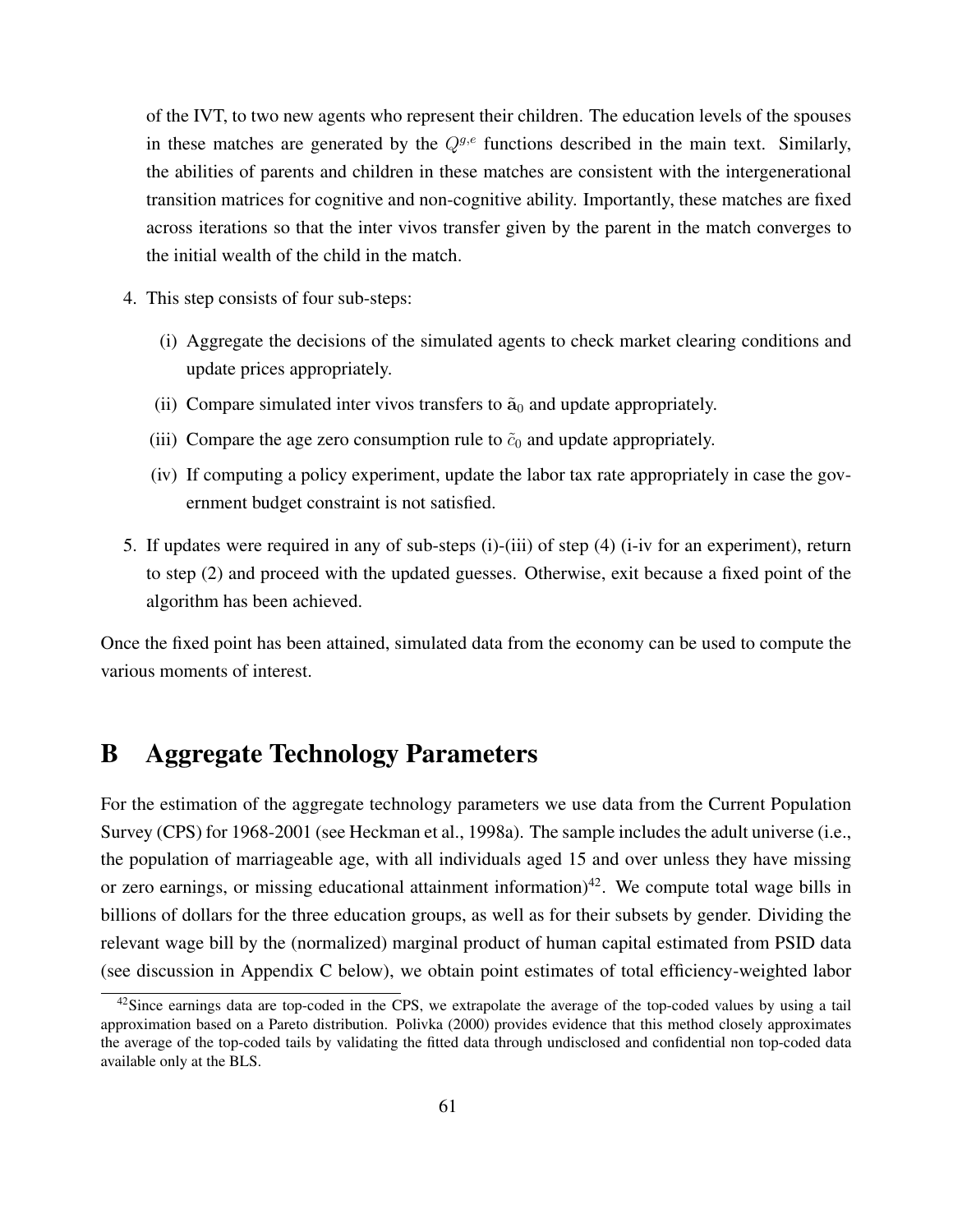of the IVT, to two new agents who represent their children. The education levels of the spouses in these matches are generated by the  $Q^{g,e}$  functions described in the main text. Similarly, the abilities of parents and children in these matches are consistent with the intergenerational transition matrices for cognitive and non-cognitive ability. Importantly, these matches are fixed across iterations so that the inter vivos transfer given by the parent in the match converges to the initial wealth of the child in the match.

- 4. This step consists of four sub-steps:
	- (i) Aggregate the decisions of the simulated agents to check market clearing conditions and update prices appropriately.
	- (ii) Compare simulated inter vivos transfers to  $\tilde{a}_0$  and update appropriately.
	- (iii) Compare the age zero consumption rule to  $\tilde{c}_0$  and update appropriately.
	- (iv) If computing a policy experiment, update the labor tax rate appropriately in case the government budget constraint is not satisfied.
- 5. If updates were required in any of sub-steps (i)-(iii) of step (4) (i-iv for an experiment), return to step (2) and proceed with the updated guesses. Otherwise, exit because a fixed point of the algorithm has been achieved.

Once the fixed point has been attained, simulated data from the economy can be used to compute the various moments of interest.

## B Aggregate Technology Parameters

For the estimation of the aggregate technology parameters we use data from the Current Population Survey (CPS) for 1968-2001 (see Heckman et al., 1998a). The sample includes the adult universe (i.e., the population of marriageable age, with all individuals aged 15 and over unless they have missing or zero earnings, or missing educational attainment information)<sup>42</sup>. We compute total wage bills in billions of dollars for the three education groups, as well as for their subsets by gender. Dividing the relevant wage bill by the (normalized) marginal product of human capital estimated from PSID data (see discussion in Appendix C below), we obtain point estimates of total efficiency-weighted labor

<sup>&</sup>lt;sup>42</sup>Since earnings data are top-coded in the CPS, we extrapolate the average of the top-coded values by using a tail approximation based on a Pareto distribution. Polivka (2000) provides evidence that this method closely approximates the average of the top-coded tails by validating the fitted data through undisclosed and confidential non top-coded data available only at the BLS.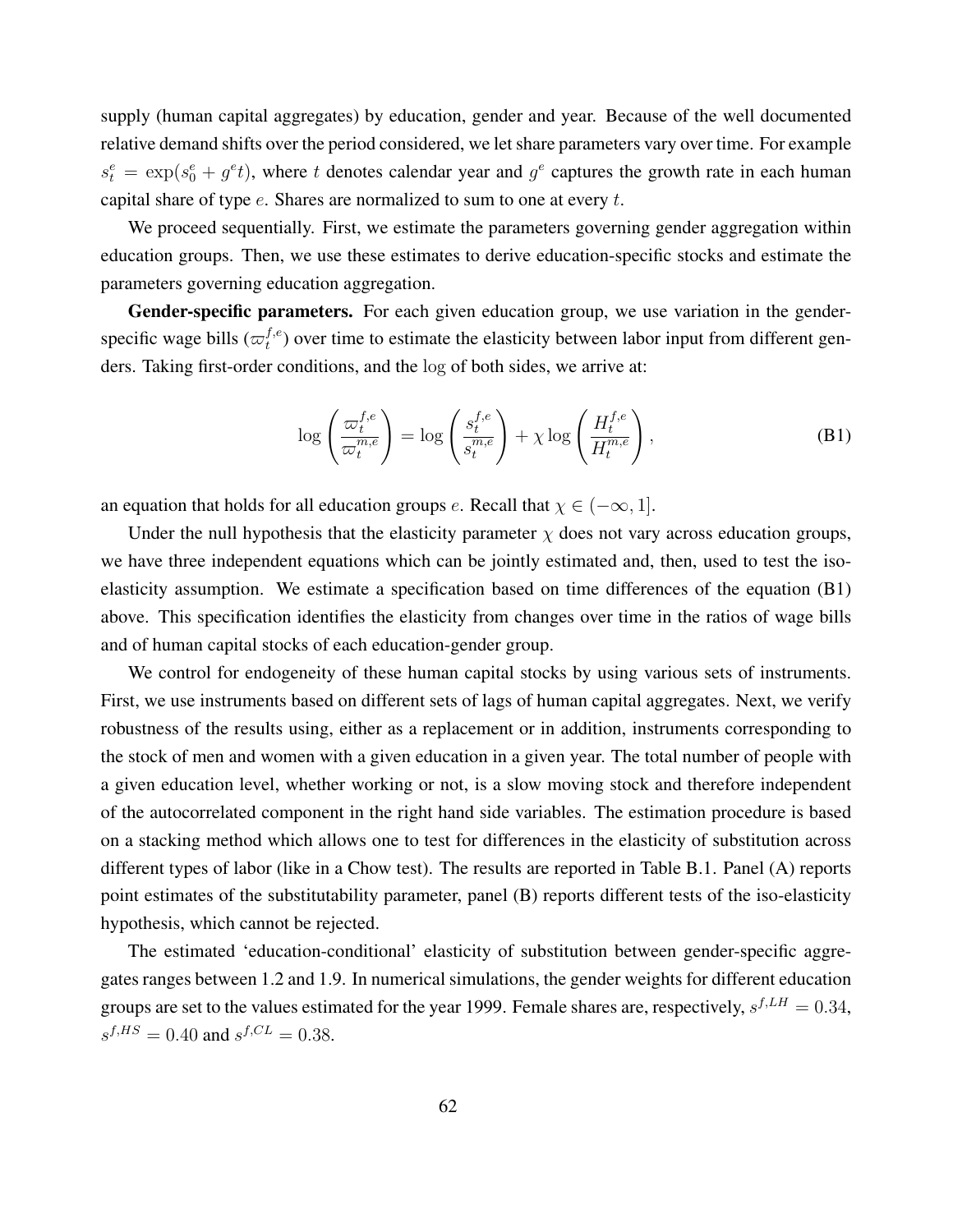supply (human capital aggregates) by education, gender and year. Because of the well documented relative demand shifts over the period considered, we let share parameters vary over time. For example  $s_t^e = \exp(s_0^e + g^e t)$ , where t denotes calendar year and  $g^e$  captures the growth rate in each human capital share of type  $e$ . Shares are normalized to sum to one at every  $t$ .

We proceed sequentially. First, we estimate the parameters governing gender aggregation within education groups. Then, we use these estimates to derive education-specific stocks and estimate the parameters governing education aggregation.

Gender-specific parameters. For each given education group, we use variation in the genderspecific wage bills ( $\varpi_t^{f,e}$  $t^{(f,e)}$  over time to estimate the elasticity between labor input from different genders. Taking first-order conditions, and the log of both sides, we arrive at:

$$
\log\left(\frac{\varpi_t^{f,e}}{\varpi_t^{m,e}}\right) = \log\left(\frac{s_t^{f,e}}{s_t^{m,e}}\right) + \chi \log\left(\frac{H_t^{f,e}}{H_t^{m,e}}\right),\tag{B1}
$$

an equation that holds for all education groups e. Recall that  $\chi \in (-\infty, 1]$ .

Under the null hypothesis that the elasticity parameter  $\chi$  does not vary across education groups, we have three independent equations which can be jointly estimated and, then, used to test the isoelasticity assumption. We estimate a specification based on time differences of the equation (B1) above. This specification identifies the elasticity from changes over time in the ratios of wage bills and of human capital stocks of each education-gender group.

We control for endogeneity of these human capital stocks by using various sets of instruments. First, we use instruments based on different sets of lags of human capital aggregates. Next, we verify robustness of the results using, either as a replacement or in addition, instruments corresponding to the stock of men and women with a given education in a given year. The total number of people with a given education level, whether working or not, is a slow moving stock and therefore independent of the autocorrelated component in the right hand side variables. The estimation procedure is based on a stacking method which allows one to test for differences in the elasticity of substitution across different types of labor (like in a Chow test). The results are reported in Table B.1. Panel (A) reports point estimates of the substitutability parameter, panel (B) reports different tests of the iso-elasticity hypothesis, which cannot be rejected.

The estimated 'education-conditional' elasticity of substitution between gender-specific aggregates ranges between 1.2 and 1.9. In numerical simulations, the gender weights for different education groups are set to the values estimated for the year 1999. Female shares are, respectively,  $s^{f, LH} = 0.34$ ,  $s^{f,HS} = 0.40$  and  $s^{f,CL} = 0.38$ .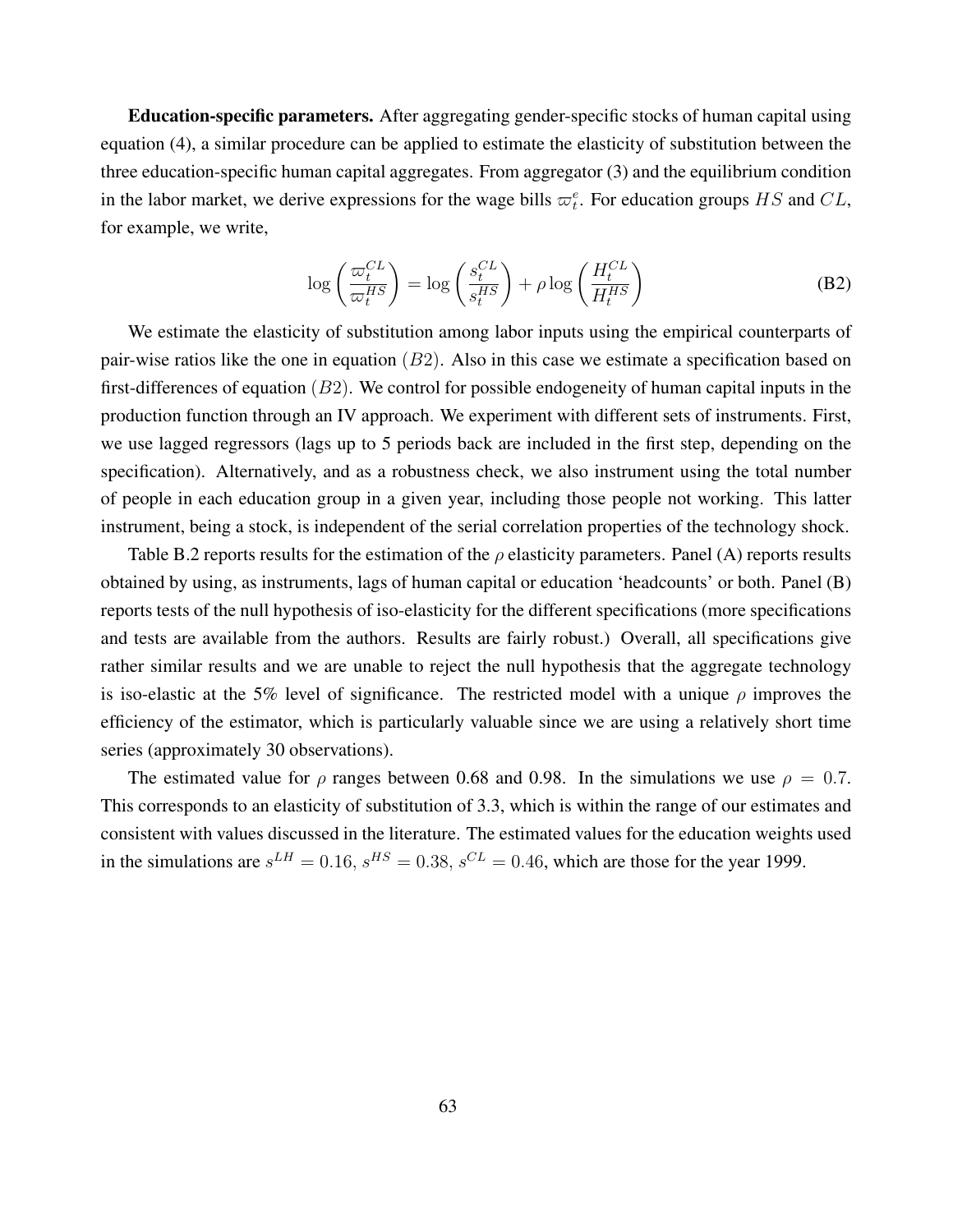Education-specific parameters. After aggregating gender-specific stocks of human capital using equation (4), a similar procedure can be applied to estimate the elasticity of substitution between the three education-specific human capital aggregates. From aggregator (3) and the equilibrium condition in the labor market, we derive expressions for the wage bills  $\varpi_t^e$ . For education groups HS and CL, for example, we write,

$$
\log\left(\frac{\varpi_t^{CL}}{\varpi_t^{HS}}\right) = \log\left(\frac{s_t^{CL}}{s_t^{HS}}\right) + \rho \log\left(\frac{H_t^{CL}}{H_t^{HS}}\right)
$$
(B2)

We estimate the elasticity of substitution among labor inputs using the empirical counterparts of pair-wise ratios like the one in equation  $(B2)$ . Also in this case we estimate a specification based on first-differences of equation  $(B2)$ . We control for possible endogeneity of human capital inputs in the production function through an IV approach. We experiment with different sets of instruments. First, we use lagged regressors (lags up to 5 periods back are included in the first step, depending on the specification). Alternatively, and as a robustness check, we also instrument using the total number of people in each education group in a given year, including those people not working. This latter instrument, being a stock, is independent of the serial correlation properties of the technology shock.

Table B.2 reports results for the estimation of the  $\rho$  elasticity parameters. Panel (A) reports results obtained by using, as instruments, lags of human capital or education 'headcounts' or both. Panel (B) reports tests of the null hypothesis of iso-elasticity for the different specifications (more specifications and tests are available from the authors. Results are fairly robust.) Overall, all specifications give rather similar results and we are unable to reject the null hypothesis that the aggregate technology is iso-elastic at the 5% level of significance. The restricted model with a unique  $\rho$  improves the efficiency of the estimator, which is particularly valuable since we are using a relatively short time series (approximately 30 observations).

The estimated value for  $\rho$  ranges between 0.68 and 0.98. In the simulations we use  $\rho = 0.7$ . This corresponds to an elasticity of substitution of 3.3, which is within the range of our estimates and consistent with values discussed in the literature. The estimated values for the education weights used in the simulations are  $s^{LH} = 0.16$ ,  $s^{HS} = 0.38$ ,  $s^{CL} = 0.46$ , which are those for the year 1999.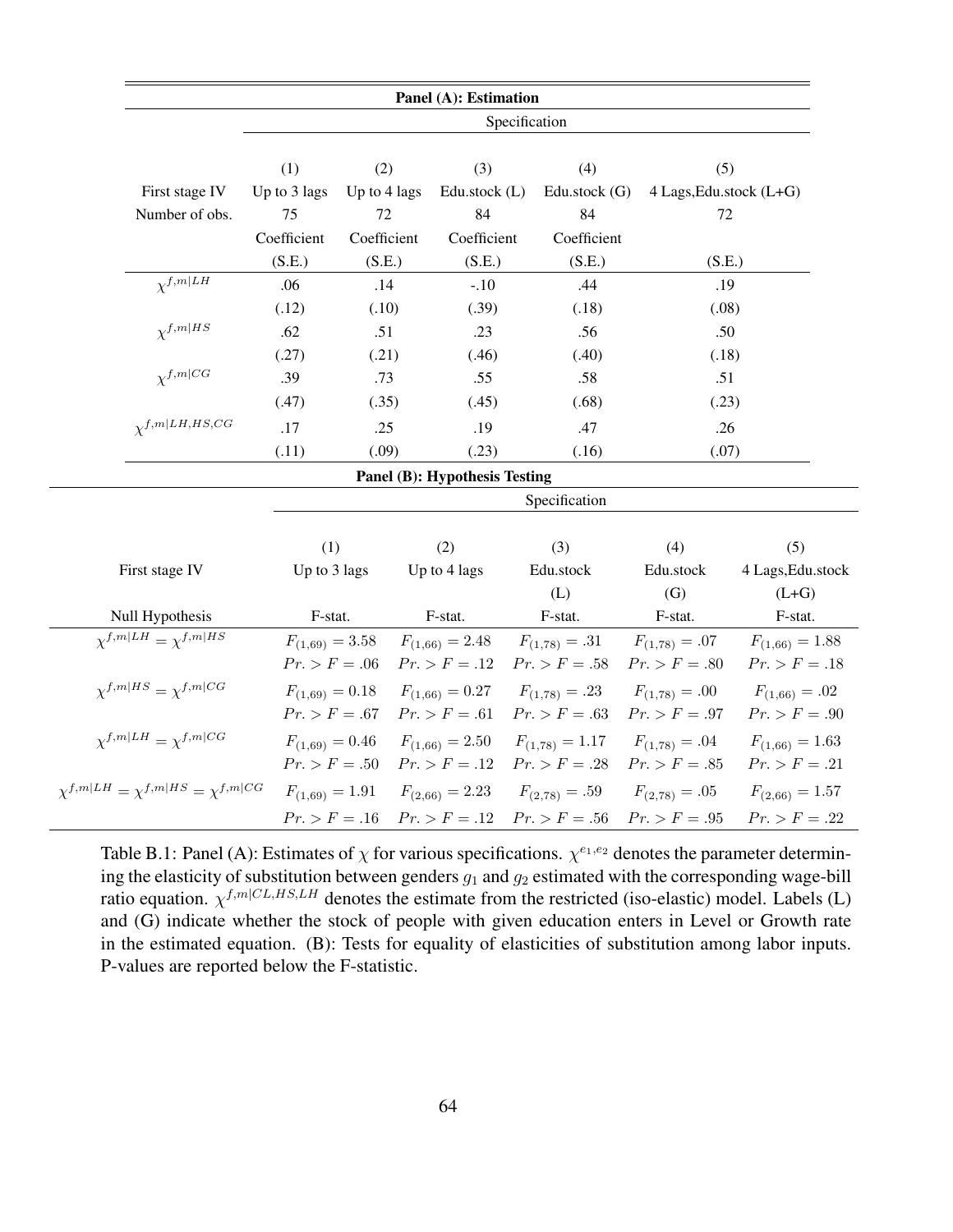|                                                 |                     |                                         | Panel (A): Estimation         |                                       |                                        |                     |
|-------------------------------------------------|---------------------|-----------------------------------------|-------------------------------|---------------------------------------|----------------------------------------|---------------------|
|                                                 | Specification       |                                         |                               |                                       |                                        |                     |
|                                                 | (1)                 | (2)                                     | (3)                           | (4)                                   | (5)                                    |                     |
| First stage IV                                  | Up to 3 lags        | Up to 4 lags                            | Edu.stock (L)                 | Edu.stock $(G)$                       | 4 Lags, Edu.stock (L+G)                |                     |
| Number of obs.                                  | 75                  | 72                                      | 84                            | 84                                    | 72                                     |                     |
|                                                 | Coefficient         | Coefficient                             | Coefficient                   | Coefficient                           |                                        |                     |
|                                                 | (S.E.)              | (S.E.)                                  | (S.E.)                        | (S.E.)                                | (S.E.)                                 |                     |
| $\chi^{f,m L}\overline{H}$                      | .06                 | .14                                     | $-.10$                        | .44                                   | .19                                    |                     |
|                                                 | (.12)               | (.10)                                   | (.39)                         | (.18)                                 | (.08)                                  |                     |
| $\chi^{f,m HS}$                                 | .62                 | .51                                     | .23                           | .56                                   | .50                                    |                     |
|                                                 | (.27)               | (.21)                                   | (.46)                         | (.40)                                 | (.18)                                  |                     |
| $\chi^{f,m CG}$                                 | .39                 | .73                                     | .55                           | .58                                   | .51                                    |                     |
|                                                 | (.47)               | (.35)                                   | (.45)                         | (.68)                                 | (.23)                                  |                     |
| $\chi^{f,m LH,HS,CG}$                           | .17                 | .25                                     | .19                           | .47                                   | .26                                    |                     |
|                                                 | (.11)               | (.09)                                   | (.23)                         | (.16)                                 | (.07)                                  |                     |
|                                                 |                     |                                         | Panel (B): Hypothesis Testing |                                       |                                        |                     |
|                                                 |                     |                                         |                               | Specification                         |                                        |                     |
|                                                 | (1)                 |                                         | (2)                           | (3)                                   | (4)                                    | (5)                 |
| First stage IV                                  | Up to 3 lags        |                                         | Up to 4 lags                  | Edu.stock                             | Edu.stock                              | 4 Lags, Edu.stock   |
|                                                 |                     |                                         |                               | (L)                                   | (G)                                    | $(L+G)$             |
| Null Hypothesis                                 | F-stat.             |                                         | F-stat.                       | F-stat.                               | F-stat.                                | F-stat.             |
| $\chi^{f,m LH} = \chi^{f,m HS}$                 | $F_{(1,69)} = 3.58$ |                                         | $F_{(1,66)} = 2.48$           | $F_{(1,78)} = .31$                    | $F_{(1,78)} = .07$                     | $F_{(1,66)} = 1.88$ |
|                                                 | $Pr. > F = .06$     |                                         | $Pr. > F = .12$               |                                       | $Pr. > F = .58$ $Pr. > F = .80$        | $Pr. > F = .18$     |
| $\chi^{f,m HS} = \chi^{f,m CG}$                 | $F_{(1,69)} = 0.18$ |                                         | $F_{(1,66)} = 0.27$           | $F_{(1,78)} = .23$ $F_{(1,78)} = .00$ |                                        | $F_{(1,66)} = .02$  |
|                                                 | $Pr. > F = .67$     |                                         | $Pr. > F = .61$               |                                       | $Pr. > F = .63$ $Pr. > F = .97$        | $Pr. > F = .90$     |
| $\chi^{f,m LH} = \chi^{f,m CG}$                 |                     | $F_{(1,69)} = 0.46$ $F_{(1,66)} = 2.50$ |                               |                                       | $F_{(1,78)} = 1.17$ $F_{(1,78)} = .04$ | $F_{(1,66)} = 1.63$ |
|                                                 | $Pr. > F = .50$     |                                         | $Pr. > F = .12$               |                                       | $Pr. > F = .28$ $Pr. > F = .85$        | $Pr. > F = .21$     |
| $\chi^{f,m LH} = \chi^{f,m HS} = \chi^{f,m CG}$ | $F_{(1,69)} = 1.91$ |                                         | $F_{(2,66)} = 2.23$           | $F_{(2,78)} = .59$                    | $F_{(2.78)} = .05$                     | $F_{(2,66)} = 1.57$ |
|                                                 | $Pr. > F = .16$     |                                         | $Pr. > F = .12$               | $Pr. > F = .56$                       | $Pr. > F = .95$                        | $Pr. > F = .22$     |

Table B.1: Panel (A): Estimates of  $\chi$  for various specifications.  $\chi^{e_1,e_2}$  denotes the parameter determining the elasticity of substitution between genders  $g_1$  and  $g_2$  estimated with the corresponding wage-bill ratio equation.  $\chi^{f,m|CL,HS,LH}$  denotes the estimate from the restricted (iso-elastic) model. Labels (L) and (G) indicate whether the stock of people with given education enters in Level or Growth rate in the estimated equation. (B): Tests for equality of elasticities of substitution among labor inputs. P-values are reported below the F-statistic.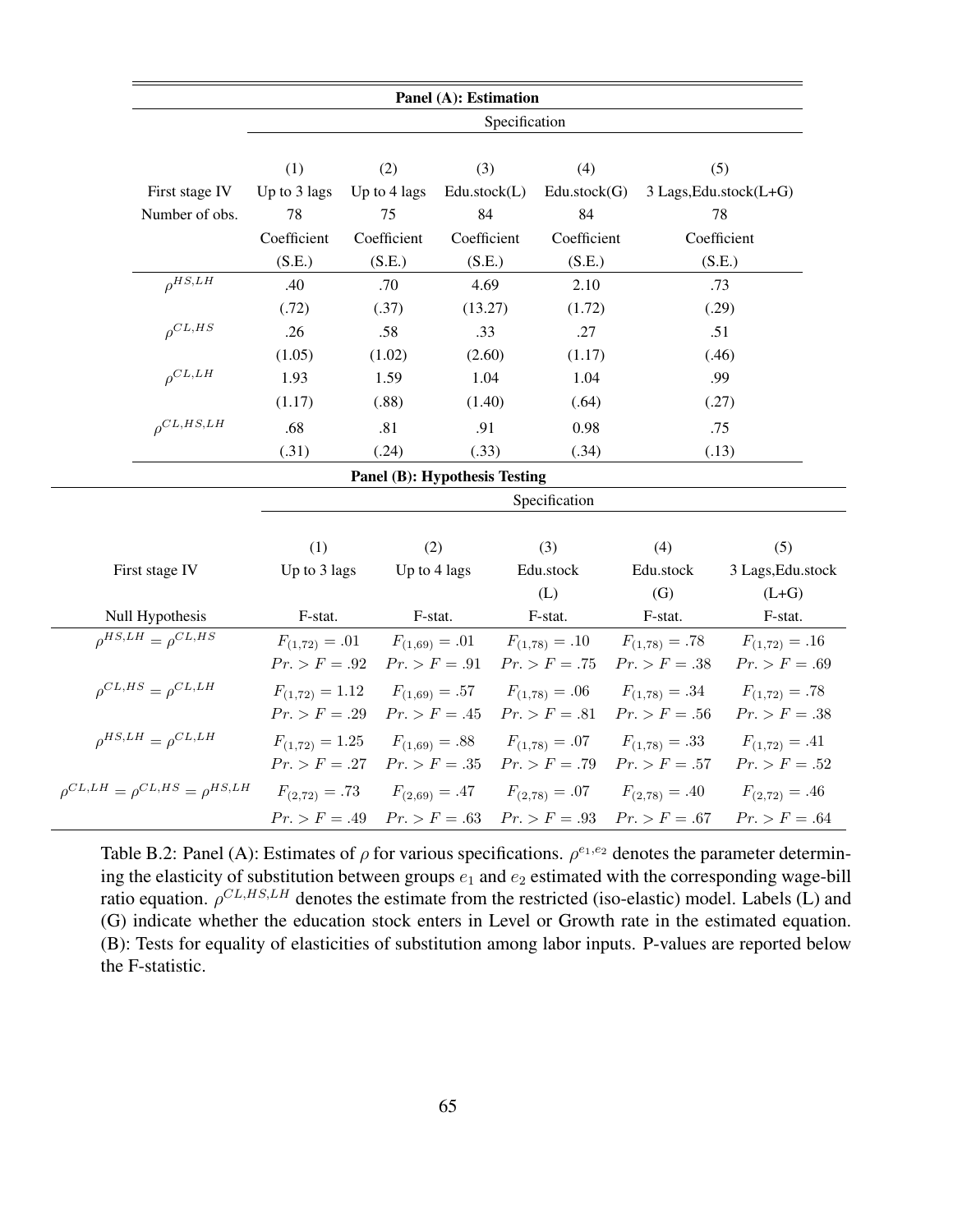|                                               |                    |                                 | Panel (A): Estimation |                    |                                                                                                 |                                                 |  |
|-----------------------------------------------|--------------------|---------------------------------|-----------------------|--------------------|-------------------------------------------------------------------------------------------------|-------------------------------------------------|--|
|                                               | Specification      |                                 |                       |                    |                                                                                                 |                                                 |  |
|                                               | (1)                | (2)                             | (3)                   | (4)                |                                                                                                 | (5)                                             |  |
| First stage IV                                | Up to 3 lags       | Up to 4 lags                    | Edu.stock(L)          | Edu.stock(G)       |                                                                                                 | 3 Lags, Edu.stock(L+G)                          |  |
| Number of obs.                                | 78                 | 75                              | 84                    | 84                 |                                                                                                 | 78                                              |  |
|                                               | Coefficient        | Coefficient                     | Coefficient           | Coefficient        |                                                                                                 | Coefficient                                     |  |
|                                               | (S.E.)             | (S.E.)                          | (S.E.)                | (S.E.)             |                                                                                                 | (S.E.)                                          |  |
| $\rho^{HS,\overline{LH}}$                     | .40                | .70                             | 4.69                  | 2.10               |                                                                                                 | .73                                             |  |
|                                               | (.72)              | (.37)                           | (13.27)               | (1.72)             |                                                                                                 | (.29)                                           |  |
| $o^{CL,HS}$                                   | .26                | .58                             | .33                   | .27                |                                                                                                 | .51                                             |  |
|                                               | (1.05)             | (1.02)                          | (2.60)                | (1.17)             |                                                                                                 | (.46)                                           |  |
| $\rho^{CL, LH}$                               | 1.93               | 1.59                            | 1.04                  | 1.04               |                                                                                                 | .99                                             |  |
|                                               | (1.17)             | (.88)                           | (1.40)                | (.64)              |                                                                                                 | (.27)                                           |  |
| $O^{CL,HS,LH}$                                | .68                | .81                             | .91                   | 0.98               |                                                                                                 | .75                                             |  |
|                                               | (.31)              | (.24)                           | (.33)                 | (.34)              |                                                                                                 | (.13)                                           |  |
|                                               |                    | Panel (B): Hypothesis Testing   |                       |                    |                                                                                                 |                                                 |  |
|                                               |                    |                                 |                       | Specification      |                                                                                                 |                                                 |  |
|                                               | (1)                | (2)                             |                       | (3)                | (4)                                                                                             | (5)                                             |  |
| First stage IV                                | Up to 3 lags       | Up to 4 lags                    |                       | Edu.stock          | Edu.stock                                                                                       | 3 Lags, Edu.stock                               |  |
|                                               |                    |                                 |                       | (L)                | (G)                                                                                             | $(L+G)$                                         |  |
| Null Hypothesis                               | F-stat.            | F-stat.                         |                       | F-stat.            | F-stat.                                                                                         | F-stat.                                         |  |
| $\rho^{HS, LH} = \rho^{CL,HS}$                | $F_{(1,72)} = .01$ | $F_{(1,69)} = .01$              |                       | $F_{(1,78)} = .10$ | $F_{(1,78)}=.78$                                                                                | $F_{(1,72)} = .16$                              |  |
|                                               |                    | $Pr. > F = .92$ $Pr. > F = .91$ |                       |                    | $Pr. > F = .75$ $Pr. > F = .38$                                                                 | $Pr. > F = .69$                                 |  |
| $\rho^{CL,HS} = \rho^{CL,LH}$                 |                    |                                 |                       |                    | $F_{(1,72)} = 1.12$ $F_{(1,69)} = .57$ $F_{(1,78)} = .06$ $F_{(1,78)} = .34$ $F_{(1,72)} = .78$ |                                                 |  |
|                                               |                    | $Pr. > F = .29$ $Pr. > F = .45$ |                       |                    |                                                                                                 | $Pr. > F = .81$ $Pr. > F = .56$ $Pr. > F = .38$ |  |
| $\rho^{HS,LH} = \rho^{CL,LH}$                 |                    |                                 |                       |                    | $F_{(1,72)} = 1.25$ $F_{(1,69)} = .88$ $F_{(1,78)} = .07$ $F_{(1,78)} = .33$ $F_{(1,72)} = .41$ |                                                 |  |
|                                               |                    | $Pr. > F = .27$ $Pr. > F = .35$ |                       |                    | $Pr. > F = .79$ $Pr. > F = .57$                                                                 | $Pr. > F = .52$                                 |  |
| $\rho^{CL, LH} = \rho^{CL,HS} = \rho^{HS,LH}$ |                    |                                 |                       |                    | $F_{(2,72)} = .73$ $F_{(2,69)} = .47$ $F_{(2,78)} = .07$ $F_{(2,78)} = .40$                     | $F_{(2,72)} = .46$                              |  |
|                                               |                    | $Pr. > F = .49$ $Pr. > F = .63$ |                       |                    | $Pr. > F = .93$ $Pr. > F = .67$                                                                 | $Pr. > F = .64$                                 |  |

Table B.2: Panel (A): Estimates of  $\rho$  for various specifications.  $\rho^{e_1,e_2}$  denotes the parameter determining the elasticity of substitution between groups  $e_1$  and  $e_2$  estimated with the corresponding wage-bill ratio equation.  $\rho^{CL,HS,LH}$  denotes the estimate from the restricted (iso-elastic) model. Labels (L) and (G) indicate whether the education stock enters in Level or Growth rate in the estimated equation. (B): Tests for equality of elasticities of substitution among labor inputs. P-values are reported below the F-statistic.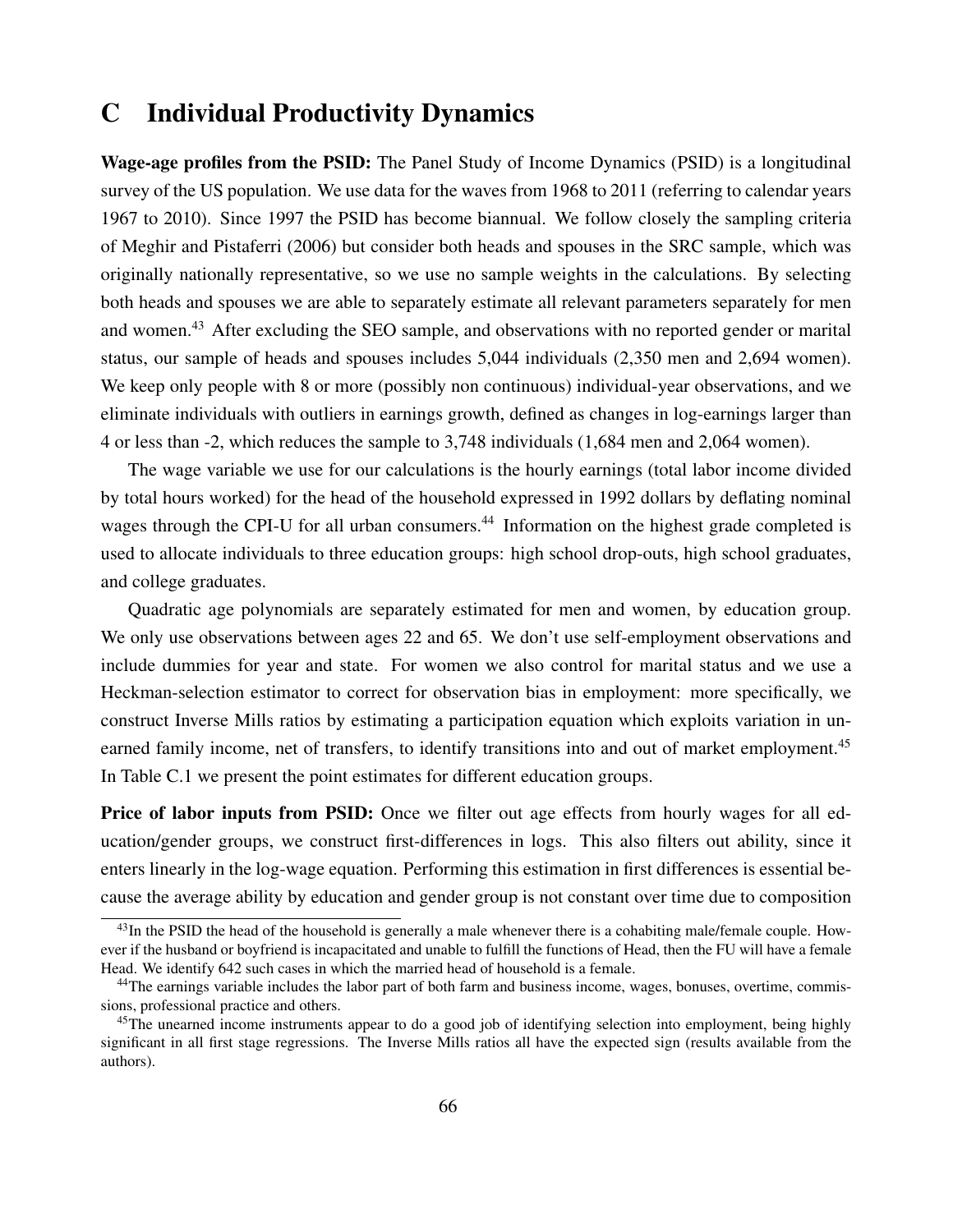# C Individual Productivity Dynamics

Wage-age profiles from the PSID: The Panel Study of Income Dynamics (PSID) is a longitudinal survey of the US population. We use data for the waves from 1968 to 2011 (referring to calendar years 1967 to 2010). Since 1997 the PSID has become biannual. We follow closely the sampling criteria of Meghir and Pistaferri (2006) but consider both heads and spouses in the SRC sample, which was originally nationally representative, so we use no sample weights in the calculations. By selecting both heads and spouses we are able to separately estimate all relevant parameters separately for men and women.<sup>43</sup> After excluding the SEO sample, and observations with no reported gender or marital status, our sample of heads and spouses includes 5,044 individuals (2,350 men and 2,694 women). We keep only people with 8 or more (possibly non continuous) individual-year observations, and we eliminate individuals with outliers in earnings growth, defined as changes in log-earnings larger than 4 or less than -2, which reduces the sample to 3,748 individuals (1,684 men and 2,064 women).

The wage variable we use for our calculations is the hourly earnings (total labor income divided by total hours worked) for the head of the household expressed in 1992 dollars by deflating nominal wages through the CPI-U for all urban consumers.<sup>44</sup> Information on the highest grade completed is used to allocate individuals to three education groups: high school drop-outs, high school graduates, and college graduates.

Quadratic age polynomials are separately estimated for men and women, by education group. We only use observations between ages 22 and 65. We don't use self-employment observations and include dummies for year and state. For women we also control for marital status and we use a Heckman-selection estimator to correct for observation bias in employment: more specifically, we construct Inverse Mills ratios by estimating a participation equation which exploits variation in unearned family income, net of transfers, to identify transitions into and out of market employment.<sup>45</sup> In Table C.1 we present the point estimates for different education groups.

Price of labor inputs from PSID: Once we filter out age effects from hourly wages for all education/gender groups, we construct first-differences in logs. This also filters out ability, since it enters linearly in the log-wage equation. Performing this estimation in first differences is essential because the average ability by education and gender group is not constant over time due to composition

 $^{43}$ In the PSID the head of the household is generally a male whenever there is a cohabiting male/female couple. However if the husband or boyfriend is incapacitated and unable to fulfill the functions of Head, then the FU will have a female Head. We identify 642 such cases in which the married head of household is a female.

<sup>&</sup>lt;sup>44</sup>The earnings variable includes the labor part of both farm and business income, wages, bonuses, overtime, commissions, professional practice and others.

<sup>&</sup>lt;sup>45</sup>The unearned income instruments appear to do a good job of identifying selection into employment, being highly significant in all first stage regressions. The Inverse Mills ratios all have the expected sign (results available from the authors).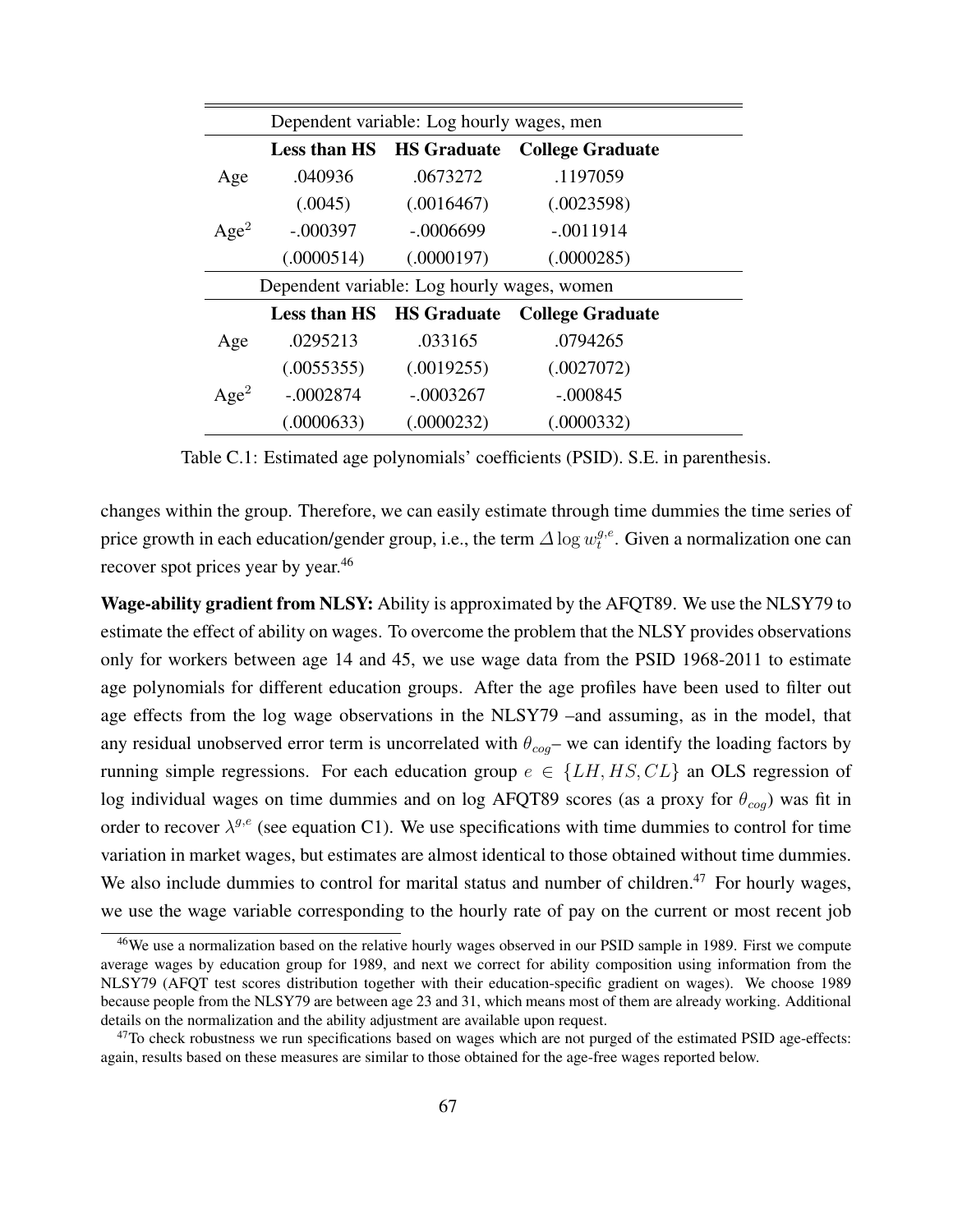| Dependent variable: Log hourly wages, men |              |                                             |                         |  |  |  |
|-------------------------------------------|--------------|---------------------------------------------|-------------------------|--|--|--|
|                                           |              | Less than HS HS Graduate                    | <b>College Graduate</b> |  |  |  |
| Age                                       | .040936      | .0673272                                    | .1197059                |  |  |  |
|                                           | (.0045)      | (.0016467)                                  | (.0023598)              |  |  |  |
| Age <sup>2</sup>                          | $-.000397$   | $-.0006699$                                 | $-.0011914$             |  |  |  |
|                                           | (.0000514)   | (.0000197)                                  | (.0000285)              |  |  |  |
|                                           |              | Dependent variable: Log hourly wages, women |                         |  |  |  |
|                                           | Less than HS | <b>HS Graduate</b>                          | <b>College Graduate</b> |  |  |  |
| Age                                       | .0295213     | .033165                                     | .0794265                |  |  |  |
|                                           | (.0055355)   | (.0019255)                                  | (.0027072)              |  |  |  |
| Age <sup>2</sup>                          | $-.0002874$  | $-.0003267$                                 | $-.000845$              |  |  |  |
|                                           | (.0000633)   | (.0000232)                                  | (.0000332)              |  |  |  |

Table C.1: Estimated age polynomials' coefficients (PSID). S.E. in parenthesis.

changes within the group. Therefore, we can easily estimate through time dummies the time series of price growth in each education/gender group, i.e., the term  $\Delta \log w_t^{g,e}$  $t^{g,e}$ . Given a normalization one can recover spot prices year by year.<sup>46</sup>

Wage-ability gradient from NLSY: Ability is approximated by the AFQT89. We use the NLSY79 to estimate the effect of ability on wages. To overcome the problem that the NLSY provides observations only for workers between age 14 and 45, we use wage data from the PSID 1968-2011 to estimate age polynomials for different education groups. After the age profiles have been used to filter out age effects from the log wage observations in the NLSY79 –and assuming, as in the model, that any residual unobserved error term is uncorrelated with  $\theta_{coq}$  we can identify the loading factors by running simple regressions. For each education group  $e \in \{LH, HS, CL\}$  an OLS regression of log individual wages on time dummies and on log AFQT89 scores (as a proxy for  $\theta_{coq}$ ) was fit in order to recover  $\lambda^{g,e}$  (see equation C1). We use specifications with time dummies to control for time variation in market wages, but estimates are almost identical to those obtained without time dummies. We also include dummies to control for marital status and number of children.<sup>47</sup> For hourly wages, we use the wage variable corresponding to the hourly rate of pay on the current or most recent job

<sup>&</sup>lt;sup>46</sup>We use a normalization based on the relative hourly wages observed in our PSID sample in 1989. First we compute average wages by education group for 1989, and next we correct for ability composition using information from the NLSY79 (AFQT test scores distribution together with their education-specific gradient on wages). We choose 1989 because people from the NLSY79 are between age 23 and 31, which means most of them are already working. Additional details on the normalization and the ability adjustment are available upon request.

 $47$ To check robustness we run specifications based on wages which are not purged of the estimated PSID age-effects: again, results based on these measures are similar to those obtained for the age-free wages reported below.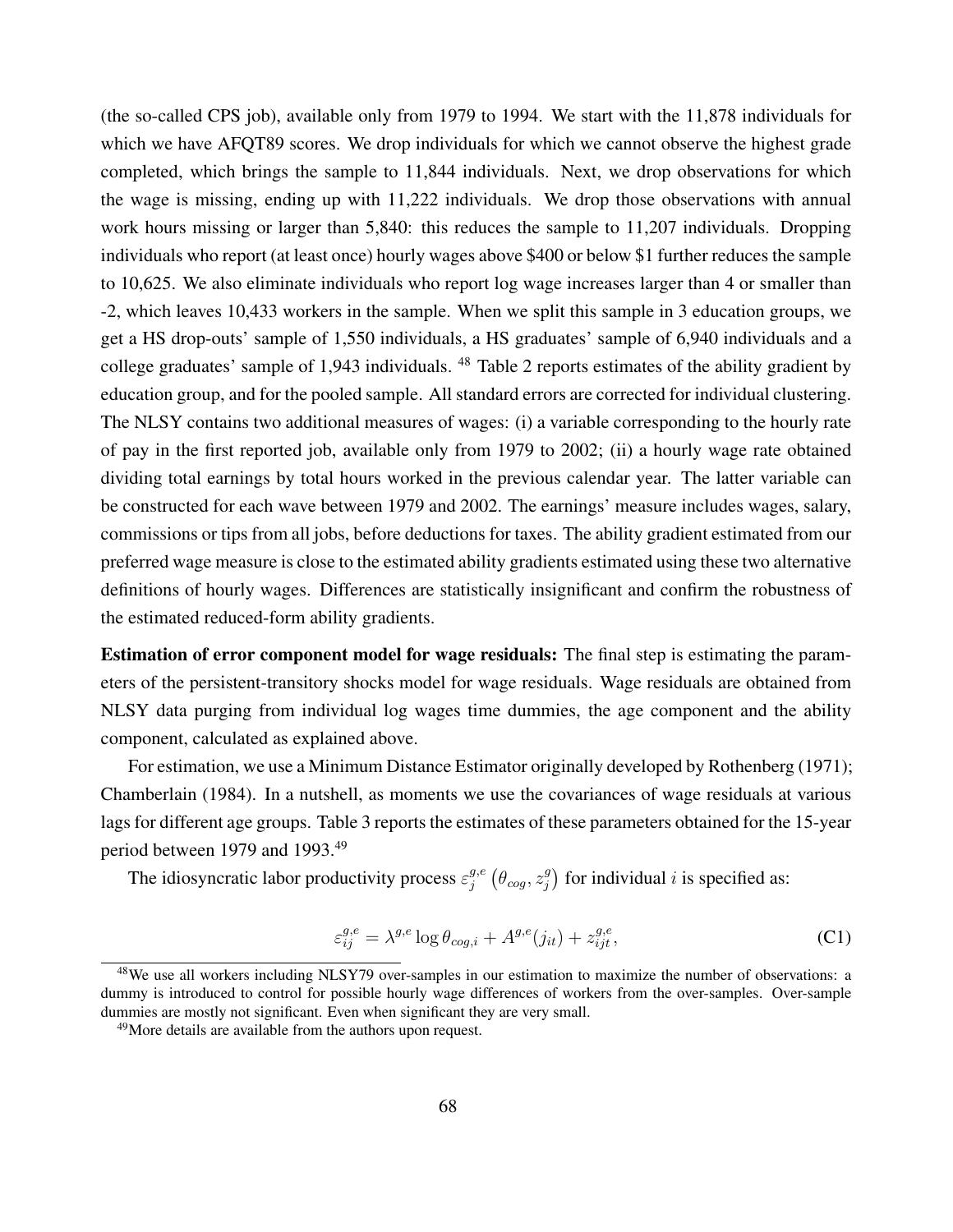(the so-called CPS job), available only from 1979 to 1994. We start with the 11,878 individuals for which we have AFQT89 scores. We drop individuals for which we cannot observe the highest grade completed, which brings the sample to 11,844 individuals. Next, we drop observations for which the wage is missing, ending up with 11,222 individuals. We drop those observations with annual work hours missing or larger than 5,840: this reduces the sample to 11,207 individuals. Dropping individuals who report (at least once) hourly wages above \$400 or below \$1 further reduces the sample to 10,625. We also eliminate individuals who report log wage increases larger than 4 or smaller than -2, which leaves 10,433 workers in the sample. When we split this sample in 3 education groups, we get a HS drop-outs' sample of 1,550 individuals, a HS graduates' sample of 6,940 individuals and a college graduates' sample of 1,943 individuals. <sup>48</sup> Table 2 reports estimates of the ability gradient by education group, and for the pooled sample. All standard errors are corrected for individual clustering. The NLSY contains two additional measures of wages: (i) a variable corresponding to the hourly rate of pay in the first reported job, available only from 1979 to 2002; (ii) a hourly wage rate obtained dividing total earnings by total hours worked in the previous calendar year. The latter variable can be constructed for each wave between 1979 and 2002. The earnings' measure includes wages, salary, commissions or tips from all jobs, before deductions for taxes. The ability gradient estimated from our preferred wage measure is close to the estimated ability gradients estimated using these two alternative definitions of hourly wages. Differences are statistically insignificant and confirm the robustness of the estimated reduced-form ability gradients.

Estimation of error component model for wage residuals: The final step is estimating the parameters of the persistent-transitory shocks model for wage residuals. Wage residuals are obtained from NLSY data purging from individual log wages time dummies, the age component and the ability component, calculated as explained above.

For estimation, we use a Minimum Distance Estimator originally developed by Rothenberg (1971); Chamberlain (1984). In a nutshell, as moments we use the covariances of wage residuals at various lags for different age groups. Table 3 reports the estimates of these parameters obtained for the 15-year period between 1979 and 1993.<sup>49</sup>

The idiosyncratic labor productivity process  $\varepsilon_i^{g,e}$  $_{j}^{g,e}\left( \theta _{cog},z_{j}^{g}\right)$  $j^{g}$ ) for individual i is specified as:

$$
\varepsilon_{ij}^{g,e} = \lambda^{g,e} \log \theta_{cog,i} + A^{g,e}(j_{it}) + z_{ijt}^{g,e},\tag{C1}
$$

<sup>&</sup>lt;sup>48</sup>We use all workers including NLSY79 over-samples in our estimation to maximize the number of observations: a dummy is introduced to control for possible hourly wage differences of workers from the over-samples. Over-sample dummies are mostly not significant. Even when significant they are very small.

<sup>&</sup>lt;sup>49</sup>More details are available from the authors upon request.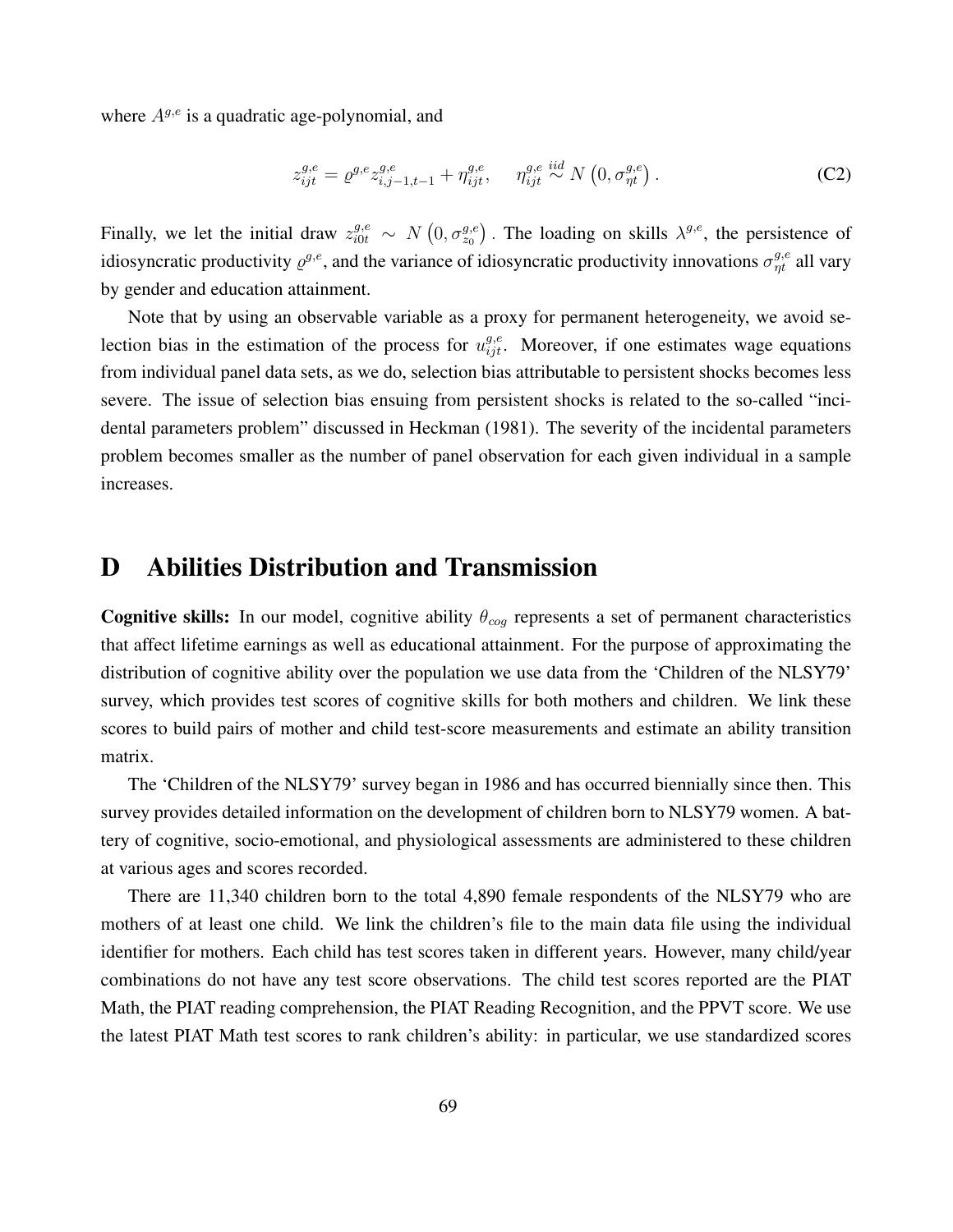where  $A^{g,e}$  is a quadratic age-polynomial, and

$$
z_{ijt}^{g,e} = \varrho^{g,e} z_{i,j-1,t-1}^{g,e} + \eta_{ijt}^{g,e}, \quad \eta_{ijt}^{g,e} \stackrel{iid}{\sim} N\left(0, \sigma_{\eta t}^{g,e}\right). \tag{C2}
$$

Finally, we let the initial draw  $z_{i0t}^{g,e} \sim N(0, \sigma_{z_0}^{g,e})$ . The loading on skills  $\lambda^{g,e}$ , the persistence of idiosyncratic productivity  $\varrho^{g,e}$ , and the variance of idiosyncratic productivity innovations  $\sigma_{\eta t}^{g,e}$  all vary by gender and education attainment.

Note that by using an observable variable as a proxy for permanent heterogeneity, we avoid selection bias in the estimation of the process for  $u_{ijt}^{g,e}$ . Moreover, if one estimates wage equations from individual panel data sets, as we do, selection bias attributable to persistent shocks becomes less severe. The issue of selection bias ensuing from persistent shocks is related to the so-called "incidental parameters problem" discussed in Heckman (1981). The severity of the incidental parameters problem becomes smaller as the number of panel observation for each given individual in a sample increases.

## D Abilities Distribution and Transmission

Cognitive skills: In our model, cognitive ability  $\theta_{cog}$  represents a set of permanent characteristics that affect lifetime earnings as well as educational attainment. For the purpose of approximating the distribution of cognitive ability over the population we use data from the 'Children of the NLSY79' survey, which provides test scores of cognitive skills for both mothers and children. We link these scores to build pairs of mother and child test-score measurements and estimate an ability transition matrix.

The 'Children of the NLSY79' survey began in 1986 and has occurred biennially since then. This survey provides detailed information on the development of children born to NLSY79 women. A battery of cognitive, socio-emotional, and physiological assessments are administered to these children at various ages and scores recorded.

There are 11,340 children born to the total 4,890 female respondents of the NLSY79 who are mothers of at least one child. We link the children's file to the main data file using the individual identifier for mothers. Each child has test scores taken in different years. However, many child/year combinations do not have any test score observations. The child test scores reported are the PIAT Math, the PIAT reading comprehension, the PIAT Reading Recognition, and the PPVT score. We use the latest PIAT Math test scores to rank children's ability: in particular, we use standardized scores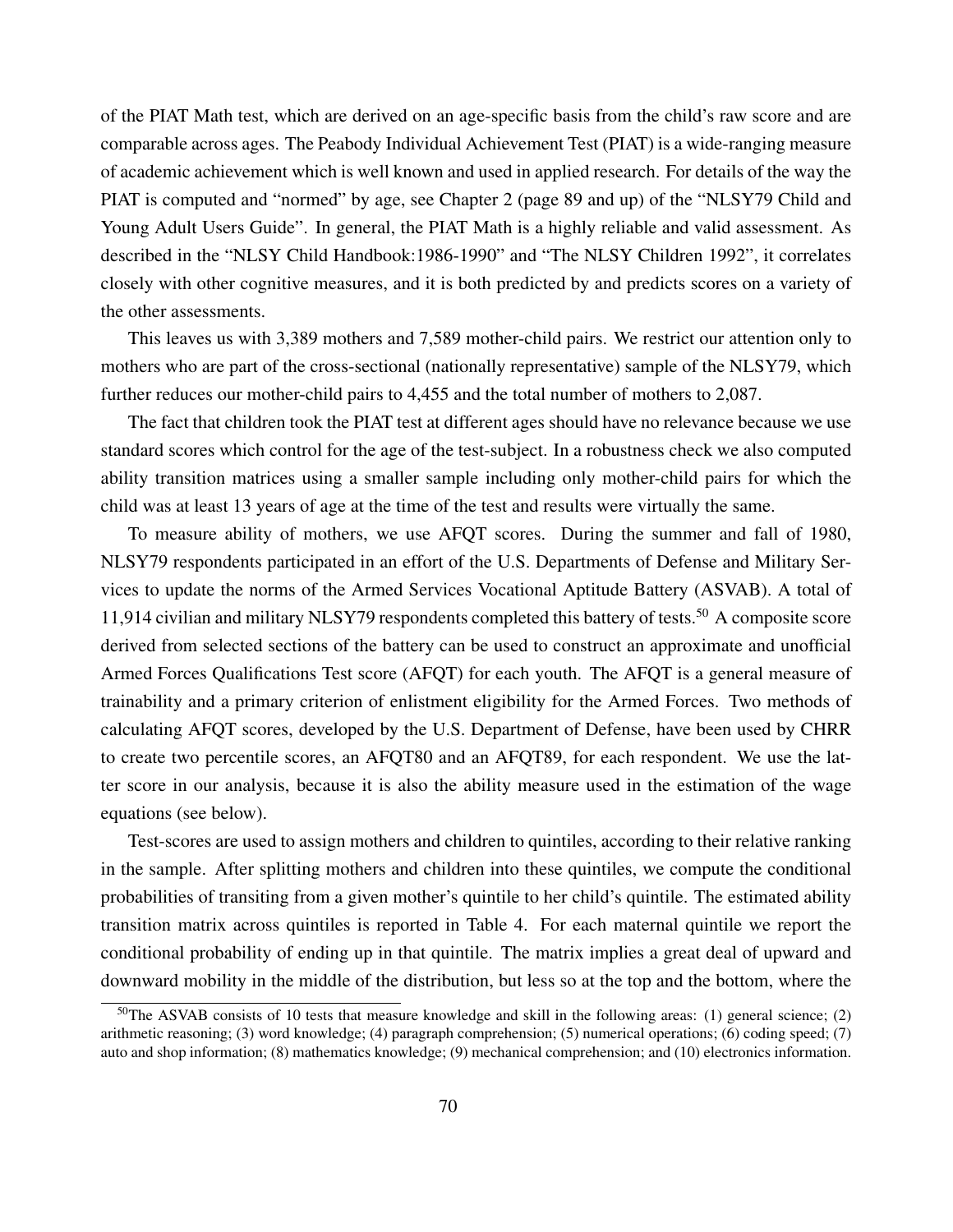of the PIAT Math test, which are derived on an age-specific basis from the child's raw score and are comparable across ages. The Peabody Individual Achievement Test (PIAT) is a wide-ranging measure of academic achievement which is well known and used in applied research. For details of the way the PIAT is computed and "normed" by age, see Chapter 2 (page 89 and up) of the "NLSY79 Child and Young Adult Users Guide". In general, the PIAT Math is a highly reliable and valid assessment. As described in the "NLSY Child Handbook:1986-1990" and "The NLSY Children 1992", it correlates closely with other cognitive measures, and it is both predicted by and predicts scores on a variety of the other assessments.

This leaves us with 3,389 mothers and 7,589 mother-child pairs. We restrict our attention only to mothers who are part of the cross-sectional (nationally representative) sample of the NLSY79, which further reduces our mother-child pairs to 4,455 and the total number of mothers to 2,087.

The fact that children took the PIAT test at different ages should have no relevance because we use standard scores which control for the age of the test-subject. In a robustness check we also computed ability transition matrices using a smaller sample including only mother-child pairs for which the child was at least 13 years of age at the time of the test and results were virtually the same.

To measure ability of mothers, we use AFQT scores. During the summer and fall of 1980, NLSY79 respondents participated in an effort of the U.S. Departments of Defense and Military Services to update the norms of the Armed Services Vocational Aptitude Battery (ASVAB). A total of 11,914 civilian and military NLSY79 respondents completed this battery of tests.<sup>50</sup> A composite score derived from selected sections of the battery can be used to construct an approximate and unofficial Armed Forces Qualifications Test score (AFQT) for each youth. The AFQT is a general measure of trainability and a primary criterion of enlistment eligibility for the Armed Forces. Two methods of calculating AFQT scores, developed by the U.S. Department of Defense, have been used by CHRR to create two percentile scores, an AFQT80 and an AFQT89, for each respondent. We use the latter score in our analysis, because it is also the ability measure used in the estimation of the wage equations (see below).

Test-scores are used to assign mothers and children to quintiles, according to their relative ranking in the sample. After splitting mothers and children into these quintiles, we compute the conditional probabilities of transiting from a given mother's quintile to her child's quintile. The estimated ability transition matrix across quintiles is reported in Table 4. For each maternal quintile we report the conditional probability of ending up in that quintile. The matrix implies a great deal of upward and downward mobility in the middle of the distribution, but less so at the top and the bottom, where the

 $50$ The ASVAB consists of 10 tests that measure knowledge and skill in the following areas: (1) general science; (2) arithmetic reasoning; (3) word knowledge; (4) paragraph comprehension; (5) numerical operations; (6) coding speed; (7) auto and shop information; (8) mathematics knowledge; (9) mechanical comprehension; and (10) electronics information.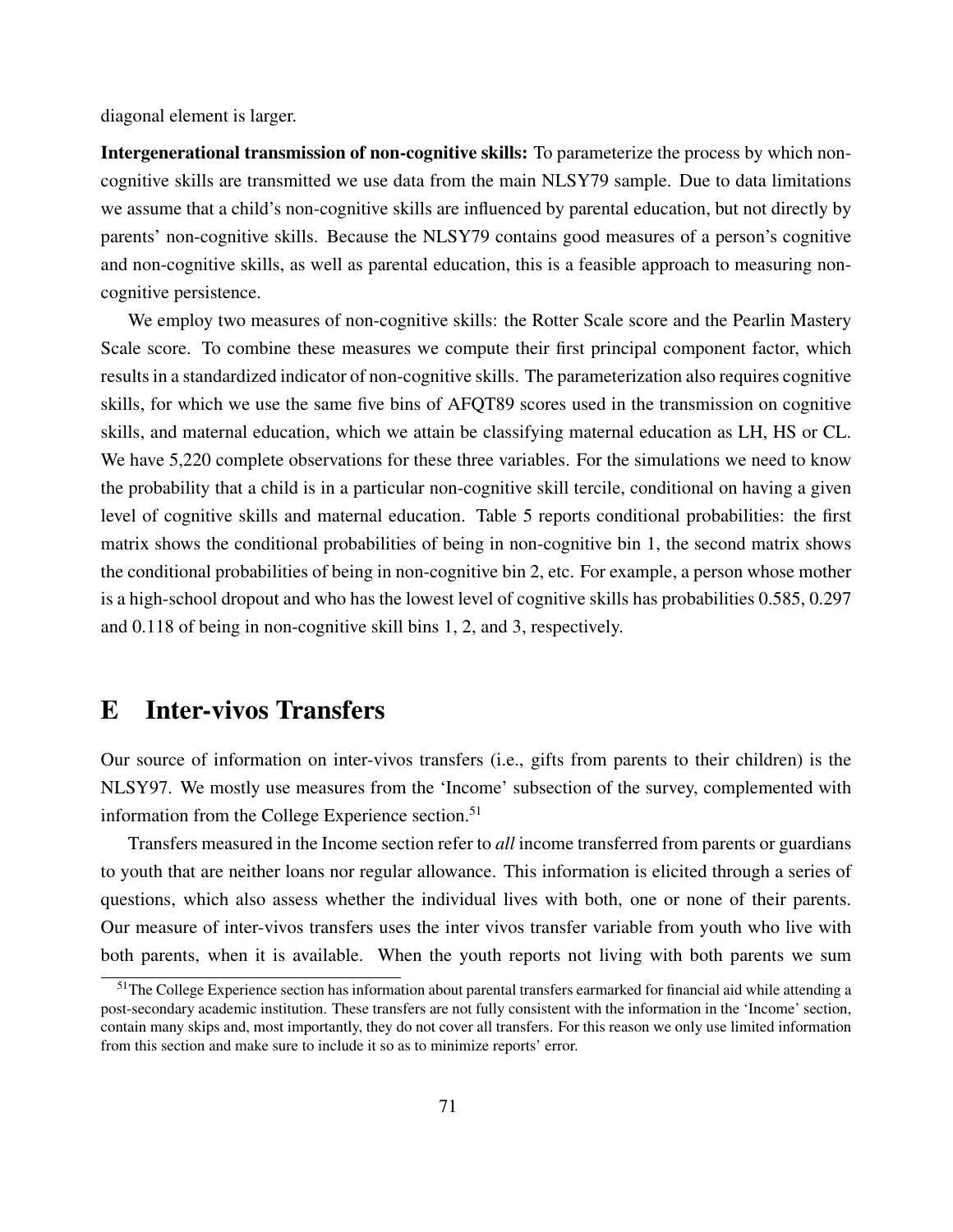diagonal element is larger.

Intergenerational transmission of non-cognitive skills: To parameterize the process by which noncognitive skills are transmitted we use data from the main NLSY79 sample. Due to data limitations we assume that a child's non-cognitive skills are influenced by parental education, but not directly by parents' non-cognitive skills. Because the NLSY79 contains good measures of a person's cognitive and non-cognitive skills, as well as parental education, this is a feasible approach to measuring noncognitive persistence.

We employ two measures of non-cognitive skills: the Rotter Scale score and the Pearlin Mastery Scale score. To combine these measures we compute their first principal component factor, which results in a standardized indicator of non-cognitive skills. The parameterization also requires cognitive skills, for which we use the same five bins of AFQT89 scores used in the transmission on cognitive skills, and maternal education, which we attain be classifying maternal education as LH, HS or CL. We have 5,220 complete observations for these three variables. For the simulations we need to know the probability that a child is in a particular non-cognitive skill tercile, conditional on having a given level of cognitive skills and maternal education. Table 5 reports conditional probabilities: the first matrix shows the conditional probabilities of being in non-cognitive bin 1, the second matrix shows the conditional probabilities of being in non-cognitive bin 2, etc. For example, a person whose mother is a high-school dropout and who has the lowest level of cognitive skills has probabilities 0.585, 0.297 and 0.118 of being in non-cognitive skill bins 1, 2, and 3, respectively.

# E Inter-vivos Transfers

Our source of information on inter-vivos transfers (i.e., gifts from parents to their children) is the NLSY97. We mostly use measures from the 'Income' subsection of the survey, complemented with information from the College Experience section.<sup>51</sup>

Transfers measured in the Income section refer to *all* income transferred from parents or guardians to youth that are neither loans nor regular allowance. This information is elicited through a series of questions, which also assess whether the individual lives with both, one or none of their parents. Our measure of inter-vivos transfers uses the inter vivos transfer variable from youth who live with both parents, when it is available. When the youth reports not living with both parents we sum

 $<sup>51</sup>$ The College Experience section has information about parental transfers earmarked for financial aid while attending a</sup> post-secondary academic institution. These transfers are not fully consistent with the information in the 'Income' section, contain many skips and, most importantly, they do not cover all transfers. For this reason we only use limited information from this section and make sure to include it so as to minimize reports' error.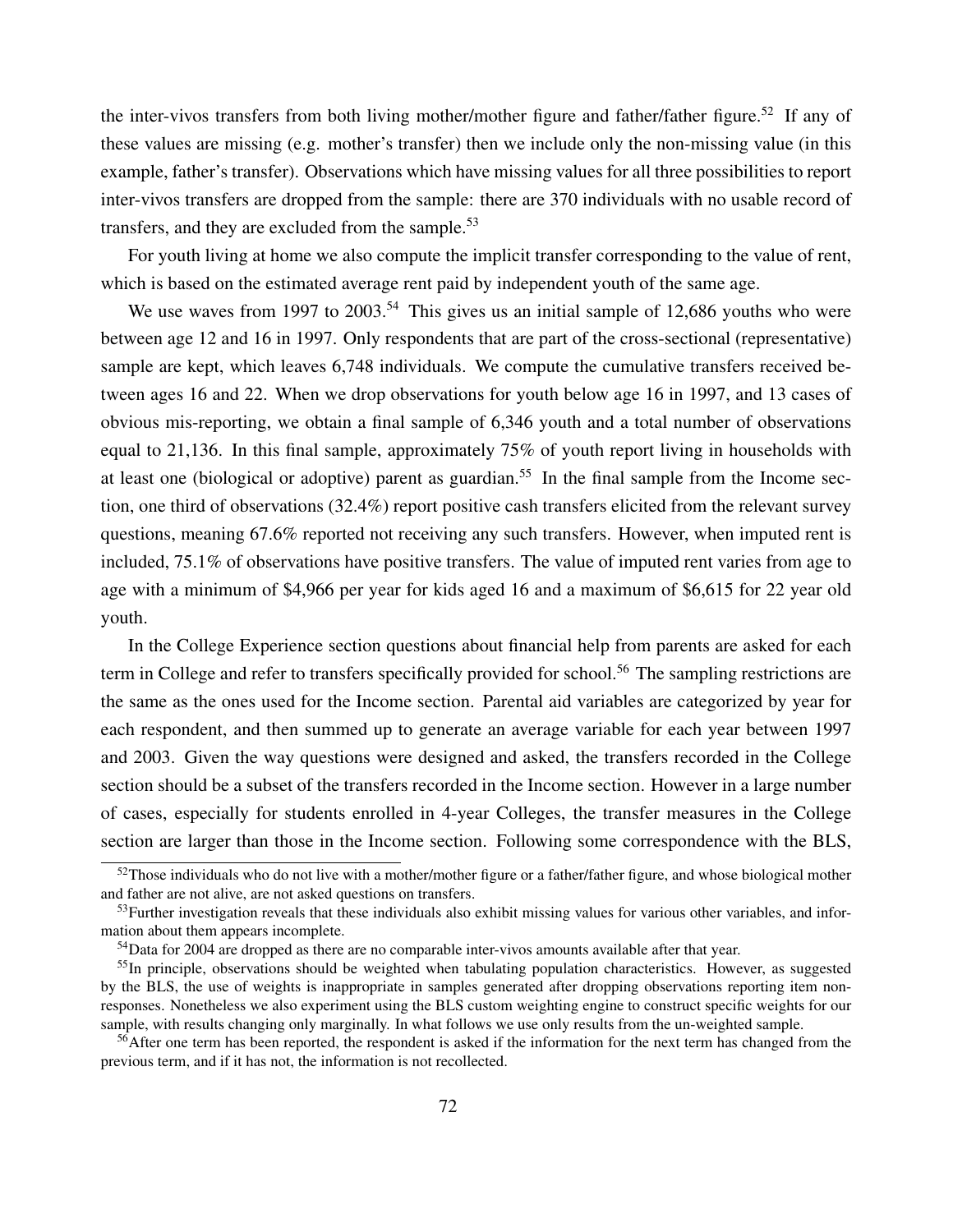the inter-vivos transfers from both living mother/mother figure and father/father figure.<sup>52</sup> If any of these values are missing (e.g. mother's transfer) then we include only the non-missing value (in this example, father's transfer). Observations which have missing values for all three possibilities to report inter-vivos transfers are dropped from the sample: there are 370 individuals with no usable record of transfers, and they are excluded from the sample.<sup>53</sup>

For youth living at home we also compute the implicit transfer corresponding to the value of rent, which is based on the estimated average rent paid by independent youth of the same age.

We use waves from 1997 to 2003.<sup>54</sup> This gives us an initial sample of 12,686 youths who were between age 12 and 16 in 1997. Only respondents that are part of the cross-sectional (representative) sample are kept, which leaves 6,748 individuals. We compute the cumulative transfers received between ages 16 and 22. When we drop observations for youth below age 16 in 1997, and 13 cases of obvious mis-reporting, we obtain a final sample of 6,346 youth and a total number of observations equal to 21,136. In this final sample, approximately 75% of youth report living in households with at least one (biological or adoptive) parent as guardian.<sup>55</sup> In the final sample from the Income section, one third of observations (32.4%) report positive cash transfers elicited from the relevant survey questions, meaning 67.6% reported not receiving any such transfers. However, when imputed rent is included, 75.1% of observations have positive transfers. The value of imputed rent varies from age to age with a minimum of \$4,966 per year for kids aged 16 and a maximum of \$6,615 for 22 year old youth.

In the College Experience section questions about financial help from parents are asked for each term in College and refer to transfers specifically provided for school.<sup>56</sup> The sampling restrictions are the same as the ones used for the Income section. Parental aid variables are categorized by year for each respondent, and then summed up to generate an average variable for each year between 1997 and 2003. Given the way questions were designed and asked, the transfers recorded in the College section should be a subset of the transfers recorded in the Income section. However in a large number of cases, especially for students enrolled in 4-year Colleges, the transfer measures in the College section are larger than those in the Income section. Following some correspondence with the BLS,

 $52$ Those individuals who do not live with a mother/mother figure or a father/father figure, and whose biological mother and father are not alive, are not asked questions on transfers.

 $53$ Further investigation reveals that these individuals also exhibit missing values for various other variables, and information about them appears incomplete.

<sup>&</sup>lt;sup>54</sup>Data for 2004 are dropped as there are no comparable inter-vivos amounts available after that year.

<sup>&</sup>lt;sup>55</sup>In principle, observations should be weighted when tabulating population characteristics. However, as suggested by the BLS, the use of weights is inappropriate in samples generated after dropping observations reporting item nonresponses. Nonetheless we also experiment using the BLS custom weighting engine to construct specific weights for our sample, with results changing only marginally. In what follows we use only results from the un-weighted sample.

<sup>&</sup>lt;sup>56</sup>After one term has been reported, the respondent is asked if the information for the next term has changed from the previous term, and if it has not, the information is not recollected.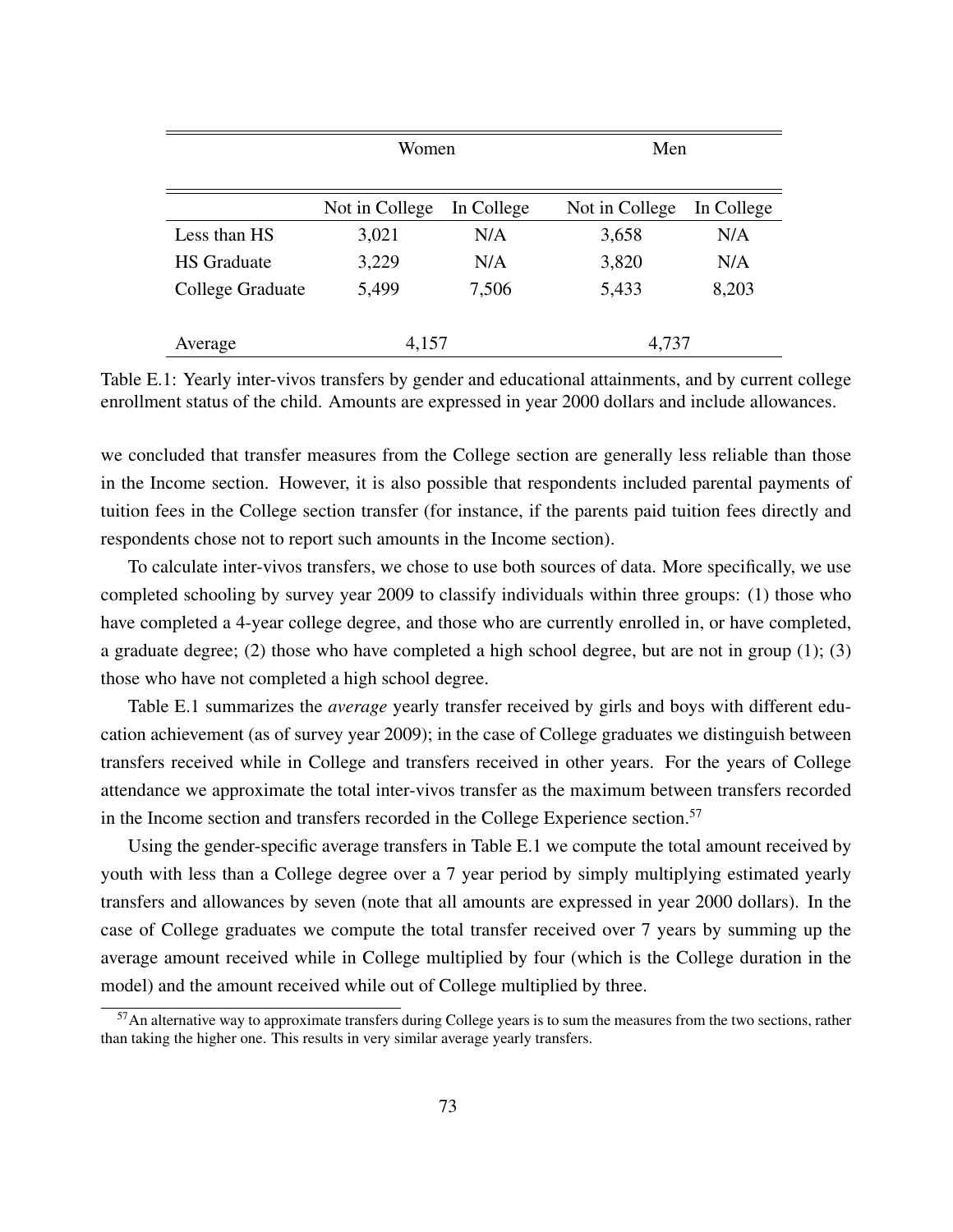|                    | Women          |            | Men            |            |  |
|--------------------|----------------|------------|----------------|------------|--|
|                    | Not in College | In College | Not in College | In College |  |
| Less than HS       | 3,021          | N/A        | 3,658          | N/A        |  |
| <b>HS</b> Graduate | 3,229          | N/A        | 3,820          | N/A        |  |
| College Graduate   | 5,499          | 7,506      | 5,433          | 8,203      |  |
| Average            | 4,157          |            | 4,737          |            |  |

Table E.1: Yearly inter-vivos transfers by gender and educational attainments, and by current college enrollment status of the child. Amounts are expressed in year 2000 dollars and include allowances.

we concluded that transfer measures from the College section are generally less reliable than those in the Income section. However, it is also possible that respondents included parental payments of tuition fees in the College section transfer (for instance, if the parents paid tuition fees directly and respondents chose not to report such amounts in the Income section).

To calculate inter-vivos transfers, we chose to use both sources of data. More specifically, we use completed schooling by survey year 2009 to classify individuals within three groups: (1) those who have completed a 4-year college degree, and those who are currently enrolled in, or have completed, a graduate degree; (2) those who have completed a high school degree, but are not in group  $(1)$ ; (3) those who have not completed a high school degree.

Table E.1 summarizes the *average* yearly transfer received by girls and boys with different education achievement (as of survey year 2009); in the case of College graduates we distinguish between transfers received while in College and transfers received in other years. For the years of College attendance we approximate the total inter-vivos transfer as the maximum between transfers recorded in the Income section and transfers recorded in the College Experience section.<sup>57</sup>

Using the gender-specific average transfers in Table E.1 we compute the total amount received by youth with less than a College degree over a 7 year period by simply multiplying estimated yearly transfers and allowances by seven (note that all amounts are expressed in year 2000 dollars). In the case of College graduates we compute the total transfer received over 7 years by summing up the average amount received while in College multiplied by four (which is the College duration in the model) and the amount received while out of College multiplied by three.

 $57$ An alternative way to approximate transfers during College years is to sum the measures from the two sections, rather than taking the higher one. This results in very similar average yearly transfers.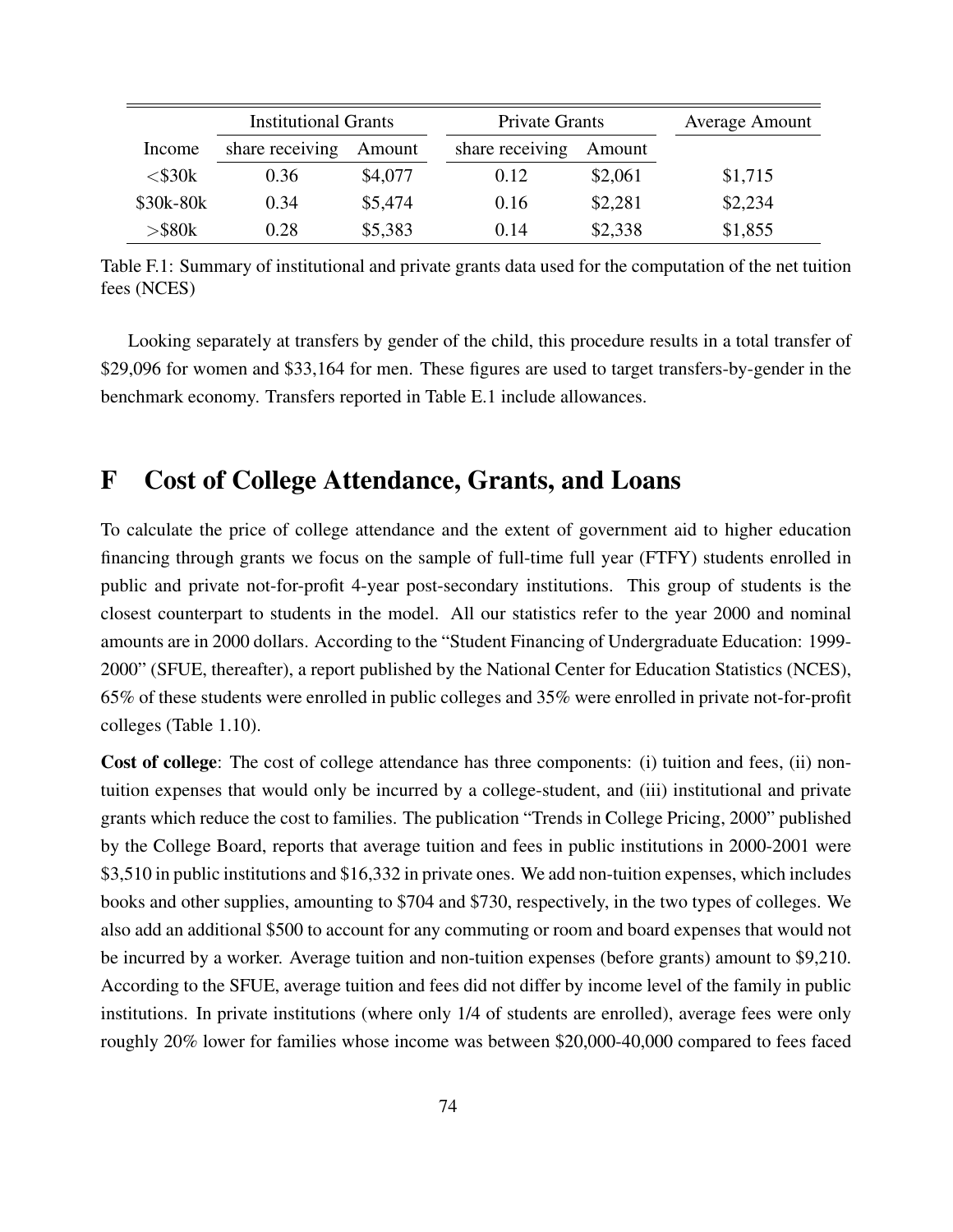|              | <b>Institutional Grants</b> |         |                 | <b>Private Grants</b> |         |  |
|--------------|-----------------------------|---------|-----------------|-----------------------|---------|--|
| Income       | share receiving             | Amount  | share receiving | Amount                |         |  |
| $<$ \$30 $k$ | 0.36                        | \$4,077 | 0.12            | \$2,061               | \$1,715 |  |
| \$30k-80k    | 0.34                        | \$5,474 | 0.16            | \$2,281               | \$2,234 |  |
| $>$ \$80 $k$ | 0.28                        | \$5,383 | 0.14            | \$2,338               | \$1,855 |  |

Table F.1: Summary of institutional and private grants data used for the computation of the net tuition fees (NCES)

Looking separately at transfers by gender of the child, this procedure results in a total transfer of \$29,096 for women and \$33,164 for men. These figures are used to target transfers-by-gender in the benchmark economy. Transfers reported in Table E.1 include allowances.

# F Cost of College Attendance, Grants, and Loans

To calculate the price of college attendance and the extent of government aid to higher education financing through grants we focus on the sample of full-time full year (FTFY) students enrolled in public and private not-for-profit 4-year post-secondary institutions. This group of students is the closest counterpart to students in the model. All our statistics refer to the year 2000 and nominal amounts are in 2000 dollars. According to the "Student Financing of Undergraduate Education: 1999- 2000" (SFUE, thereafter), a report published by the National Center for Education Statistics (NCES), 65% of these students were enrolled in public colleges and 35% were enrolled in private not-for-profit colleges (Table 1.10).

Cost of college: The cost of college attendance has three components: (i) tuition and fees, (ii) nontuition expenses that would only be incurred by a college-student, and (iii) institutional and private grants which reduce the cost to families. The publication "Trends in College Pricing, 2000" published by the College Board, reports that average tuition and fees in public institutions in 2000-2001 were \$3,510 in public institutions and \$16,332 in private ones. We add non-tuition expenses, which includes books and other supplies, amounting to \$704 and \$730, respectively, in the two types of colleges. We also add an additional \$500 to account for any commuting or room and board expenses that would not be incurred by a worker. Average tuition and non-tuition expenses (before grants) amount to \$9,210. According to the SFUE, average tuition and fees did not differ by income level of the family in public institutions. In private institutions (where only 1/4 of students are enrolled), average fees were only roughly 20% lower for families whose income was between \$20,000-40,000 compared to fees faced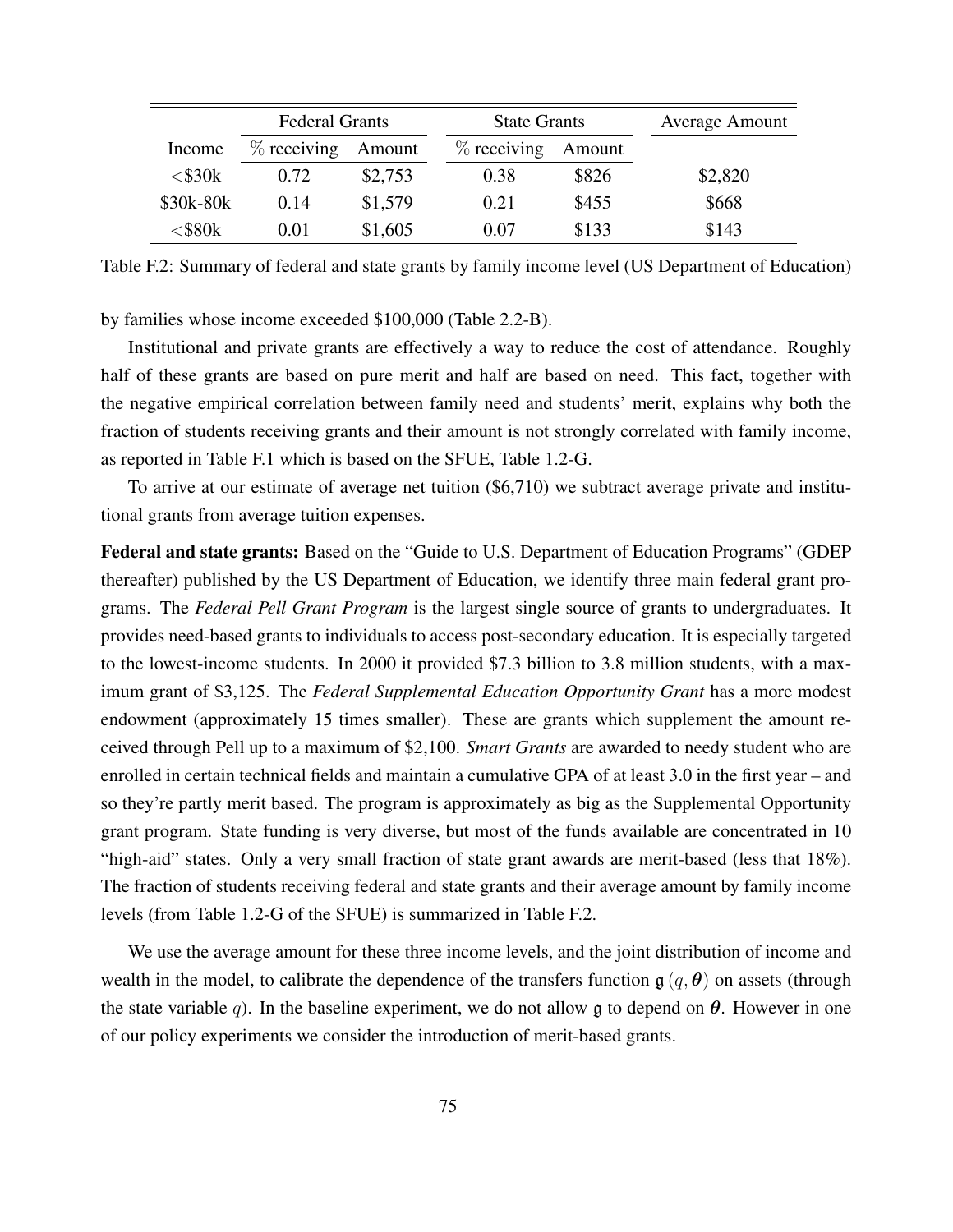|              | <b>Federal Grants</b> |         | <b>State Grants</b> |                | <b>Average Amount</b> |         |
|--------------|-----------------------|---------|---------------------|----------------|-----------------------|---------|
| Income       | $\%$ receiving        | Amount  |                     | $\%$ receiving | Amount                |         |
| $<$ \$30 $k$ | 0.72                  | \$2,753 |                     | 0.38           | \$826                 | \$2,820 |
| \$30k-80k    | 0.14                  | \$1,579 |                     | 0.21           | \$455                 | \$668   |
| <\$80k       | 0.01                  | \$1,605 |                     | 0.07           | \$133                 | \$143   |

Table F.2: Summary of federal and state grants by family income level (US Department of Education)

by families whose income exceeded \$100,000 (Table 2.2-B).

Institutional and private grants are effectively a way to reduce the cost of attendance. Roughly half of these grants are based on pure merit and half are based on need. This fact, together with the negative empirical correlation between family need and students' merit, explains why both the fraction of students receiving grants and their amount is not strongly correlated with family income, as reported in Table F.1 which is based on the SFUE, Table 1.2-G.

To arrive at our estimate of average net tuition (\$6,710) we subtract average private and institutional grants from average tuition expenses.

Federal and state grants: Based on the "Guide to U.S. Department of Education Programs" (GDEP thereafter) published by the US Department of Education, we identify three main federal grant programs. The *Federal Pell Grant Program* is the largest single source of grants to undergraduates. It provides need-based grants to individuals to access post-secondary education. It is especially targeted to the lowest-income students. In 2000 it provided \$7.3 billion to 3.8 million students, with a maximum grant of \$3,125. The *Federal Supplemental Education Opportunity Grant* has a more modest endowment (approximately 15 times smaller). These are grants which supplement the amount received through Pell up to a maximum of \$2,100. *Smart Grants* are awarded to needy student who are enrolled in certain technical fields and maintain a cumulative GPA of at least 3.0 in the first year – and so they're partly merit based. The program is approximately as big as the Supplemental Opportunity grant program. State funding is very diverse, but most of the funds available are concentrated in 10 "high-aid" states. Only a very small fraction of state grant awards are merit-based (less that 18%). The fraction of students receiving federal and state grants and their average amount by family income levels (from Table 1.2-G of the SFUE) is summarized in Table F.2.

We use the average amount for these three income levels, and the joint distribution of income and wealth in the model, to calibrate the dependence of the transfers function  $g(q, \theta)$  on assets (through the state variable q). In the baseline experiment, we do not allow g to depend on  $\theta$ . However in one of our policy experiments we consider the introduction of merit-based grants.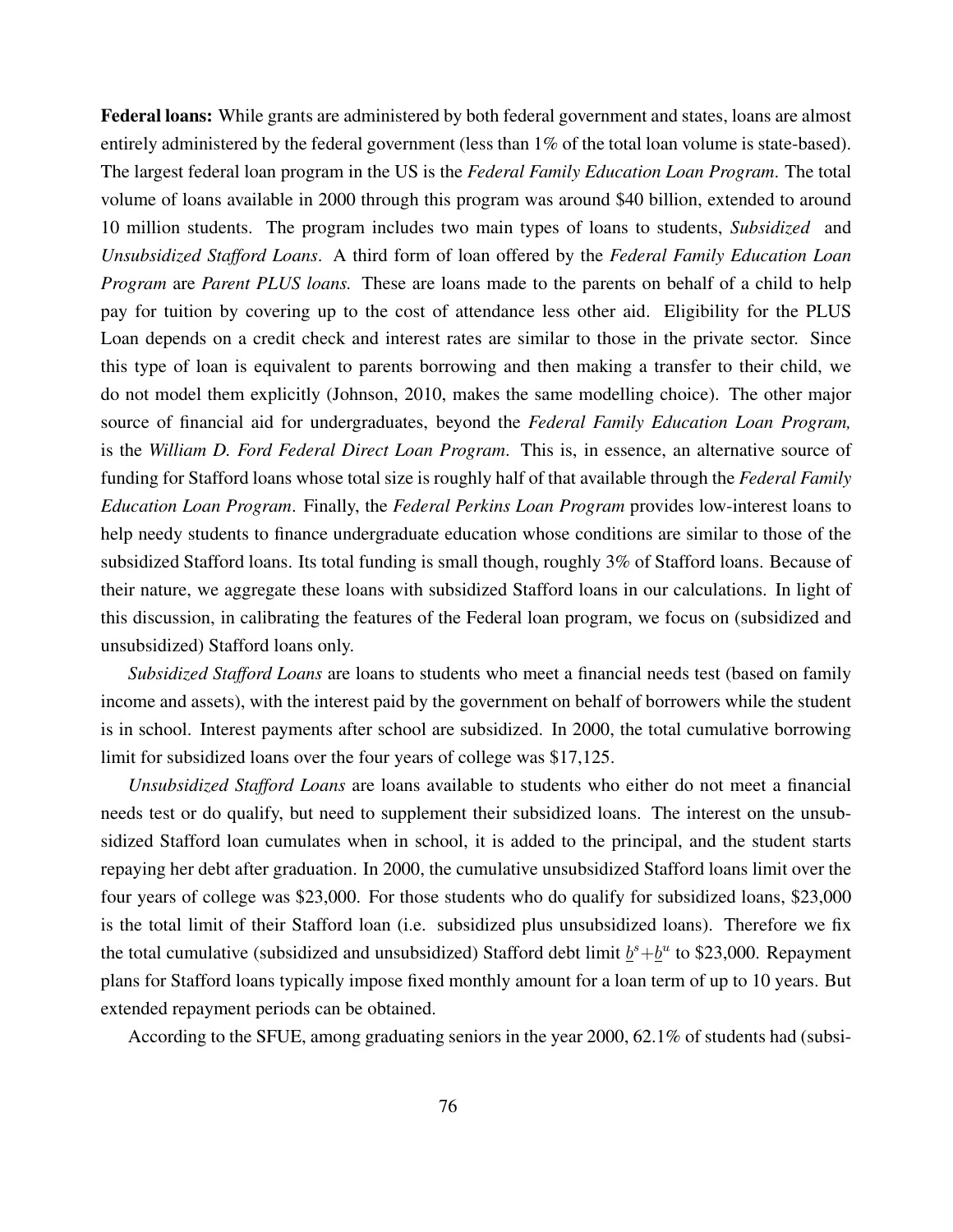Federal loans: While grants are administered by both federal government and states, loans are almost entirely administered by the federal government (less than  $1\%$  of the total loan volume is state-based). The largest federal loan program in the US is the *Federal Family Education Loan Program*. The total volume of loans available in 2000 through this program was around \$40 billion, extended to around 10 million students. The program includes two main types of loans to students, *Subsidized* and *Unsubsidized Stafford Loans*. A third form of loan offered by the *Federal Family Education Loan Program* are *Parent PLUS loans.* These are loans made to the parents on behalf of a child to help pay for tuition by covering up to the cost of attendance less other aid. Eligibility for the PLUS Loan depends on a credit check and interest rates are similar to those in the private sector. Since this type of loan is equivalent to parents borrowing and then making a transfer to their child, we do not model them explicitly (Johnson, 2010, makes the same modelling choice). The other major source of financial aid for undergraduates, beyond the *Federal Family Education Loan Program,* is the *William D. Ford Federal Direct Loan Program*. This is, in essence, an alternative source of funding for Stafford loans whose total size is roughly half of that available through the *Federal Family Education Loan Program*. Finally, the *Federal Perkins Loan Program* provides low-interest loans to help needy students to finance undergraduate education whose conditions are similar to those of the subsidized Stafford loans. Its total funding is small though, roughly 3% of Stafford loans. Because of their nature, we aggregate these loans with subsidized Stafford loans in our calculations. In light of this discussion, in calibrating the features of the Federal loan program, we focus on (subsidized and unsubsidized) Stafford loans only.

*Subsidized Stafford Loans* are loans to students who meet a financial needs test (based on family income and assets), with the interest paid by the government on behalf of borrowers while the student is in school. Interest payments after school are subsidized. In 2000, the total cumulative borrowing limit for subsidized loans over the four years of college was \$17,125.

*Unsubsidized Stafford Loans* are loans available to students who either do not meet a financial needs test or do qualify, but need to supplement their subsidized loans. The interest on the unsubsidized Stafford loan cumulates when in school, it is added to the principal, and the student starts repaying her debt after graduation. In 2000, the cumulative unsubsidized Stafford loans limit over the four years of college was \$23,000. For those students who do qualify for subsidized loans, \$23,000 is the total limit of their Stafford loan (i.e. subsidized plus unsubsidized loans). Therefore we fix the total cumulative (subsidized and unsubsidized) Stafford debt limit  $\underline{b}^s + \underline{b}^u$  to \$23,000. Repayment plans for Stafford loans typically impose fixed monthly amount for a loan term of up to 10 years. But extended repayment periods can be obtained.

According to the SFUE, among graduating seniors in the year 2000, 62.1% of students had (subsi-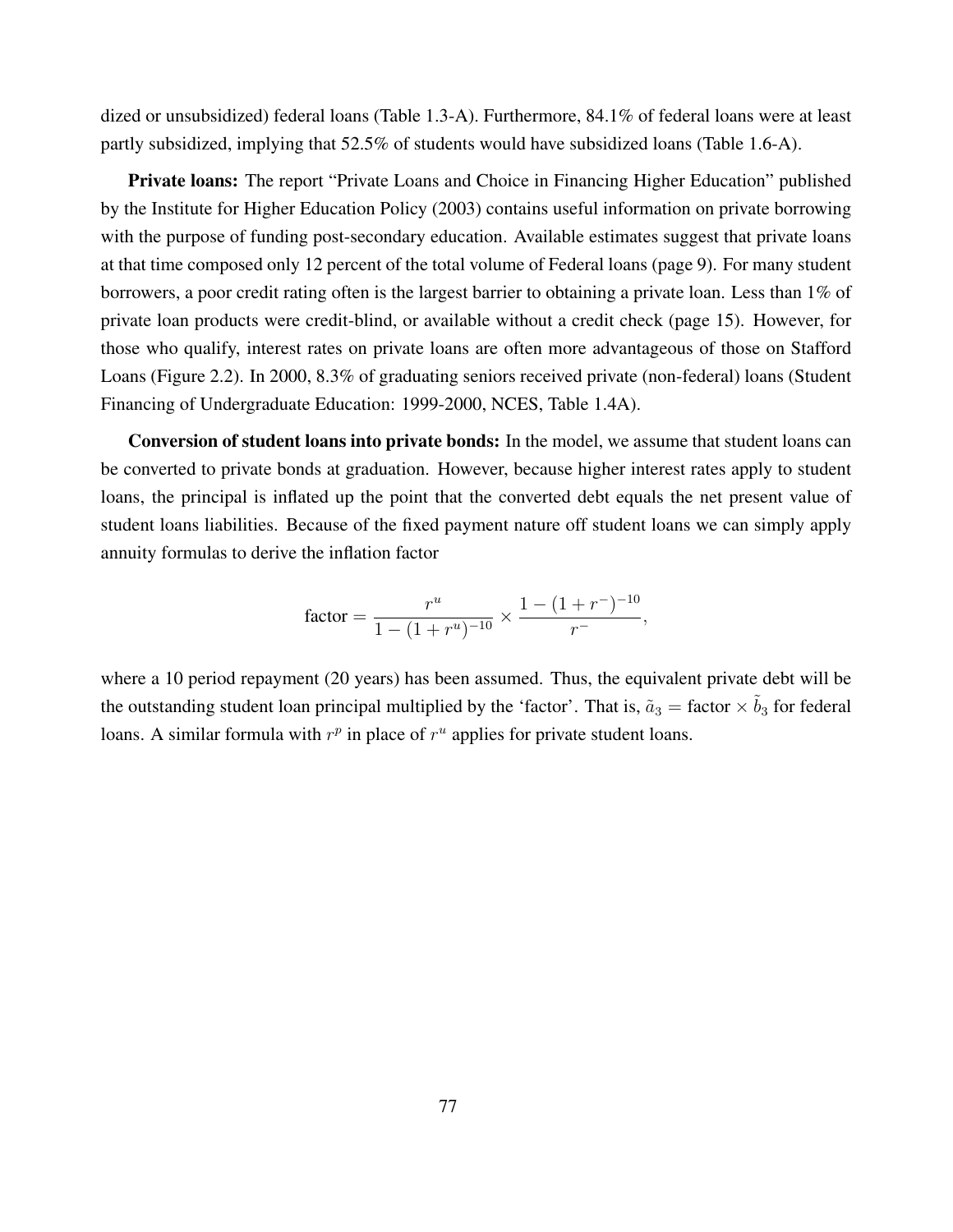dized or unsubsidized) federal loans (Table 1.3-A). Furthermore, 84.1% of federal loans were at least partly subsidized, implying that 52.5% of students would have subsidized loans (Table 1.6-A).

Private loans: The report "Private Loans and Choice in Financing Higher Education" published by the Institute for Higher Education Policy (2003) contains useful information on private borrowing with the purpose of funding post-secondary education. Available estimates suggest that private loans at that time composed only 12 percent of the total volume of Federal loans (page 9). For many student borrowers, a poor credit rating often is the largest barrier to obtaining a private loan. Less than 1% of private loan products were credit-blind, or available without a credit check (page 15). However, for those who qualify, interest rates on private loans are often more advantageous of those on Stafford Loans (Figure 2.2). In 2000, 8.3% of graduating seniors received private (non-federal) loans (Student Financing of Undergraduate Education: 1999-2000, NCES, Table 1.4A).

Conversion of student loans into private bonds: In the model, we assume that student loans can be converted to private bonds at graduation. However, because higher interest rates apply to student loans, the principal is inflated up the point that the converted debt equals the net present value of student loans liabilities. Because of the fixed payment nature off student loans we can simply apply annuity formulas to derive the inflation factor

factor = 
$$
\frac{r^u}{1 - (1 + r^u)^{-10}} \times \frac{1 - (1 + r^-)^{-10}}{r^-},
$$

where a 10 period repayment (20 years) has been assumed. Thus, the equivalent private debt will be the outstanding student loan principal multiplied by the 'factor'. That is,  $\tilde{a}_3$  = factor  $\times \tilde{b}_3$  for federal loans. A similar formula with  $r^p$  in place of  $r^u$  applies for private student loans.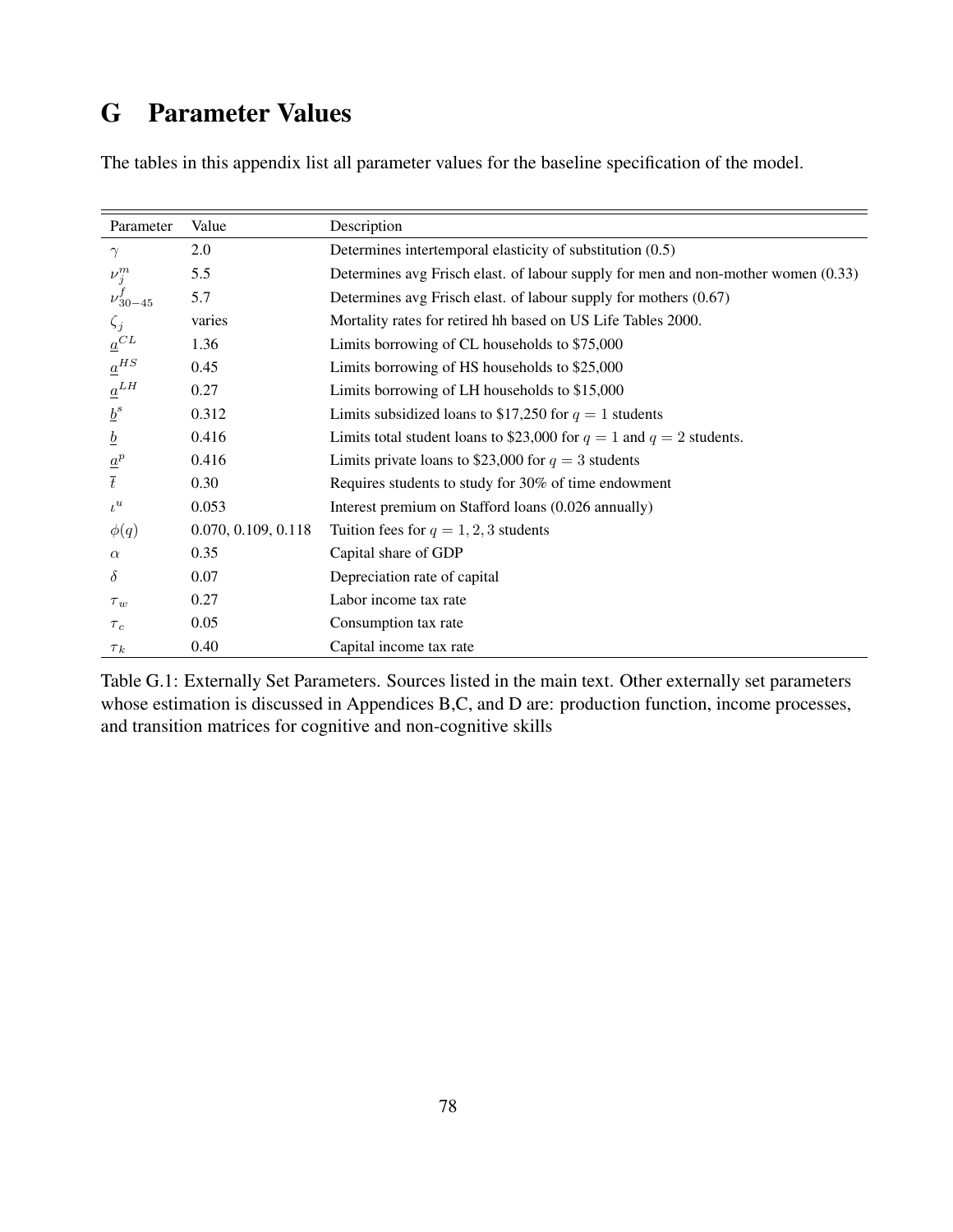# G Parameter Values

The tables in this appendix list all parameter values for the baseline specification of the model.

| Parameter            | Value               | Description                                                                       |
|----------------------|---------------------|-----------------------------------------------------------------------------------|
| $\gamma$             | 2.0                 | Determines intertemporal elasticity of substitution (0.5)                         |
|                      |                     |                                                                                   |
| $\nu_j^m$            | 5.5                 | Determines avg Frisch elast. of labour supply for men and non-mother women (0.33) |
| $\nu_{30-45}^{J}$    | 5.7                 | Determines avg Frisch elast. of labour supply for mothers (0.67)                  |
| $\zeta_j$            | varies              | Mortality rates for retired hh based on US Life Tables 2000.                      |
| $a^{CL}$             | 1.36                | Limits borrowing of CL households to \$75,000                                     |
| $a^{HS}$             | 0.45                | Limits borrowing of HS households to \$25,000                                     |
| $\underline{a}^{LH}$ | 0.27                | Limits borrowing of LH households to \$15,000                                     |
| $\underline{b}^s$    | 0.312               | Limits subsidized loans to \$17,250 for $q = 1$ students                          |
| $\underline{b}$      | 0.416               | Limits total student loans to \$23,000 for $q = 1$ and $q = 2$ students.          |
| $\underline{a}^p$    | 0.416               | Limits private loans to \$23,000 for $q = 3$ students                             |
| $\bar{t}$            | 0.30                | Requires students to study for 30% of time endowment                              |
| $\iota^u$            | 0.053               | Interest premium on Stafford loans (0.026 annually)                               |
| $\phi(q)$            | 0.070, 0.109, 0.118 | Tuition fees for $q = 1, 2, 3$ students                                           |
| $\alpha$             | 0.35                | Capital share of GDP                                                              |
| $\delta$             | 0.07                | Depreciation rate of capital                                                      |
| $\tau_w$             | 0.27                | Labor income tax rate                                                             |
| $\tau_c$             | 0.05                | Consumption tax rate                                                              |
| $\tau_k$             | 0.40                | Capital income tax rate                                                           |

Table G.1: Externally Set Parameters. Sources listed in the main text. Other externally set parameters whose estimation is discussed in Appendices B,C, and D are: production function, income processes, and transition matrices for cognitive and non-cognitive skills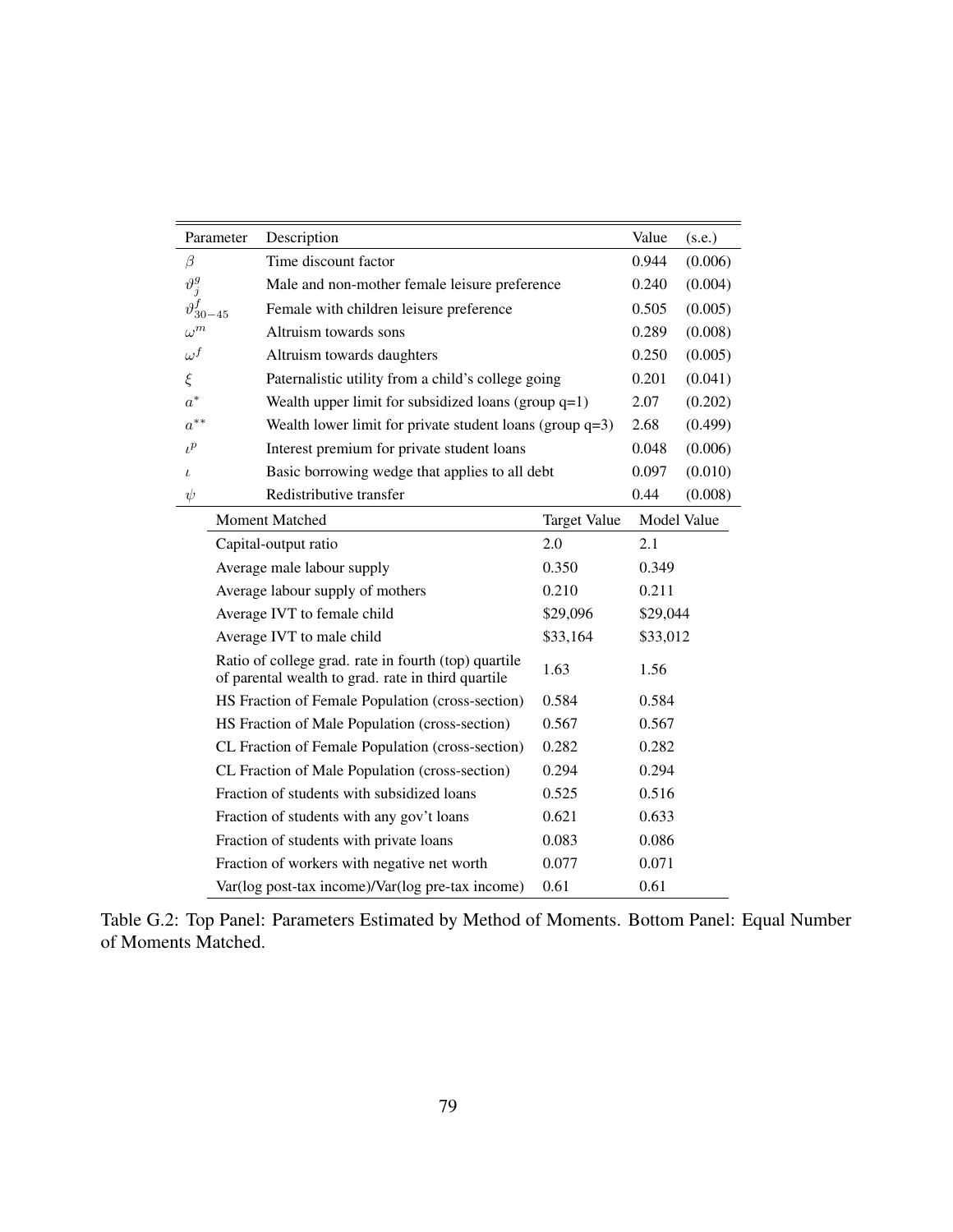| Parameter             | Description                                                                                                |          | Value    | (s.e.)  |  |
|-----------------------|------------------------------------------------------------------------------------------------------------|----------|----------|---------|--|
| $\beta$               | Time discount factor                                                                                       |          | 0.944    | (0.006) |  |
| $\vartheta^g_j$       | Male and non-mother female leisure preference                                                              |          | 0.240    | (0.004) |  |
| $\vartheta_{30-45}^f$ | Female with children leisure preference                                                                    |          | 0.505    | (0.005) |  |
| $\omega^m$            | Altruism towards sons                                                                                      |          | 0.289    | (0.008) |  |
| $\omega^f$            | Altruism towards daughters                                                                                 |          | 0.250    | (0.005) |  |
| ξ                     | Paternalistic utility from a child's college going                                                         |          | 0.201    | (0.041) |  |
| $a^*$                 | Wealth upper limit for subsidized loans (group $q=1$ )                                                     |          | 2.07     | (0.202) |  |
| $a^{**}$              | Wealth lower limit for private student loans (group $q=3$ )                                                |          | 2.68     | (0.499) |  |
| $l^p$                 | Interest premium for private student loans                                                                 |          | 0.048    | (0.006) |  |
| $\iota$               | Basic borrowing wedge that applies to all debt                                                             |          | 0.097    | (0.010) |  |
| $\psi$                | Redistributive transfer                                                                                    |          | 0.44     | (0.008) |  |
|                       | <b>Moment Matched</b><br><b>Target Value</b>                                                               |          |          |         |  |
|                       | 2.0<br>Capital-output ratio                                                                                |          |          |         |  |
|                       | 0.350<br>Average male labour supply                                                                        |          |          |         |  |
|                       | Average labour supply of mothers                                                                           | 0.210    | 0.211    |         |  |
|                       | Average IVT to female child                                                                                | \$29,096 | \$29,044 |         |  |
|                       | Average IVT to male child                                                                                  | \$33,164 | \$33,012 |         |  |
|                       | Ratio of college grad. rate in fourth (top) quartile<br>of parental wealth to grad. rate in third quartile | 1.63     | 1.56     |         |  |
|                       | HS Fraction of Female Population (cross-section)                                                           | 0.584    | 0.584    |         |  |
|                       | HS Fraction of Male Population (cross-section)                                                             | 0.567    | 0.567    |         |  |
|                       | CL Fraction of Female Population (cross-section)                                                           | 0.282    | 0.282    |         |  |
|                       | CL Fraction of Male Population (cross-section)                                                             | 0.294    | 0.294    |         |  |
|                       | Fraction of students with subsidized loans<br>0.525                                                        |          |          |         |  |
|                       | Fraction of students with any gov't loans                                                                  | 0.621    | 0.633    |         |  |
|                       | Fraction of students with private loans                                                                    | 0.083    | 0.086    |         |  |
|                       | Fraction of workers with negative net worth                                                                | 0.077    | 0.071    |         |  |
|                       | Var(log post-tax income)/Var(log pre-tax income)                                                           | 0.61     | 0.61     |         |  |

Table G.2: Top Panel: Parameters Estimated by Method of Moments. Bottom Panel: Equal Number of Moments Matched.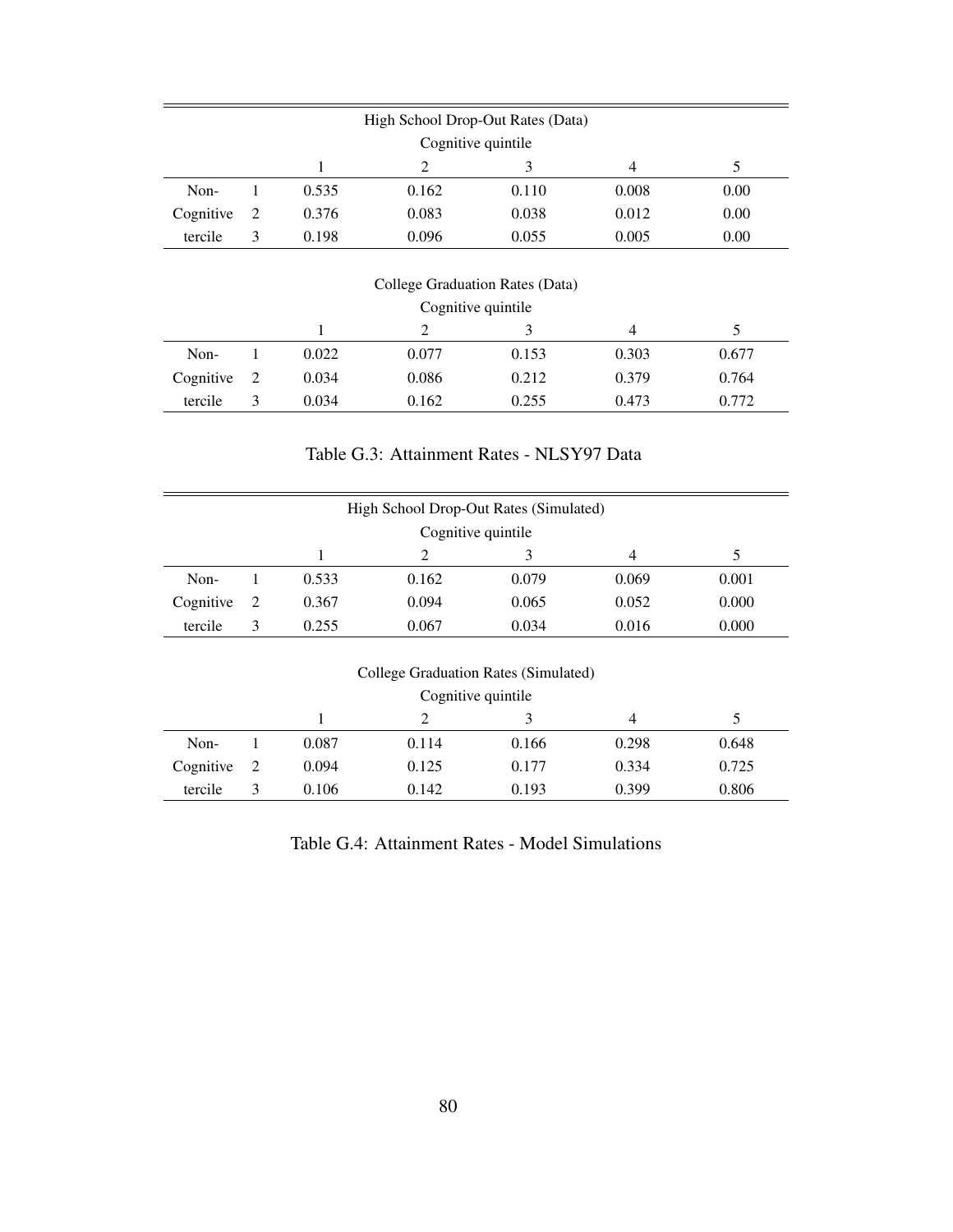| High School Drop-Out Rates (Data) |   |       |                |       |       |      |  |
|-----------------------------------|---|-------|----------------|-------|-------|------|--|
| Cognitive quintile                |   |       |                |       |       |      |  |
|                                   |   |       | $\mathfrak{D}$ | 3     | 4     | 5    |  |
| Non-                              |   | 0.535 | 0.162          | 0.110 | 0.008 | 0.00 |  |
| Cognitive                         | 2 | 0.376 | 0.083          | 0.038 | 0.012 | 0.00 |  |
| tercile                           | 3 | 0.198 | 0.096          | 0.055 | 0.005 | 0.00 |  |

#### College Graduation Rates (Data)

| Cognitive quintile |    |       |       |       |       |       |
|--------------------|----|-------|-------|-------|-------|-------|
|                    |    |       |       |       | 4     | C     |
| Non-               |    | 0.022 | 0.077 | 0.153 | 0.303 | 0.677 |
| Cognitive          | -2 | 0.034 | 0.086 | 0.212 | 0.379 | 0.764 |
| tercile            |    | 0.034 | 0.162 | 0.255 | 0.473 | 0.772 |

## Table G.3: Attainment Rates - NLSY97 Data

| High School Drop-Out Rates (Simulated) |                       |       |                                      |       |       |       |  |  |
|----------------------------------------|-----------------------|-------|--------------------------------------|-------|-------|-------|--|--|
|                                        | Cognitive quintile    |       |                                      |       |       |       |  |  |
|                                        | 5<br>1<br>3<br>2<br>4 |       |                                      |       |       |       |  |  |
| Non-                                   | 1                     | 0.533 | 0.162                                | 0.079 | 0.069 | 0.001 |  |  |
| Cognitive                              | 2                     | 0.367 | 0.094                                | 0.065 | 0.052 | 0.000 |  |  |
| tercile                                | 3                     | 0.255 | 0.067                                | 0.034 | 0.016 | 0.000 |  |  |
|                                        |                       |       |                                      |       |       |       |  |  |
|                                        |                       |       | College Graduation Rates (Simulated) |       |       |       |  |  |
|                                        |                       |       | Cognitive quintile                   |       |       |       |  |  |
|                                        |                       | 1     | 2                                    | 3     | 4     | 5     |  |  |
| Non-                                   | 1                     | 0.087 | 0.114                                | 0.166 | 0.298 | 0.648 |  |  |
| Cognitive                              | $\overline{2}$        | 0.094 | 0.125                                | 0.177 | 0.334 | 0.725 |  |  |
| tercile                                | 3                     | 0.106 | 0.142                                | 0.193 | 0.399 | 0.806 |  |  |

Table G.4: Attainment Rates - Model Simulations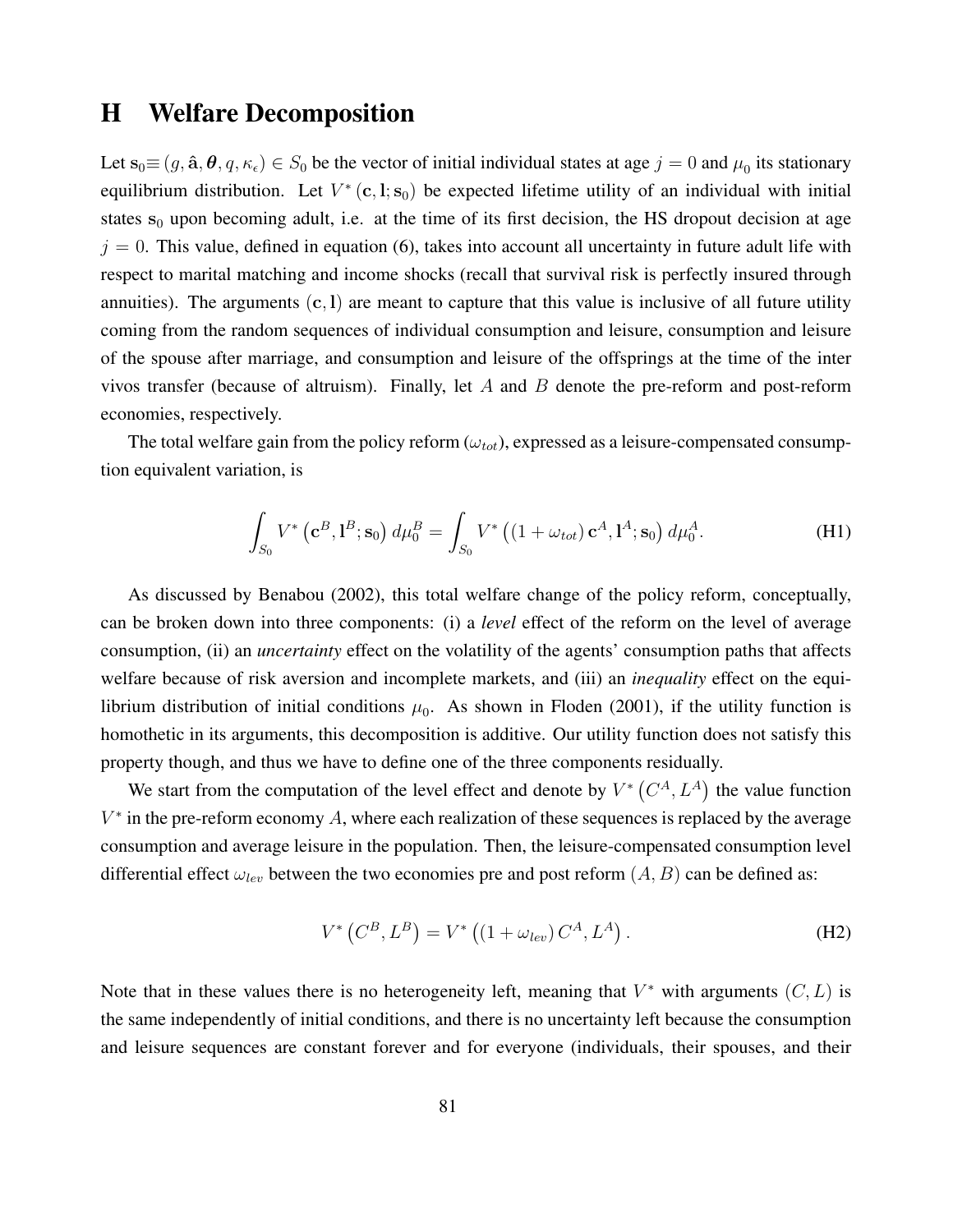# H Welfare Decomposition

Let  $s_0 \equiv (g, \hat{\bf a}, \theta, q, \kappa_\epsilon) \in S_0$  be the vector of initial individual states at age  $j = 0$  and  $\mu_0$  its stationary equilibrium distribution. Let  $V^*(c, l; s_0)$  be expected lifetime utility of an individual with initial states  $s_0$  upon becoming adult, i.e. at the time of its first decision, the HS dropout decision at age  $j = 0$ . This value, defined in equation (6), takes into account all uncertainty in future adult life with respect to marital matching and income shocks (recall that survival risk is perfectly insured through annuities). The arguments  $(c, l)$  are meant to capture that this value is inclusive of all future utility coming from the random sequences of individual consumption and leisure, consumption and leisure of the spouse after marriage, and consumption and leisure of the offsprings at the time of the inter vivos transfer (because of altruism). Finally, let  $A$  and  $B$  denote the pre-reform and post-reform economies, respectively.

The total welfare gain from the policy reform  $(\omega_{tot})$ , expressed as a leisure-compensated consumption equivalent variation, is

$$
\int_{S_0} V^* \left( \mathbf{c}^B, \mathbf{l}^B; \mathbf{s}_0 \right) d\mu_0^B = \int_{S_0} V^* \left( (1 + \omega_{tot}) \mathbf{c}^A, \mathbf{l}^A; \mathbf{s}_0 \right) d\mu_0^A.
$$
 (H1)

As discussed by Benabou (2002), this total welfare change of the policy reform, conceptually, can be broken down into three components: (i) a *level* effect of the reform on the level of average consumption, (ii) an *uncertainty* effect on the volatility of the agents' consumption paths that affects welfare because of risk aversion and incomplete markets, and (iii) an *inequality* effect on the equilibrium distribution of initial conditions  $\mu_0$ . As shown in Floden (2001), if the utility function is homothetic in its arguments, this decomposition is additive. Our utility function does not satisfy this property though, and thus we have to define one of the three components residually.

We start from the computation of the level effect and denote by  $V^*$   $(C^A, L^A)$  the value function  $V^*$  in the pre-reform economy  $A$ , where each realization of these sequences is replaced by the average consumption and average leisure in the population. Then, the leisure-compensated consumption level differential effect  $\omega_{lev}$  between the two economies pre and post reform  $(A, B)$  can be defined as:

$$
V^* (C^B, L^B) = V^* ((1 + \omega_{lev}) C^A, L^A).
$$
 (H2)

Note that in these values there is no heterogeneity left, meaning that  $V^*$  with arguments  $(C, L)$  is the same independently of initial conditions, and there is no uncertainty left because the consumption and leisure sequences are constant forever and for everyone (individuals, their spouses, and their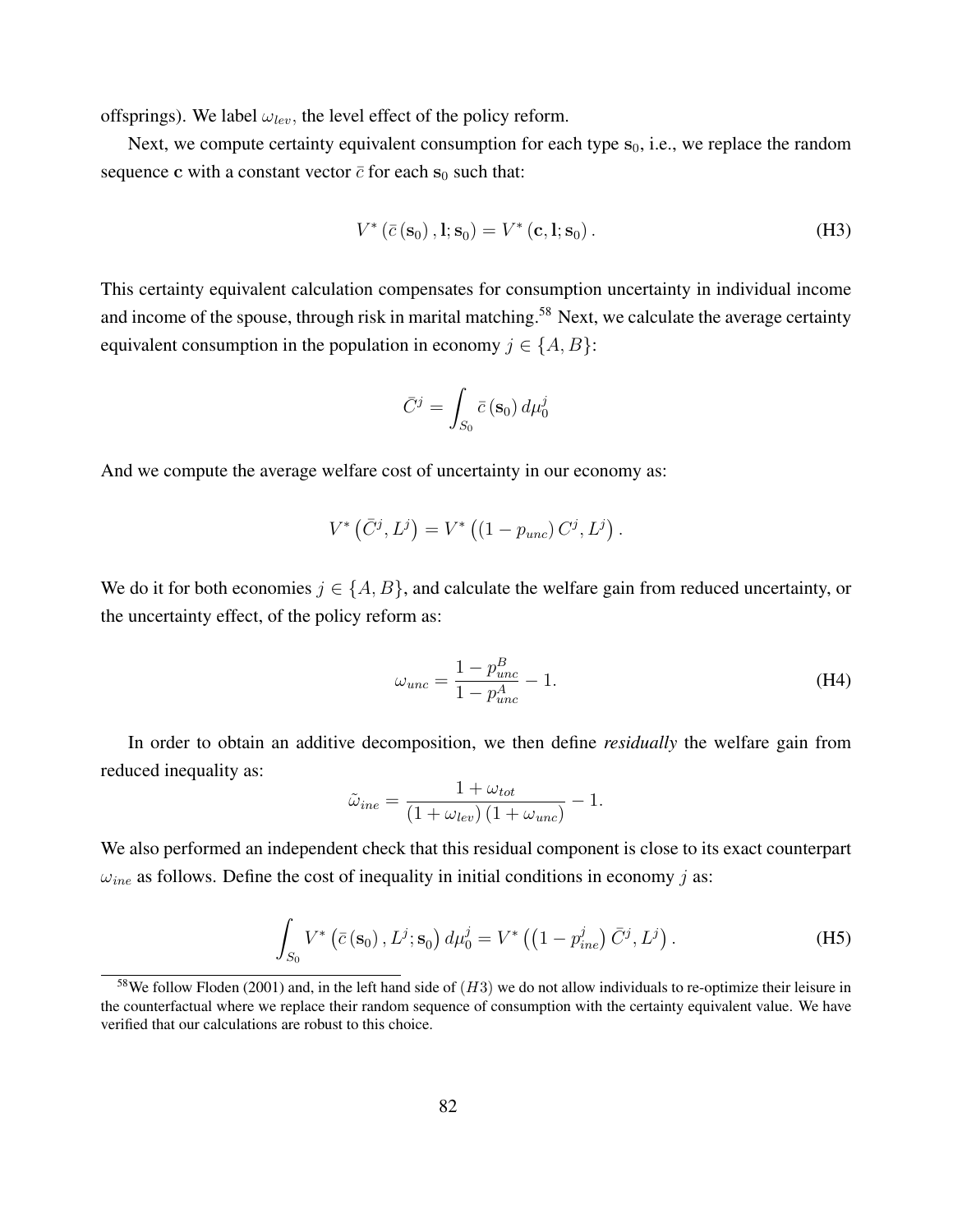offsprings). We label  $\omega_{lev}$ , the level effect of the policy reform.

Next, we compute certainty equivalent consumption for each type  $s_0$ , i.e., we replace the random sequence c with a constant vector  $\bar{c}$  for each s<sub>0</sub> such that:

$$
V^* (\bar{c} (s_0), l; s_0) = V^* (c, l; s_0).
$$
 (H3)

This certainty equivalent calculation compensates for consumption uncertainty in individual income and income of the spouse, through risk in marital matching.<sup>58</sup> Next, we calculate the average certainty equivalent consumption in the population in economy  $j \in \{A, B\}$ :

$$
\bar{C}^j = \int_{S_0} \bar{c}(\mathbf{s}_0) d\mu_0^j
$$

And we compute the average welfare cost of uncertainty in our economy as:

$$
V^* (\bar{C}^j, L^j) = V^* ((1 - p_{unc}) C^j, L^j).
$$

We do it for both economies  $j \in \{A, B\}$ , and calculate the welfare gain from reduced uncertainty, or the uncertainty effect, of the policy reform as:

$$
\omega_{unc} = \frac{1 - p_{unc}^B}{1 - p_{unc}^A} - 1.
$$
\n(H4)

In order to obtain an additive decomposition, we then define *residually* the welfare gain from reduced inequality as:

$$
\tilde{\omega}_{ine} = \frac{1 + \omega_{tot}}{(1 + \omega_{lev}) (1 + \omega_{unc})} - 1.
$$

We also performed an independent check that this residual component is close to its exact counterpart  $\omega_{ine}$  as follows. Define the cost of inequality in initial conditions in economy j as:

$$
\int_{S_0} V^* \left( \bar{c} \left( \mathbf{s}_0 \right), L^j; \mathbf{s}_0 \right) d\mu_0^j = V^* \left( \left( 1 - p_{ine}^j \right) \bar{C}^j, L^j \right). \tag{H5}
$$

<sup>&</sup>lt;sup>58</sup>We follow Floden (2001) and, in the left hand side of  $(H3)$  we do not allow individuals to re-optimize their leisure in the counterfactual where we replace their random sequence of consumption with the certainty equivalent value. We have verified that our calculations are robust to this choice.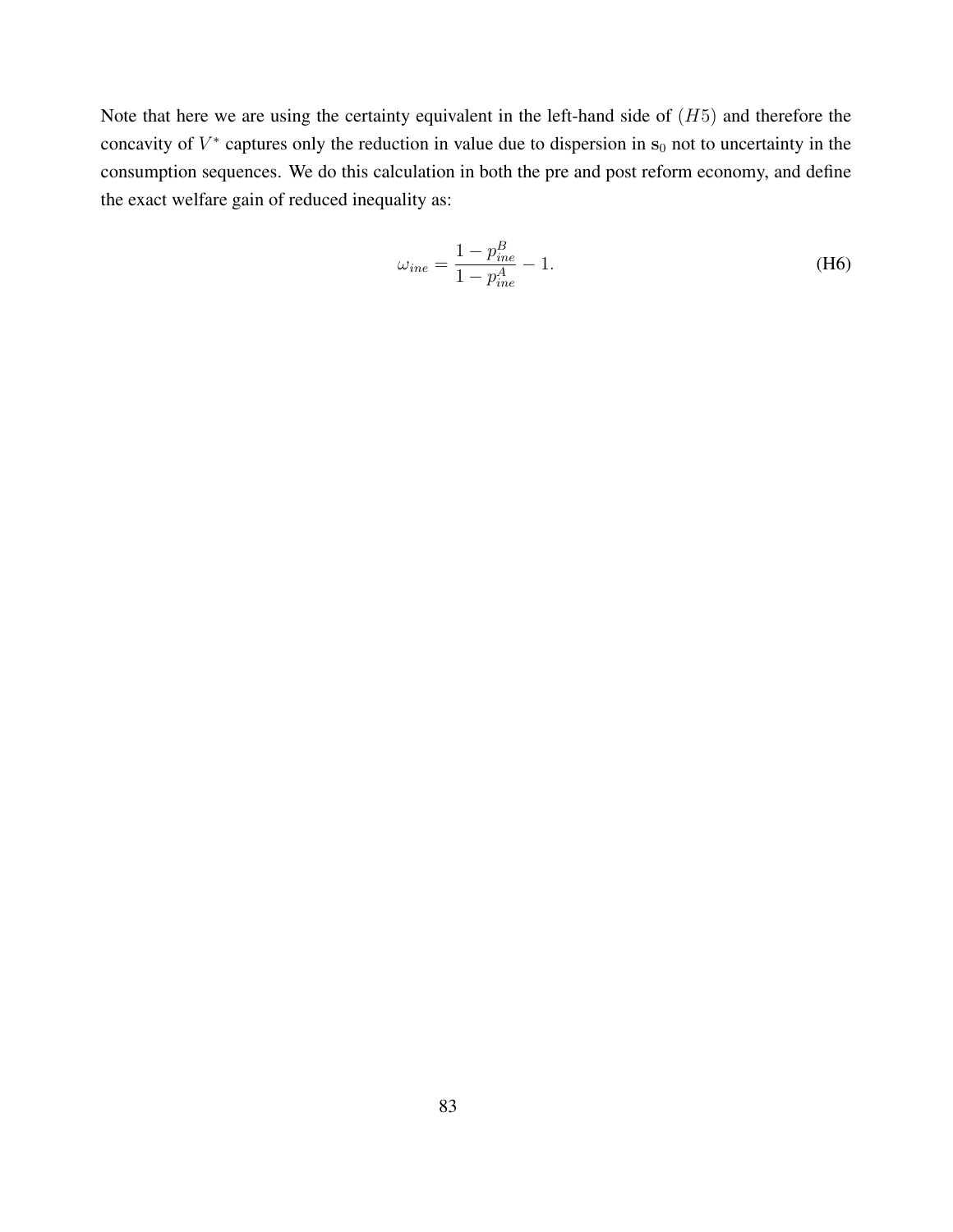Note that here we are using the certainty equivalent in the left-hand side of (H5) and therefore the concavity of  $V^*$  captures only the reduction in value due to dispersion in  $s_0$  not to uncertainty in the consumption sequences. We do this calculation in both the pre and post reform economy, and define the exact welfare gain of reduced inequality as:

$$
\omega_{ine} = \frac{1 - p_{ine}^B}{1 - p_{ine}^A} - 1.
$$
\n(H6)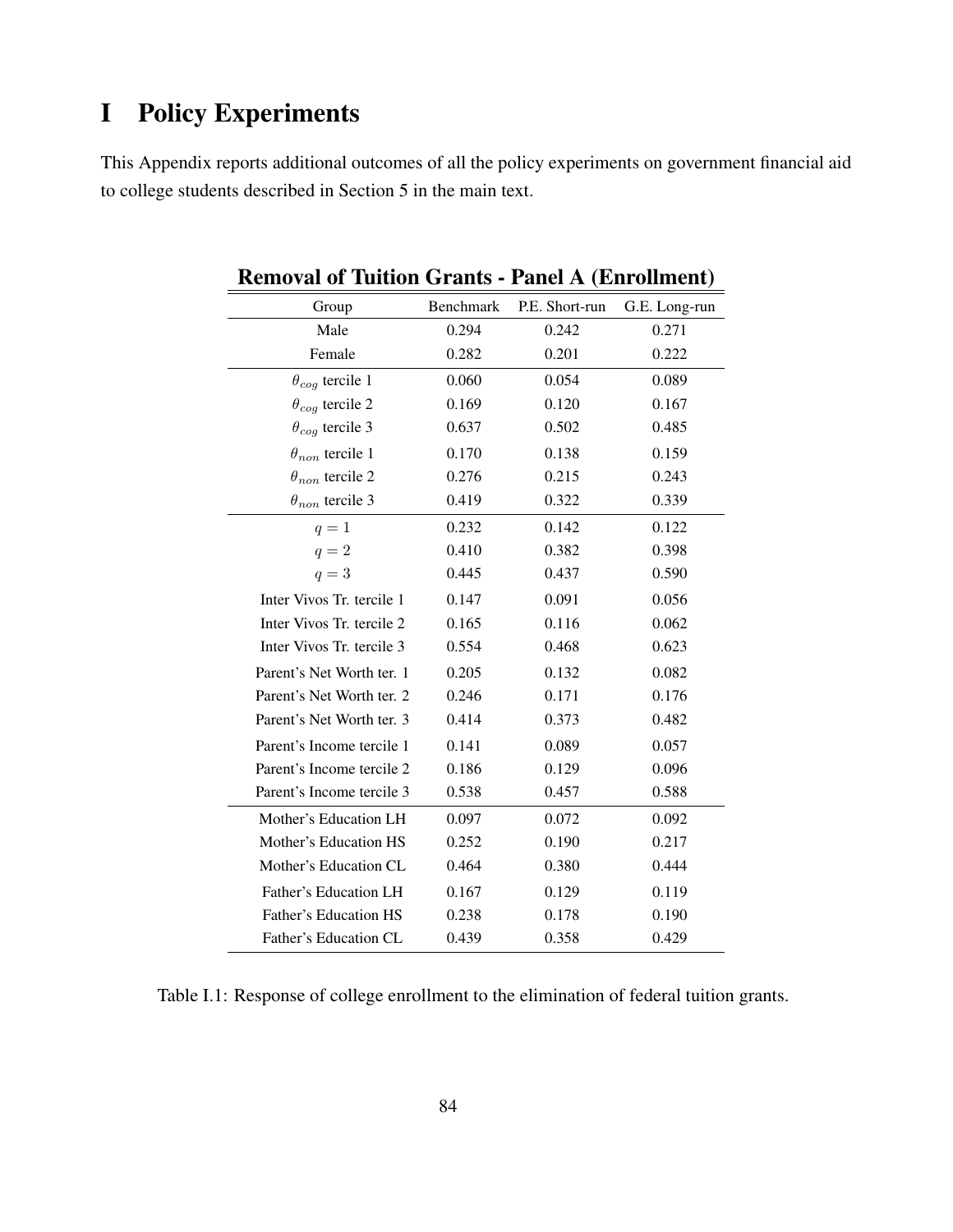# I Policy Experiments

This Appendix reports additional outcomes of all the policy experiments on government financial aid to college students described in Section 5 in the main text.

| Reflioval of Tuition Grants - Fanci A (Enforment) |           |                |               |
|---------------------------------------------------|-----------|----------------|---------------|
| Group                                             | Benchmark | P.E. Short-run | G.E. Long-run |
| Male                                              | 0.294     | 0.242          | 0.271         |
| Female                                            | 0.282     | 0.201          | 0.222         |
| $\theta_{cog}$ tercile 1                          | 0.060     | 0.054          | 0.089         |
| $\theta_{cog}$ tercile 2                          | 0.169     | 0.120          | 0.167         |
| $\theta_{cog}$ tercile 3                          | 0.637     | 0.502          | 0.485         |
| $\theta_{non}$ tercile 1                          | 0.170     | 0.138          | 0.159         |
| $\theta_{non}$ tercile 2                          | 0.276     | 0.215          | 0.243         |
| $\theta_{non}$ tercile 3                          | 0.419     | 0.322          | 0.339         |
| $q=1$                                             | 0.232     | 0.142          | 0.122         |
| $q=2$                                             | 0.410     | 0.382          | 0.398         |
| $q=3$                                             | 0.445     | 0.437          | 0.590         |
| Inter Vivos Tr. tercile 1                         | 0.147     | 0.091          | 0.056         |
| Inter Vivos Tr. tercile 2                         | 0.165     | 0.116          | 0.062         |
| Inter Vivos Tr. tercile 3                         | 0.554     | 0.468          | 0.623         |
| Parent's Net Worth ter. 1                         | 0.205     | 0.132          | 0.082         |
| Parent's Net Worth ter. 2                         | 0.246     | 0.171          | 0.176         |
| Parent's Net Worth ter. 3                         | 0.414     | 0.373          | 0.482         |
| Parent's Income tercile 1                         | 0.141     | 0.089          | 0.057         |
| Parent's Income tercile 2                         | 0.186     | 0.129          | 0.096         |
| Parent's Income tercile 3                         | 0.538     | 0.457          | 0.588         |
| Mother's Education LH                             | 0.097     | 0.072          | 0.092         |
| Mother's Education HS                             | 0.252     | 0.190          | 0.217         |
| Mother's Education CL                             | 0.464     | 0.380          | 0.444         |
| Father's Education LH                             | 0.167     | 0.129          | 0.119         |
| <b>Father's Education HS</b>                      | 0.238     | 0.178          | 0.190         |
| Father's Education CL                             | 0.439     | 0.358          | 0.429         |

Removal of Tuition Grants - Panel A (Enrollment)

Table I.1: Response of college enrollment to the elimination of federal tuition grants.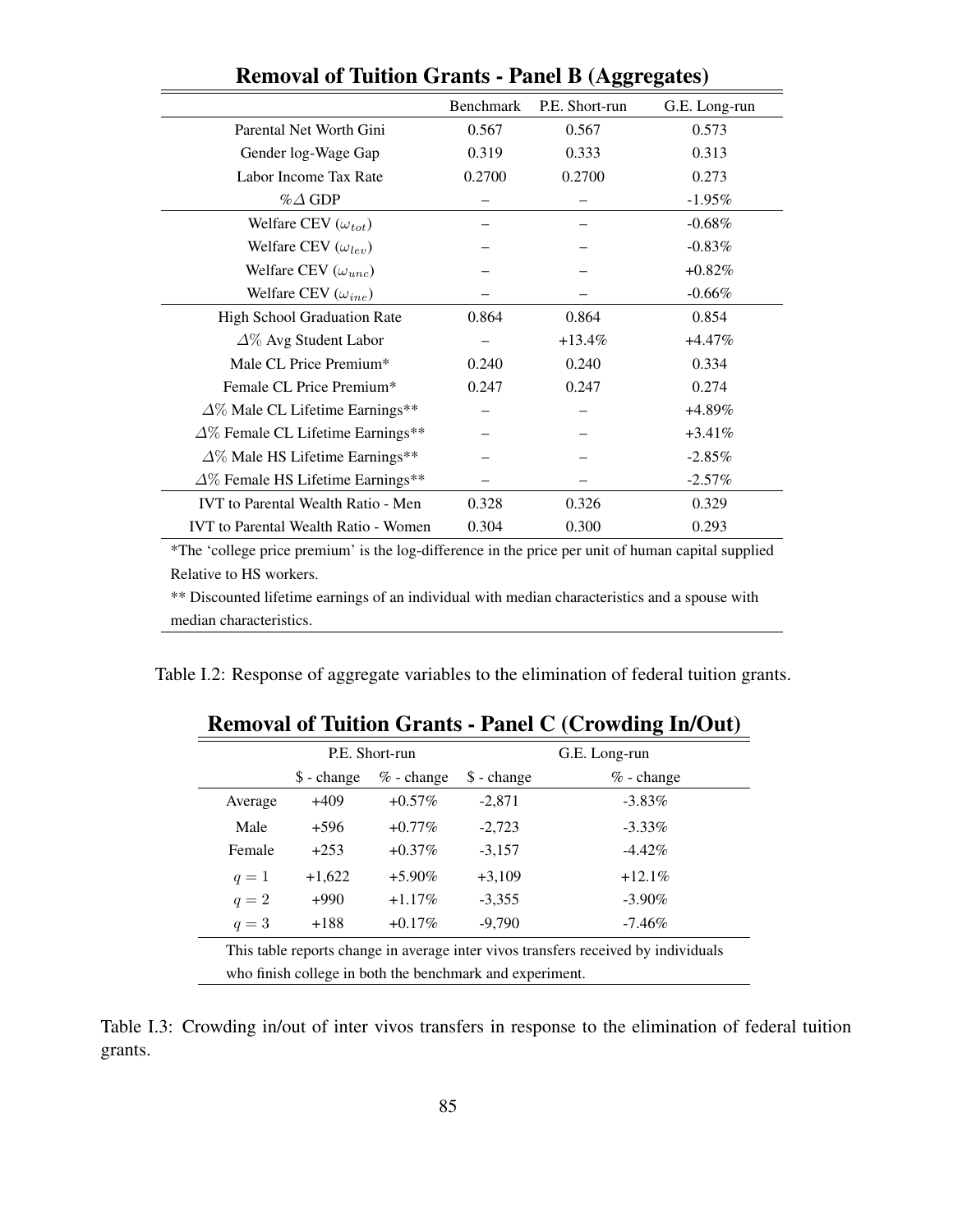|                                             | Benchmark | P.E. Short-run | G.E. Long-run |
|---------------------------------------------|-----------|----------------|---------------|
| Parental Net Worth Gini                     | 0.567     | 0.567          | 0.573         |
| Gender log-Wage Gap                         | 0.319     | 0.333          | 0.313         |
| Labor Income Tax Rate                       | 0.2700    | 0.2700         | 0.273         |
| % $\Delta$ GDP                              |           |                | $-1.95\%$     |
| Welfare CEV $(\omega_{tot})$                |           |                | $-0.68\%$     |
| Welfare CEV $(\omega_{lev})$                |           |                | $-0.83%$      |
| Welfare CEV $(\omega_{unc})$                |           |                | $+0.82\%$     |
| Welfare CEV $(\omega_{ine})$                |           |                | $-0.66\%$     |
| <b>High School Graduation Rate</b>          | 0.864     | 0.864          | 0.854         |
| $\Delta\%$ Avg Student Labor                |           | $+13.4\%$      | $+4.47\%$     |
| Male CL Price Premium <sup>*</sup>          | 0.240     | 0.240          | 0.334         |
| Female CL Price Premium*                    | 0.247     | 0.247          | 0.274         |
| $\Delta\%$ Male CL Lifetime Earnings**      |           |                | $+4.89\%$     |
| $\Delta\%$ Female CL Lifetime Earnings**    |           |                | $+3.41\%$     |
| $\Delta\%$ Male HS Lifetime Earnings**      |           |                | $-2.85\%$     |
| $\Delta\%$ Female HS Lifetime Earnings**    |           |                | $-2.57%$      |
| <b>IVT</b> to Parental Wealth Ratio - Men   | 0.328     | 0.326          | 0.329         |
| <b>IVT</b> to Parental Wealth Ratio - Women | 0.304     | 0.300          | 0.293         |
|                                             |           |                |               |

Removal of Tuition Grants - Panel B (Aggregates)

\*The 'college price premium' is the log-difference in the price per unit of human capital supplied Relative to HS workers.

\*\* Discounted lifetime earnings of an individual with median characteristics and a spouse with median characteristics.

Table I.2: Response of aggregate variables to the elimination of federal tuition grants.

|                                                                                    |                |              |             | ີ             |  |  |
|------------------------------------------------------------------------------------|----------------|--------------|-------------|---------------|--|--|
|                                                                                    | P.E. Short-run |              |             | G.E. Long-run |  |  |
|                                                                                    | \$ - change    | $%$ - change | \$ - change | $%$ - change  |  |  |
| Average                                                                            | $+409$         | $+0.57\%$    | $-2,871$    | $-3.83\%$     |  |  |
| Male                                                                               | $+596$         | $+0.77\%$    | $-2,723$    | $-3.33\%$     |  |  |
| Female                                                                             | $+253$         | $+0.37\%$    | $-3,157$    | $-4.42\%$     |  |  |
| $q=1$                                                                              | $+1,622$       | $+5.90\%$    | $+3,109$    | $+12.1%$      |  |  |
| $q=2$                                                                              | $+990$         | $+1.17%$     | $-3,355$    | $-3.90\%$     |  |  |
| $q=3$                                                                              | $+188$         | $+0.17%$     | $-9,790$    | $-7.46\%$     |  |  |
| This table reports change in average inter vivos transfers received by individuals |                |              |             |               |  |  |
| who finish college in both the benchmark and experiment.                           |                |              |             |               |  |  |

Removal of Tuition Grants - Panel C (Crowding In/Out)

Table I.3: Crowding in/out of inter vivos transfers in response to the elimination of federal tuition grants.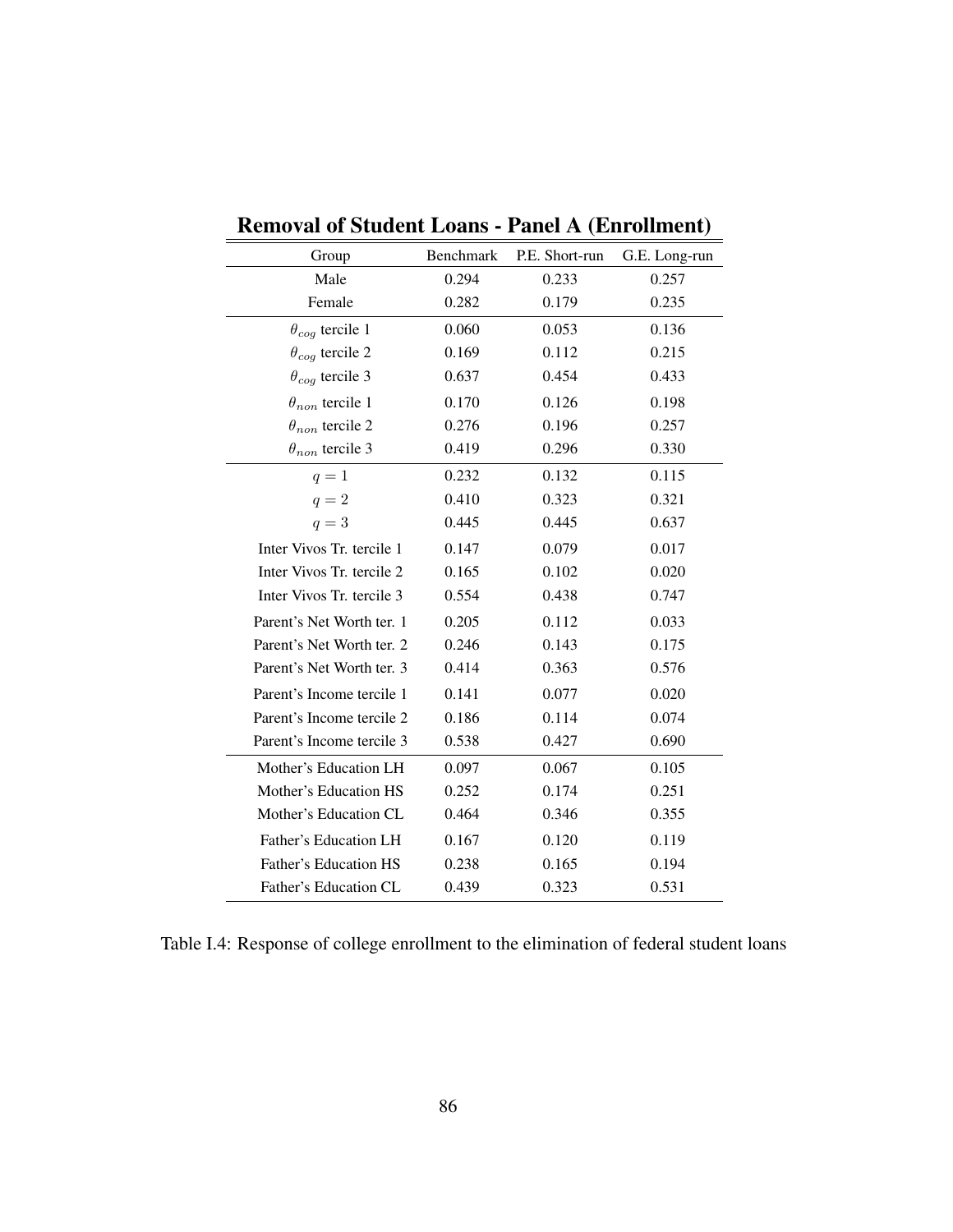| Group                     | Benchmark | P.E. Short-run | G.E. Long-run |
|---------------------------|-----------|----------------|---------------|
| Male                      | 0.294     | 0.233          | 0.257         |
| Female                    | 0.282     | 0.179          | 0.235         |
| $\theta_{cog}$ tercile 1  | 0.060     | 0.053          | 0.136         |
| $\theta_{coq}$ tercile 2  | 0.169     | 0.112          | 0.215         |
| $\theta_{cog}$ tercile 3  | 0.637     | 0.454          | 0.433         |
| $\theta_{non}$ tercile 1  | 0.170     | 0.126          | 0.198         |
| $\theta_{non}$ tercile 2  | 0.276     | 0.196          | 0.257         |
| $\theta_{non}$ tercile 3  | 0.419     | 0.296          | 0.330         |
| $q=1$                     | 0.232     | 0.132          | 0.115         |
| $q=2$                     | 0.410     | 0.323          | 0.321         |
| $q=3$                     | 0.445     | 0.445          | 0.637         |
| Inter Vivos Tr. tercile 1 | 0.147     | 0.079          | 0.017         |
| Inter Vivos Tr. tercile 2 | 0.165     | 0.102          | 0.020         |
| Inter Vivos Tr. tercile 3 | 0.554     | 0.438          | 0.747         |
| Parent's Net Worth ter. 1 | 0.205     | 0.112          | 0.033         |
| Parent's Net Worth ter. 2 | 0.246     | 0.143          | 0.175         |
| Parent's Net Worth ter. 3 | 0.414     | 0.363          | 0.576         |
| Parent's Income tercile 1 | 0.141     | 0.077          | 0.020         |
| Parent's Income tercile 2 | 0.186     | 0.114          | 0.074         |
| Parent's Income tercile 3 | 0.538     | 0.427          | 0.690         |
| Mother's Education LH     | 0.097     | 0.067          | 0.105         |
| Mother's Education HS     | 0.252     | 0.174          | 0.251         |
| Mother's Education CL     | 0.464     | 0.346          | 0.355         |
| Father's Education LH     | 0.167     | 0.120          | 0.119         |
| Father's Education HS     | 0.238     | 0.165          | 0.194         |
| Father's Education CL     | 0.439     | 0.323          | 0.531         |

Removal of Student Loans - Panel A (Enrollment)

Table I.4: Response of college enrollment to the elimination of federal student loans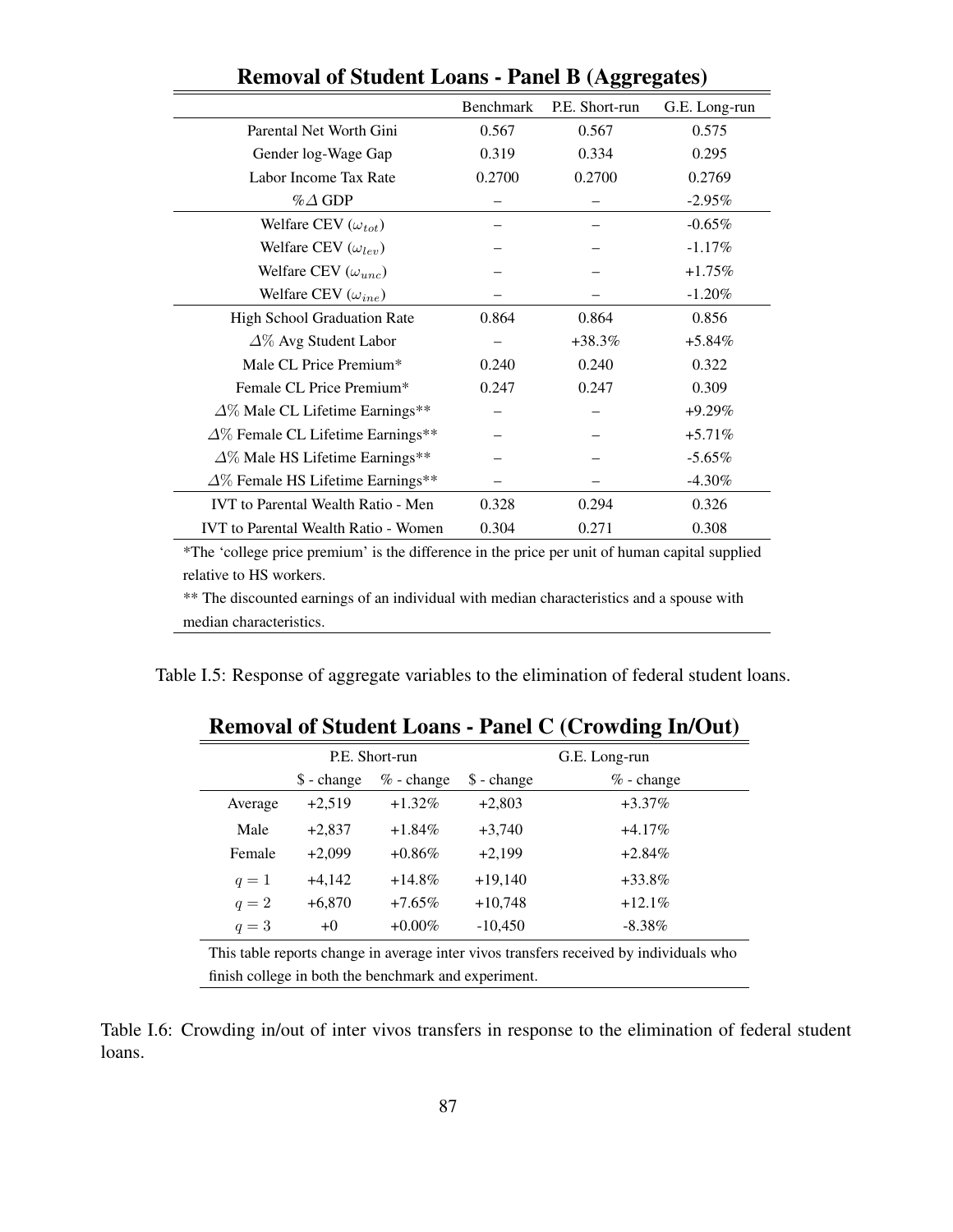|                                             | Benchmark | P.E. Short-run | G.E. Long-run |
|---------------------------------------------|-----------|----------------|---------------|
| Parental Net Worth Gini                     | 0.567     | 0.567          | 0.575         |
| Gender log-Wage Gap                         | 0.319     | 0.334          | 0.295         |
| Labor Income Tax Rate                       | 0.2700    | 0.2700         | 0.2769        |
| $\%\Delta$ GDP                              |           |                | $-2.95%$      |
| Welfare CEV $(\omega_{tot})$                |           |                | $-0.65%$      |
| Welfare CEV $(\omega_{lev})$                |           |                | $-1.17%$      |
| Welfare CEV $(\omega_{unc})$                |           |                | $+1.75%$      |
| Welfare CEV $(\omega_{ine})$                |           |                | $-1.20%$      |
| <b>High School Graduation Rate</b>          | 0.864     | 0.864          | 0.856         |
| $\Delta\%$ Avg Student Labor                |           | $+38.3%$       | $+5.84\%$     |
| Male CL Price Premium*                      | 0.240     | 0.240          | 0.322         |
| Female CL Price Premium*                    | 0.247     | 0.247          | 0.309         |
| $\Delta\%$ Male CL Lifetime Earnings**      |           |                | $+9.29\%$     |
| $\Delta\%$ Female CL Lifetime Earnings**    |           |                | $+5.71%$      |
| $\Delta\%$ Male HS Lifetime Earnings**      |           |                | $-5.65%$      |
| $\Delta\%$ Female HS Lifetime Earnings**    |           |                | $-4.30%$      |
| <b>IVT</b> to Parental Wealth Ratio - Men   | 0.328     | 0.294          | 0.326         |
| <b>IVT</b> to Parental Wealth Ratio - Women | 0.304     | 0.271          | 0.308         |
|                                             |           |                |               |

Removal of Student Loans - Panel B (Aggregates)

\*The 'college price premium' is the difference in the price per unit of human capital supplied relative to HS workers.

\*\* The discounted earnings of an individual with median characteristics and a spouse with median characteristics.

Table I.5: Response of aggregate variables to the elimination of federal student loans.

|                                                                                        | P.E. Short-run |              |             | G.E. Long-run |  |  |
|----------------------------------------------------------------------------------------|----------------|--------------|-------------|---------------|--|--|
|                                                                                        | \$ - change    | $%$ - change | \$ - change | $%$ - change  |  |  |
| Average                                                                                | $+2,519$       | $+1.32%$     | $+2,803$    | $+3.37\%$     |  |  |
| Male                                                                                   | $+2.837$       | $+1.84\%$    | $+3.740$    | $+4.17\%$     |  |  |
| Female                                                                                 | $+2,099$       | $+0.86\%$    | $+2,199$    | $+2.84\%$     |  |  |
| $q=1$                                                                                  | $+4,142$       | $+14.8\%$    | $+19,140$   | $+33.8\%$     |  |  |
| $q=2$                                                                                  | $+6,870$       | $+7.65\%$    | $+10,748$   | $+12.1\%$     |  |  |
| $q=3$                                                                                  | $+0$           | $+0.00\%$    | $-10.450$   | $-8.38\%$     |  |  |
| This table reports change in average inter vivos transfers received by individuals who |                |              |             |               |  |  |
| finish college in both the benchmark and experiment.                                   |                |              |             |               |  |  |

Removal of Student Loans - Panel C (Crowding In/Out)

Table I.6: Crowding in/out of inter vivos transfers in response to the elimination of federal student loans.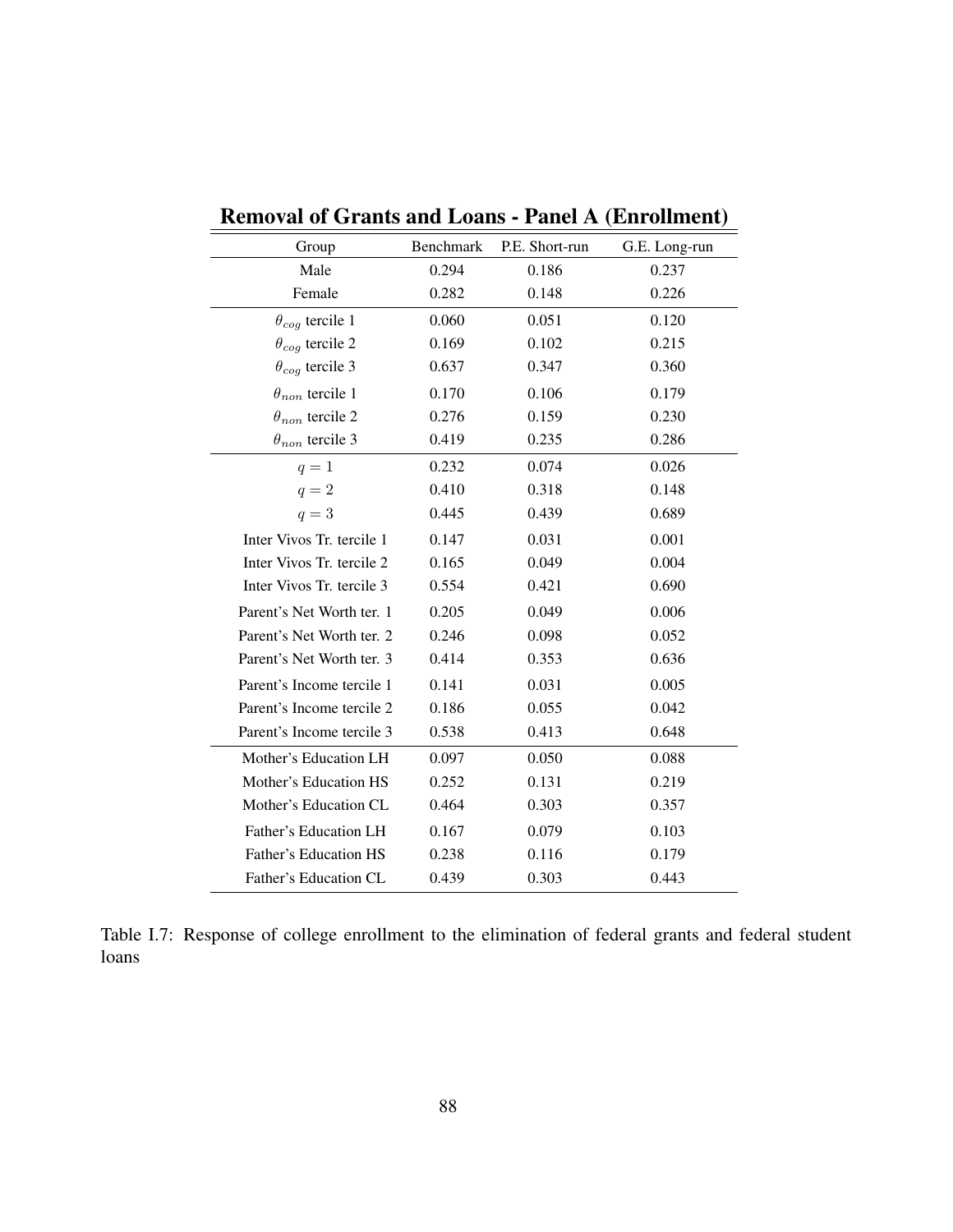| Group                        | Benchmark | P.E. Short-run | G.E. Long-run |
|------------------------------|-----------|----------------|---------------|
| Male                         | 0.294     | 0.186          | 0.237         |
| Female                       | 0.282     | 0.148          | 0.226         |
| $\theta_{cog}$ tercile 1     | 0.060     | 0.051          | 0.120         |
| $\theta_{cog}$ tercile 2     | 0.169     | 0.102          | 0.215         |
| $\theta_{cog}$ tercile 3     | 0.637     | 0.347          | 0.360         |
| $\theta_{non}$ tercile 1     | 0.170     | 0.106          | 0.179         |
| $\theta_{non}$ tercile 2     | 0.276     | 0.159          | 0.230         |
| $\theta_{non}$ tercile 3     | 0.419     | 0.235          | 0.286         |
| $q=1$                        | 0.232     | 0.074          | 0.026         |
| $q=2$                        | 0.410     | 0.318          | 0.148         |
| $q=3$                        | 0.445     | 0.439          | 0.689         |
| Inter Vivos Tr. tercile 1    | 0.147     | 0.031          | 0.001         |
| Inter Vivos Tr. tercile 2    | 0.165     | 0.049          | 0.004         |
| Inter Vivos Tr. tercile 3    | 0.554     | 0.421          | 0.690         |
| Parent's Net Worth ter. 1    | 0.205     | 0.049          | 0.006         |
| Parent's Net Worth ter. 2    | 0.246     | 0.098          | 0.052         |
| Parent's Net Worth ter. 3    | 0.414     | 0.353          | 0.636         |
| Parent's Income tercile 1    | 0.141     | 0.031          | 0.005         |
| Parent's Income tercile 2    | 0.186     | 0.055          | 0.042         |
| Parent's Income tercile 3    | 0.538     | 0.413          | 0.648         |
| Mother's Education LH        | 0.097     | 0.050          | 0.088         |
| Mother's Education HS        | 0.252     | 0.131          | 0.219         |
| Mother's Education CL        | 0.464     | 0.303          | 0.357         |
| Father's Education LH        | 0.167     | 0.079          | 0.103         |
| <b>Father's Education HS</b> | 0.238     | 0.116          | 0.179         |
| Father's Education CL        | 0.439     | 0.303          | 0.443         |

Removal of Grants and Loans - Panel A (Enrollment)

Table I.7: Response of college enrollment to the elimination of federal grants and federal student loans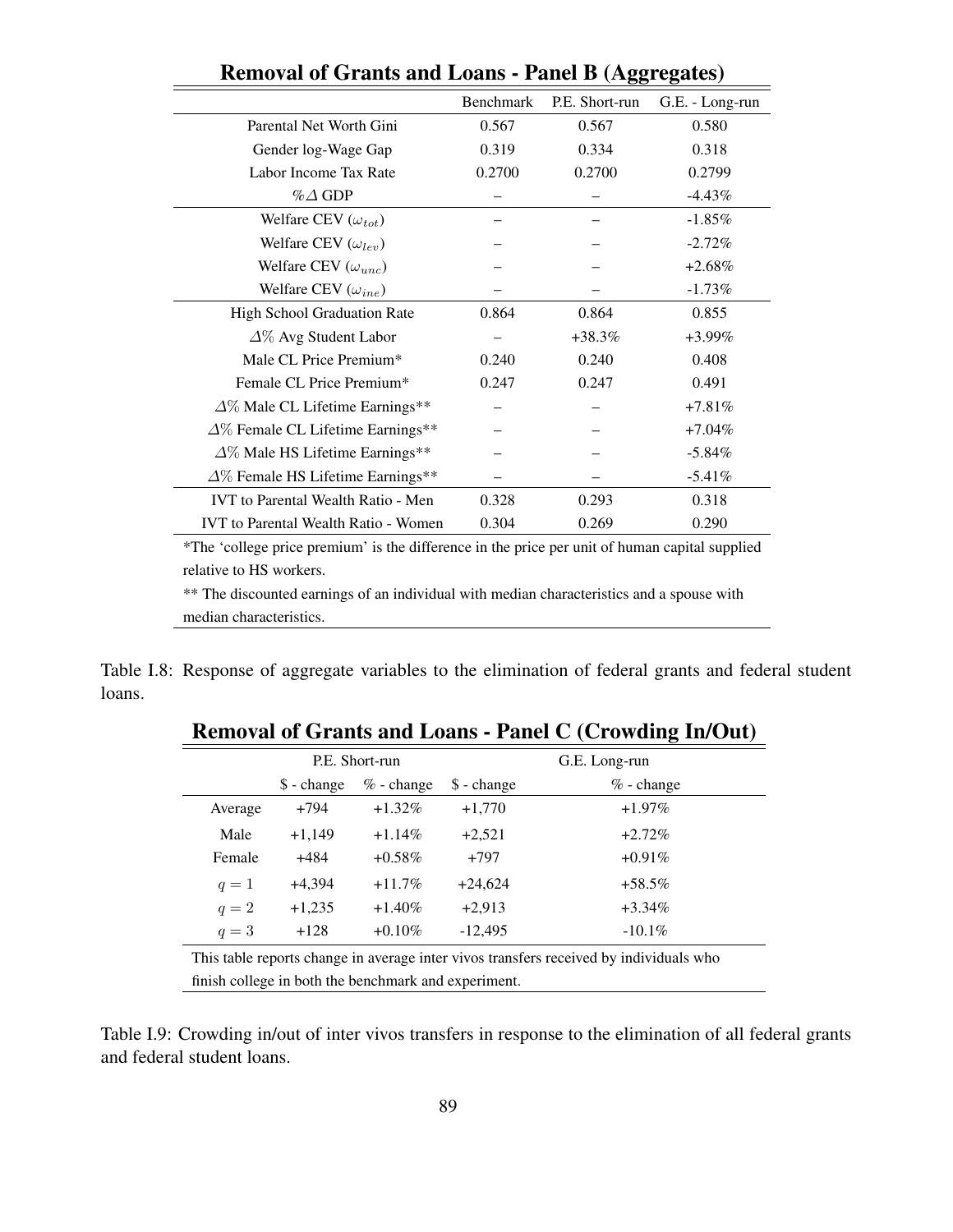|                                                                                                | <b>Benchmark</b> | P.E. Short-run | G.E. - Long-run |
|------------------------------------------------------------------------------------------------|------------------|----------------|-----------------|
| Parental Net Worth Gini                                                                        | 0.567            | 0.567          | 0.580           |
| Gender log-Wage Gap                                                                            | 0.319            | 0.334          | 0.318           |
| Labor Income Tax Rate                                                                          | 0.2700           | 0.2700         | 0.2799          |
| $% \triangle$ GDP                                                                              |                  |                | $-4.43%$        |
| Welfare CEV $(\omega_{tot})$                                                                   |                  |                | $-1.85\%$       |
| Welfare CEV $(\omega_{lev})$                                                                   |                  |                | $-2.72%$        |
| Welfare CEV $(\omega_{unc})$                                                                   |                  |                | $+2.68%$        |
| Welfare CEV $(\omega_{ine})$                                                                   |                  |                | $-1.73%$        |
| <b>High School Graduation Rate</b>                                                             | 0.864            | 0.864          | 0.855           |
| $\Delta\%$ Avg Student Labor                                                                   |                  | $+38.3%$       | $+3.99\%$       |
| Male CL Price Premium*                                                                         | 0.240            | 0.240          | 0.408           |
| Female CL Price Premium*                                                                       | 0.247            | 0.247          | 0.491           |
| $\Delta\%$ Male CL Lifetime Earnings**                                                         |                  |                | $+7.81%$        |
| $\Delta\%$ Female CL Lifetime Earnings**                                                       |                  |                | $+7.04%$        |
| $\Delta\%$ Male HS Lifetime Earnings**                                                         |                  |                | $-5.84\%$       |
| $\Delta\%$ Female HS Lifetime Earnings**                                                       |                  |                | $-5.41%$        |
| <b>IVT</b> to Parental Wealth Ratio - Men                                                      | 0.328            | 0.293          | 0.318           |
| <b>IVT</b> to Parental Wealth Ratio - Women                                                    | 0.304            | 0.269          | 0.290           |
| *The 'college price premium' is the difference in the price per unit of human capital supplied |                  |                |                 |
| relative to HS workers.                                                                        |                  |                |                 |

Removal of Grants and Loans - Panel B (Aggregates)

relative to HS workers.

\*\* The discounted earnings of an individual with median characteristics and a spouse with median characteristics.

Table I.8: Response of aggregate variables to the elimination of federal grants and federal student loans.

|         |             |                |             |               | o                                                                                      |  |
|---------|-------------|----------------|-------------|---------------|----------------------------------------------------------------------------------------|--|
|         |             | P.E. Short-run |             | G.E. Long-run |                                                                                        |  |
|         | \$ - change | $%$ - change   | \$ - change |               | $%$ - change                                                                           |  |
| Average | $+794$      | $+1.32\%$      | $+1,770$    |               | $+1.97\%$                                                                              |  |
| Male    | $+1,149$    | $+1.14\%$      | $+2,521$    |               | $+2.72%$                                                                               |  |
| Female  | $+484$      | $+0.58\%$      | $+797$      |               | $+0.91\%$                                                                              |  |
| $q=1$   | $+4.394$    | $+11.7\%$      | $+24.624$   |               | $+58.5\%$                                                                              |  |
| $q=2$   | $+1,235$    | $+1.40\%$      | $+2,913$    |               | $+3.34\%$                                                                              |  |
| $q=3$   | $+128$      | $+0.10\%$      | $-12,495$   |               | $-10.1\%$                                                                              |  |
|         |             |                |             |               | This table reports change in average inter vivos transfers received by individuals who |  |
|         |             |                |             |               |                                                                                        |  |

Removal of Grants and Loans - Panel C (Crowding In/Out)

finish college in both the benchmark and experiment.

Table I.9: Crowding in/out of inter vivos transfers in response to the elimination of all federal grants and federal student loans.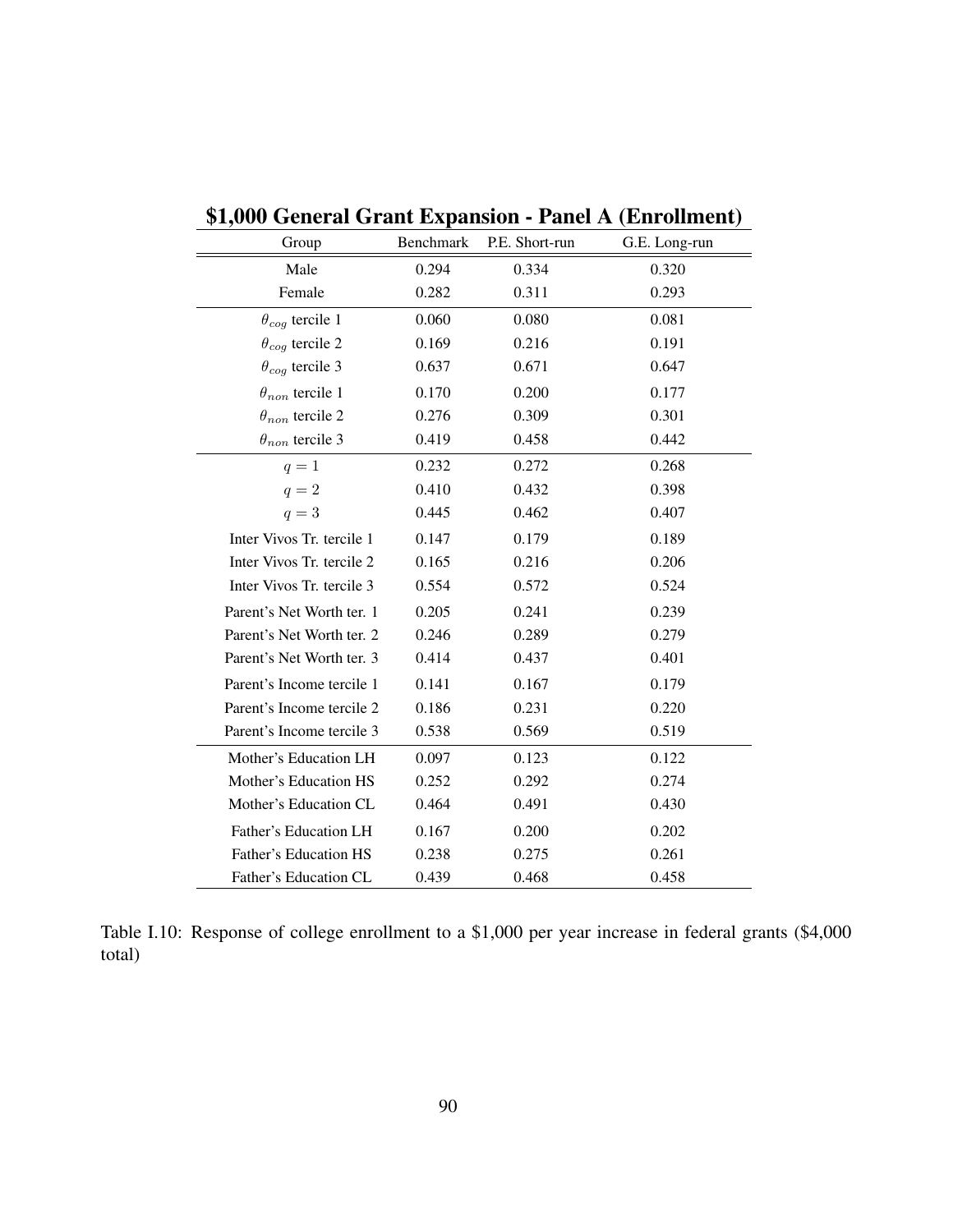| Group                        | Benchmark | P.E. Short-run | G.E. Long-run |
|------------------------------|-----------|----------------|---------------|
| Male                         | 0.294     | 0.334          | 0.320         |
| Female                       | 0.282     | 0.311          | 0.293         |
| $\theta_{cog}$ tercile 1     | 0.060     | 0.080          | 0.081         |
| $\theta_{cog}$ tercile 2     | 0.169     | 0.216          | 0.191         |
| $\theta_{coq}$ tercile 3     | 0.637     | 0.671          | 0.647         |
| $\theta_{non}$ tercile 1     | 0.170     | 0.200          | 0.177         |
| $\theta_{non}$ tercile 2     | 0.276     | 0.309          | 0.301         |
| $\theta_{non}$ tercile 3     | 0.419     | 0.458          | 0.442         |
| $q=1$                        | 0.232     | 0.272          | 0.268         |
| $q=2$                        | 0.410     | 0.432          | 0.398         |
| $q=3$                        | 0.445     | 0.462          | 0.407         |
| Inter Vivos Tr. tercile 1    | 0.147     | 0.179          | 0.189         |
| Inter Vivos Tr. tercile 2    | 0.165     | 0.216          | 0.206         |
| Inter Vivos Tr. tercile 3    | 0.554     | 0.572          | 0.524         |
| Parent's Net Worth ter. 1    | 0.205     | 0.241          | 0.239         |
| Parent's Net Worth ter. 2    | 0.246     | 0.289          | 0.279         |
| Parent's Net Worth ter. 3    | 0.414     | 0.437          | 0.401         |
| Parent's Income tercile 1    | 0.141     | 0.167          | 0.179         |
| Parent's Income tercile 2    | 0.186     | 0.231          | 0.220         |
| Parent's Income tercile 3    | 0.538     | 0.569          | 0.519         |
| Mother's Education LH        | 0.097     | 0.123          | 0.122         |
| Mother's Education HS        | 0.252     | 0.292          | 0.274         |
| Mother's Education CL        | 0.464     | 0.491          | 0.430         |
| Father's Education LH        | 0.167     | 0.200          | 0.202         |
| <b>Father's Education HS</b> | 0.238     | 0.275          | 0.261         |
| Father's Education CL        | 0.439     | 0.468          | 0.458         |

\$1,000 General Grant Expansion - Panel A (Enrollment)

Table I.10: Response of college enrollment to a \$1,000 per year increase in federal grants (\$4,000 total)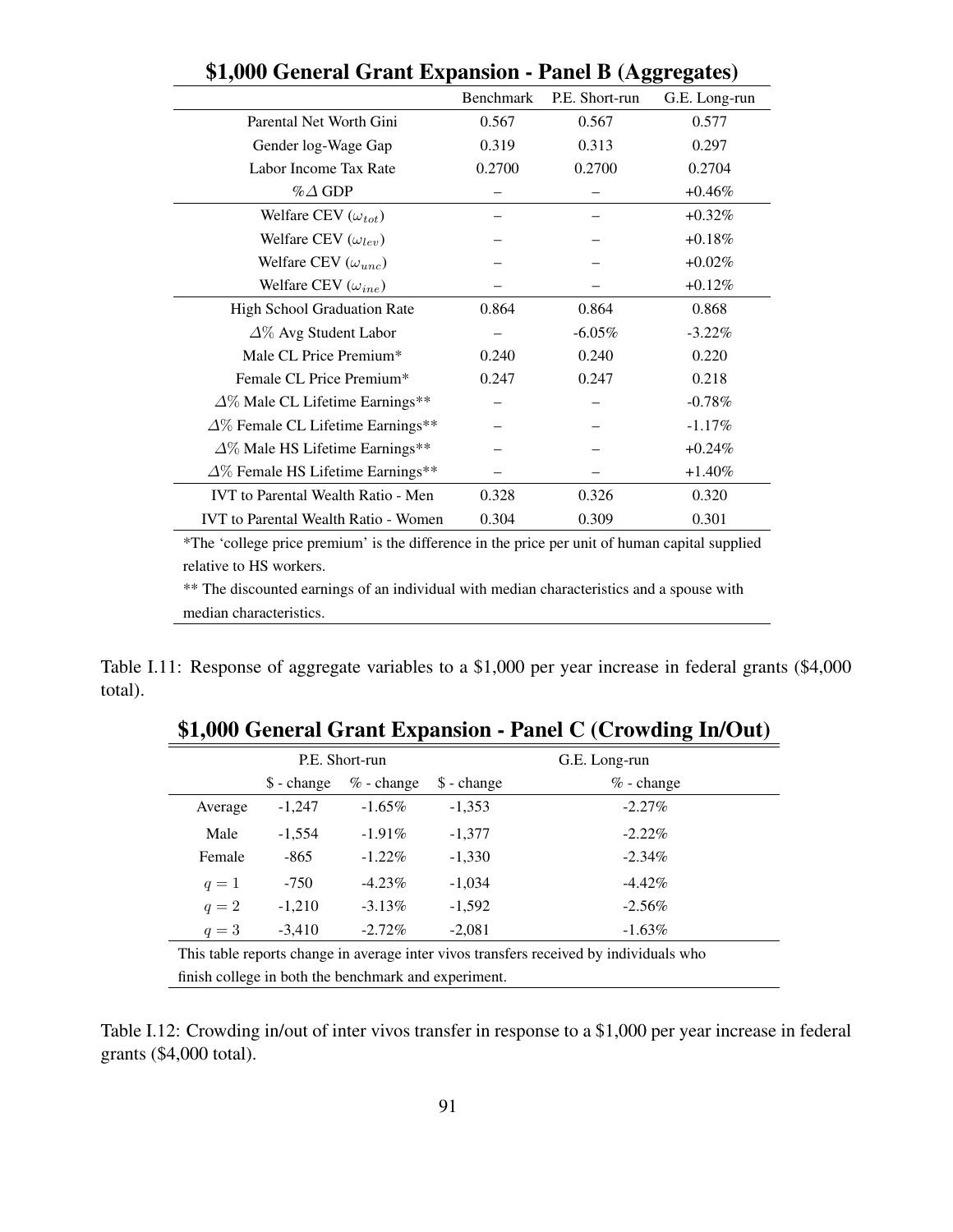|                                                                                                | <b>Benchmark</b> | P.E. Short-run | G.E. Long-run |
|------------------------------------------------------------------------------------------------|------------------|----------------|---------------|
| Parental Net Worth Gini                                                                        | 0.567            | 0.567          | 0.577         |
| Gender log-Wage Gap                                                                            | 0.319            | 0.313          | 0.297         |
| Labor Income Tax Rate                                                                          | 0.2700           | 0.2700         | 0.2704        |
| $% \triangle$ GDP                                                                              |                  |                | $+0.46%$      |
| Welfare CEV $(\omega_{tot})$                                                                   |                  |                | $+0.32\%$     |
| Welfare CEV $(\omega_{lev})$                                                                   |                  |                | $+0.18%$      |
| Welfare CEV $(\omega_{unc})$                                                                   |                  |                | $+0.02\%$     |
| Welfare CEV $(\omega_{ine})$                                                                   |                  |                | $+0.12%$      |
| <b>High School Graduation Rate</b>                                                             | 0.864            | 0.864          | 0.868         |
| $\Delta\%$ Avg Student Labor                                                                   |                  | $-6.05\%$      | $-3.22\%$     |
| Male CL Price Premium*                                                                         | 0.240            | 0.240          | 0.220         |
| Female CL Price Premium*                                                                       | 0.247            | 0.247          | 0.218         |
| $\Delta\%$ Male CL Lifetime Earnings**                                                         |                  |                | $-0.78%$      |
| $\Delta\%$ Female CL Lifetime Earnings**                                                       |                  |                | $-1.17%$      |
| $\Delta\%$ Male HS Lifetime Earnings**                                                         |                  |                | $+0.24%$      |
| $\Delta\%$ Female HS Lifetime Earnings**                                                       |                  |                | $+1.40%$      |
| <b>IVT</b> to Parental Wealth Ratio - Men                                                      | 0.328            | 0.326          | 0.320         |
| <b>IVT</b> to Parental Wealth Ratio - Women                                                    | 0.304            | 0.309          | 0.301         |
| *The 'college price premium' is the difference in the price per unit of human capital supplied |                  |                |               |
| relative to HS workers.                                                                        |                  |                |               |

### \$1,000 General Grant Expansion - Panel B (Aggregates)

\*\* The discounted earnings of an individual with median characteristics and a spouse with median characteristics.

Table I.11: Response of aggregate variables to a \$1,000 per year increase in federal grants (\$4,000 total).

|                                                                                        |             |              |             | $\psi$ 1,000 Ocherar Orant Expansion - 1 aner C (Crowunig III/Out) |  |
|----------------------------------------------------------------------------------------|-------------|--------------|-------------|--------------------------------------------------------------------|--|
| P.E. Short-run                                                                         |             |              |             | G.E. Long-run                                                      |  |
|                                                                                        | \$ - change | $%$ - change | \$ - change | $% - change$                                                       |  |
| Average                                                                                | $-1,247$    | $-1.65\%$    | $-1,353$    | $-2.27%$                                                           |  |
| Male                                                                                   | $-1,554$    | $-1.91\%$    | $-1,377$    | $-2.22\%$                                                          |  |
| Female                                                                                 | -865        | $-1.22\%$    | $-1,330$    | $-2.34\%$                                                          |  |
| $q=1$                                                                                  | $-750$      | $-4.23\%$    | $-1.034$    | $-4.42%$                                                           |  |
| $q=2$                                                                                  | $-1,210$    | $-3.13\%$    | $-1.592$    | $-2.56\%$                                                          |  |
| $q=3$                                                                                  | $-3.410$    | $-2.72\%$    | $-2.081$    | $-1.63\%$                                                          |  |
| This table reports change in average inter vivos transfers received by individuals who |             |              |             |                                                                    |  |
| finish college in both the benchmark and experiment.                                   |             |              |             |                                                                    |  |

\$1,000 General Grant Expansion - Panel C (Crowding In/Out)

Table I.12: Crowding in/out of inter vivos transfer in response to a \$1,000 per year increase in federal grants (\$4,000 total).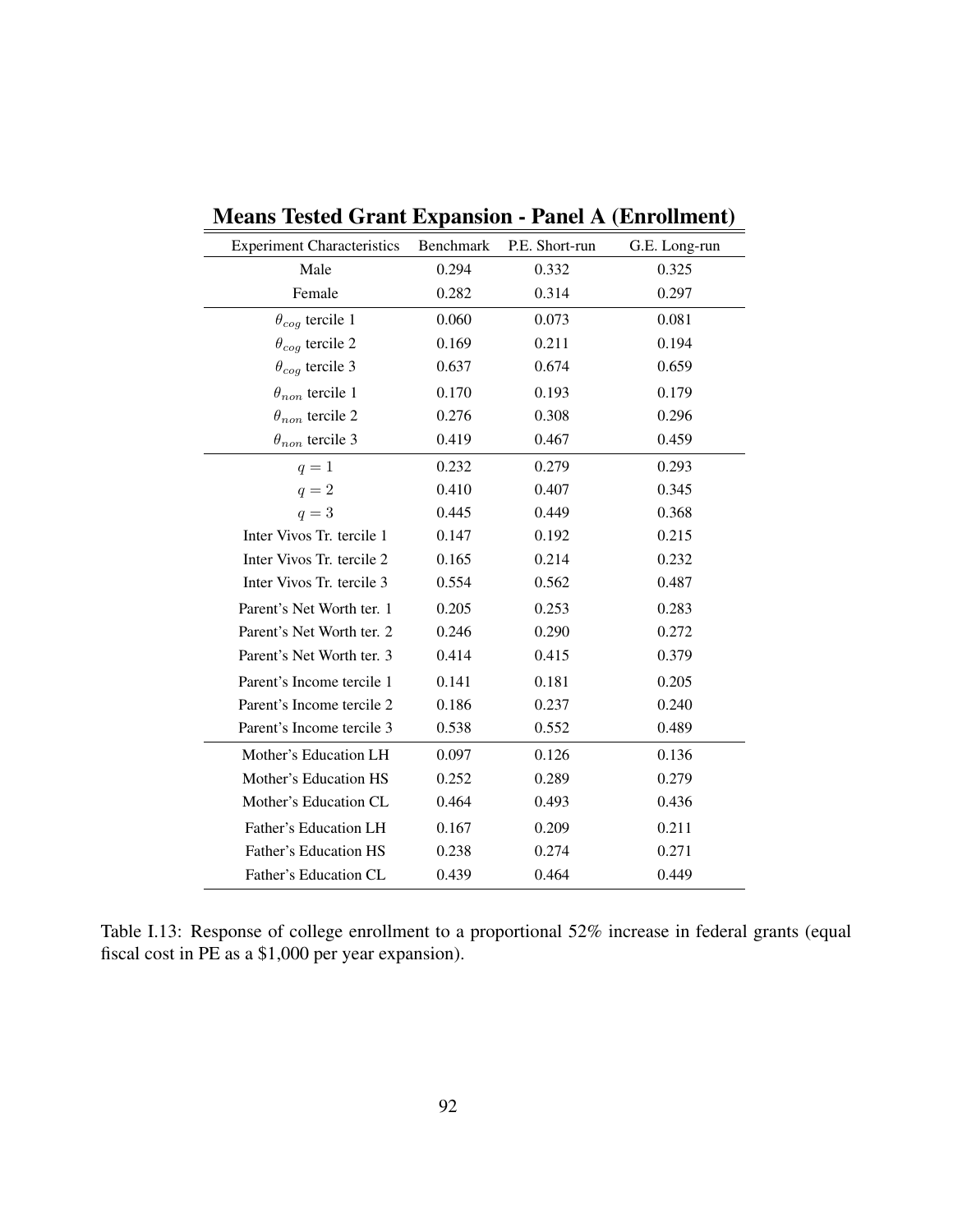| <b>Experiment Characteristics</b> | Benchmark | P.E. Short-run | G.E. Long-run |
|-----------------------------------|-----------|----------------|---------------|
| Male                              | 0.294     | 0.332          | 0.325         |
| Female                            | 0.282     | 0.314          | 0.297         |
| $\theta_{cog}$ tercile 1          | 0.060     | 0.073          | 0.081         |
| $\theta_{coq}$ tercile 2          | 0.169     | 0.211          | 0.194         |
| $\theta_{cog}$ tercile 3          | 0.637     | 0.674          | 0.659         |
| $\theta_{non}$ tercile 1          | 0.170     | 0.193          | 0.179         |
| $\theta_{non}$ tercile 2          | 0.276     | 0.308          | 0.296         |
| $\theta_{non}$ tercile 3          | 0.419     | 0.467          | 0.459         |
| $q=1$                             | 0.232     | 0.279          | 0.293         |
| $q=2$                             | 0.410     | 0.407          | 0.345         |
| $q=3$                             | 0.445     | 0.449          | 0.368         |
| Inter Vivos Tr. tercile 1         | 0.147     | 0.192          | 0.215         |
| Inter Vivos Tr. tercile 2         | 0.165     | 0.214          | 0.232         |
| Inter Vivos Tr. tercile 3         | 0.554     | 0.562          | 0.487         |
| Parent's Net Worth ter. 1         | 0.205     | 0.253          | 0.283         |
| Parent's Net Worth ter. 2         | 0.246     | 0.290          | 0.272         |
| Parent's Net Worth ter. 3         | 0.414     | 0.415          | 0.379         |
| Parent's Income tercile 1         | 0.141     | 0.181          | 0.205         |
| Parent's Income tercile 2         | 0.186     | 0.237          | 0.240         |
| Parent's Income tercile 3         | 0.538     | 0.552          | 0.489         |
| Mother's Education LH             | 0.097     | 0.126          | 0.136         |
| Mother's Education HS             | 0.252     | 0.289          | 0.279         |
| Mother's Education CL             | 0.464     | 0.493          | 0.436         |
| Father's Education LH             | 0.167     | 0.209          | 0.211         |
| <b>Father's Education HS</b>      | 0.238     | 0.274          | 0.271         |
| Father's Education CL             | 0.439     | 0.464          | 0.449         |

Means Tested Grant Expansion - Panel A (Enrollment)

Table I.13: Response of college enrollment to a proportional 52% increase in federal grants (equal fiscal cost in PE as a \$1,000 per year expansion).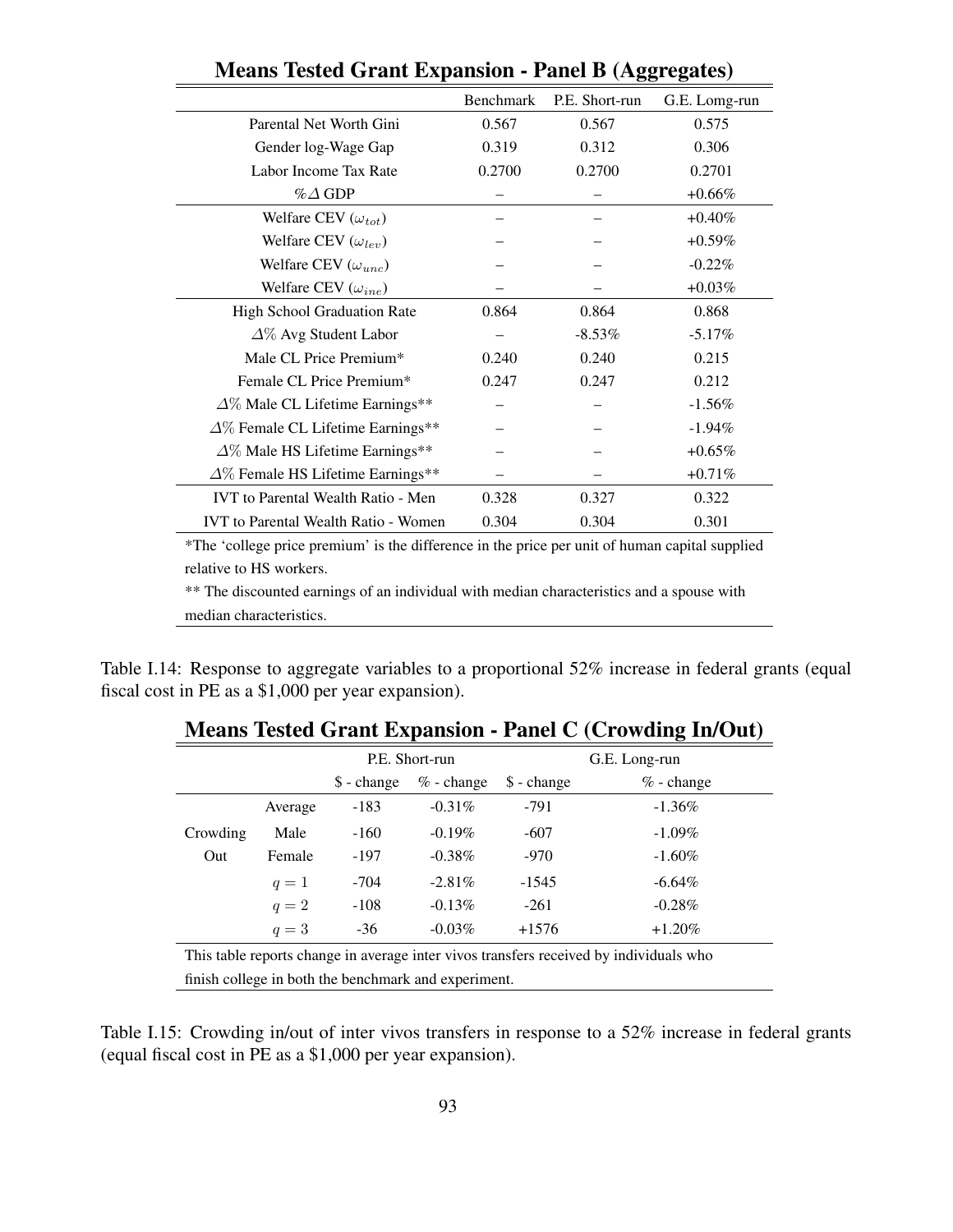|                                                                                                | <b>Benchmark</b> | P.E. Short-run | G.E. Lomg-run |
|------------------------------------------------------------------------------------------------|------------------|----------------|---------------|
| Parental Net Worth Gini                                                                        | 0.567            | 0.567          | 0.575         |
| Gender log-Wage Gap                                                                            | 0.319            | 0.312          | 0.306         |
| Labor Income Tax Rate                                                                          | 0.2700           | 0.2700         | 0.2701        |
| $% \triangle$ GDP                                                                              |                  |                | $+0.66%$      |
| Welfare CEV $(\omega_{tot})$                                                                   |                  |                | $+0.40%$      |
| Welfare CEV $(\omega_{lev})$                                                                   |                  |                | $+0.59\%$     |
| Welfare CEV $(\omega_{unc})$                                                                   |                  |                | $-0.22%$      |
| Welfare CEV $(\omega_{ine})$                                                                   |                  |                | $+0.03\%$     |
| High School Graduation Rate                                                                    | 0.864            | 0.864          | 0.868         |
| $\Delta\%$ Avg Student Labor                                                                   |                  | $-8.53\%$      | $-5.17%$      |
| Male CL Price Premium*                                                                         | 0.240            | 0.240          | 0.215         |
| Female CL Price Premium*                                                                       | 0.247            | 0.247          | 0.212         |
| $\Delta\%$ Male CL Lifetime Earnings**                                                         |                  |                | $-1.56%$      |
| $\Delta\%$ Female CL Lifetime Earnings**                                                       |                  |                | $-1.94%$      |
| $\Delta\%$ Male HS Lifetime Earnings**                                                         |                  |                | $+0.65\%$     |
| $\Delta\%$ Female HS Lifetime Earnings**                                                       |                  |                | $+0.71%$      |
| <b>IVT</b> to Parental Wealth Ratio - Men                                                      | 0.328            | 0.327          | 0.322         |
| <b>IVT</b> to Parental Wealth Ratio - Women                                                    | 0.304            | 0.304          | 0.301         |
| *The 'college price premium' is the difference in the price per unit of human capital supplied |                  |                |               |
| relative to HS workers.                                                                        |                  |                |               |

## Means Tested Grant Expansion - Panel B (Aggregates)

\*\* The discounted earnings of an individual with median characteristics and a spouse with median characteristics.

Table I.14: Response to aggregate variables to a proportional 52% increase in federal grants (equal fiscal cost in PE as a \$1,000 per year expansion).

|                                                                                        |         |             |                |             | <u> Means Tested Grant Expansion - Fanel C (Crowding Hi/Out)</u> |
|----------------------------------------------------------------------------------------|---------|-------------|----------------|-------------|------------------------------------------------------------------|
|                                                                                        |         |             | P.E. Short-run |             | G.E. Long-run                                                    |
|                                                                                        |         | \$ - change | $%$ - change   | \$ - change | $%$ - change                                                     |
|                                                                                        | Average | $-183$      | $-0.31\%$      | -791        | $-1.36\%$                                                        |
| Crowding                                                                               | Male    | $-160$      | $-0.19\%$      | $-607$      | $-1.09\%$                                                        |
| Out                                                                                    | Female  | -197        | $-0.38\%$      | $-970$      | $-1.60\%$                                                        |
|                                                                                        | $q=1$   | $-704$      | $-2.81\%$      | $-1545$     | $-6.64\%$                                                        |
|                                                                                        | $q=2$   | $-108$      | $-0.13%$       | $-261$      | $-0.28%$                                                         |
|                                                                                        | $q=3$   | $-36$       | $-0.03\%$      | $+1576$     | $+1.20\%$                                                        |
| This table reports change in average inter vivos transfers received by individuals who |         |             |                |             |                                                                  |
| finish college in both the benchmark and experiment.                                   |         |             |                |             |                                                                  |

Means Tested Crant Evnansion - Danal C (Crowding In/Out)

Table I.15: Crowding in/out of inter vivos transfers in response to a 52% increase in federal grants (equal fiscal cost in PE as a \$1,000 per year expansion).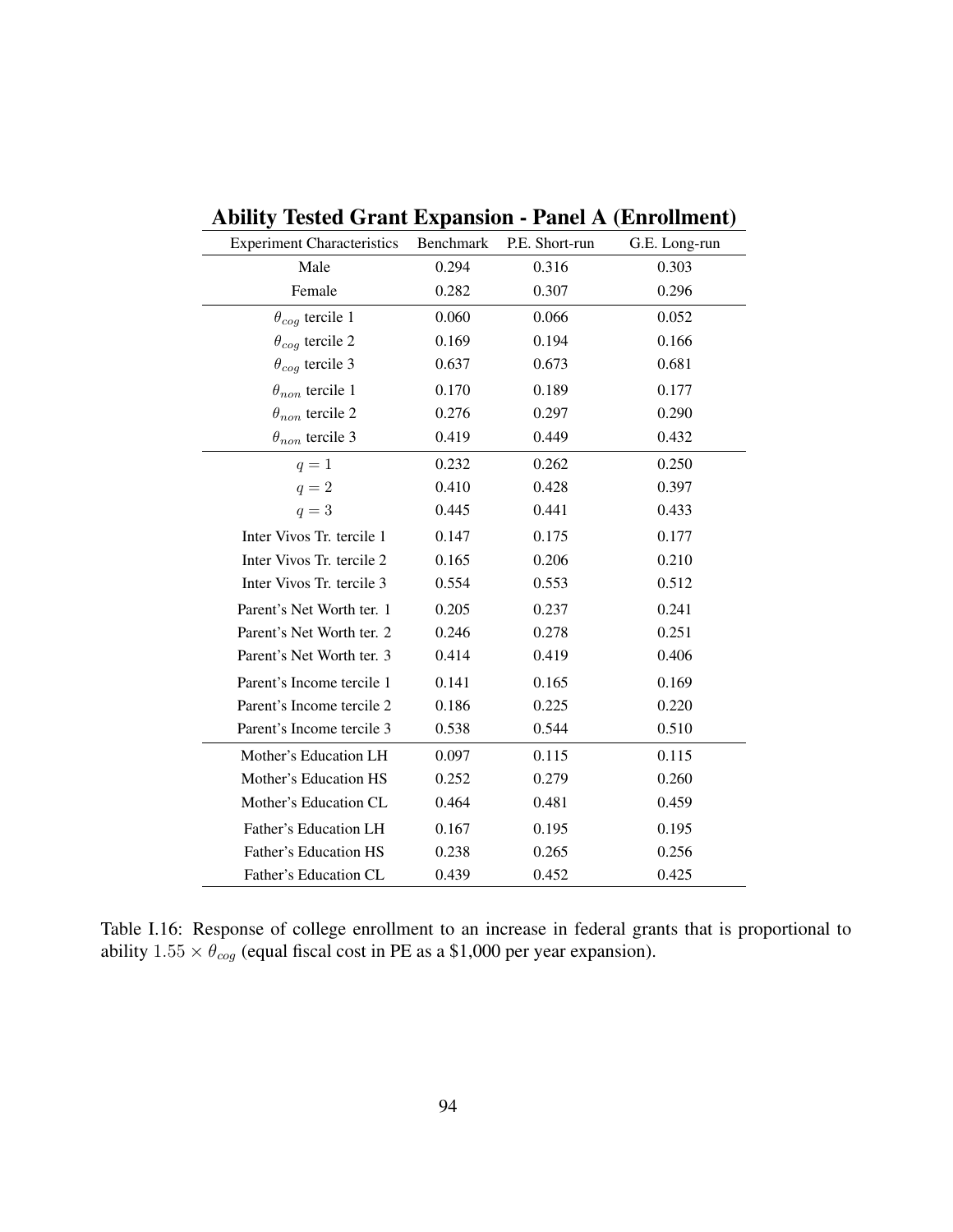| <b>Experiment Characteristics</b> | Benchmark | P.E. Short-run | G.E. Long-run |
|-----------------------------------|-----------|----------------|---------------|
| Male                              | 0.294     | 0.316          | 0.303         |
| Female                            | 0.282     | 0.307          | 0.296         |
| $\theta_{cog}$ tercile 1          | 0.060     | 0.066          | 0.052         |
| $\theta_{cog}$ tercile 2          | 0.169     | 0.194          | 0.166         |
| $\theta_{coq}$ tercile 3          | 0.637     | 0.673          | 0.681         |
| $\theta_{non}$ tercile 1          | 0.170     | 0.189          | 0.177         |
| $\theta_{non}$ tercile 2          | 0.276     | 0.297          | 0.290         |
| $\theta_{non}$ tercile 3          | 0.419     | 0.449          | 0.432         |
| $q=1$                             | 0.232     | 0.262          | 0.250         |
| $q=2$                             | 0.410     | 0.428          | 0.397         |
| $q=3$                             | 0.445     | 0.441          | 0.433         |
| Inter Vivos Tr. tercile 1         | 0.147     | 0.175          | 0.177         |
| Inter Vivos Tr. tercile 2         | 0.165     | 0.206          | 0.210         |
| Inter Vivos Tr. tercile 3         | 0.554     | 0.553          | 0.512         |
| Parent's Net Worth ter. 1         | 0.205     | 0.237          | 0.241         |
| Parent's Net Worth ter. 2         | 0.246     | 0.278          | 0.251         |
| Parent's Net Worth ter. 3         | 0.414     | 0.419          | 0.406         |
| Parent's Income tercile 1         | 0.141     | 0.165          | 0.169         |
| Parent's Income tercile 2         | 0.186     | 0.225          | 0.220         |
| Parent's Income tercile 3         | 0.538     | 0.544          | 0.510         |
| Mother's Education LH             | 0.097     | 0.115          | 0.115         |
| Mother's Education HS             | 0.252     | 0.279          | 0.260         |
| Mother's Education CL             | 0.464     | 0.481          | 0.459         |
| Father's Education LH             | 0.167     | 0.195          | 0.195         |
| <b>Father's Education HS</b>      | 0.238     | 0.265          | 0.256         |
| Father's Education CL             | 0.439     | 0.452          | 0.425         |

Ability Tested Grant Expansion - Panel A (Enrollment)

Table I.16: Response of college enrollment to an increase in federal grants that is proportional to ability  $1.55 \times \theta_{cog}$  (equal fiscal cost in PE as a \$1,000 per year expansion).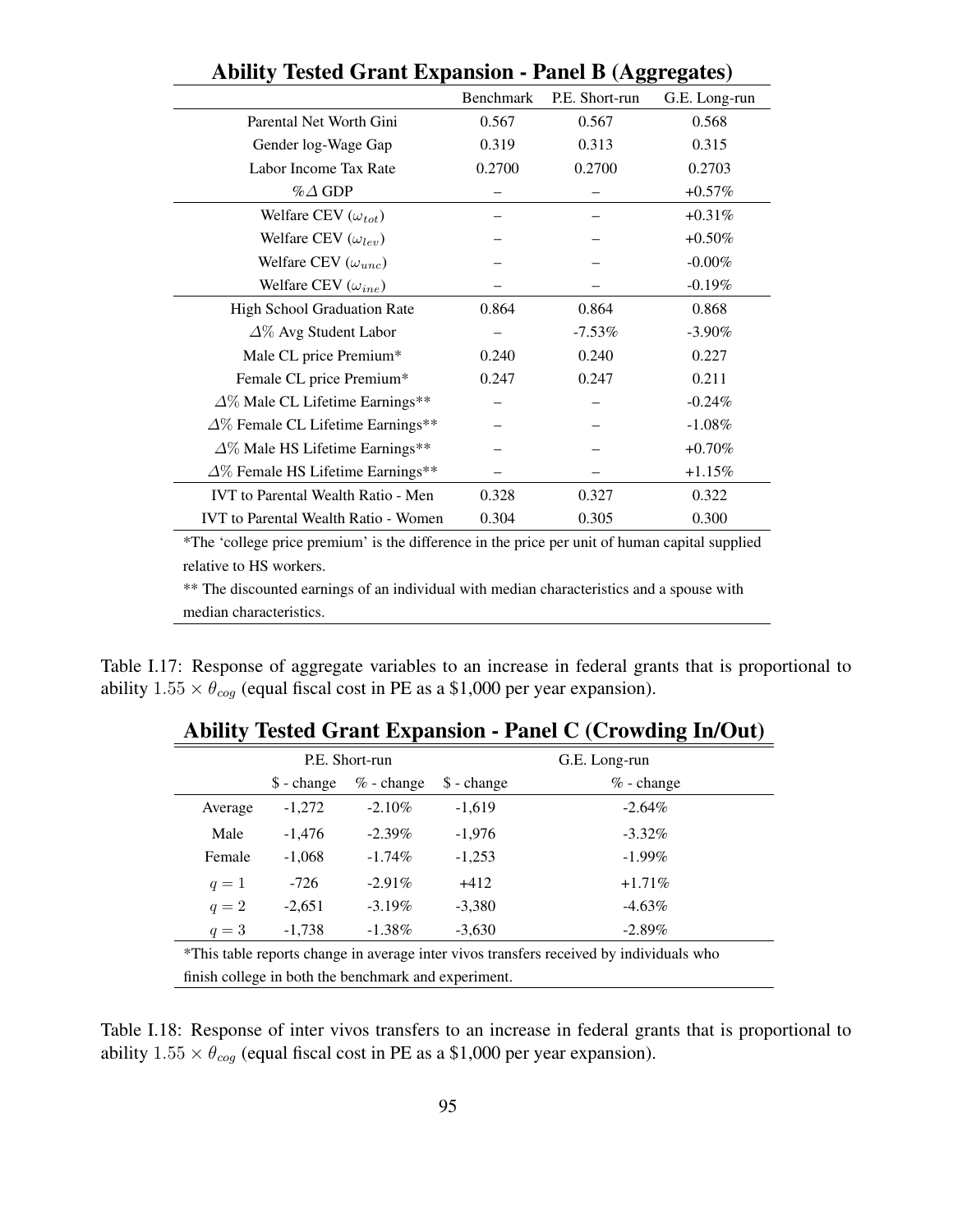|                                                                                                | <b>Benchmark</b> | P.E. Short-run | G.E. Long-run |
|------------------------------------------------------------------------------------------------|------------------|----------------|---------------|
| Parental Net Worth Gini                                                                        | 0.567            | 0.567          | 0.568         |
| Gender log-Wage Gap                                                                            | 0.319            | 0.313          | 0.315         |
| Labor Income Tax Rate                                                                          | 0.2700           | 0.2700         | 0.2703        |
| $% \triangle$ GDP                                                                              |                  |                | $+0.57\%$     |
| Welfare CEV $(\omega_{tot})$                                                                   |                  |                | $+0.31\%$     |
| Welfare CEV $(\omega_{lev})$                                                                   |                  |                | $+0.50\%$     |
| Welfare CEV $(\omega_{unc})$                                                                   |                  |                | $-0.00\%$     |
| Welfare CEV $(\omega_{ine})$                                                                   |                  |                | $-0.19%$      |
| <b>High School Graduation Rate</b>                                                             | 0.864            | 0.864          | 0.868         |
| $\Delta\%$ Avg Student Labor                                                                   |                  | $-7.53\%$      | $-3.90\%$     |
| Male CL price Premium*                                                                         | 0.240            | 0.240          | 0.227         |
| Female CL price Premium*                                                                       | 0.247            | 0.247          | 0.211         |
| $\Delta\%$ Male CL Lifetime Earnings**                                                         |                  |                | $-0.24%$      |
| $\Delta\%$ Female CL Lifetime Earnings**                                                       |                  |                | $-1.08\%$     |
| $\Delta\%$ Male HS Lifetime Earnings**                                                         |                  |                | $+0.70%$      |
| $\Delta\%$ Female HS Lifetime Earnings**                                                       |                  |                | $+1.15%$      |
| <b>IVT</b> to Parental Wealth Ratio - Men                                                      | 0.328            | 0.327          | 0.322         |
| <b>IVT</b> to Parental Wealth Ratio - Women                                                    | 0.304            | 0.305          | 0.300         |
| *The 'college price premium' is the difference in the price per unit of human capital supplied |                  |                |               |
| relative to HS workers.                                                                        |                  |                |               |

## Ability Tested Grant Expansion - Panel B (Aggregates)

\*\* The discounted earnings of an individual with median characteristics and a spouse with median characteristics.

Table I.17: Response of aggregate variables to an increase in federal grants that is proportional to ability  $1.55 \times \theta_{cog}$  (equal fiscal cost in PE as a \$1,000 per year expansion).

|                                                                                         | ADIIITY TESTEU GTAIIT EXPANSION - FANET C (Crowunig In/Out) |                |             |               |  |  |  |
|-----------------------------------------------------------------------------------------|-------------------------------------------------------------|----------------|-------------|---------------|--|--|--|
|                                                                                         |                                                             | P.E. Short-run |             | G.E. Long-run |  |  |  |
|                                                                                         | \$ - change                                                 | $%$ - change   | \$ - change | $%$ - change  |  |  |  |
| Average                                                                                 | $-1,272$                                                    | $-2.10\%$      | $-1,619$    | $-2.64\%$     |  |  |  |
| Male                                                                                    | $-1,476$                                                    | $-2.39\%$      | $-1.976$    | $-3.32\%$     |  |  |  |
| Female                                                                                  | $-1,068$                                                    | $-1.74\%$      | $-1,253$    | $-1.99\%$     |  |  |  |
| $q=1$                                                                                   | $-726$                                                      | $-2.91\%$      | $+412$      | $+1.71%$      |  |  |  |
| $q=2$                                                                                   | $-2.651$                                                    | $-3.19\%$      | $-3.380$    | $-4.63\%$     |  |  |  |
| $q=3$                                                                                   | $-1,738$                                                    | $-1.38\%$      | $-3.630$    | $-2.89\%$     |  |  |  |
| *This table reports change in average inter vivos transfers received by individuals who |                                                             |                |             |               |  |  |  |
| finish college in both the benchmark and experiment.                                    |                                                             |                |             |               |  |  |  |

Ability Tested Grant Expansion - Panel C (Crowding In/Out)

Table I.18: Response of inter vivos transfers to an increase in federal grants that is proportional to ability  $1.55 \times \theta_{\text{cog}}$  (equal fiscal cost in PE as a \$1,000 per year expansion).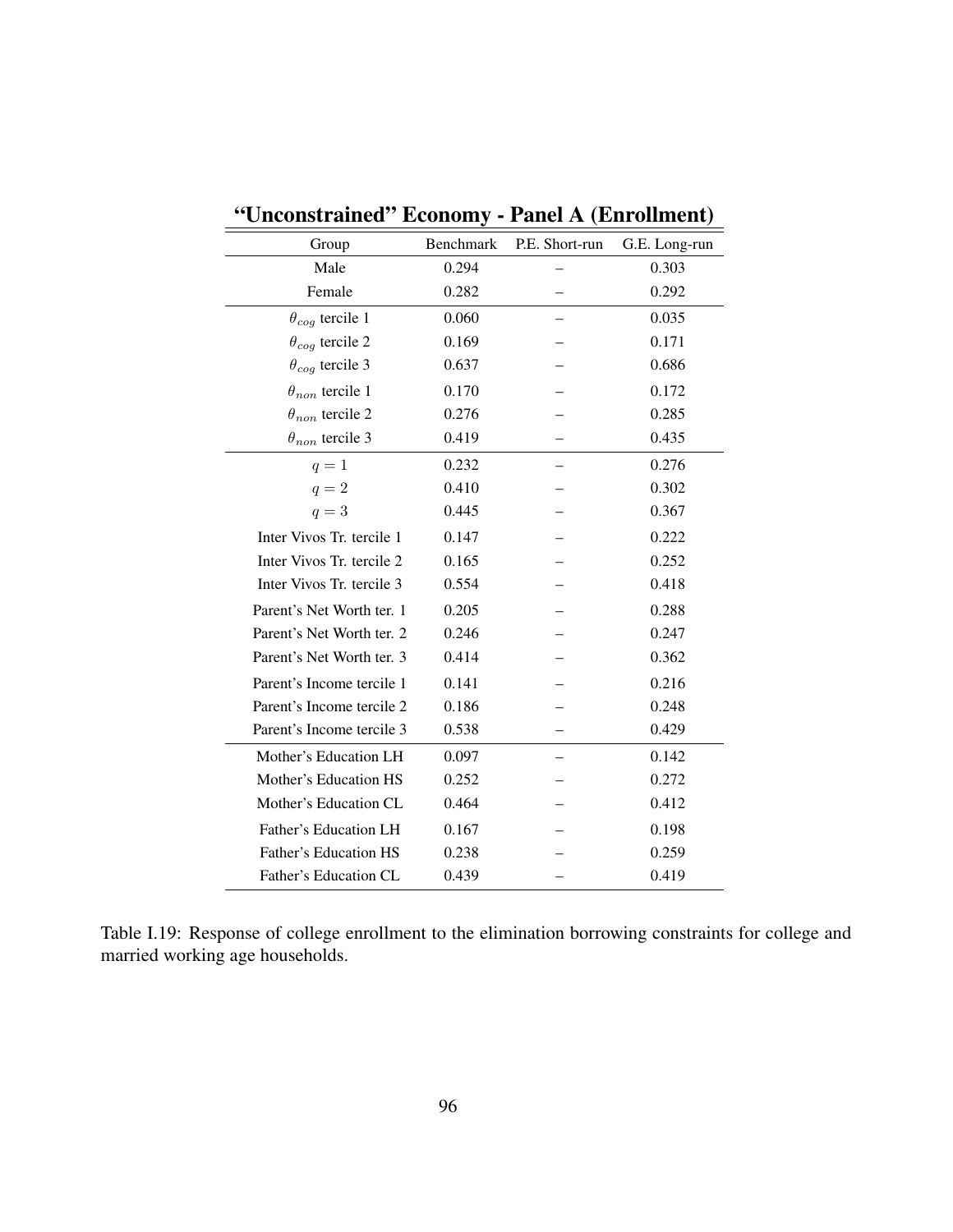| Group                     | <b>Benchmark</b> | P.E. Short-run | G.E. Long-run |
|---------------------------|------------------|----------------|---------------|
| Male                      | 0.294            |                | 0.303         |
| Female                    | 0.282            |                | 0.292         |
| $\theta_{coq}$ tercile 1  | 0.060            |                | 0.035         |
| $\theta_{coq}$ tercile 2  | 0.169            |                | 0.171         |
| $\theta_{cog}$ tercile 3  | 0.637            |                | 0.686         |
| $\theta_{non}$ tercile 1  | 0.170            |                | 0.172         |
| $\theta_{non}$ tercile 2  | 0.276            |                | 0.285         |
| $\theta_{non}$ tercile 3  | 0.419            |                | 0.435         |
| $q=1$                     | 0.232            |                | 0.276         |
| $q=2$                     | 0.410            |                | 0.302         |
| $q=3$                     | 0.445            |                | 0.367         |
| Inter Vivos Tr. tercile 1 | 0.147            |                | 0.222         |
| Inter Vivos Tr. tercile 2 | 0.165            |                | 0.252         |
| Inter Vivos Tr. tercile 3 | 0.554            |                | 0.418         |
| Parent's Net Worth ter. 1 | 0.205            |                | 0.288         |
| Parent's Net Worth ter. 2 | 0.246            |                | 0.247         |
| Parent's Net Worth ter. 3 | 0.414            |                | 0.362         |
| Parent's Income tercile 1 | 0.141            |                | 0.216         |
| Parent's Income tercile 2 | 0.186            |                | 0.248         |
| Parent's Income tercile 3 | 0.538            |                | 0.429         |
| Mother's Education LH     | 0.097            |                | 0.142         |
| Mother's Education HS     | 0.252            |                | 0.272         |
| Mother's Education CL     | 0.464            |                | 0.412         |
| Father's Education LH     | 0.167            |                | 0.198         |
| Father's Education HS     | 0.238            |                | 0.259         |
| Father's Education CL     | 0.439            |                | 0.419         |

"Unconstrained" Economy - Panel A (Enrollment)

Table I.19: Response of college enrollment to the elimination borrowing constraints for college and married working age households.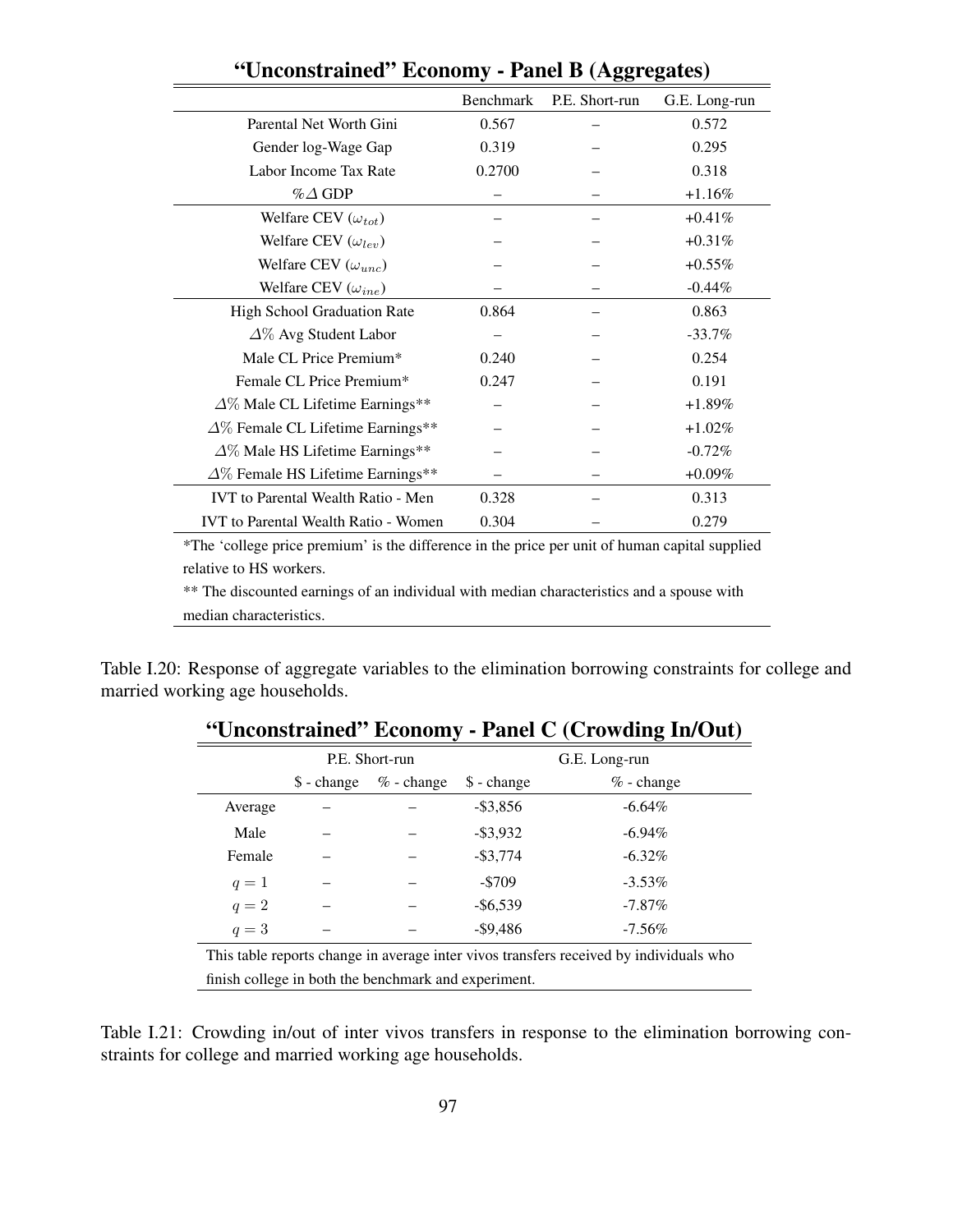|                                                                                                | Benchmark | P.E. Short-run | G.E. Long-run |  |  |
|------------------------------------------------------------------------------------------------|-----------|----------------|---------------|--|--|
| Parental Net Worth Gini                                                                        | 0.567     |                | 0.572         |  |  |
| Gender log-Wage Gap                                                                            | 0.319     |                | 0.295         |  |  |
| Labor Income Tax Rate                                                                          | 0.2700    |                | 0.318         |  |  |
| $% \triangle$ GDP                                                                              |           |                | $+1.16%$      |  |  |
| Welfare CEV $(\omega_{tot})$                                                                   |           |                | $+0.41%$      |  |  |
| Welfare CEV $(\omega_{lev})$                                                                   |           |                | $+0.31%$      |  |  |
| Welfare CEV $(\omega_{unc})$                                                                   |           |                | $+0.55\%$     |  |  |
| Welfare CEV $(\omega_{ine})$                                                                   |           |                | $-0.44\%$     |  |  |
| <b>High School Graduation Rate</b>                                                             | 0.864     |                | 0.863         |  |  |
| $\Delta\%$ Avg Student Labor                                                                   |           |                | $-33.7%$      |  |  |
| Male CL Price Premium*                                                                         | 0.240     |                | 0.254         |  |  |
| Female CL Price Premium*                                                                       | 0.247     |                | 0.191         |  |  |
| $\Delta\%$ Male CL Lifetime Earnings**                                                         |           |                | $+1.89\%$     |  |  |
| $\Delta\%$ Female CL Lifetime Earnings**                                                       |           |                | $+1.02\%$     |  |  |
| $\Delta\%$ Male HS Lifetime Earnings**                                                         |           |                | $-0.72%$      |  |  |
| $\Delta\%$ Female HS Lifetime Earnings**                                                       |           |                | $+0.09\%$     |  |  |
| <b>IVT</b> to Parental Wealth Ratio - Men                                                      | 0.328     |                | 0.313         |  |  |
| <b>IVT</b> to Parental Wealth Ratio - Women                                                    | 0.304     |                | 0.279         |  |  |
| *The 'college price premium' is the difference in the price per unit of human capital supplied |           |                |               |  |  |
| relative to HS workers.                                                                        |           |                |               |  |  |

## "Unconstrained" Economy - Panel B (Aggregates)

relative to HS workers. \*\* The discounted earnings of an individual with median characteristics and a spouse with

median characteristics.

Table I.20: Response of aggregate variables to the elimination borrowing constraints for college and married working age households.

|         |                                                                                        |                                                      |               | Unconsulation $\mathbf{L}$ equivility - Fatter $\mathbf{C}$ (Crowding Higger) |  |
|---------|----------------------------------------------------------------------------------------|------------------------------------------------------|---------------|-------------------------------------------------------------------------------|--|
|         |                                                                                        | P.E. Short-run                                       | G.E. Long-run |                                                                               |  |
|         | $$ - change$                                                                           | $\%$ - change                                        | \$ - change   | $%$ - change                                                                  |  |
| Average |                                                                                        |                                                      | $-$ \$3,856   | $-6.64\%$                                                                     |  |
| Male    |                                                                                        |                                                      | $-$ \$3.932   | $-6.94\%$                                                                     |  |
| Female  |                                                                                        |                                                      | $-$ \$3,774   | $-6.32\%$                                                                     |  |
| $q=1$   |                                                                                        |                                                      | $-$ \$709     | $-3.53\%$                                                                     |  |
| $q=2$   |                                                                                        |                                                      | $-$ \$6,539   | $-7.87\%$                                                                     |  |
| $q=3$   |                                                                                        |                                                      | $-$ \$9.486   | $-7.56\%$                                                                     |  |
|         | This table reports change in average inter vivos transfers received by individuals who |                                                      |               |                                                                               |  |
|         |                                                                                        | finish college in both the benchmark and experiment. |               |                                                                               |  |

"Unconstrained"  $From any$  - Panel  $C$  (Crowding In/Out)

Table I.21: Crowding in/out of inter vivos transfers in response to the elimination borrowing constraints for college and married working age households.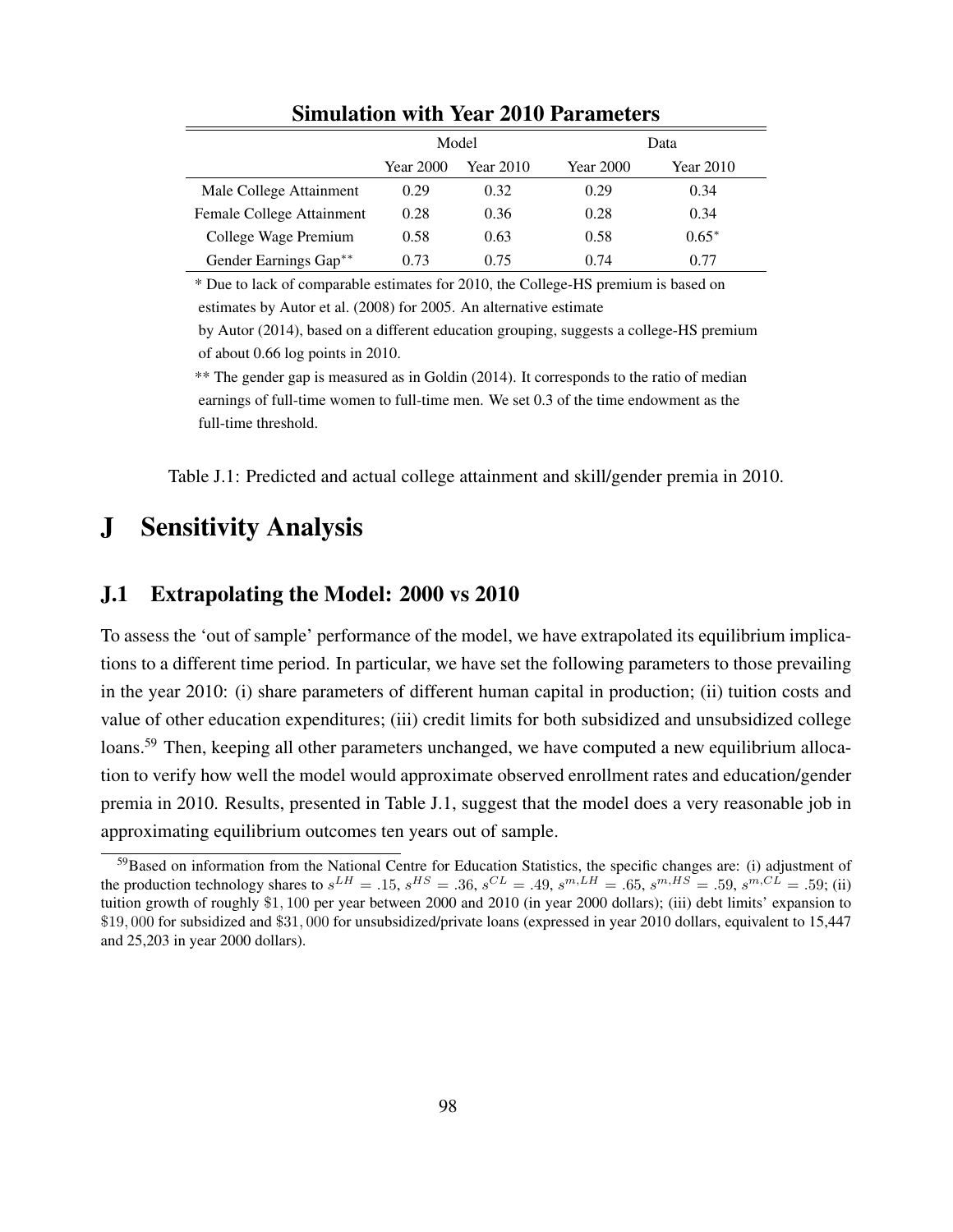|                           | Model            |           |                  | Data      |  |
|---------------------------|------------------|-----------|------------------|-----------|--|
|                           | <b>Year 2000</b> | Year 2010 | <b>Year 2000</b> | Year 2010 |  |
| Male College Attainment   | 0.29             | 0.32      | 0.29             | 0.34      |  |
| Female College Attainment | 0.28             | 0.36      | 0.28             | 0.34      |  |
| College Wage Premium      | 0.58             | 0.63      | 0.58             | $0.65*$   |  |
| Gender Earnings Gap**     | 0.73             | 0.75      | 0.74             | 0.77      |  |

#### Simulation with Year 2010 Parameters

\* Due to lack of comparable estimates for 2010, the College-HS premium is based on estimates by Autor et al. (2008) for 2005. An alternative estimate

by Autor (2014), based on a different education grouping, suggests a college-HS premium of about 0.66 log points in 2010.

\*\* The gender gap is measured as in Goldin (2014). It corresponds to the ratio of median earnings of full-time women to full-time men. We set 0.3 of the time endowment as the full-time threshold.

Table J.1: Predicted and actual college attainment and skill/gender premia in 2010.

# J Sensitivity Analysis

#### J.1 Extrapolating the Model: 2000 vs 2010

To assess the 'out of sample' performance of the model, we have extrapolated its equilibrium implications to a different time period. In particular, we have set the following parameters to those prevailing in the year 2010: (i) share parameters of different human capital in production; (ii) tuition costs and value of other education expenditures; (iii) credit limits for both subsidized and unsubsidized college loans.<sup>59</sup> Then, keeping all other parameters unchanged, we have computed a new equilibrium allocation to verify how well the model would approximate observed enrollment rates and education/gender premia in 2010. Results, presented in Table J.1, suggest that the model does a very reasonable job in approximating equilibrium outcomes ten years out of sample.

<sup>59</sup>Based on information from the National Centre for Education Statistics, the specific changes are: (i) adjustment of the production technology shares to  $s^{LH} = .15$ ,  $s^{HS} = .36$ ,  $s^{CL} = .49$ ,  $s^{m,LH} = .65$ ,  $s^{m,HS} = .59$ ,  $s^{m,CL} = .59$ ; (ii) tuition growth of roughly \$1, 100 per year between 2000 and 2010 (in year 2000 dollars); (iii) debt limits' expansion to \$19, 000 for subsidized and \$31, 000 for unsubsidized/private loans (expressed in year 2010 dollars, equivalent to 15,447 and 25,203 in year 2000 dollars).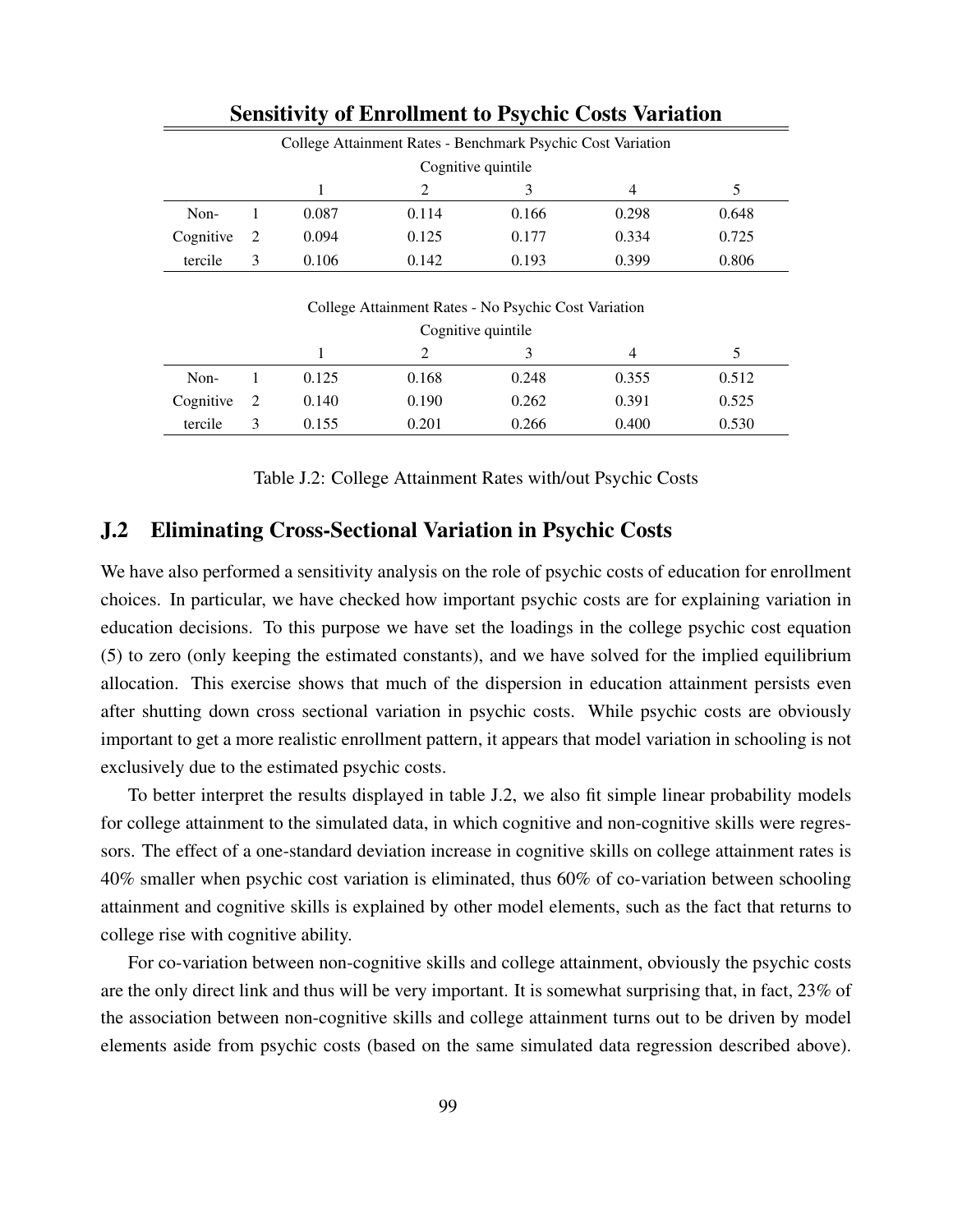| College Attainment Rates - Benchmark Psychic Cost Variation |   |       |       |       |       |       |
|-------------------------------------------------------------|---|-------|-------|-------|-------|-------|
| Cognitive quintile                                          |   |       |       |       |       |       |
|                                                             |   |       |       |       | 4     |       |
| Non-                                                        |   | 0.087 | 0.114 | 0.166 | 0.298 | 0.648 |
| Cognitive                                                   | 2 | 0.094 | 0.125 | 0.177 | 0.334 | 0.725 |
| tercile                                                     | 3 | 0.106 | 0.142 | 0.193 | 0.399 | 0.806 |

#### Sensitivity of Enrollment to Psychic Costs Variation

|                    |   |       | College Attainment Rates - No Psychic Cost Variation |       |       |       |  |
|--------------------|---|-------|------------------------------------------------------|-------|-------|-------|--|
| Cognitive quintile |   |       |                                                      |       |       |       |  |
|                    |   |       |                                                      |       | 4     | 5     |  |
| Non-               |   | 0.125 | 0.168                                                | 0.248 | 0.355 | 0.512 |  |
| Cognitive          | 2 | 0.140 | 0.190                                                | 0.262 | 0.391 | 0.525 |  |
| tercile            | 3 | 0.155 | 0.201                                                | 0.266 | 0.400 | 0.530 |  |

Table J.2: College Attainment Rates with/out Psychic Costs

#### J.2 Eliminating Cross-Sectional Variation in Psychic Costs

We have also performed a sensitivity analysis on the role of psychic costs of education for enrollment choices. In particular, we have checked how important psychic costs are for explaining variation in education decisions. To this purpose we have set the loadings in the college psychic cost equation (5) to zero (only keeping the estimated constants), and we have solved for the implied equilibrium allocation. This exercise shows that much of the dispersion in education attainment persists even after shutting down cross sectional variation in psychic costs. While psychic costs are obviously important to get a more realistic enrollment pattern, it appears that model variation in schooling is not exclusively due to the estimated psychic costs.

To better interpret the results displayed in table J.2, we also fit simple linear probability models for college attainment to the simulated data, in which cognitive and non-cognitive skills were regressors. The effect of a one-standard deviation increase in cognitive skills on college attainment rates is 40% smaller when psychic cost variation is eliminated, thus 60% of co-variation between schooling attainment and cognitive skills is explained by other model elements, such as the fact that returns to college rise with cognitive ability.

For co-variation between non-cognitive skills and college attainment, obviously the psychic costs are the only direct link and thus will be very important. It is somewhat surprising that, in fact, 23% of the association between non-cognitive skills and college attainment turns out to be driven by model elements aside from psychic costs (based on the same simulated data regression described above).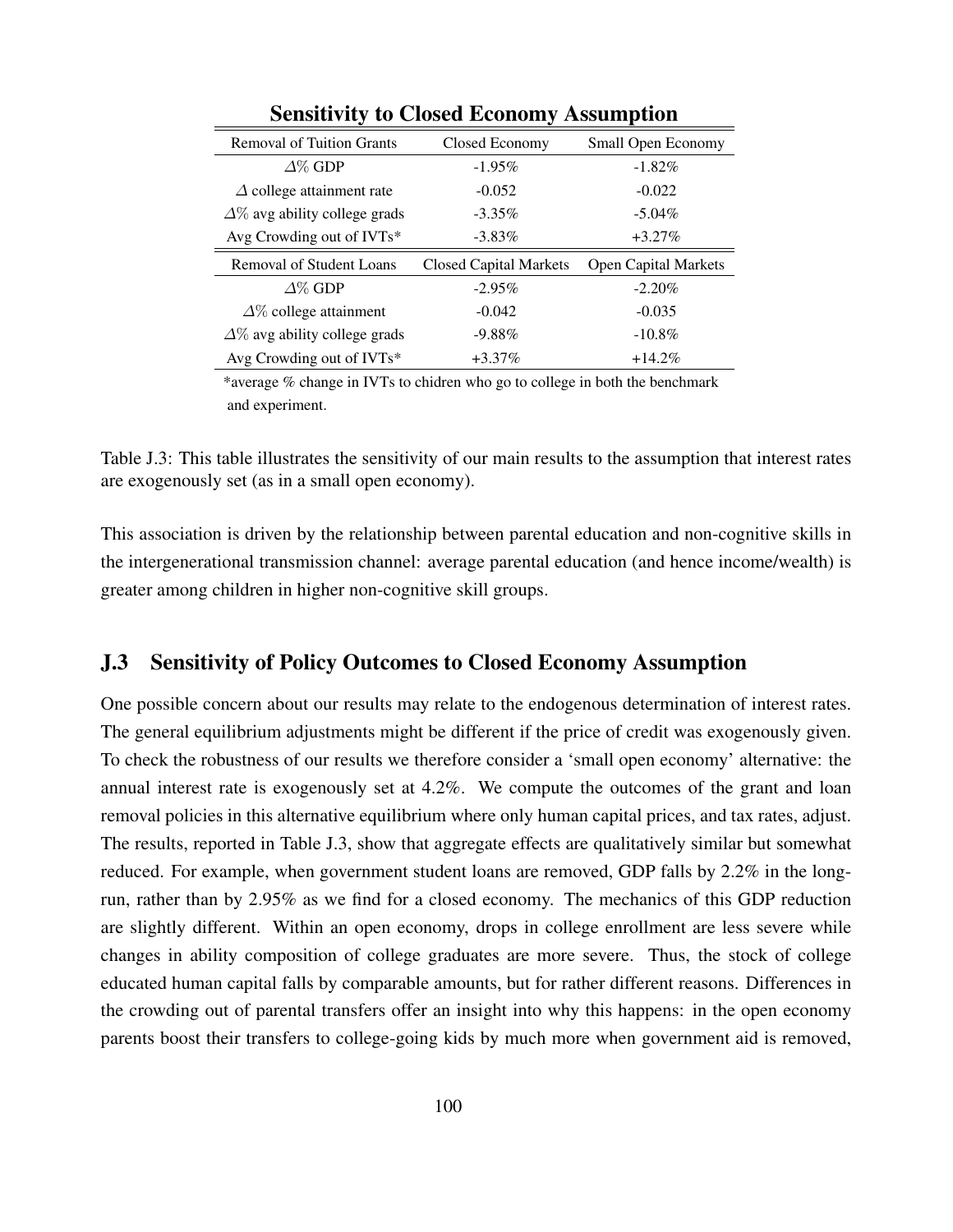| <b>Removal of Tuition Grants</b>     | Closed Economy                | Small Open Economy          |
|--------------------------------------|-------------------------------|-----------------------------|
| $\Delta\%$ GDP                       | $-1.95%$                      | $-1.82%$                    |
| $\Delta$ college attainment rate     | $-0.052$                      | $-0.022$                    |
| $\Delta\%$ avg ability college grads | $-3.35\%$                     | $-5.04\%$                   |
| Avg Crowding out of IVTs*            | $-3.83\%$                     | $+3.27%$                    |
| Removal of Student Loans             | <b>Closed Capital Markets</b> | <b>Open Capital Markets</b> |
| $\Delta\%$ GDP                       | $-2.95%$                      | $-2.20\%$                   |
| $\Delta\%$ college attainment        | $-0.042$                      | $-0.035$                    |
| $\Delta\%$ avg ability college grads | $-9.88\%$                     | $-10.8\%$                   |
| Avg Crowding out of IVTs*            | $+3.37\%$                     | $+14.2%$                    |

|  |  | <b>Sensitivity to Closed Economy Assumption</b> |
|--|--|-------------------------------------------------|
|  |  |                                                 |

\*average % change in IVTs to chidren who go to college in both the benchmark and experiment.

Table J.3: This table illustrates the sensitivity of our main results to the assumption that interest rates are exogenously set (as in a small open economy).

This association is driven by the relationship between parental education and non-cognitive skills in the intergenerational transmission channel: average parental education (and hence income/wealth) is greater among children in higher non-cognitive skill groups.

#### J.3 Sensitivity of Policy Outcomes to Closed Economy Assumption

One possible concern about our results may relate to the endogenous determination of interest rates. The general equilibrium adjustments might be different if the price of credit was exogenously given. To check the robustness of our results we therefore consider a 'small open economy' alternative: the annual interest rate is exogenously set at 4.2%. We compute the outcomes of the grant and loan removal policies in this alternative equilibrium where only human capital prices, and tax rates, adjust. The results, reported in Table J.3, show that aggregate effects are qualitatively similar but somewhat reduced. For example, when government student loans are removed, GDP falls by 2.2% in the longrun, rather than by 2.95% as we find for a closed economy. The mechanics of this GDP reduction are slightly different. Within an open economy, drops in college enrollment are less severe while changes in ability composition of college graduates are more severe. Thus, the stock of college educated human capital falls by comparable amounts, but for rather different reasons. Differences in the crowding out of parental transfers offer an insight into why this happens: in the open economy parents boost their transfers to college-going kids by much more when government aid is removed,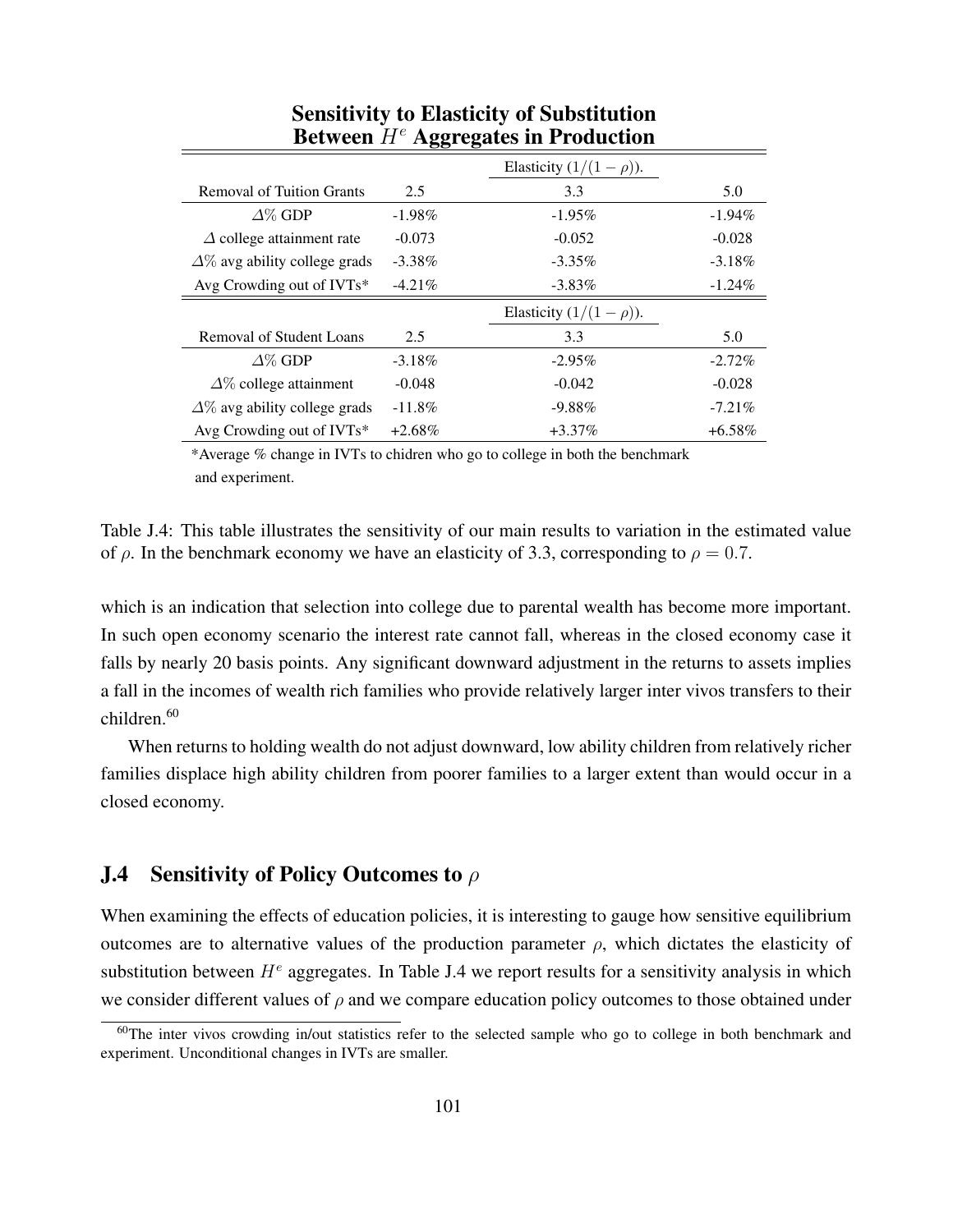| Between $H^e$ Aggregates in Production |           |                               |           |  |  |
|----------------------------------------|-----------|-------------------------------|-----------|--|--|
|                                        |           | Elasticity $(1/(1 - \rho))$ . |           |  |  |
| <b>Removal of Tuition Grants</b>       | 2.5       | 3.3                           | 5.0       |  |  |
| $\Delta\%$ GDP                         | $-1.98\%$ | $-1.95%$                      | $-1.94\%$ |  |  |
| $\Delta$ college attainment rate       | $-0.073$  | $-0.052$                      | $-0.028$  |  |  |
| $\Delta\%$ avg ability college grads   | $-3.38\%$ | $-3.35\%$                     | $-3.18\%$ |  |  |
| Avg Crowding out of IVTs*              | $-4.21\%$ | $-3.83\%$                     | $-1.24\%$ |  |  |
|                                        |           | Elasticity $(1/(1 - \rho))$ . |           |  |  |
| <b>Removal of Student Loans</b>        | 2.5       | 3.3                           | 5.0       |  |  |
| $\Delta\%$ GDP                         | $-3.18\%$ | $-2.95%$                      | $-2.72\%$ |  |  |
| $\Delta\%$ college attainment          | $-0.048$  | $-0.042$                      | $-0.028$  |  |  |
| $\Delta\%$ avg ability college grads   | $-11.8%$  | $-9.88%$                      | $-7.21\%$ |  |  |
| Avg Crowding out of $IVTs*$            | $+2.68\%$ | $+3.37\%$                     | $+6.58\%$ |  |  |

# Sensitivity to Elasticity of Substitution

\*Average % change in IVTs to chidren who go to college in both the benchmark and experiment.

Table J.4: This table illustrates the sensitivity of our main results to variation in the estimated value of  $\rho$ . In the benchmark economy we have an elasticity of 3.3, corresponding to  $\rho = 0.7$ .

which is an indication that selection into college due to parental wealth has become more important. In such open economy scenario the interest rate cannot fall, whereas in the closed economy case it falls by nearly 20 basis points. Any significant downward adjustment in the returns to assets implies a fall in the incomes of wealth rich families who provide relatively larger inter vivos transfers to their  $children.60$ 

When returns to holding wealth do not adjust downward, low ability children from relatively richer families displace high ability children from poorer families to a larger extent than would occur in a closed economy.

#### **J.4** Sensitivity of Policy Outcomes to  $\rho$

When examining the effects of education policies, it is interesting to gauge how sensitive equilibrium outcomes are to alternative values of the production parameter  $\rho$ , which dictates the elasticity of substitution between  $H^e$  aggregates. In Table J.4 we report results for a sensitivity analysis in which we consider different values of  $\rho$  and we compare education policy outcomes to those obtained under

 $60$ The inter vivos crowding in/out statistics refer to the selected sample who go to college in both benchmark and experiment. Unconditional changes in IVTs are smaller.